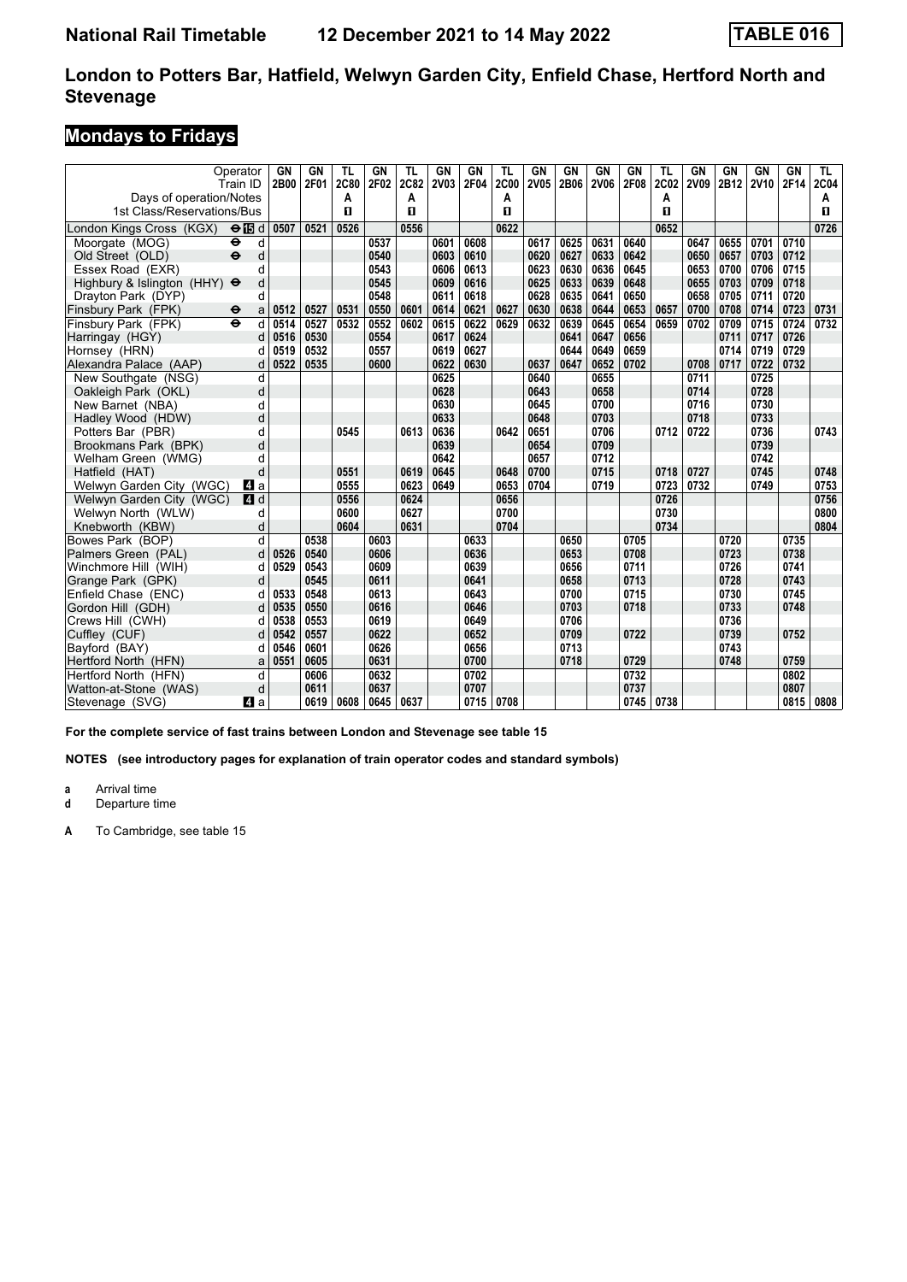# **Mondays to Fridays**

|                                                       | Operator<br>Train ID      | GN<br>2B00 | GN<br>2F01 | TL<br><b>2C80</b> | GN<br>2F02 | TL<br>2C82 | <b>GN</b><br><b>2V03</b> | GN<br>2F04 | <b>TL</b><br><b>2C00</b> | GN<br>2V05 | <b>GN</b><br>2B06 | GN<br><b>2V06</b> | <b>GN</b><br>2F08 | <b>TL</b><br><b>2C02</b> | GN<br><b>2V09</b> | GN<br>2B12 | GN<br><b>2V10</b> | GN<br>2F14 | TL.<br><b>2C04</b> |
|-------------------------------------------------------|---------------------------|------------|------------|-------------------|------------|------------|--------------------------|------------|--------------------------|------------|-------------------|-------------------|-------------------|--------------------------|-------------------|------------|-------------------|------------|--------------------|
| Days of operation/Notes<br>1st Class/Reservations/Bus |                           |            |            | А<br>п            |            | A<br>п     |                          |            | A<br>п                   |            |                   |                   |                   | A<br>п                   |                   |            |                   |            | A<br>п             |
| London Kings Cross (KGX)                              | $\Theta$ is d             | 0507       | 0521       | 0526              |            | 0556       |                          |            | 0622                     |            |                   |                   |                   | 0652                     |                   |            |                   |            | 0726               |
| Moorgate (MOG)                                        | $\ddot{\phantom{1}}$<br>d |            |            |                   | 0537       |            | 0601                     | 0608       |                          | 0617       | 0625              | 0631              | 0640              |                          | 0647              | 0655       | 0701              | 0710       |                    |
| Old Street (OLD)                                      | $\ddot{\mathbf{e}}$<br>d  |            |            |                   | 0540       |            | 0603                     | 0610       |                          | 0620       | 0627              | 0633              | 0642              |                          | 0650              | 0657       | 0703              | 0712       |                    |
| Essex Road (EXR)                                      | d                         |            |            |                   | 0543       |            | 0606                     | 0613       |                          | 0623       | 0630              | 0636              | 0645              |                          | 0653              | 0700       | 0706              | 0715       |                    |
| Highbury & Islington (HHY) $\Theta$                   | d                         |            |            |                   | 0545       |            | 0609                     | 0616       |                          | 0625       | 0633              | 0639              | 0648              |                          | 0655              | 0703       | 0709              | 0718       |                    |
| Dravton Park (DYP)                                    | d                         |            |            |                   | 0548       |            | 0611                     | 0618       |                          | 0628       | 0635              | 0641              | 0650              |                          | 0658              | 0705       | 0711              | 0720       |                    |
| Finsbury Park (FPK)                                   | $\bullet$<br>a            | 0512       | 0527       | 0531              | 0550       | 0601       | 0614                     | 0621       | 0627                     | 0630       | 0638              | 0644              | 0653              | 0657                     | 0700              | 0708       | 0714              | 0723       | 0731               |
| Finsbury Park (FPK)                                   | $\ddot{\mathbf{e}}$<br>d  | 0514       | 0527       | 0532              | 0552       | 0602       | 0615                     | 0622       | 0629                     | 0632       | 0639              | 0645              | 0654              | 0659                     | 0702              | 0709       | 0715              | 0724       | 0732               |
| Harringay (HGY)                                       | d                         | 0516       | 0530       |                   | 0554       |            | 0617                     | 0624       |                          |            | 0641              | 0647              | 0656              |                          |                   | 0711       | 0717              | 0726       |                    |
| Hornsey (HRN)                                         |                           | 0519       | 0532       |                   | 0557       |            | 0619                     | 0627       |                          |            | 0644              | 0649              | 0659              |                          |                   | 0714       | 0719              | 0729       |                    |
| Alexandra Palace (AAP)                                | d                         | 0522       | 0535       |                   | 0600       |            | 0622                     | 0630       |                          | 0637       | 0647              | 0652              | 0702              |                          | 0708              | 0717       | 0722              | 0732       |                    |
| New Southgate (NSG)                                   | d                         |            |            |                   |            |            | 0625                     |            |                          | 0640       |                   | 0655              |                   |                          | 0711              |            | 0725              |            |                    |
| Oakleigh Park (OKL)                                   | d                         |            |            |                   |            |            | 0628                     |            |                          | 0643       |                   | 0658              |                   |                          | 0714              |            | 0728              |            |                    |
| New Barnet (NBA)                                      | d                         |            |            |                   |            |            | 0630                     |            |                          | 0645       |                   | 0700              |                   |                          | 0716              |            | 0730              |            |                    |
| Hadley Wood (HDW)                                     | d                         |            |            |                   |            |            | 0633                     |            |                          | 0648       |                   | 0703              |                   |                          | 0718              |            | 0733              |            |                    |
| Potters Bar (PBR)                                     | d                         |            |            | 0545              |            | 0613       | 0636                     |            | 0642                     | 0651       |                   | 0706              |                   | 0712                     | 0722              |            | 0736              |            | 0743               |
| Brookmans Park (BPK)                                  | d                         |            |            |                   |            |            | 0639                     |            |                          | 0654       |                   | 0709              |                   |                          |                   |            | 0739              |            |                    |
| Welham Green (WMG)                                    | d                         |            |            |                   |            |            | 0642                     |            |                          | 0657       |                   | 0712              |                   |                          |                   |            | 0742              |            |                    |
| Hatfield (HAT)                                        | d                         |            |            | 0551              |            | 0619       | 0645                     |            | 0648                     | 0700       |                   | 0715              |                   | 0718                     | 0727              |            | 0745              |            | 0748               |
| Welwyn Garden City (WGC)                              | L4 a                      |            |            | 0555              |            | 0623       | 0649                     |            | 0653                     | 0704       |                   | 0719              |                   | 0723                     | 0732              |            | 0749              |            | 0753               |
| Welwyn Garden City (WGC)                              | 4d                        |            |            | 0556              |            | 0624       |                          |            | 0656                     |            |                   |                   |                   | 0726                     |                   |            |                   |            | 0756               |
| Welwyn North (WLW)                                    | d                         |            |            | 0600              |            | 0627       |                          |            | 0700                     |            |                   |                   |                   | 0730                     |                   |            |                   |            | 0800               |
| Knebworth (KBW)                                       | d                         |            |            | 0604              |            | 0631       |                          |            | 0704                     |            |                   |                   |                   | 0734                     |                   |            |                   |            | 0804               |
| Bowes Park (BOP)                                      | d                         |            | 0538       |                   | 0603       |            |                          | 0633       |                          |            | 0650              |                   | 0705              |                          |                   | 0720       |                   | 0735       |                    |
| Palmers Green (PAL)                                   | d                         | 0526       | 0540       |                   | 0606       |            |                          | 0636       |                          |            | 0653              |                   | 0708              |                          |                   | 0723       |                   | 0738       |                    |
| Winchmore Hill (WIH)                                  | d                         | 0529       | 0543       |                   | 0609       |            |                          | 0639       |                          |            | 0656              |                   | 0711              |                          |                   | 0726       |                   | 0741       |                    |
| Grange Park (GPK)                                     | d                         |            | 0545       |                   | 0611       |            |                          | 0641       |                          |            | 0658              |                   | 0713              |                          |                   | 0728       |                   | 0743       |                    |
| Enfield Chase (ENC)                                   | d                         | 0533       | 0548       |                   | 0613       |            |                          | 0643       |                          |            | 0700              |                   | 0715              |                          |                   | 0730       |                   | 0745       |                    |
| Gordon Hill (GDH)                                     | d                         | 0535       | 0550       |                   | 0616       |            |                          | 0646       |                          |            | 0703              |                   | 0718              |                          |                   | 0733       |                   | 0748       |                    |
| Crews Hill (CWH)                                      | d                         | 0538       | 0553       |                   | 0619       |            |                          | 0649       |                          |            | 0706              |                   |                   |                          |                   | 0736       |                   |            |                    |
| Cuffley (CUF)                                         | d                         | 0542       | 0557       |                   | 0622       |            |                          | 0652       |                          |            | 0709              |                   | 0722              |                          |                   | 0739       |                   | 0752       |                    |
| Bavford (BAY)                                         | d                         | 0546       | 0601       |                   | 0626       |            |                          | 0656       |                          |            | 0713              |                   |                   |                          |                   | 0743       |                   |            |                    |
| Hertford North (HFN)                                  | a                         | 0551       | 0605       |                   | 0631       |            |                          | 0700       |                          |            | 0718              |                   | 0729              |                          |                   | 0748       |                   | 0759       |                    |
| Hertford North (HFN)                                  | d                         |            | 0606       |                   | 0632       |            |                          | 0702       |                          |            |                   |                   | 0732              |                          |                   |            |                   | 0802       |                    |
| Watton-at-Stone (WAS)                                 | d                         |            | 0611       |                   | 0637       |            |                          | 0707       |                          |            |                   |                   | 0737              |                          |                   |            |                   | 0807       |                    |
| Stevenage (SVG)                                       | ZI a                      |            | 0619       | 0608              | 0645       | 0637       |                          | 0715       | 0708                     |            |                   |                   | 0745              | 0738                     |                   |            |                   | 0815       | 0808               |

**For the complete service of fast trains between London and Stevenage see table 1**

**NOTES (see introductory pages for explanation of train operator codes and standard symbols)**

**a** Arrival time<br>**d** Departure t

**d** Departure time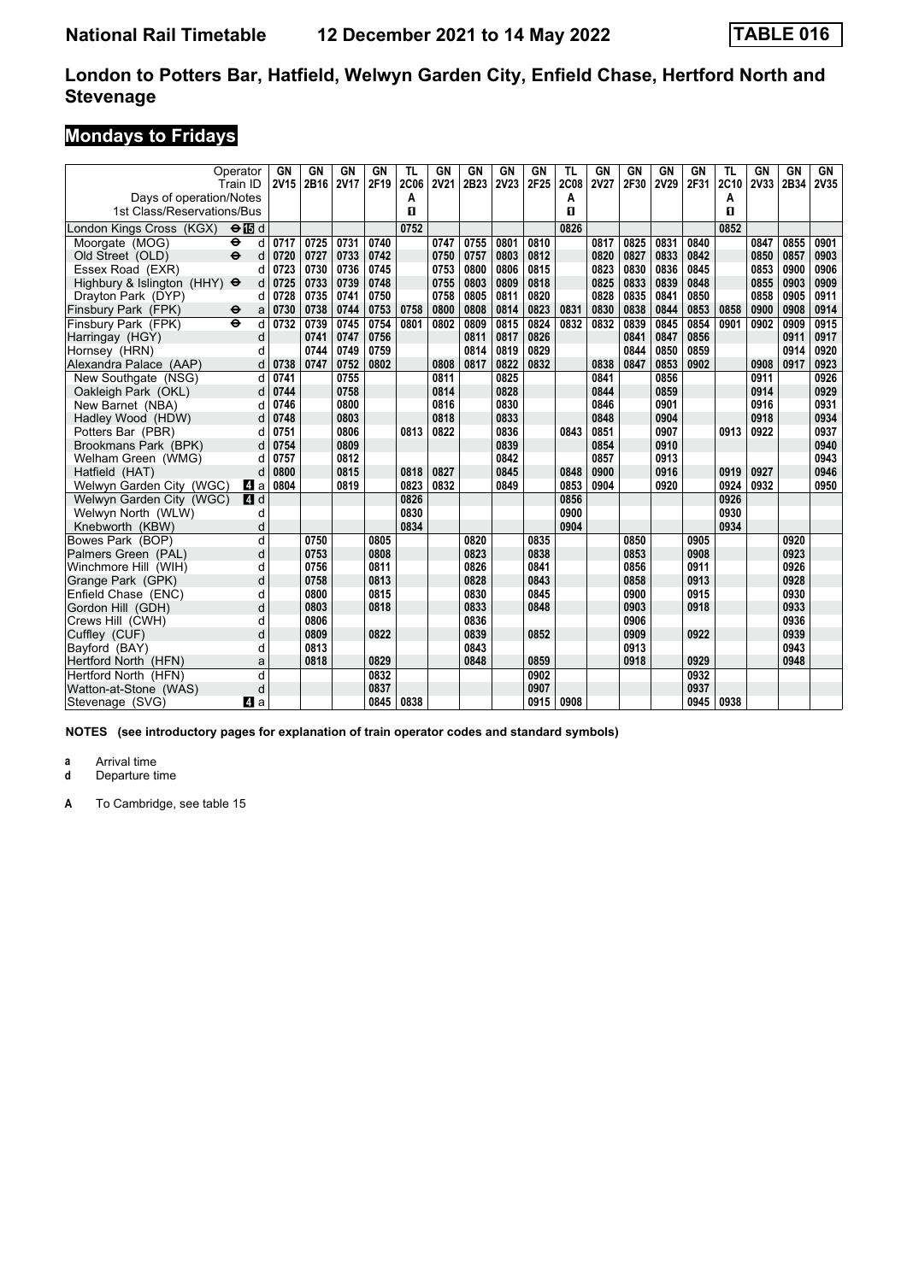# **Mondays to Fridays**

| Operator<br>Train ID<br>Days of operation/Notes |                           | GN<br><b>2V15</b> | GN<br>2B16 | GN<br><b>2V17</b> | GN<br>2F19 | TL<br><b>2C06</b><br>A | GN<br><b>2V21</b> | GN<br>2B23 | GN<br><b>2V23</b> | GN<br>2F25 | TL<br><b>2C08</b><br>A | GN<br><b>2V27</b> | GN<br>2F30 | GN<br><b>2V29</b> | GN<br>2F31 | TL<br>2C10<br>Α | GN<br>2V33 | <b>GN</b><br>2B34 | GN<br>2V35 |
|-------------------------------------------------|---------------------------|-------------------|------------|-------------------|------------|------------------------|-------------------|------------|-------------------|------------|------------------------|-------------------|------------|-------------------|------------|-----------------|------------|-------------------|------------|
| 1st Class/Reservations/Bus                      |                           |                   |            |                   |            | п                      |                   |            |                   |            | п                      |                   |            |                   |            | п               |            |                   |            |
| London Kings Cross (KGX)                        | $\Theta$ $\blacksquare$ d |                   |            |                   |            | 0752                   |                   |            |                   |            | 0826                   |                   |            |                   |            | 0852            |            |                   |            |
| Moorgate (MOG)<br>$\bullet$                     | d                         | 0717              | 0725       | 0731              | 0740       |                        | 0747              | 0755       | 0801              | 0810       |                        | 0817              | 0825       | 0831              | 0840       |                 | 0847       | 0855              | 0901       |
| $\ddot{\mathbf{e}}$<br>Old Street (OLD)         | d                         | 0720              | 0727       | 0733              | 0742       |                        | 0750              | 0757       | 0803              | 0812       |                        | 0820              | 0827       | 0833              | 0842       |                 | 0850       | 0857              | 0903       |
| Essex Road (EXR)                                | d                         | 0723              | 0730       | 0736              | 0745       |                        | 0753              | 0800       | 0806              | 0815       |                        | 0823              | 0830       | 0836              | 0845       |                 | 0853       | 0900              | 0906       |
| Highbury & Islington (HHY) $\Theta$             | d                         | 0725              | 0733       | 0739              | 0748       |                        | 0755              | 0803       | 0809              | 0818       |                        | 0825              | 0833       | 0839              | 0848       |                 | 0855       | 0903              | 0909       |
| Drayton Park (DYP)                              | d                         | 0728              | 0735       | 0741              | 0750       |                        | 0758              | 0805       | 0811              | 0820       |                        | 0828              | 0835       | 0841              | 0850       |                 | 0858       | 0905              | 0911       |
| Finsbury Park (FPK)<br>$\bullet$                | a                         | 0730              | 0738       | 0744              | 0753       | 0758                   | 0800              | 0808       | 0814              | 0823       | 0831                   | 0830              | 0838       | 0844              | 0853       | 0858            | 0900       | 0908              | 0914       |
| Finsbury Park (FPK)<br>$\ddot{\mathbf{e}}$      | d                         | 0732              | 0739       | 0745              | 0754       | 0801                   | 0802              | 0809       | 0815              | 0824       | 0832                   | 0832              | 0839       | 0845              | 0854       | 0901            | 0902       | 0909              | 0915       |
| Harringay (HGY)                                 | d                         |                   | 0741       | 0747              | 0756       |                        |                   | 0811       | 0817              | 0826       |                        |                   | 0841       | 0847              | 0856       |                 |            | 0911              | 0917       |
| Hornsey (HRN)                                   | d                         |                   | 0744       | 0749              | 0759       |                        |                   | 0814       | 0819              | 0829       |                        |                   | 0844       | 0850              | 0859       |                 |            | 0914              | 0920       |
| Alexandra Palace (AAP)                          | d                         | 0738              | 0747       | 0752              | 0802       |                        | 0808              | 0817       | 0822              | 0832       |                        | 0838              | 0847       | 0853              | 0902       |                 | 0908       | 0917              | 0923       |
| New Southgate (NSG)                             | d                         | 0741              |            | 0755              |            |                        | 0811              |            | 0825              |            |                        | 0841              |            | 0856              |            |                 | 0911       |                   | 0926       |
| Oakleigh Park (OKL)                             | d                         | 0744              |            | 0758              |            |                        | 0814              |            | 0828              |            |                        | 0844              |            | 0859              |            |                 | 0914       |                   | 0929       |
| New Barnet (NBA)                                | d                         | 0746              |            | 0800              |            |                        | 0816              |            | 0830              |            |                        | 0846              |            | 0901              |            |                 | 0916       |                   | 0931       |
| Hadley Wood (HDW)                               | d                         | 0748              |            | 0803              |            |                        | 0818              |            | 0833              |            |                        | 0848              |            | 0904              |            |                 | 0918       |                   | 0934       |
| Potters Bar (PBR)                               | d                         | 0751              |            | 0806              |            | 0813                   | 0822              |            | 0836              |            | 0843                   | 0851              |            | 0907              |            | 0913            | 0922       |                   | 0937       |
| Brookmans Park (BPK)                            |                           | 0754              |            | 0809              |            |                        |                   |            | 0839              |            |                        | 0854              |            | 0910              |            |                 |            |                   | 0940       |
| Welham Green (WMG)                              | d                         | 0757              |            | 0812              |            |                        |                   |            | 0842              |            |                        | 0857              |            | 0913              |            |                 |            |                   | 0943       |
| Hatfield (HAT)                                  |                           | 0800              |            | 0815              |            | 0818                   | 0827              |            | 0845              |            | 0848                   | 0900              |            | 0916              |            | 0919            | 0927       |                   | 0946       |
| Welwyn Garden City (WGC)                        | ZI a                      | 0804              |            | 0819              |            | 0823                   | 0832              |            | 0849              |            | 0853                   | 0904              |            | 0920              |            | 0924            | 0932       |                   | 0950       |
| Welwyn Garden City (WGC)                        | 4 d                       |                   |            |                   |            | 0826                   |                   |            |                   |            | 0856                   |                   |            |                   |            | 0926            |            |                   |            |
| Welwyn North (WLW)                              | d                         |                   |            |                   |            | 0830                   |                   |            |                   |            | 0900                   |                   |            |                   |            | 0930            |            |                   |            |
| Knebworth (KBW)                                 | d                         |                   |            |                   |            | 0834                   |                   |            |                   |            | 0904                   |                   |            |                   |            | 0934            |            |                   |            |
| Bowes Park (BOP)                                | d                         |                   | 0750       |                   | 0805       |                        |                   | 0820       |                   | 0835       |                        |                   | 0850       |                   | 0905       |                 |            | 0920              |            |
| Palmers Green (PAL)                             | d                         |                   | 0753       |                   | 0808       |                        |                   | 0823       |                   | 0838       |                        |                   | 0853       |                   | 0908       |                 |            | 0923              |            |
| Winchmore Hill (WIH)                            | d                         |                   | 0756       |                   | 0811       |                        |                   | 0826       |                   | 0841       |                        |                   | 0856       |                   | 0911       |                 |            | 0926              |            |
| Grange Park (GPK)                               | d                         |                   | 0758       |                   | 0813       |                        |                   | 0828       |                   | 0843       |                        |                   | 0858       |                   | 0913       |                 |            | 0928              |            |
| Enfield Chase (ENC)                             | d                         |                   | 0800       |                   | 0815       |                        |                   | 0830       |                   | 0845       |                        |                   | 0900       |                   | 0915       |                 |            | 0930              |            |
| Gordon Hill (GDH)                               | d                         |                   | 0803       |                   | 0818       |                        |                   | 0833       |                   | 0848       |                        |                   | 0903       |                   | 0918       |                 |            | 0933              |            |
| Crews Hill (CWH)                                | d                         |                   | 0806       |                   |            |                        |                   | 0836       |                   |            |                        |                   | 0906       |                   |            |                 |            | 0936              |            |
| Cuffley (CUF)                                   | d                         |                   | 0809       |                   | 0822       |                        |                   | 0839       |                   | 0852       |                        |                   | 0909       |                   | 0922       |                 |            | 0939              |            |
| Bavford (BAY)                                   | d                         |                   | 0813       |                   |            |                        |                   | 0843       |                   |            |                        |                   | 0913       |                   |            |                 |            | 0943              |            |
| Hertford North (HFN)                            | a                         |                   | 0818       |                   | 0829       |                        |                   | 0848       |                   | 0859       |                        |                   | 0918       |                   | 0929       |                 |            | 0948              |            |
| Hertford North (HFN)                            | d                         |                   |            |                   | 0832       |                        |                   |            |                   | 0902       |                        |                   |            |                   | 0932       |                 |            |                   |            |
| Watton-at-Stone (WAS)                           | d                         |                   |            |                   | 0837       |                        |                   |            |                   | 0907       |                        |                   |            |                   | 0937       |                 |            |                   |            |
| Stevenage (SVG)                                 | 41 a                      |                   |            |                   | 0845       | 0838                   |                   |            |                   | 0915       | 0908                   |                   |            |                   | 0945       | 0938            |            |                   |            |

**NOTES (see introductory pages for explanation of train operator codes and standard symbols)**

**a** Arrival time<br>**d** Departure t

**Departure time**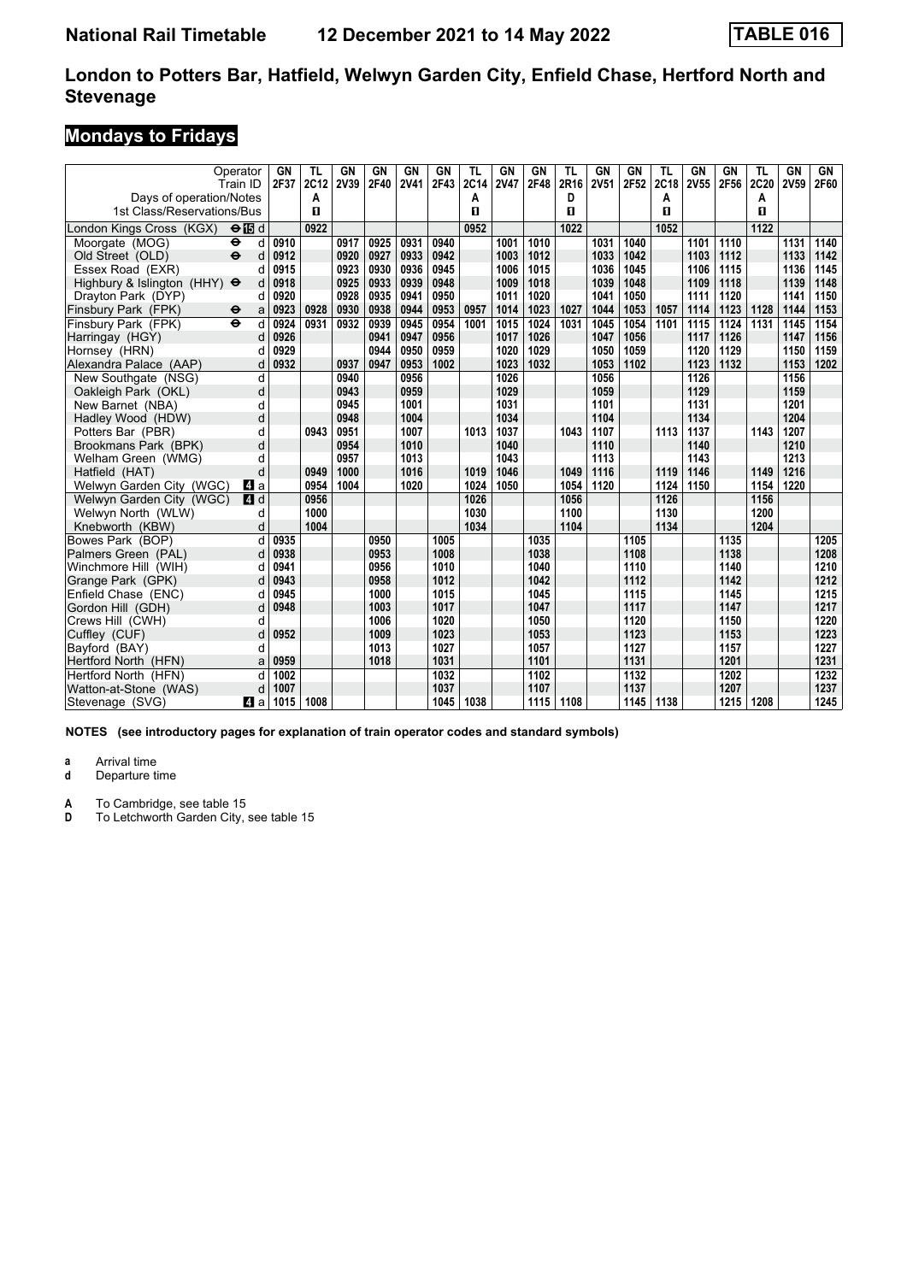# **Mondays to Fridays**

|                                                       | Operator<br>Train ID      | GN<br>2F37 | TL<br>2C12 | GN<br>2V39 | <b>GN</b><br>2F40 | <b>GN</b><br><b>2V41</b> | GN<br>2F43 | TL<br>2C14 | GN<br><b>2V47</b> | GN<br>2F48 | TL<br>2R16 | GN<br><b>2V51</b> | <b>GN</b><br>2F52 | TL<br>2C18 | <b>GN</b><br>2V55 | GN<br>2F56 | TL<br>2C20 | GN<br>2V59 | GN<br>2F60 |
|-------------------------------------------------------|---------------------------|------------|------------|------------|-------------------|--------------------------|------------|------------|-------------------|------------|------------|-------------------|-------------------|------------|-------------------|------------|------------|------------|------------|
| Days of operation/Notes<br>1st Class/Reservations/Bus |                           |            | A<br>п     |            |                   |                          |            | Α<br>п     |                   |            | D<br>п     |                   |                   | A<br>п     |                   |            | A<br>п     |            |            |
| London Kings Cross (KGX)                              | $\Theta$ $\blacksquare$ d |            | 0922       |            |                   |                          |            | 0952       |                   |            | 1022       |                   |                   | 1052       |                   |            | 1122       |            |            |
| Moorgate (MOG)                                        | $\ddot{\phantom{1}}$<br>d | 0910       |            | 0917       | 0925              | 0931                     | 0940       |            | 1001              | 1010       |            | 1031              | 1040              |            | 1101              | 1110       |            | 1131       | 1140       |
| Old Street (OLD)                                      | $\ddot{\mathbf{e}}$<br>d  | 0912       |            | 0920       | 0927              | 0933                     | 0942       |            | 1003              | 1012       |            | 1033              | 1042              |            | 1103              | 1112       |            | 1133       | 1142       |
| Essex Road (EXR)                                      | d                         | 0915       |            | 0923       | 0930              | 0936                     | 0945       |            | 1006              | 1015       |            | 1036              | 1045              |            | 1106              | 1115       |            | 1136       | 1145       |
| Highbury & Islington (HHY) $\Theta$                   | d                         | 0918       |            | 0925       | 0933              | 0939                     | 0948       |            | 1009              | 1018       |            | 1039              | 1048              |            | 1109              | 1118       |            | 1139       | 1148       |
| Drayton Park (DYP)                                    | d                         | 0920       |            | 0928       | 0935              | 0941                     | 0950       |            | 1011              | 1020       |            | 1041              | 1050              |            | 1111              | 1120       |            | 1141       | 1150       |
| Finsbury Park (FPK)                                   | $\bullet$<br>a            | 0923       | 0928       | 0930       | 0938              | 0944                     | 0953       | 0957       | 1014              | 1023       | 1027       | 1044              | 1053              | 1057       | 1114              | 1123       | 1128       | 1144       | 1153       |
| Finsbury Park (FPK)                                   | $\ddot{\mathbf{e}}$<br>d  | 0924       | 0931       | 0932       | 0939              | 0945                     | 0954       | 1001       | 1015              | 1024       | 1031       | 1045              | 1054              | 1101       | 1115              | 1124       | 1131       | 1145       | 1154       |
| Harringay (HGY)                                       | d                         | 0926       |            |            | 0941              | 0947                     | 0956       |            | 1017              | 1026       |            | 1047              | 1056              |            | 1117              | 1126       |            | 1147       | 1156       |
| Hornsey (HRN)                                         | d                         | 0929       |            |            | 0944              | 0950                     | 0959       |            | 1020              | 1029       |            | 1050              | 1059              |            | 1120              | 1129       |            | 1150       | 1159       |
| Alexandra Palace (AAP)                                | d                         | 0932       |            | 0937       | 0947              | 0953                     | 1002       |            | 1023              | 1032       |            | 1053              | 1102              |            | 1123              | 1132       |            | 1153       | 1202       |
| New Southgate (NSG)                                   | d                         |            |            | 0940       |                   | 0956                     |            |            | 1026              |            |            | 1056              |                   |            | 1126              |            |            | 1156       |            |
| Oakleigh Park (OKL)                                   | d                         |            |            | 0943       |                   | 0959                     |            |            | 1029              |            |            | 1059              |                   |            | 1129              |            |            | 1159       |            |
| New Barnet (NBA)                                      | d                         |            |            | 0945       |                   | 1001                     |            |            | 1031              |            |            | 1101              |                   |            | 1131              |            |            | 1201       |            |
| Hadley Wood (HDW)                                     | d                         |            |            | 0948       |                   | 1004                     |            |            | 1034              |            |            | 1104              |                   |            | 1134              |            |            | 1204       |            |
| Potters Bar (PBR)                                     | d                         |            | 0943       | 0951       |                   | 1007                     |            | 1013       | 1037              |            | 1043       | 1107              |                   | 1113       | 1137              |            | 1143       | 1207       |            |
| Brookmans Park (BPK)                                  | d                         |            |            | 0954       |                   | 1010                     |            |            | 1040              |            |            | 1110              |                   |            | 1140              |            |            | 1210       |            |
| Welham Green (WMG)                                    | d                         |            |            | 0957       |                   | 1013                     |            |            | 1043              |            |            | 1113              |                   |            | 1143              |            |            | 1213       |            |
| Hatfield (HAT)                                        | d                         |            | 0949       | 1000       |                   | 1016                     |            | 1019       | 1046              |            | 1049       | 1116              |                   | 1119       | 1146              |            | 1149       | 1216       |            |
| Welwyn Garden City (WGC)                              | ZI a                      |            | 0954       | 1004       |                   | 1020                     |            | 1024       | 1050              |            | 1054       | 1120              |                   | 1124       | 1150              |            | 1154       | 1220       |            |
| Welwyn Garden City (WGC)                              | 4 d                       |            | 0956       |            |                   |                          |            | 1026       |                   |            | 1056       |                   |                   | 1126       |                   |            | 1156       |            |            |
| Welwyn North (WLW)                                    | d                         |            | 1000       |            |                   |                          |            | 1030       |                   |            | 1100       |                   |                   | 1130       |                   |            | 1200       |            |            |
| Knebworth (KBW)                                       | d                         |            | 1004       |            |                   |                          |            | 1034       |                   |            | 1104       |                   |                   | 1134       |                   |            | 1204       |            |            |
| Bowes Park (BOP)                                      | d                         | 0935       |            |            | 0950              |                          | 1005       |            |                   | 1035       |            |                   | 1105              |            |                   | 1135       |            |            | 1205       |
| Palmers Green (PAL)                                   | d                         | 0938       |            |            | 0953              |                          | 1008       |            |                   | 1038       |            |                   | 1108              |            |                   | 1138       |            |            | 1208       |
| Winchmore Hill (WIH)                                  | d                         | 0941       |            |            | 0956              |                          | 1010       |            |                   | 1040       |            |                   | 1110              |            |                   | 1140       |            |            | 1210       |
| Grange Park (GPK)                                     | d                         | 0943       |            |            | 0958              |                          | 1012       |            |                   | 1042       |            |                   | 1112              |            |                   | 1142       |            |            | 1212       |
| Enfield Chase (ENC)                                   | d                         | 0945       |            |            | 1000              |                          | 1015       |            |                   | 1045       |            |                   | 1115              |            |                   | 1145       |            |            | 1215       |
| Gordon Hill (GDH)                                     | d                         | 0948       |            |            | 1003              |                          | 1017       |            |                   | 1047       |            |                   | 1117              |            |                   | 1147       |            |            | 1217       |
| Crews Hill (CWH)                                      | d                         |            |            |            | 1006              |                          | 1020       |            |                   | 1050       |            |                   | 1120              |            |                   | 1150       |            |            | 1220       |
| Cuffley (CUF)                                         | d                         | 0952       |            |            | 1009              |                          | 1023       |            |                   | 1053       |            |                   | 1123              |            |                   | 1153       |            |            | 1223       |
| Bayford (BAY)                                         | d                         |            |            |            | 1013              |                          | 1027       |            |                   | 1057       |            |                   | 1127              |            |                   | 1157       |            |            | 1227       |
| Hertford North (HFN)                                  | a                         | 0959       |            |            | 1018              |                          | 1031       |            |                   | 1101       |            |                   | 1131              |            |                   | 1201       |            |            | 1231       |
| Hertford North (HFN)                                  | d                         | 1002       |            |            |                   |                          | 1032       |            |                   | 1102       |            |                   | 1132              |            |                   | 1202       |            |            | 1232       |
| Watton-at-Stone (WAS)                                 | d                         | 1007       |            |            |                   |                          | 1037       |            |                   | 1107       |            |                   | 1137              |            |                   | 1207       |            |            | 1237       |
| Stevenage (SVG)                                       | 41 a                      | 1015       | 1008       |            |                   |                          | 1045       | 1038       |                   | 1115       | 1108       |                   | 1145              | 1138       |                   | 1215       | 1208       |            | 1245       |

**NOTES (see introductory pages for explanation of train operator codes and standard symbols)**

**a** Arrival time<br>**d** Departure t

**Departure time** 

**A** To Cambridge, see table 15<br>**D** To Letchworth Garden City.

To Letchworth Garden City, see table 15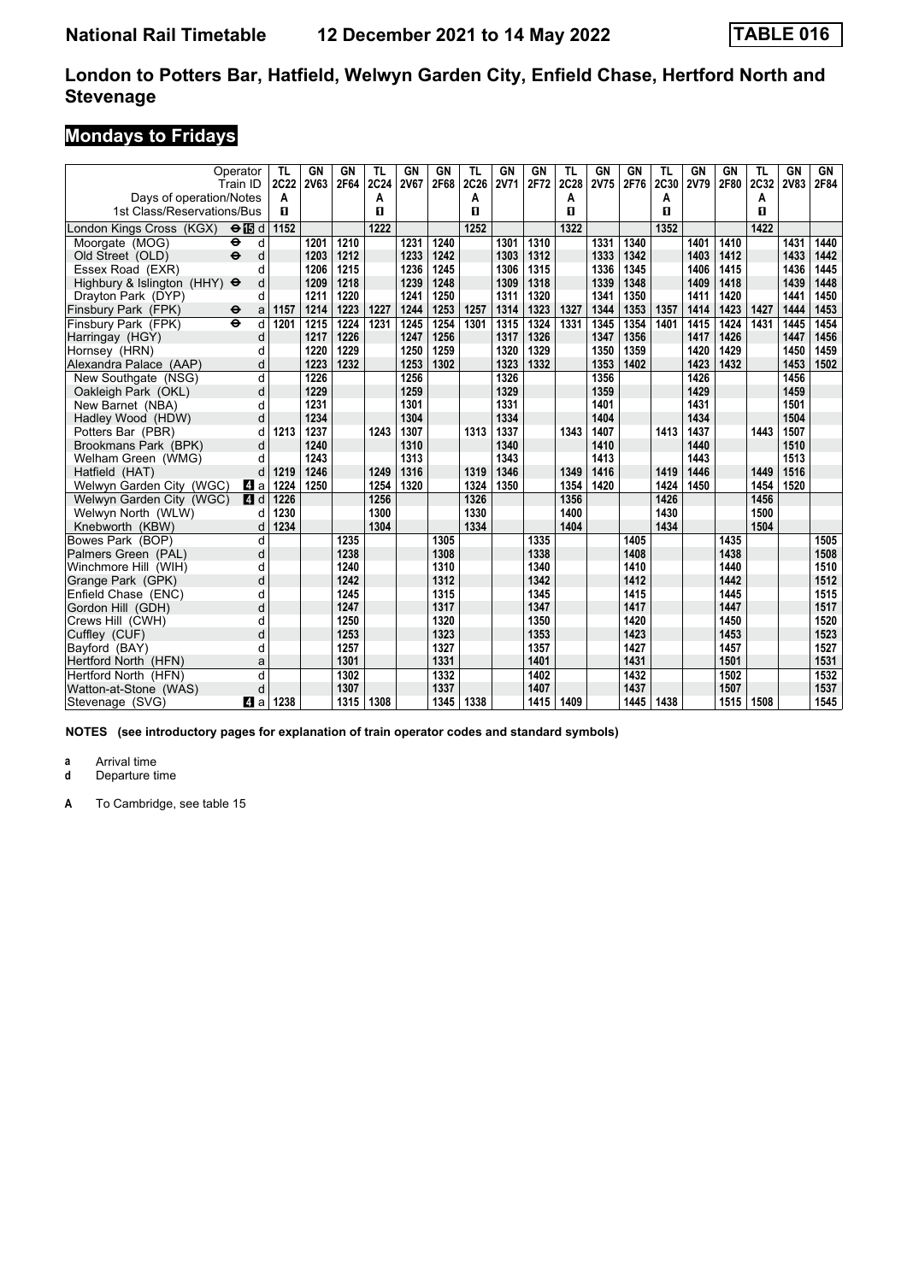# **Mondays to Fridays**

|                                                       | Operator<br>Train ID     | TL<br>2C22 | <b>GN</b><br><b>2V63</b> | <b>GN</b><br>2F64 | TL<br>2C24 | <b>GN</b><br><b>2V67</b> | <b>GN</b><br>2F68 | <b>TL</b><br>2C26 | <b>GN</b><br><b>2V71</b> | <b>GN</b><br>2F72 | <b>TL</b><br>2C28 | GN<br>2V75 | <b>GN</b><br>2F76 | <b>TL</b><br>2C30 | <b>GN</b><br><b>2V79</b> | GN<br>2F80 | TL<br>2C32 | <b>GN</b><br><b>2V83</b> | GN<br>2F84 |
|-------------------------------------------------------|--------------------------|------------|--------------------------|-------------------|------------|--------------------------|-------------------|-------------------|--------------------------|-------------------|-------------------|------------|-------------------|-------------------|--------------------------|------------|------------|--------------------------|------------|
| Days of operation/Notes<br>1st Class/Reservations/Bus |                          | A<br>п     |                          |                   | A<br>П     |                          |                   | Α<br>п            |                          |                   | A<br>п            |            |                   | A<br>$\mathbf{u}$ |                          |            | А<br>п     |                          |            |
| London Kings Cross (KGX)                              | $\Theta$ is d            | 1152       |                          |                   | 1222       |                          |                   | 1252              |                          |                   | 1322              |            |                   | 1352              |                          |            | 1422       |                          |            |
| Moorgate (MOG)                                        | d<br>٠                   |            | 1201                     | 1210              |            | 1231                     | 1240              |                   | 1301                     | 1310              |                   | 1331       | 1340              |                   | 1401                     | 1410       |            | 1431                     | 1440       |
| Old Street (OLD)                                      | $\ddot{\mathbf{e}}$<br>d |            | 1203                     | 1212              |            | 1233                     | 1242              |                   | 1303                     | 1312              |                   | 1333       | 1342              |                   | 1403                     | 1412       |            | 1433                     | 1442       |
| Essex Road (EXR)                                      | d                        |            | 1206                     | 1215              |            | 1236                     | 1245              |                   | 1306                     | 1315              |                   | 1336       | 1345              |                   | 1406                     | 1415       |            | 1436                     | 1445       |
| Highbury & Islington (HHY) $\Theta$                   | d                        |            | 1209                     | 1218              |            | 1239                     | 1248              |                   | 1309                     | 1318              |                   | 1339       | 1348              |                   | 1409                     | 1418       |            | 1439                     | 1448       |
| Drayton Park (DYP)                                    | d                        |            | 1211                     | 1220              |            | 1241                     | 1250              |                   | 1311                     | 1320              |                   | 1341       | 1350              |                   | 1411                     | 1420       |            | 1441                     | 1450       |
| Finsbury Park (FPK)                                   | $\bullet$<br>a           | 1157       | 1214                     | 1223              | 1227       | 1244                     | 1253              | 1257              | 1314                     | 1323              | 1327              | 1344       | 1353              | 1357              | 1414                     | 1423       | 1427       | 1444                     | 1453       |
| Finsbury Park (FPK)                                   | $\ddot{\mathbf{e}}$<br>d | 1201       | 1215                     | 1224              | 1231       | 1245                     | 1254              | 1301              | 1315                     | 1324              | 1331              | 1345       | 1354              | 1401              | 1415                     | 1424       | 1431       | 1445                     | 1454       |
| Harringay (HGY)                                       | d                        |            | 1217                     | 1226              |            | 1247                     | 1256              |                   | 1317                     | 1326              |                   | 1347       | 1356              |                   | 1417                     | 1426       |            | 1447                     | 1456       |
| Hornsey (HRN)                                         | d                        |            | 1220                     | 1229              |            | 1250                     | 1259              |                   | 1320                     | 1329              |                   | 1350       | 1359              |                   | 1420                     | 1429       |            | 1450                     | 1459       |
| Alexandra Palace (AAP)                                | d                        |            | 1223                     | 1232              |            | 1253                     | 1302              |                   | 1323                     | 1332              |                   | 1353       | 1402              |                   | 1423                     | 1432       |            | 1453                     | 1502       |
| New Southgate (NSG)                                   | d                        |            | 1226                     |                   |            | 1256                     |                   |                   | 1326                     |                   |                   | 1356       |                   |                   | 1426                     |            |            | 1456                     |            |
| Oakleigh Park (OKL)                                   | d                        |            | 1229                     |                   |            | 1259                     |                   |                   | 1329                     |                   |                   | 1359       |                   |                   | 1429                     |            |            | 1459                     |            |
| New Barnet (NBA)                                      | d                        |            | 1231                     |                   |            | 1301                     |                   |                   | 1331                     |                   |                   | 1401       |                   |                   | 1431                     |            |            | 1501                     |            |
| Hadley Wood (HDW)                                     | d                        |            | 1234                     |                   |            | 1304                     |                   |                   | 1334                     |                   |                   | 1404       |                   |                   | 1434                     |            |            | 1504                     |            |
| Potters Bar (PBR)                                     | d                        | 1213       | 1237                     |                   | 1243       | 1307                     |                   | 1313              | 1337                     |                   | 1343              | 1407       |                   | 1413              | 1437                     |            | 1443       | 1507                     |            |
| Brookmans Park (BPK)                                  | d                        |            | 1240                     |                   |            | 1310                     |                   |                   | 1340                     |                   |                   | 1410       |                   |                   | 1440                     |            |            | 1510                     |            |
| Welham Green (WMG)                                    | d                        |            | 1243                     |                   |            | 1313                     |                   |                   | 1343                     |                   |                   | 1413       |                   |                   | 1443                     |            |            | 1513                     |            |
| Hatfield (HAT)                                        | d                        | 1219       | 1246                     |                   | 1249       | 1316                     |                   | 1319              | 1346                     |                   | 1349              | 1416       |                   | 1419              | 1446                     |            | 1449       | 1516                     |            |
| Welwyn Garden City (WGC)                              | ZI a                     | 1224       | 1250                     |                   | 1254       | 1320                     |                   | 1324              | 1350                     |                   | 1354              | 1420       |                   | 1424              | 1450                     |            | 1454       | 1520                     |            |
| Welwyn Garden City (WGC)                              | ZI d                     | 1226       |                          |                   | 1256       |                          |                   | 1326              |                          |                   | 1356              |            |                   | 1426              |                          |            | 1456       |                          |            |
| Welwyn North (WLW)                                    | d                        | 1230       |                          |                   | 1300       |                          |                   | 1330              |                          |                   | 1400              |            |                   | 1430              |                          |            | 1500       |                          |            |
| Knebworth (KBW)                                       | d                        | 1234       |                          |                   | 1304       |                          |                   | 1334              |                          |                   | 1404              |            |                   | 1434              |                          |            | 1504       |                          |            |
| Bowes Park (BOP)                                      | d                        |            |                          | 1235              |            |                          | 1305              |                   |                          | 1335              |                   |            | 1405              |                   |                          | 1435       |            |                          | 1505       |
| Palmers Green (PAL)                                   | d                        |            |                          | 1238              |            |                          | 1308              |                   |                          | 1338              |                   |            | 1408              |                   |                          | 1438       |            |                          | 1508       |
| Winchmore Hill (WIH)                                  | d                        |            |                          | 1240              |            |                          | 1310              |                   |                          | 1340              |                   |            | 1410              |                   |                          | 1440       |            |                          | 1510       |
| Grange Park (GPK)                                     | d                        |            |                          | 1242              |            |                          | 1312              |                   |                          | 1342              |                   |            | 1412              |                   |                          | 1442       |            |                          | 1512       |
| Enfield Chase (ENC)                                   | d                        |            |                          | 1245              |            |                          | 1315              |                   |                          | 1345              |                   |            | 1415              |                   |                          | 1445       |            |                          | 1515       |
| Gordon Hill (GDH)                                     | d                        |            |                          | 1247              |            |                          | 1317              |                   |                          | 1347              |                   |            | 1417              |                   |                          | 1447       |            |                          | 1517       |
| Crews Hill (CWH)                                      | d                        |            |                          | 1250              |            |                          | 1320              |                   |                          | 1350              |                   |            | 1420              |                   |                          | 1450       |            |                          | 1520       |
| Cuffley (CUF)                                         | d                        |            |                          | 1253              |            |                          | 1323              |                   |                          | 1353              |                   |            | 1423              |                   |                          | 1453       |            |                          | 1523       |
| Bayford (BAY)                                         | d                        |            |                          | 1257              |            |                          | 1327              |                   |                          | 1357              |                   |            | 1427              |                   |                          | 1457       |            |                          | 1527       |
| Hertford North (HFN)                                  | a                        |            |                          | 1301              |            |                          | 1331              |                   |                          | 1401              |                   |            | 1431              |                   |                          | 1501       |            |                          | 1531       |
| Hertford North (HFN)                                  | d                        |            |                          | 1302              |            |                          | 1332              |                   |                          | 1402              |                   |            | 1432              |                   |                          | 1502       |            |                          | 1532       |
| Watton-at-Stone (WAS)                                 | d                        |            |                          | 1307              |            |                          | 1337              |                   |                          | 1407              |                   |            | 1437              |                   |                          | 1507       |            |                          | 1537       |
| Stevenage (SVG)                                       | 41 a                     | 1238       |                          | 1315              | 1308       |                          | 1345              | 1338              |                          | 1415              | 1409              |            | 1445              | 1438              |                          | 1515       | 1508       |                          | 1545       |

**NOTES (see introductory pages for explanation of train operator codes and standard symbols)**

**a** Arrival time<br>**d** Departure t

**Departure time**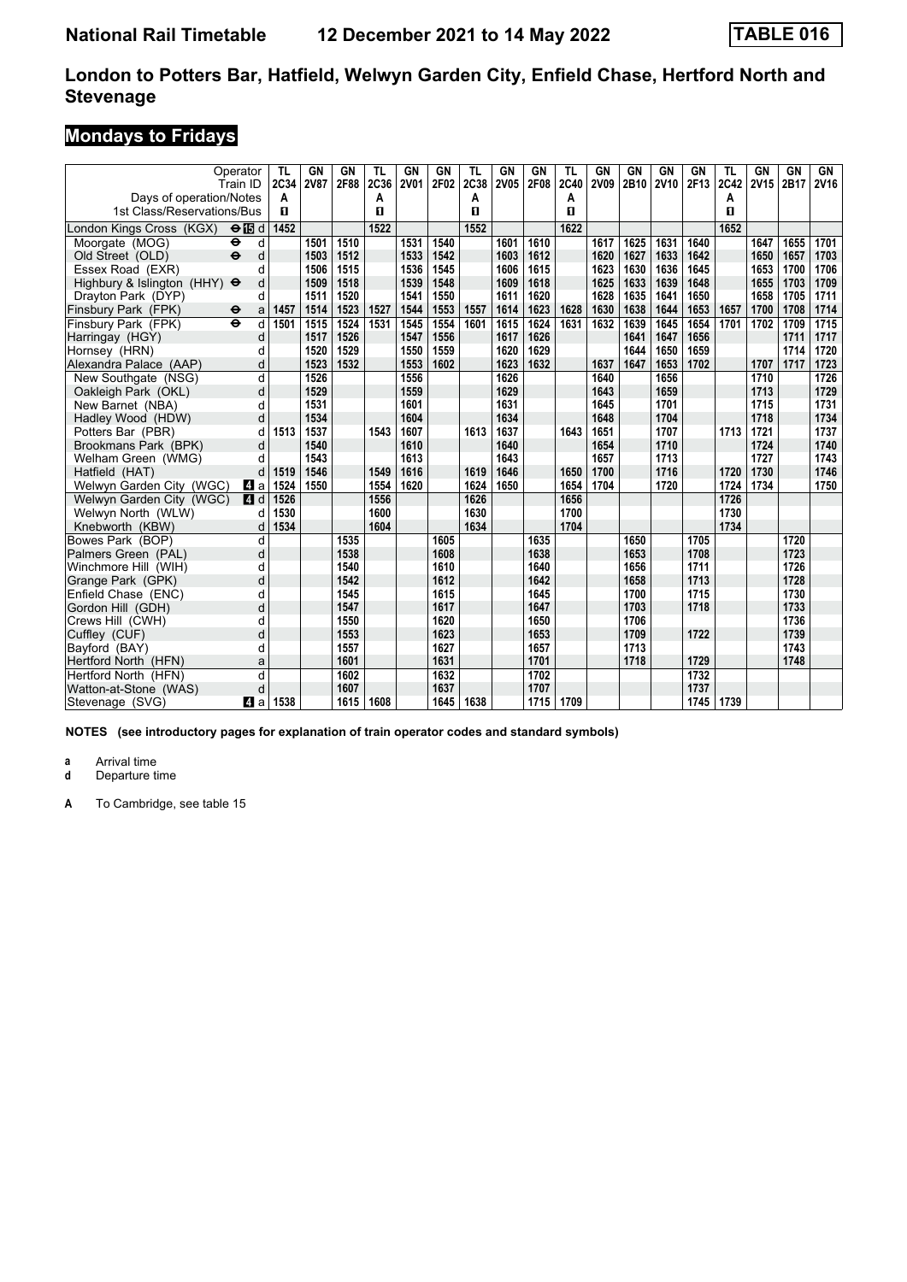# **Mondays to Fridays**

|                                     | Operator<br>Train ID      | TL<br>2C34 | GN<br><b>2V87</b> | GN<br>2F88 | TL<br>2C36 | <b>GN</b><br><b>2V01</b> | GN<br>2F02 | TL<br>2C38 | GN<br><b>2V05</b> | <b>GN</b><br>2F08 | TL<br>2C40 | GN<br>2V09 | <b>GN</b><br>2B10 | GN<br><b>2V10</b> | <b>GN</b><br>2F13 | TL<br>2C42 | GN<br><b>2V15</b> | GN<br>2B17 | GN<br><b>2V16</b> |
|-------------------------------------|---------------------------|------------|-------------------|------------|------------|--------------------------|------------|------------|-------------------|-------------------|------------|------------|-------------------|-------------------|-------------------|------------|-------------------|------------|-------------------|
| Days of operation/Notes             |                           | A          |                   |            | A          |                          |            | Α          |                   |                   | А          |            |                   |                   |                   | А          |                   |            |                   |
| 1st Class/Reservations/Bus          |                           | п          |                   |            | п          |                          |            | п          |                   |                   | п          |            |                   |                   |                   | п          |                   |            |                   |
| London Kings Cross (KGX)            | $\Theta$ is d             | 1452       |                   |            | 1522       |                          |            | 1552       |                   |                   | 1622       |            |                   |                   |                   | 1652       |                   |            |                   |
| Moorgate (MOG)                      | $\ddot{\bullet}$<br>d     |            | 1501              | 1510       |            | 1531                     | 1540       |            | 1601              | 1610              |            | 1617       | 1625              | 1631              | 1640              |            | 1647              | 1655       | 1701              |
| Old Street (OLD)                    | $\ddot{\mathbf{e}}$<br>d  |            | 1503              | 1512       |            | 1533                     | 1542       |            | 1603              | 1612              |            | 1620       | 1627              | 1633              | 1642              |            | 1650              | 1657       | 1703              |
| Essex Road (EXR)                    | d                         |            | 1506              | 1515       |            | 1536                     | 1545       |            | 1606              | 1615              |            | 1623       | 1630              | 1636              | 1645              |            | 1653              | 1700       | 1706              |
| Highbury & Islington (HHY) $\Theta$ | d                         |            | 1509              | 1518       |            | 1539                     | 1548       |            | 1609              | 1618              |            | 1625       | 1633              | 1639              | 1648              |            | 1655              | 1703       | 1709              |
| Dravton Park (DYP)                  | d                         |            | 1511              | 1520       |            | 1541                     | 1550       |            | 1611              | 1620              |            | 1628       | 1635              | 1641              | 1650              |            | 1658              | 1705       | 1711              |
| Finsbury Park (FPK)                 | $\ddot{\phantom{1}}$<br>a | 1457       | 1514              | 1523       | 1527       | 1544                     | 1553       | 1557       | 1614              | 1623              | 1628       | 1630       | 1638              | 1644              | 1653              | 1657       | 1700              | 1708       | 1714              |
| Finsbury Park (FPK)                 | d<br>$\ddot{\mathbf{e}}$  | 1501       | 1515              | 1524       | 1531       | 1545                     | 1554       | 1601       | 1615              | 1624              | 1631       | 1632       | 1639              | 1645              | 1654              | 1701       | 1702              | 1709       | 1715              |
| Harringay (HGY)                     | d                         |            | 1517              | 1526       |            | 1547                     | 1556       |            | 1617              | 1626              |            |            | 1641              | 1647              | 1656              |            |                   | 1711       | 1717              |
| Hornsey (HRN)                       | d                         |            | 1520              | 1529       |            | 1550                     | 1559       |            | 1620              | 1629              |            |            | 1644              | 1650              | 1659              |            |                   | 1714       | 1720              |
| Alexandra Palace (AAP)              | d                         |            | 1523              | 1532       |            | 1553                     | 1602       |            | 1623              | 1632              |            | 1637       | 1647              | 1653              | 1702              |            | 1707              | 1717       | 1723              |
| New Southgate (NSG)                 | d                         |            | 1526              |            |            | 1556                     |            |            | 1626              |                   |            | 1640       |                   | 1656              |                   |            | 1710              |            | 1726              |
| Oakleigh Park (OKL)                 | d                         |            | 1529              |            |            | 1559                     |            |            | 1629              |                   |            | 1643       |                   | 1659              |                   |            | 1713              |            | 1729              |
| New Barnet (NBA)                    | d                         |            | 1531              |            |            | 1601                     |            |            | 1631              |                   |            | 1645       |                   | 1701              |                   |            | 1715              |            | 1731              |
| Hadley Wood (HDW)                   | d                         |            | 1534              |            |            | 1604                     |            |            | 1634              |                   |            | 1648       |                   | 1704              |                   |            | 1718              |            | 1734              |
| Potters Bar (PBR)                   | d                         | 1513       | 1537              |            | 1543       | 1607                     |            | 1613       | 1637              |                   | 1643       | 1651       |                   | 1707              |                   | 1713       | 1721              |            | 1737              |
| Brookmans Park (BPK)                | d                         |            | 1540              |            |            | 1610                     |            |            | 1640              |                   |            | 1654       |                   | 1710              |                   |            | 1724              |            | 1740              |
| Welham Green (WMG)                  | d                         |            | 1543              |            |            | 1613                     |            |            | 1643              |                   |            | 1657       |                   | 1713              |                   |            | 1727              |            | 1743              |
| Hatfield (HAT)                      | d                         | 1519       | 1546              |            | 1549       | 1616                     |            | 1619       | 1646              |                   | 1650       | 1700       |                   | 1716              |                   | 1720       | 1730              |            | 1746              |
| Welwyn Garden City (WGC)            | ZI a                      | 1524       | 1550              |            | 1554       | 1620                     |            | 1624       | 1650              |                   | 1654       | 1704       |                   | 1720              |                   | 1724       | 1734              |            | 1750              |
| Welwyn Garden City (WGC)            | 4 d                       | 1526       |                   |            | 1556       |                          |            | 1626       |                   |                   | 1656       |            |                   |                   |                   | 1726       |                   |            |                   |
| Welwyn North (WLW)                  | d                         | 1530       |                   |            | 1600       |                          |            | 1630       |                   |                   | 1700       |            |                   |                   |                   | 1730       |                   |            |                   |
| Knebworth (KBW)                     | d                         | 1534       |                   |            | 1604       |                          |            | 1634       |                   |                   | 1704       |            |                   |                   |                   | 1734       |                   |            |                   |
| Bowes Park (BOP)                    | d                         |            |                   | 1535       |            |                          | 1605       |            |                   | 1635              |            |            | 1650              |                   | 1705              |            |                   | 1720       |                   |
| Palmers Green (PAL)                 | d                         |            |                   | 1538       |            |                          | 1608       |            |                   | 1638              |            |            | 1653              |                   | 1708              |            |                   | 1723       |                   |
| Winchmore Hill (WIH)                | d                         |            |                   | 1540       |            |                          | 1610       |            |                   | 1640              |            |            | 1656              |                   | 1711              |            |                   | 1726       |                   |
| Grange Park (GPK)                   | d                         |            |                   | 1542       |            |                          | 1612       |            |                   | 1642              |            |            | 1658              |                   | 1713              |            |                   | 1728       |                   |
| Enfield Chase (ENC)                 | d                         |            |                   | 1545       |            |                          | 1615       |            |                   | 1645              |            |            | 1700              |                   | 1715              |            |                   | 1730       |                   |
| Gordon Hill (GDH)                   | d                         |            |                   | 1547       |            |                          | 1617       |            |                   | 1647              |            |            | 1703              |                   | 1718              |            |                   | 1733       |                   |
| Crews Hill (CWH)                    | d                         |            |                   | 1550       |            |                          | 1620       |            |                   | 1650              |            |            | 1706              |                   |                   |            |                   | 1736       |                   |
| Cuffley (CUF)                       | d                         |            |                   | 1553       |            |                          | 1623       |            |                   | 1653              |            |            | 1709              |                   | 1722              |            |                   | 1739       |                   |
| Bayford (BAY)                       | d                         |            |                   | 1557       |            |                          | 1627       |            |                   | 1657              |            |            | 1713              |                   |                   |            |                   | 1743       |                   |
| Hertford North (HFN)                | a                         |            |                   | 1601       |            |                          | 1631       |            |                   | 1701              |            |            | 1718              |                   | 1729              |            |                   | 1748       |                   |
| Hertford North (HFN)                | d                         |            |                   | 1602       |            |                          | 1632       |            |                   | 1702              |            |            |                   |                   | 1732              |            |                   |            |                   |
| Watton-at-Stone (WAS)               | d                         |            |                   | 1607       |            |                          | 1637       |            |                   | 1707              |            |            |                   |                   | 1737              |            |                   |            |                   |
| Stevenage (SVG)                     | L4 a l                    | 1538       |                   | 1615       | 1608       |                          | 1645       | 1638       |                   | 1715              | 1709       |            |                   |                   | 1745              | 1739       |                   |            |                   |

**NOTES (see introductory pages for explanation of train operator codes and standard symbols)**

**a** Arrival time<br>**d** Departure t

**Departure time**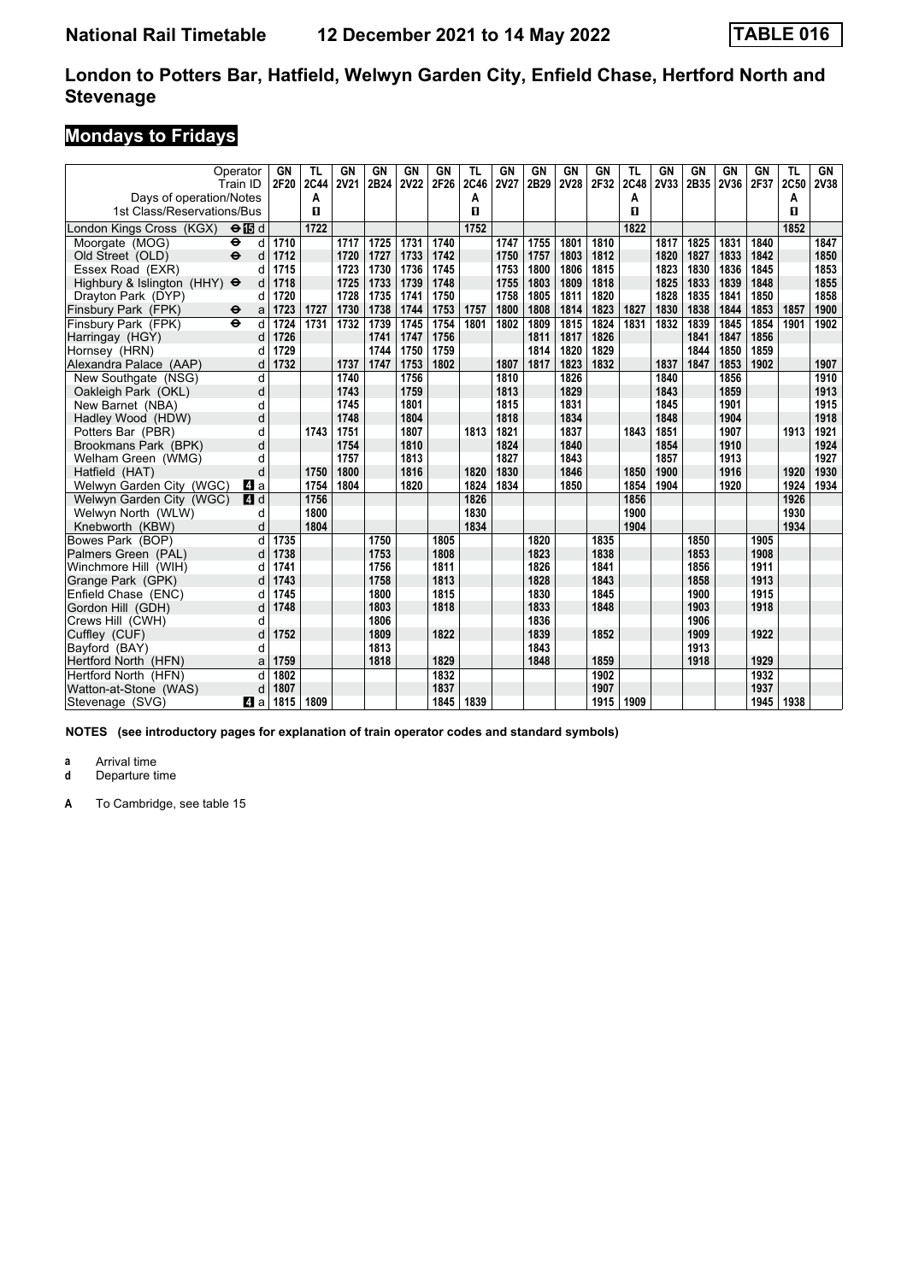# **Mondays to Fridays**

|                                                       | Operator<br>Train ID              | GN<br>2F20 | TL<br>2C44 | GN<br><b>2V21</b> | GN<br>2B24 | <b>GN</b><br><b>2V22</b> | GN<br>2F26 | TL<br>2C46 | GN<br><b>2V27</b> | GN<br>2B29 | <b>GN</b><br>2V28 | GN<br>2F32 | TL<br>2C48 | GN<br>2V33 | GN<br>2B35 | GN<br>2V36 | GN<br>2F37 | TL<br>2C50 | GN<br>2V38 |
|-------------------------------------------------------|-----------------------------------|------------|------------|-------------------|------------|--------------------------|------------|------------|-------------------|------------|-------------------|------------|------------|------------|------------|------------|------------|------------|------------|
| Days of operation/Notes<br>1st Class/Reservations/Bus |                                   |            | А<br>п     |                   |            |                          |            | Α<br>п     |                   |            |                   |            | A<br>п     |            |            |            |            | A<br>п     |            |
| London Kings Cross (KGX)                              | $\Theta$ is d                     |            | 1722       |                   |            |                          |            | 1752       |                   |            |                   |            | 1822       |            |            |            |            | 1852       |            |
| Moorgate (MOG)                                        | $\ddot{\boldsymbol{\Theta}}$<br>d | 1710       |            | 1717              | 1725       | 1731                     | 1740       |            | 1747              | 1755       | 1801              | 1810       |            | 1817       | 1825       | 1831       | 1840       |            | 1847       |
| Old Street (OLD)                                      | $\ddot{\mathbf{e}}$<br>d          | 1712       |            | 1720              | 1727       | 1733                     | 1742       |            | 1750              | 1757       | 1803              | 1812       |            | 1820       | 1827       | 1833       | 1842       |            | 1850       |
| Essex Road (EXR)                                      |                                   | 1715       |            | 1723              | 1730       | 1736                     | 1745       |            | 1753              | 1800       | 1806              | 1815       |            | 1823       | 1830       | 1836       | 1845       |            | 1853       |
| Highbury & Islington (HHY) $\Theta$                   |                                   | 1718       |            | 1725              | 1733       | 1739                     | 1748       |            | 1755              | 1803       | 1809              | 1818       |            | 1825       | 1833       | 1839       | 1848       |            | 1855       |
| Drayton Park (DYP)                                    |                                   | 1720       |            | 1728              | 1735       | 1741                     | 1750       |            | 1758              | 1805       | 1811              | 1820       |            | 1828       | 1835       | 1841       | 1850       |            | 1858       |
| Finsbury Park (FPK)                                   | $\bullet$<br>a                    | 1723       | 1727       | 1730              | 1738       | 1744                     | 1753       | 1757       | 1800              | 1808       | 1814              | 1823       | 1827       | 1830       | 1838       | 1844       | 1853       | 1857       | 1900       |
| Finsbury Park (FPK)                                   | $\ddot{\mathbf{e}}$<br>d          | 1724       | 1731       | 1732              | 1739       | 1745                     | 1754       | 1801       | 1802              | 1809       | 1815              | 1824       | 1831       | 1832       | 1839       | 1845       | 1854       | 1901       | 1902       |
| Harringay (HGY)                                       | d                                 | 1726       |            |                   | 1741       | 1747                     | 1756       |            |                   | 1811       | 1817              | 1826       |            |            | 1841       | 1847       | 1856       |            |            |
| Hornsey (HRN)                                         |                                   | 1729       |            |                   | 1744       | 1750                     | 1759       |            |                   | 1814       | 1820              | 1829       |            |            | 1844       | 1850       | 1859       |            |            |
| Alexandra Palace (AAP)                                | d                                 | 1732       |            | 1737              | 1747       | 1753                     | 1802       |            | 1807              | 1817       | 1823              | 1832       |            | 1837       | 1847       | 1853       | 1902       |            | 1907       |
| New Southgate (NSG)                                   | d                                 |            |            | 1740              |            | 1756                     |            |            | 1810              |            | 1826              |            |            | 1840       |            | 1856       |            |            | 1910       |
| Oakleigh Park (OKL)                                   | d                                 |            |            | 1743              |            | 1759                     |            |            | 1813              |            | 1829              |            |            | 1843       |            | 1859       |            |            | 1913       |
| New Barnet (NBA)                                      | d                                 |            |            | 1745              |            | 1801                     |            |            | 1815              |            | 1831              |            |            | 1845       |            | 1901       |            |            | 1915       |
| Hadley Wood (HDW)                                     | d                                 |            |            | 1748              |            | 1804                     |            |            | 1818              |            | 1834              |            |            | 1848       |            | 1904       |            |            | 1918       |
| Potters Bar (PBR)                                     | d                                 |            | 1743       | 1751              |            | 1807                     |            | 1813       | 1821              |            | 1837              |            | 1843       | 1851       |            | 1907       |            | 1913       | 1921       |
| Brookmans Park (BPK)                                  | d                                 |            |            | 1754              |            | 1810                     |            |            | 1824              |            | 1840              |            |            | 1854       |            | 1910       |            |            | 1924       |
| Welham Green (WMG)                                    | d                                 |            |            | 1757              |            | 1813                     |            |            | 1827              |            | 1843              |            |            | 1857       |            | 1913       |            |            | 1927       |
| Hatfield (HAT)                                        | d                                 |            | 1750       | 1800              |            | 1816                     |            | 1820       | 1830              |            | 1846              |            | 1850       | 1900       |            | 1916       |            | 1920       | 1930       |
| Welwyn Garden City (WGC)                              | ZI a                              |            | 1754       | 1804              |            | 1820                     |            | 1824       | 1834              |            | 1850              |            | 1854       | 1904       |            | 1920       |            | 1924       | 1934       |
| Welwyn Garden City (WGC)                              | 4d                                |            | 1756       |                   |            |                          |            | 1826       |                   |            |                   |            | 1856       |            |            |            |            | 1926       |            |
| Welwyn North (WLW)                                    | d                                 |            | 1800       |                   |            |                          |            | 1830       |                   |            |                   |            | 1900       |            |            |            |            | 1930       |            |
| Knebworth (KBW)                                       | d                                 |            | 1804       |                   |            |                          |            | 1834       |                   |            |                   |            | 1904       |            |            |            |            | 1934       |            |
| Bowes Park (BOP)                                      | d                                 | 1735       |            |                   | 1750       |                          | 1805       |            |                   | 1820       |                   | 1835       |            |            | 1850       |            | 1905       |            |            |
| Palmers Green (PAL)                                   | d                                 | 1738       |            |                   | 1753       |                          | 1808       |            |                   | 1823       |                   | 1838       |            |            | 1853       |            | 1908       |            |            |
| Winchmore Hill (WIH)                                  |                                   | 1741       |            |                   | 1756       |                          | 1811       |            |                   | 1826       |                   | 1841       |            |            | 1856       |            | 1911       |            |            |
| Grange Park (GPK)                                     |                                   | 1743       |            |                   | 1758       |                          | 1813       |            |                   | 1828       |                   | 1843       |            |            | 1858       |            | 1913       |            |            |
| Enfield Chase (ENC)                                   | d                                 | 1745       |            |                   | 1800       |                          | 1815       |            |                   | 1830       |                   | 1845       |            |            | 1900       |            | 1915       |            |            |
| Gordon Hill (GDH)                                     | d                                 | 1748       |            |                   | 1803       |                          | 1818       |            |                   | 1833       |                   | 1848       |            |            | 1903       |            | 1918       |            |            |
| Crews Hill (CWH)                                      | d                                 |            |            |                   | 1806       |                          |            |            |                   | 1836       |                   |            |            |            | 1906       |            |            |            |            |
| Cuffley (CUF)                                         | d                                 | 1752       |            |                   | 1809       |                          | 1822       |            |                   | 1839       |                   | 1852       |            |            | 1909       |            | 1922       |            |            |
| Bayford (BAY)                                         | d                                 |            |            |                   | 1813       |                          |            |            |                   | 1843       |                   |            |            |            | 1913       |            |            |            |            |
| Hertford North (HFN)                                  | a                                 | 1759       |            |                   | 1818       |                          | 1829       |            |                   | 1848       |                   | 1859       |            |            | 1918       |            | 1929       |            |            |
| Hertford North (HFN)                                  |                                   | 1802       |            |                   |            |                          | 1832       |            |                   |            |                   | 1902       |            |            |            |            | 1932       |            |            |
| Watton-at-Stone (WAS)                                 | d                                 | 1807       |            |                   |            |                          | 1837       |            |                   |            |                   | 1907       |            |            |            |            | 1937       |            |            |
| Stevenage (SVG)                                       | ZI a                              | 1815       | 1809       |                   |            |                          | 1845       | 1839       |                   |            |                   | 1915       | 1909       |            |            |            | 1945       | 1938       |            |

**NOTES (see introductory pages for explanation of train operator codes and standard symbols)**

**a** Arrival time<br>**d** Departure t

**Departure time**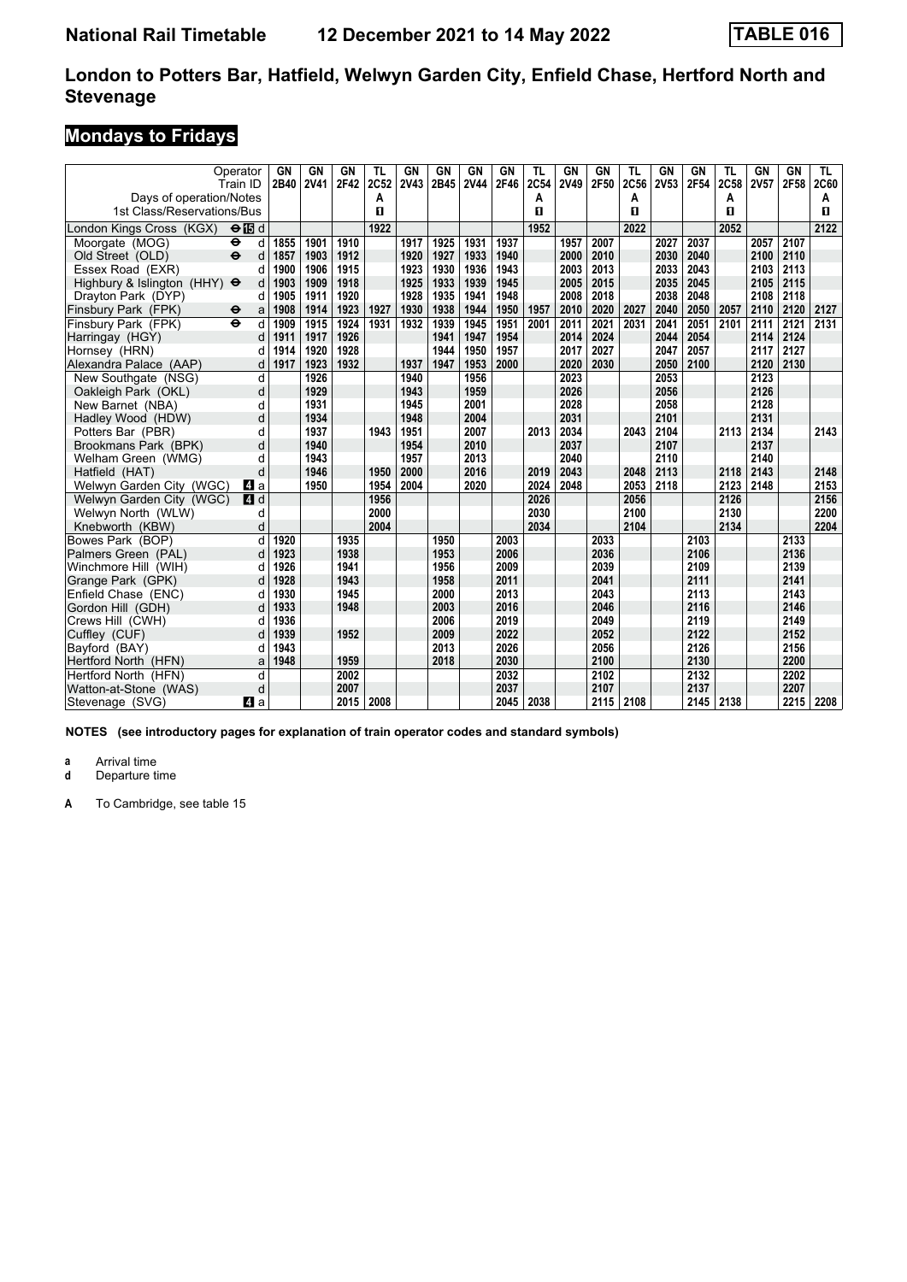# **Mondays to Fridays**

| Operator<br>Train ID                                  |      | GN<br>2B40 | GN<br><b>2V41</b> | GN<br>2F42 | TL<br>2C52 | GN<br>2V43 | GN<br>2B45 | GN<br><b>2V44</b> | GN<br>2F46 | TL<br>2C54 | GN<br><b>2V49</b> | GN<br>2F50 | TL<br>2C56 | GN<br>2V53 | <b>GN</b><br>2F54 | TL<br>2C58 | GN<br><b>2V57</b> | <b>GN</b><br>2F58 | TL<br><b>2C60</b> |
|-------------------------------------------------------|------|------------|-------------------|------------|------------|------------|------------|-------------------|------------|------------|-------------------|------------|------------|------------|-------------------|------------|-------------------|-------------------|-------------------|
| Days of operation/Notes<br>1st Class/Reservations/Bus |      |            |                   |            | A<br>п     |            |            |                   |            | Α<br>п     |                   |            | A<br>п     |            |                   | А<br>п     |                   |                   | А<br>п            |
| London Kings Cross (KGX)<br>$\Theta$ is d             |      |            |                   |            | 1922       |            |            |                   |            | 1952       |                   |            | 2022       |            |                   | 2052       |                   |                   | 2122              |
| Moorgate (MOG)<br>$\bullet$                           | d    | 1855       | 1901              | 1910       |            | 1917       | 1925       | 1931              | 1937       |            | 1957              | 2007       |            | 2027       | 2037              |            | 2057              | 2107              |                   |
| $\ddot{\mathbf{e}}$<br>Old Street (OLD)               | d    | 1857       | 1903              | 1912       |            | 1920       | 1927       | 1933              | 1940       |            | 2000              | 2010       |            | 2030       | 2040              |            | 2100              | 2110              |                   |
| Essex Road (EXR)                                      | d    | 1900       | 1906              | 1915       |            | 1923       | 1930       | 1936              | 1943       |            | 2003              | 2013       |            | 2033       | 2043              |            | 2103              | 2113              |                   |
| Highbury & Islington (HHY) $\Theta$                   | d    | 1903       | 1909              | 1918       |            | 1925       | 1933       | 1939              | 1945       |            | 2005              | 2015       |            | 2035       | 2045              |            | 2105              | 2115              |                   |
| Dravton Park (DYP)                                    | d    | 1905       | 1911              | 1920       |            | 1928       | 1935       | 1941              | 1948       |            | 2008              | 2018       |            | 2038       | 2048              |            | 2108              | 2118              |                   |
| Finsbury Park (FPK)<br>$\ddot{\phantom{1}}$           | a    | 1908       | 1914              | 1923       | 1927       | 1930       | 1938       | 1944              | 1950       | 1957       | 2010              | 2020       | 2027       | 2040       | 2050              | 2057       | 2110              | 2120              | 2127              |
| Finsbury Park (FPK)<br>$\ddot{\mathbf{e}}$            | d    | 1909       | 1915              | 1924       | 1931       | 1932       | 1939       | 1945              | 1951       | 2001       | 2011              | 2021       | 2031       | 2041       | 2051              | 2101       | 2111              | 2121              | 2131              |
| Harringay (HGY)                                       | d    | 1911       | 1917              | 1926       |            |            | 1941       | 1947              | 1954       |            | 2014              | 2024       |            | 2044       | 2054              |            | 2114              | 2124              |                   |
| Hornsey (HRN)                                         | d    | 1914       | 1920              | 1928       |            |            | 1944       | 1950              | 1957       |            | 2017              | 2027       |            | 2047       | 2057              |            | 2117              | 2127              |                   |
| Alexandra Palace (AAP)                                | d    | 1917       | 1923              | 1932       |            | 1937       | 1947       | 1953              | 2000       |            | 2020              | 2030       |            | 2050       | 2100              |            | 2120              | 2130              |                   |
| New Southgate (NSG)                                   | d    |            | 1926              |            |            | 1940       |            | 1956              |            |            | 2023              |            |            | 2053       |                   |            | 2123              |                   |                   |
| Oakleigh Park (OKL)                                   | d    |            | 1929              |            |            | 1943       |            | 1959              |            |            | 2026              |            |            | 2056       |                   |            | 2126              |                   |                   |
| New Barnet (NBA)                                      | d    |            | 1931              |            |            | 1945       |            | 2001              |            |            | 2028              |            |            | 2058       |                   |            | 2128              |                   |                   |
| Hadley Wood (HDW)                                     | d    |            | 1934              |            |            | 1948       |            | 2004              |            |            | 2031              |            |            | 2101       |                   |            | 2131              |                   |                   |
| Potters Bar (PBR)                                     | d    |            | 1937              |            | 1943       | 1951       |            | 2007              |            | 2013       | 2034              |            | 2043       | 2104       |                   | 2113       | 2134              |                   | 2143              |
| Brookmans Park (BPK)                                  | d    |            | 1940              |            |            | 1954       |            | 2010              |            |            | 2037              |            |            | 2107       |                   |            | 2137              |                   |                   |
| Welham Green (WMG)                                    | d    |            | 1943              |            |            | 1957       |            | 2013              |            |            | 2040              |            |            | 2110       |                   |            | 2140              |                   |                   |
| Hatfield (HAT)                                        | d    |            | 1946              |            | 1950       | 2000       |            | 2016              |            | 2019       | 2043              |            | 2048       | 2113       |                   | 2118       | 2143              |                   | 2148              |
| Welwyn Garden City (WGC)                              | L4 a |            | 1950              |            | 1954       | 2004       |            | 2020              |            | 2024       | 2048              |            | 2053       | 2118       |                   | 2123       | 2148              |                   | 2153              |
| Welwyn Garden City (WGC)                              | 4d   |            |                   |            | 1956       |            |            |                   |            | 2026       |                   |            | 2056       |            |                   | 2126       |                   |                   | 2156              |
| Welwyn North (WLW)                                    | d    |            |                   |            | 2000       |            |            |                   |            | 2030       |                   |            | 2100       |            |                   | 2130       |                   |                   | 2200              |
| Knebworth (KBW)                                       | d    |            |                   |            | 2004       |            |            |                   |            | 2034       |                   |            | 2104       |            |                   | 2134       |                   |                   | 2204              |
| Bowes Park (BOP)                                      | d    | 1920       |                   | 1935       |            |            | 1950       |                   | 2003       |            |                   | 2033       |            |            | 2103              |            |                   | 2133              |                   |
| Palmers Green (PAL)                                   | d    | 1923       |                   | 1938       |            |            | 1953       |                   | 2006       |            |                   | 2036       |            |            | 2106              |            |                   | 2136              |                   |
| Winchmore Hill (WIH)                                  | d    | 1926       |                   | 1941       |            |            | 1956       |                   | 2009       |            |                   | 2039       |            |            | 2109              |            |                   | 2139              |                   |
| Grange Park (GPK)                                     | d    | 1928       |                   | 1943       |            |            | 1958       |                   | 2011       |            |                   | 2041       |            |            | 2111              |            |                   | 2141              |                   |
| Enfield Chase (ENC)                                   | d    | 1930       |                   | 1945       |            |            | 2000       |                   | 2013       |            |                   | 2043       |            |            | 2113              |            |                   | 2143              |                   |
| Gordon Hill (GDH)                                     | d    | 1933       |                   | 1948       |            |            | 2003       |                   | 2016       |            |                   | 2046       |            |            | 2116              |            |                   | 2146              |                   |
| Crews Hill (CWH)                                      | d    | 1936       |                   |            |            |            | 2006       |                   | 2019       |            |                   | 2049       |            |            | 2119              |            |                   | 2149              |                   |
| Cuffley (CUF)                                         | d    | 1939       |                   | 1952       |            |            | 2009       |                   | 2022       |            |                   | 2052       |            |            | 2122              |            |                   | 2152              |                   |
| Bayford (BAY)                                         | d    | 1943       |                   |            |            |            | 2013       |                   | 2026       |            |                   | 2056       |            |            | 2126              |            |                   | 2156              |                   |
| Hertford North (HFN)                                  | a    | 1948       |                   | 1959       |            |            | 2018       |                   | 2030       |            |                   | 2100       |            |            | 2130              |            |                   | 2200              |                   |
| Hertford North (HFN)                                  | d    |            |                   | 2002       |            |            |            |                   | 2032       |            |                   | 2102       |            |            | 2132              |            |                   | 2202              |                   |
| Watton-at-Stone (WAS)                                 | d    |            |                   | 2007       |            |            |            |                   | 2037       |            |                   | 2107       |            |            | 2137              |            |                   | 2207              |                   |
| Stevenage (SVG)                                       | ZI a |            |                   | 2015       | 2008       |            |            |                   | 2045       | 2038       |                   | 2115       | 2108       |            | 2145              | 2138       |                   | 2215              | 2208              |

**NOTES (see introductory pages for explanation of train operator codes and standard symbols)**

**a** Arrival time<br>**d** Departure t

**Departure time**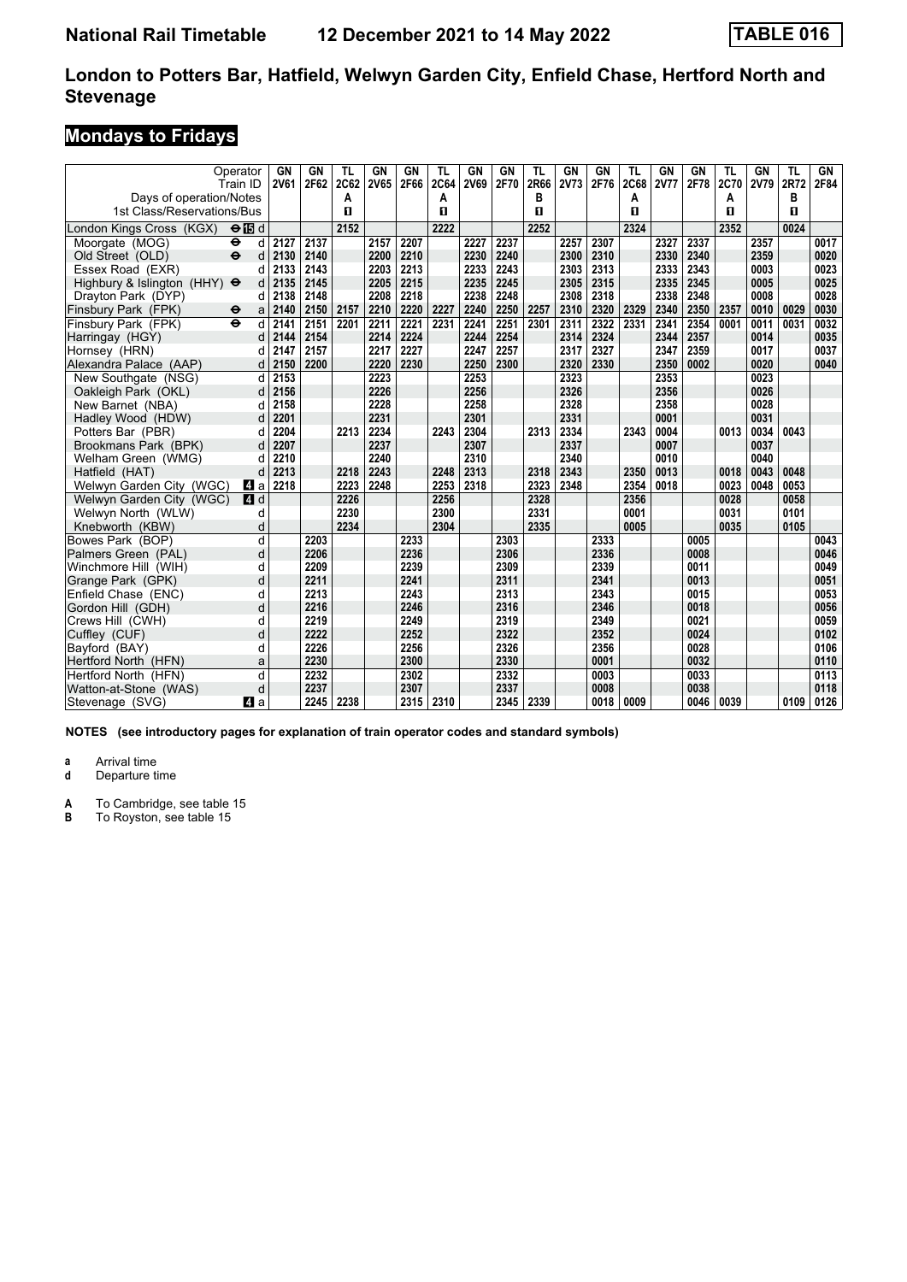# **Mondays to Fridays**

|                                                       | Operator<br>Train ID     | GN<br><b>2V61</b> | GN<br>2F62 | TL<br>2C62 | GN<br>2V65 | <b>GN</b><br>2F66 | TL<br>2C64 | GN<br><b>2V69</b> | GN<br>2F70 | TL<br>2R66 | GN<br>2V73 | GN<br>2F76 | <b>TL</b><br><b>2C68</b> | GN<br><b>2V77</b> | <b>GN</b><br>2F78 | TL<br>2C70 | GN<br>2V79 | TL<br>2R72 | GN<br>2F84 |
|-------------------------------------------------------|--------------------------|-------------------|------------|------------|------------|-------------------|------------|-------------------|------------|------------|------------|------------|--------------------------|-------------------|-------------------|------------|------------|------------|------------|
| Days of operation/Notes<br>1st Class/Reservations/Bus |                          |                   |            | A<br>п     |            |                   | Α<br>п     |                   |            | в<br>п     |            |            | A<br>п                   |                   |                   | A<br>п     |            | в<br>п     |            |
| London Kings Cross (KGX)                              | $\Theta$ is d            |                   |            | 2152       |            |                   | 2222       |                   |            | 2252       |            |            | 2324                     |                   |                   | 2352       |            | 0024       |            |
| Moorgate (MOG)                                        | $\ddot{\bullet}$<br>d    | 2127              | 2137       |            | 2157       | 2207              |            | 2227              | 2237       |            | 2257       | 2307       |                          | 2327              | 2337              |            | 2357       |            | 0017       |
| Old Street (OLD)                                      | $\ddot{\mathbf{e}}$<br>d | 2130              | 2140       |            | 2200       | 2210              |            | 2230              | 2240       |            | 2300       | 2310       |                          | 2330              | 2340              |            | 2359       |            | 0020       |
| Essex Road (EXR)                                      | d                        | 2133              | 2143       |            | 2203       | 2213              |            | 2233              | 2243       |            | 2303       | 2313       |                          | 2333              | 2343              |            | 0003       |            | 0023       |
| Highbury & Islington (HHY) $\Theta$                   | d                        | 2135              | 2145       |            | 2205       | 2215              |            | 2235              | 2245       |            | 2305       | 2315       |                          | 2335              | 2345              |            | 0005       |            | 0025       |
| Dravton Park (DYP)                                    | d                        | 2138              | 2148       |            | 2208       | 2218              |            | 2238              | 2248       |            | 2308       | 2318       |                          | 2338              | 2348              |            | 0008       |            | 0028       |
| Finsbury Park (FPK)                                   | $\bullet$<br>a           | 2140              | 2150       | 2157       | 2210       | 2220              | 2227       | 2240              | 2250       | 2257       | 2310       | 2320       | 2329                     | 2340              | 2350              | 2357       | 0010       | 0029       | 0030       |
| Finsbury Park (FPK)                                   | d<br>$\ddot{\mathbf{e}}$ | 2141              | 2151       | 2201       | 2211       | 2221              | 2231       | 2241              | 2251       | 2301       | 2311       | 2322       | 2331                     | 2341              | 2354              | 0001       | 0011       | 0031       | 0032       |
| Harringay (HGY)                                       | d                        | 2144              | 2154       |            | 2214       | 2224              |            | 2244              | 2254       |            | 2314       | 2324       |                          | 2344              | 2357              |            | 0014       |            | 0035       |
| Hornsey (HRN)                                         | d                        | 2147              | 2157       |            | 2217       | 2227              |            | 2247              | 2257       |            | 2317       | 2327       |                          | 2347              | 2359              |            | 0017       |            | 0037       |
| Alexandra Palace (AAP)                                | d                        | 2150              | 2200       |            | 2220       | 2230              |            | 2250              | 2300       |            | 2320       | 2330       |                          | 2350              | 0002              |            | 0020       |            | 0040       |
| New Southgate (NSG)                                   | d                        | 2153              |            |            | 2223       |                   |            | 2253              |            |            | 2323       |            |                          | 2353              |                   |            | 0023       |            |            |
| Oakleigh Park (OKL)                                   | d                        | 2156              |            |            | 2226       |                   |            | 2256              |            |            | 2326       |            |                          | 2356              |                   |            | 0026       |            |            |
| New Barnet (NBA)                                      | d                        | 2158              |            |            | 2228       |                   |            | 2258              |            |            | 2328       |            |                          | 2358              |                   |            | 0028       |            |            |
| Hadley Wood (HDW)                                     | d                        | 2201              |            |            | 2231       |                   |            | 2301              |            |            | 2331       |            |                          | 0001              |                   |            | 0031       |            |            |
| Potters Bar (PBR)                                     | d                        | 2204              |            | 2213       | 2234       |                   | 2243       | 2304              |            | 2313       | 2334       |            | 2343                     | 0004              |                   | 0013       | 0034       | 0043       |            |
| Brookmans Park (BPK)                                  | d                        | 2207              |            |            | 2237       |                   |            | 2307              |            |            | 2337       |            |                          | 0007              |                   |            | 0037       |            |            |
| Welham Green (WMG)                                    | d                        | 2210              |            |            | 2240       |                   |            | 2310              |            |            | 2340       |            |                          | 0010              |                   |            | 0040       |            |            |
| Hatfield (HAT)                                        | d                        | 2213              |            | 2218       | 2243       |                   | 2248       | 2313              |            | 2318       | 2343       |            | 2350                     | 0013              |                   | 0018       | 0043       | 0048       |            |
| Welwyn Garden City (WGC)                              | ZI a                     | 2218              |            | 2223       | 2248       |                   | 2253       | 2318              |            | 2323       | 2348       |            | 2354                     | 0018              |                   | 0023       | 0048       | 0053       |            |
| Welwyn Garden City (WGC)                              | 4d                       |                   |            | 2226       |            |                   | 2256       |                   |            | 2328       |            |            | 2356                     |                   |                   | 0028       |            | 0058       |            |
| Welwyn North (WLW)                                    | d                        |                   |            | 2230       |            |                   | 2300       |                   |            | 2331       |            |            | 0001                     |                   |                   | 0031       |            | 0101       |            |
| Knebworth (KBW)                                       | d                        |                   |            | 2234       |            |                   | 2304       |                   |            | 2335       |            |            | 0005                     |                   |                   | 0035       |            | 0105       |            |
| Bowes Park (BOP)                                      | d                        |                   | 2203       |            |            | 2233              |            |                   | 2303       |            |            | 2333       |                          |                   | 0005              |            |            |            | 0043       |
| Palmers Green (PAL)                                   | d                        |                   | 2206       |            |            | 2236              |            |                   | 2306       |            |            | 2336       |                          |                   | 0008              |            |            |            | 0046       |
| Winchmore Hill (WIH)                                  | d                        |                   | 2209       |            |            | 2239              |            |                   | 2309       |            |            | 2339       |                          |                   | 0011              |            |            |            | 0049       |
| Grange Park (GPK)                                     | d                        |                   | 2211       |            |            | 2241              |            |                   | 2311       |            |            | 2341       |                          |                   | 0013              |            |            |            | 0051       |
| Enfield Chase (ENC)                                   | d                        |                   | 2213       |            |            | 2243              |            |                   | 2313       |            |            | 2343       |                          |                   | 0015              |            |            |            | 0053       |
| Gordon Hill (GDH)                                     | d                        |                   | 2216       |            |            | 2246              |            |                   | 2316       |            |            | 2346       |                          |                   | 0018              |            |            |            | 0056       |
| Crews Hill (CWH)                                      | d                        |                   | 2219       |            |            | 2249              |            |                   | 2319       |            |            | 2349       |                          |                   | 0021              |            |            |            | 0059       |
| Cuffley (CUF)                                         | d                        |                   | 2222       |            |            | 2252              |            |                   | 2322       |            |            | 2352       |                          |                   | 0024              |            |            |            | 0102       |
| Bayford (BAY)                                         | d                        |                   | 2226       |            |            | 2256              |            |                   | 2326       |            |            | 2356       |                          |                   | 0028              |            |            |            | 0106       |
| Hertford North (HFN)                                  | a                        |                   | 2230       |            |            | 2300              |            |                   | 2330       |            |            | 0001       |                          |                   | 0032              |            |            |            | 0110       |
| Hertford North (HFN)                                  | d                        |                   | 2232       |            |            | 2302              |            |                   | 2332       |            |            | 0003       |                          |                   | 0033              |            |            |            | 0113       |
| Watton-at-Stone (WAS)                                 | d                        |                   | 2237       |            |            | 2307              |            |                   | 2337       |            |            | 0008       |                          |                   | 0038              |            |            |            | 0118       |
| Stevenage (SVG)                                       | ZI a                     |                   | 2245       | 2238       |            | 2315              | 2310       |                   | 2345       | 2339       |            | 0018       | 0009                     |                   | 0046              | 0039       |            | 0109       | 0126       |

**NOTES (see introductory pages for explanation of train operator codes and standard symbols)**

**a** Arrival time<br>**d** Departure time

**Departure time** 

**A** To Cambridge, see table 15<br>**B** To Rovston, see table 15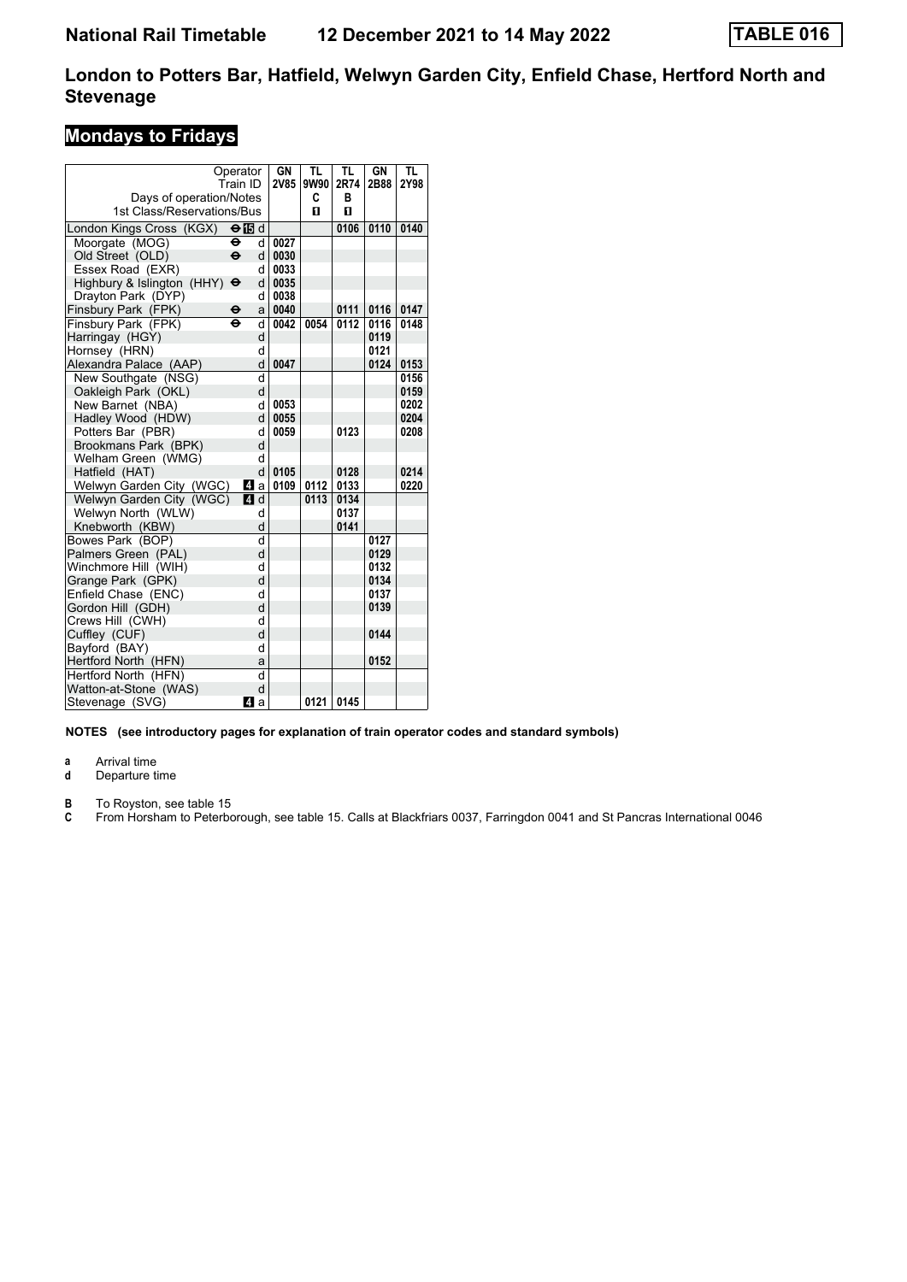### **Mondays to Fridays**

|                            | Operator            |                       | GN   | <b>TL</b> | TL   | GN   | <b>TL</b> |
|----------------------------|---------------------|-----------------------|------|-----------|------|------|-----------|
|                            | Train ID            |                       | 2V85 | 9W90      | 2R74 | 2B88 | 2Y98      |
| Days of operation/Notes    |                     |                       |      | C         | в    |      |           |
| 1st Class/Reservations/Bus |                     |                       |      | п         | п    |      |           |
| London Kings Cross (KGX)   |                     | $\Theta$ is d         |      |           | 0106 | 0110 | 0140      |
| Moorgate (MOG)             | $\ddot{\mathbf{e}}$ | d                     | 0027 |           |      |      |           |
| Old Street (OLD)           | $\ddot{\mathbf{e}}$ | $d \mid$              | 0030 |           |      |      |           |
| Essex Road (EXR)           |                     | d                     | 0033 |           |      |      |           |
| Highbury & Islington (HHY) | $\ddot{\mathbf{e}}$ | d                     | 0035 |           |      |      |           |
| Drayton Park (DYP)         |                     | d                     | 0038 |           |      |      |           |
| Finsbury Park (FPK)        | θ                   | a                     | 0040 |           | 0111 | 0116 | 0147      |
| Finsbury Park (FPK)        | $\ddot{\mathbf{e}}$ | d                     | 0042 | 0054      | 0112 | 0116 | 0148      |
| Harringay (HGY)            |                     | d                     |      |           |      | 0119 |           |
| Hornsey (HRN)              |                     | d                     |      |           |      | 0121 |           |
| Alexandra Palace (AAP)     |                     | d                     | 0047 |           |      | 0124 | 0153      |
| New Southgate (NSG)        |                     | d                     |      |           |      |      | 0156      |
| Oakleigh Park (OKL)        |                     | d                     |      |           |      |      | 0159      |
| New Barnet (NBA)           |                     | d                     | 0053 |           |      |      | 0202      |
| Hadley Wood (HDW)          |                     | d                     | 0055 |           |      |      | 0204      |
| Potters Bar (PBR)          |                     | d                     | 0059 |           | 0123 |      | 0208      |
| Brookmans Park (BPK)       |                     | d                     |      |           |      |      |           |
| Welham Green (WMG)         |                     | d                     |      |           |      |      |           |
| Hatfield (HAT)             |                     | d                     | 0105 |           | 0128 |      | 0214      |
| Welwyn Garden City (WGC)   |                     | $\boldsymbol{A}$<br>a | 0109 | 0112      | 0133 |      | 0220      |
| Welwyn Garden City (WGC)   |                     | <b>4</b> d            |      | 0113      | 0134 |      |           |
| Welwyn North (WLW)         |                     | d                     |      |           | 0137 |      |           |
| Knebworth (KBW)            |                     | d                     |      |           | 0141 |      |           |
| Bowes Park (BOP)           |                     | d                     |      |           |      | 0127 |           |
| Palmers Green (PAL)        |                     | d                     |      |           |      | 0129 |           |
| Winchmore Hill (WIH)       |                     | d                     |      |           |      | 0132 |           |
| Grange Park (GPK)          |                     | d                     |      |           |      | 0134 |           |
| Enfield Chase (ENC)        |                     | d                     |      |           |      | 0137 |           |
| Gordon Hill (GDH)          |                     | d                     |      |           |      | 0139 |           |
| Crews Hill (CWH)           |                     | d                     |      |           |      |      |           |
| Cuffley (CUF)              |                     | d                     |      |           |      | 0144 |           |
| Bayford (BAY)              |                     | d                     |      |           |      |      |           |
| Hertford North (HFN)       |                     | a                     |      |           |      | 0152 |           |
| Hertford North (HFN)       |                     | d                     |      |           |      |      |           |
| Watton-at-Stone (WAS)      |                     | d                     |      |           |      |      |           |
| Stevenage (SVG)            |                     | ZI a                  |      | 0121      | 0145 |      |           |

**NOTES (see introductory pages for explanation of train operator codes and standard symbols)**

**a** Arrival time<br>**d** Departure t

Departure time

**B** To Royston, see table 15<br>**C** From Horsham to Peterbo

From Horsham to Peterborough, see table 15. Calls at Blackfriars 0037, Farringdon 0041 and St Pancras International 0046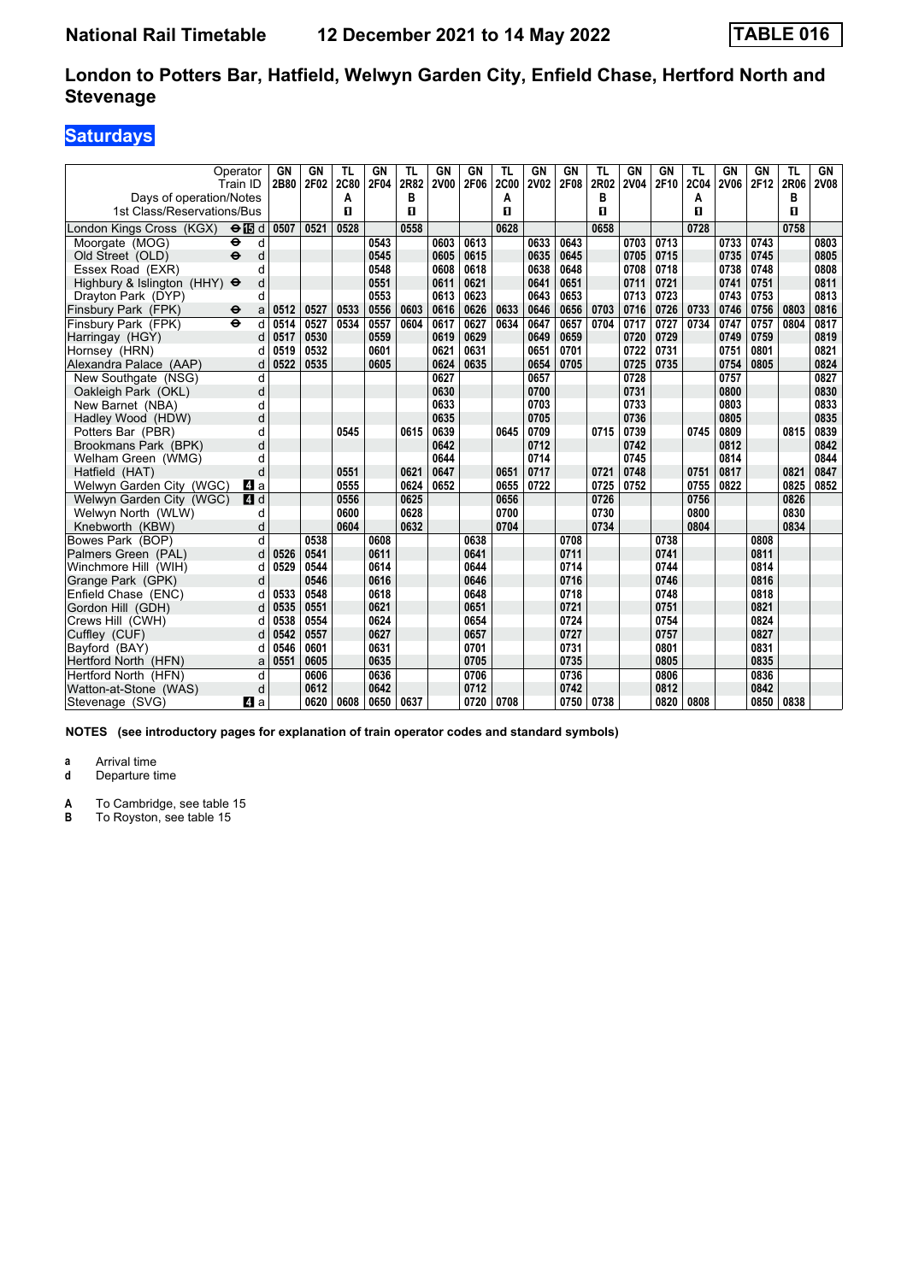# **Saturdays**

| Days of operation/Notes    | Operator<br>Train ID     | GN<br>2B80 | <b>GN</b><br>2F02 | TL<br><b>2C80</b><br>А | GN<br>2F04 | TL<br>2R82<br>в | GN<br><b>2V00</b> | GN<br>2F06 | TL<br><b>2C00</b><br>A | GN<br><b>2V02</b> | <b>GN</b><br>2F08 | TL<br>2R02<br>в | GN<br><b>2V04</b> | GN<br>2F10 | TL<br><b>2C04</b><br>А | GN<br><b>2V06</b> | GN<br>2F12 | TL<br>2R06<br>в | GN<br><b>2V08</b> |
|----------------------------|--------------------------|------------|-------------------|------------------------|------------|-----------------|-------------------|------------|------------------------|-------------------|-------------------|-----------------|-------------------|------------|------------------------|-------------------|------------|-----------------|-------------------|
| 1st Class/Reservations/Bus |                          |            |                   | п                      |            | п               |                   |            | п                      |                   |                   | п               |                   |            | п                      |                   |            | п               |                   |
| London Kings Cross (KGX)   | $\Theta$ is d            | 0507       | 0521              | 0528                   |            | 0558            |                   |            | 0628                   |                   |                   | 0658            |                   |            | 0728                   |                   |            | 0758            |                   |
| Moorgate (MOG)             | θ<br>d                   |            |                   |                        | 0543       |                 | 0603              | 0613       |                        | 0633              | 0643              |                 | 0703              | 0713       |                        | 0733              | 0743       |                 | 0803              |
| Old Street (OLD)           | $\ddot{\mathbf{e}}$<br>d |            |                   |                        | 0545       |                 | 0605              | 0615       |                        | 0635              | 0645              |                 | 0705              | 0715       |                        | 0735              | 0745       |                 | 0805              |
| Essex Road (EXR)           | d                        |            |                   |                        | 0548       |                 | 0608              | 0618       |                        | 0638              | 0648              |                 | 0708              | 0718       |                        | 0738              | 0748       |                 | 0808              |
| Highbury & Islington (HHY) | d<br>$\bullet$           |            |                   |                        | 0551       |                 | 0611              | 0621       |                        | 0641              | 0651              |                 | 0711              | 0721       |                        | 0741              | 0751       |                 | 0811              |
| Dravton Park (DYP)         | d                        |            |                   |                        | 0553       |                 | 0613              | 0623       |                        | 0643              | 0653              |                 | 0713              | 0723       |                        | 0743              | 0753       |                 | 0813              |
| Finsbury Park (FPK)        | θ<br>a                   | 0512       | 0527              | 0533                   | 0556       | 0603            | 0616              | 0626       | 0633                   | 0646              | 0656              | 0703            | 0716              | 0726       | 0733                   | 0746              | 0756       | 0803            | 0816              |
| Finsbury Park (FPK)        | $\ddot{\mathbf{e}}$<br>d | 0514       | 0527              | 0534                   | 0557       | 0604            | 0617              | 0627       | 0634                   | 0647              | 0657              | 0704            | 0717              | 0727       | 0734                   | 0747              | 0757       | 0804            | 0817              |
| Harringay (HGY)            | d                        | 0517       | 0530              |                        | 0559       |                 | 0619              | 0629       |                        | 0649              | 0659              |                 | 0720              | 0729       |                        | 0749              | 0759       |                 | 0819              |
| Hornsey (HRN)              |                          | 0519       | 0532              |                        | 0601       |                 | 0621              | 0631       |                        | 0651              | 0701              |                 | 0722              | 0731       |                        | 0751              | 0801       |                 | 0821              |
| Alexandra Palace (AAP)     | d                        | 0522       | 0535              |                        | 0605       |                 | 0624              | 0635       |                        | 0654              | 0705              |                 | 0725              | 0735       |                        | 0754              | 0805       |                 | 0824              |
| New Southgate (NSG)        | d                        |            |                   |                        |            |                 | 0627              |            |                        | 0657              |                   |                 | 0728              |            |                        | 0757              |            |                 | 0827              |
| Oakleigh Park (OKL)        | d                        |            |                   |                        |            |                 | 0630              |            |                        | 0700              |                   |                 | 0731              |            |                        | 0800              |            |                 | 0830              |
| New Barnet (NBA)           | d                        |            |                   |                        |            |                 | 0633              |            |                        | 0703              |                   |                 | 0733              |            |                        | 0803              |            |                 | 0833              |
| Hadley Wood (HDW)          | d                        |            |                   |                        |            |                 | 0635              |            |                        | 0705              |                   |                 | 0736              |            |                        | 0805              |            |                 | 0835              |
| Potters Bar (PBR)          | d                        |            |                   | 0545                   |            | 0615            | 0639              |            | 0645                   | 0709              |                   | 0715            | 0739              |            | 0745                   | 0809              |            | 0815            | 0839              |
| Brookmans Park (BPK)       | d                        |            |                   |                        |            |                 | 0642              |            |                        | 0712              |                   |                 | 0742              |            |                        | 0812              |            |                 | 0842              |
| Welham Green (WMG)         | d                        |            |                   |                        |            |                 | 0644              |            |                        | 0714              |                   |                 | 0745              |            |                        | 0814              |            |                 | 0844              |
| Hatfield (HAT)             | d                        |            |                   | 0551                   |            | 0621            | 0647              |            | 0651                   | 0717              |                   | 0721            | 0748              |            | 0751                   | 0817              |            | 0821            | 0847              |
| Welwyn Garden City (WGC)   | l 4 a                    |            |                   | 0555                   |            | 0624            | 0652              |            | 0655                   | 0722              |                   | 0725            | 0752              |            | 0755                   | 0822              |            | 0825            | 0852              |
| Welwyn Garden City (WGC)   | 4d                       |            |                   | 0556                   |            | 0625            |                   |            | 0656                   |                   |                   | 0726            |                   |            | 0756                   |                   |            | 0826            |                   |
| Welwyn North (WLW)         | d                        |            |                   | 0600                   |            | 0628            |                   |            | 0700                   |                   |                   | 0730            |                   |            | 0800                   |                   |            | 0830            |                   |
| Knebworth (KBW)            | d                        |            |                   | 0604                   |            | 0632            |                   |            | 0704                   |                   |                   | 0734            |                   |            | 0804                   |                   |            | 0834            |                   |
| Bowes Park (BOP)           | d                        |            | 0538              |                        | 0608       |                 |                   | 0638       |                        |                   | 0708              |                 |                   | 0738       |                        |                   | 0808       |                 |                   |
| Palmers Green (PAL)        | d                        | 0526       | 0541              |                        | 0611       |                 |                   | 0641       |                        |                   | 0711              |                 |                   | 0741       |                        |                   | 0811       |                 |                   |
| Winchmore Hill (WIH)       | d                        | 0529       | 0544              |                        | 0614       |                 |                   | 0644       |                        |                   | 0714              |                 |                   | 0744       |                        |                   | 0814       |                 |                   |
| Grange Park (GPK)          | d                        |            | 0546              |                        | 0616       |                 |                   | 0646       |                        |                   | 0716              |                 |                   | 0746       |                        |                   | 0816       |                 |                   |
| Enfield Chase (ENC)        | d                        | 0533       | 0548              |                        | 0618       |                 |                   | 0648       |                        |                   | 0718              |                 |                   | 0748       |                        |                   | 0818       |                 |                   |
| Gordon Hill (GDH)          |                          | 0535       | 0551              |                        | 0621       |                 |                   | 0651       |                        |                   | 0721              |                 |                   | 0751       |                        |                   | 0821       |                 |                   |
| Crews Hill (CWH)           | d                        | 0538       | 0554              |                        | 0624       |                 |                   | 0654       |                        |                   | 0724              |                 |                   | 0754       |                        |                   | 0824       |                 |                   |
| Cuffley (CUF)              | d                        | 0542       | 0557              |                        | 0627       |                 |                   | 0657       |                        |                   | 0727              |                 |                   | 0757       |                        |                   | 0827       |                 |                   |
| Bayford (BAY)              | d                        | 0546       | 0601              |                        | 0631       |                 |                   | 0701       |                        |                   | 0731              |                 |                   | 0801       |                        |                   | 0831       |                 |                   |
| Hertford North (HFN)       | a                        | 0551       | 0605              |                        | 0635       |                 |                   | 0705       |                        |                   | 0735              |                 |                   | 0805       |                        |                   | 0835       |                 |                   |
| Hertford North (HFN)       | d                        |            | 0606              |                        | 0636       |                 |                   | 0706       |                        |                   | 0736              |                 |                   | 0806       |                        |                   | 0836       |                 |                   |
| Watton-at-Stone (WAS)      | d                        |            | 0612              |                        | 0642       |                 |                   | 0712       |                        |                   | 0742              |                 |                   | 0812       |                        |                   | 0842       |                 |                   |
| Stevenage (SVG)            | ZI a                     |            | 0620              | 0608                   | 0650       | 0637            |                   | 0720       | 0708                   |                   | 0750              | 0738            |                   | 0820       | 0808                   |                   | 0850       | 0838            |                   |

**NOTES (see introductory pages for explanation of train operator codes and standard symbols)**

**a** Arrival time<br>**d** Departure time

**Departure time** 

**A** To Cambridge, see table 15<br>**B** To Royston, see table 15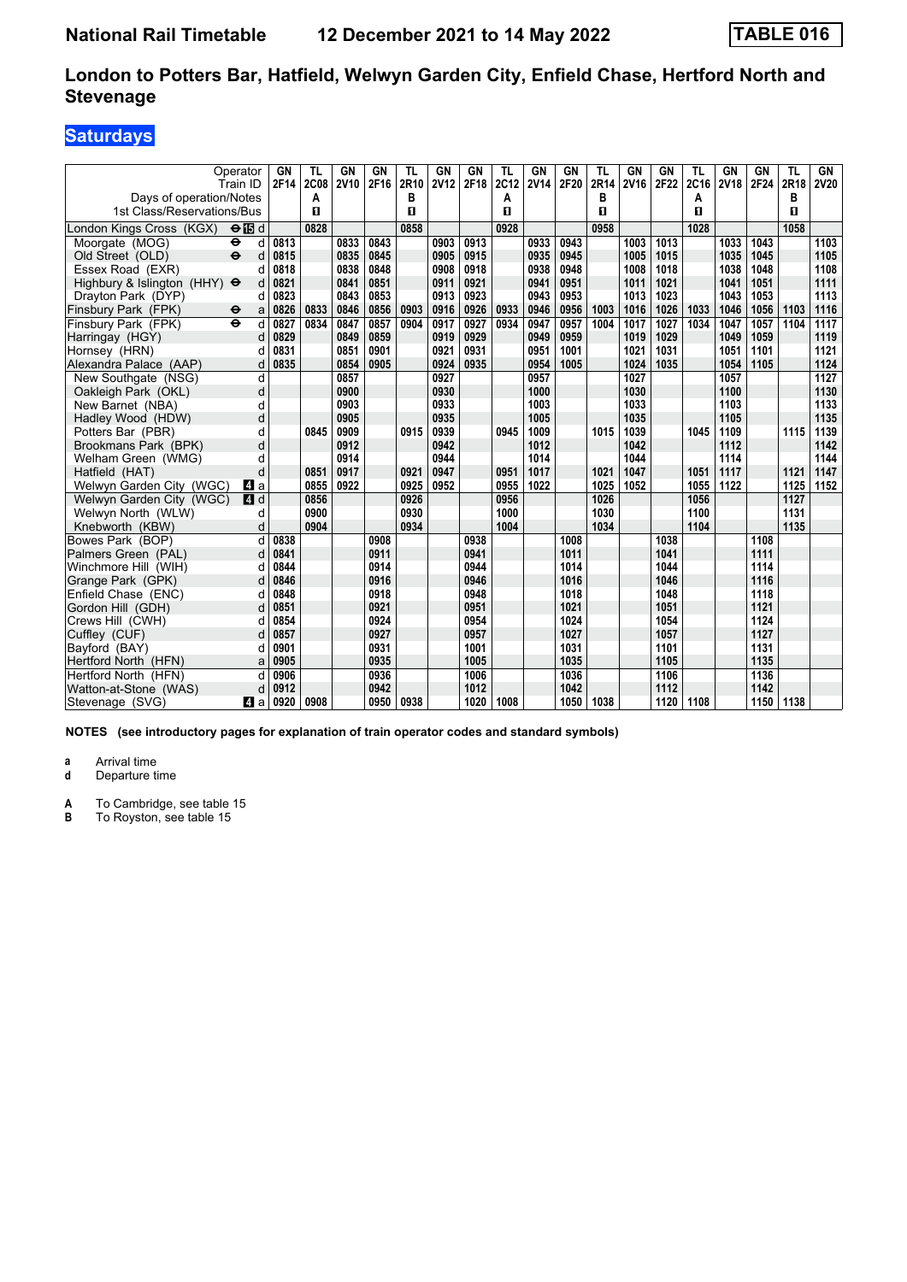# **Saturdays**

|                                     | Operator<br>Train ID     | GΝ<br>2F14 | TL<br><b>2C08</b> | GN<br><b>2V10</b> | GN<br>2F16 | TL<br>2R10 | <b>GN</b><br><b>2V12</b> | GN<br>2F18 | TL<br>2C12 | GN<br><b>2V14</b> | <b>GN</b><br>2F20 | TL<br>2R14 | GN<br>2V16 | GN<br>2F22 | TL<br>2C16 | <b>GN</b><br><b>2V18</b> | GN<br>2F24 | TL<br>2R18 | GN<br><b>2V20</b> |
|-------------------------------------|--------------------------|------------|-------------------|-------------------|------------|------------|--------------------------|------------|------------|-------------------|-------------------|------------|------------|------------|------------|--------------------------|------------|------------|-------------------|
| Days of operation/Notes             |                          |            | A                 |                   |            | в          |                          |            | Α          |                   |                   | в          |            |            | Α          |                          |            | в          |                   |
| 1st Class/Reservations/Bus          |                          |            | п                 |                   |            | п          |                          |            | п          |                   |                   | п          |            |            | п          |                          |            | п          |                   |
| ondon Kings Cross (KGX)             | ⊖個d                      |            | 0828              |                   |            | 0858       |                          |            | 0928       |                   |                   | 0958       |            |            | 1028       |                          |            | 1058       |                   |
| Moorgate (MOG)                      | $\bullet$<br>d           | 0813       |                   | 0833              | 0843       |            | 0903                     | 0913       |            | 0933              | 0943              |            | 1003       | 1013       |            | 1033                     | 1043       |            | 1103              |
| Old Street (OLD)                    | $\ddot{\mathbf{e}}$<br>d | 0815       |                   | 0835              | 0845       |            | 0905                     | 0915       |            | 0935              | 0945              |            | 1005       | 1015       |            | 1035                     | 1045       |            | 1105              |
| Essex Road (EXR)                    | d                        | 0818       |                   | 0838              | 0848       |            | 0908                     | 0918       |            | 0938              | 0948              |            | 1008       | 1018       |            | 1038                     | 1048       |            | 1108              |
| Highbury & Islington (HHY) $\Theta$ | d                        | 0821       |                   | 0841              | 0851       |            | 0911                     | 0921       |            | 0941              | 0951              |            | 1011       | 1021       |            | 1041                     | 1051       |            | 1111              |
| Dravton Park (DYP)                  | d                        | 0823       |                   | 0843              | 0853       |            | 0913                     | 0923       |            | 0943              | 0953              |            | 1013       | 1023       |            | 1043                     | 1053       |            | 1113              |
| Finsbury Park (FPK)                 | $\ddot{\mathbf{e}}$<br>a | 0826       | 0833              | 0846              | 0856       | 0903       | 0916                     | 0926       | 0933       | 0946              | 0956              | 1003       | 1016       | 1026       | 1033       | 1046                     | 1056       | 1103       | 1116              |
| Finsbury Park (FPK)                 | $\ddot{\mathbf{e}}$<br>d | 0827       | 0834              | 0847              | 0857       | 0904       | 0917                     | 0927       | 0934       | 0947              | 0957              | 1004       | 1017       | 1027       | 1034       | 1047                     | 1057       | 1104       | 1117              |
| Harringay (HGY)                     | d                        | 0829       |                   | 0849              | 0859       |            | 0919                     | 0929       |            | 0949              | 0959              |            | 1019       | 1029       |            | 1049                     | 1059       |            | 1119              |
| Hornsey (HRN)                       |                          | 0831       |                   | 0851              | 0901       |            | 0921                     | 0931       |            | 0951              | 1001              |            | 1021       | 1031       |            | 1051                     | 1101       |            | 1121              |
| Alexandra Palace (AAP)              | d                        | 0835       |                   | 0854              | 0905       |            | 0924                     | 0935       |            | 0954              | 1005              |            | 1024       | 1035       |            | 1054                     | 1105       |            | 1124              |
| New Southgate (NSG)                 | d                        |            |                   | 0857              |            |            | 0927                     |            |            | 0957              |                   |            | 1027       |            |            | 1057                     |            |            | 1127              |
| Oakleigh Park (OKL)                 | d                        |            |                   | 0900              |            |            | 0930                     |            |            | 1000              |                   |            | 1030       |            |            | 1100                     |            |            | 1130              |
| New Barnet (NBA)                    | d                        |            |                   | 0903              |            |            | 0933                     |            |            | 1003              |                   |            | 1033       |            |            | 1103                     |            |            | 1133              |
| Hadley Wood (HDW)                   | d                        |            |                   | 0905              |            |            | 0935                     |            |            | 1005              |                   |            | 1035       |            |            | 1105                     |            |            | 1135              |
| Potters Bar (PBR)                   | d                        |            | 0845              | 0909              |            | 0915       | 0939                     |            | 0945       | 1009              |                   | 1015       | 1039       |            | 1045       | 1109                     |            | 1115       | 1139              |
| Brookmans Park (BPK)                | d                        |            |                   | 0912              |            |            | 0942                     |            |            | 1012              |                   |            | 1042       |            |            | 1112                     |            |            | 1142              |
| Welham Green (WMG)                  | d                        |            |                   | 0914              |            |            | 0944                     |            |            | 1014              |                   |            | 1044       |            |            | 1114                     |            |            | 1144              |
| Hatfield (HAT)                      | d                        |            | 0851              | 0917              |            | 0921       | 0947                     |            | 0951       | 1017              |                   | 1021       | 1047       |            | 1051       | 1117                     |            | 1121       | 1147              |
| Welwyn Garden City (WGC)            | ZI a                     |            | 0855              | 0922              |            | 0925       | 0952                     |            | 0955       | 1022              |                   | 1025       | 1052       |            | 1055       | 1122                     |            | 1125       | 1152              |
| Welwyn Garden City (WGC)            | $\blacksquare$ d         |            | 0856              |                   |            | 0926       |                          |            | 0956       |                   |                   | 1026       |            |            | 1056       |                          |            | 1127       |                   |
| Welwyn North (WLW)                  | d                        |            | 0900              |                   |            | 0930       |                          |            | 1000       |                   |                   | 1030       |            |            | 1100       |                          |            | 1131       |                   |
| Knebworth (KBW)                     | d                        |            | 0904              |                   |            | 0934       |                          |            | 1004       |                   |                   | 1034       |            |            | 1104       |                          |            | 1135       |                   |
| Bowes Park (BOP)                    | d                        | 0838       |                   |                   | 0908       |            |                          | 0938       |            |                   | 1008              |            |            | 1038       |            |                          | 1108       |            |                   |
| Palmers Green (PAL)                 | d                        | 0841       |                   |                   | 0911       |            |                          | 0941       |            |                   | 1011              |            |            | 1041       |            |                          | 1111       |            |                   |
| Winchmore Hill (WIH)                | d                        | 0844       |                   |                   | 0914       |            |                          | 0944       |            |                   | 1014              |            |            | 1044       |            |                          | 1114       |            |                   |
| Grange Park (GPK)                   | d                        | 0846       |                   |                   | 0916       |            |                          | 0946       |            |                   | 1016              |            |            | 1046       |            |                          | 1116       |            |                   |
| Enfield Chase (ENC)                 | d                        | 0848       |                   |                   | 0918       |            |                          | 0948       |            |                   | 1018              |            |            | 1048       |            |                          | 1118       |            |                   |
| Gordon Hill (GDH)                   |                          | 0851       |                   |                   | 0921       |            |                          | 0951       |            |                   | 1021              |            |            | 1051       |            |                          | 1121       |            |                   |
| Crews Hill (CWH)                    | d                        | 0854       |                   |                   | 0924       |            |                          | 0954       |            |                   | 1024              |            |            | 1054       |            |                          | 1124       |            |                   |
| Cuffley (CUF)                       | d                        | 0857       |                   |                   | 0927       |            |                          | 0957       |            |                   | 1027              |            |            | 1057       |            |                          | 1127       |            |                   |
| Bayford (BAY)                       | d                        | 0901       |                   |                   | 0931       |            |                          | 1001       |            |                   | 1031              |            |            | 1101       |            |                          | 1131       |            |                   |
| Hertford North (HFN)                | a                        | 0905       |                   |                   | 0935       |            |                          | 1005       |            |                   | 1035              |            |            | 1105       |            |                          | 1135       |            |                   |
| Hertford North (HFN)                | d                        | 0906       |                   |                   | 0936       |            |                          | 1006       |            |                   | 1036              |            |            | 1106       |            |                          | 1136       |            |                   |
| Watton-at-Stone (WAS)               | d                        | 0912       |                   |                   | 0942       |            |                          | 1012       |            |                   | 1042              |            |            | 1112       |            |                          | 1142       |            |                   |
| Stevenage (SVG)                     | 41 a                     | 0920       | 0908              |                   | 0950       | 0938       |                          | 1020       | 1008       |                   | 1050              | 1038       |            | 1120       | 1108       |                          | 1150       | 1138       |                   |

**NOTES (see introductory pages for explanation of train operator codes and standard symbols)**

**a** Arrival time<br>**d** Departure time

**Departure time** 

**A** To Cambridge, see table 15<br>**B** To Royston, see table 15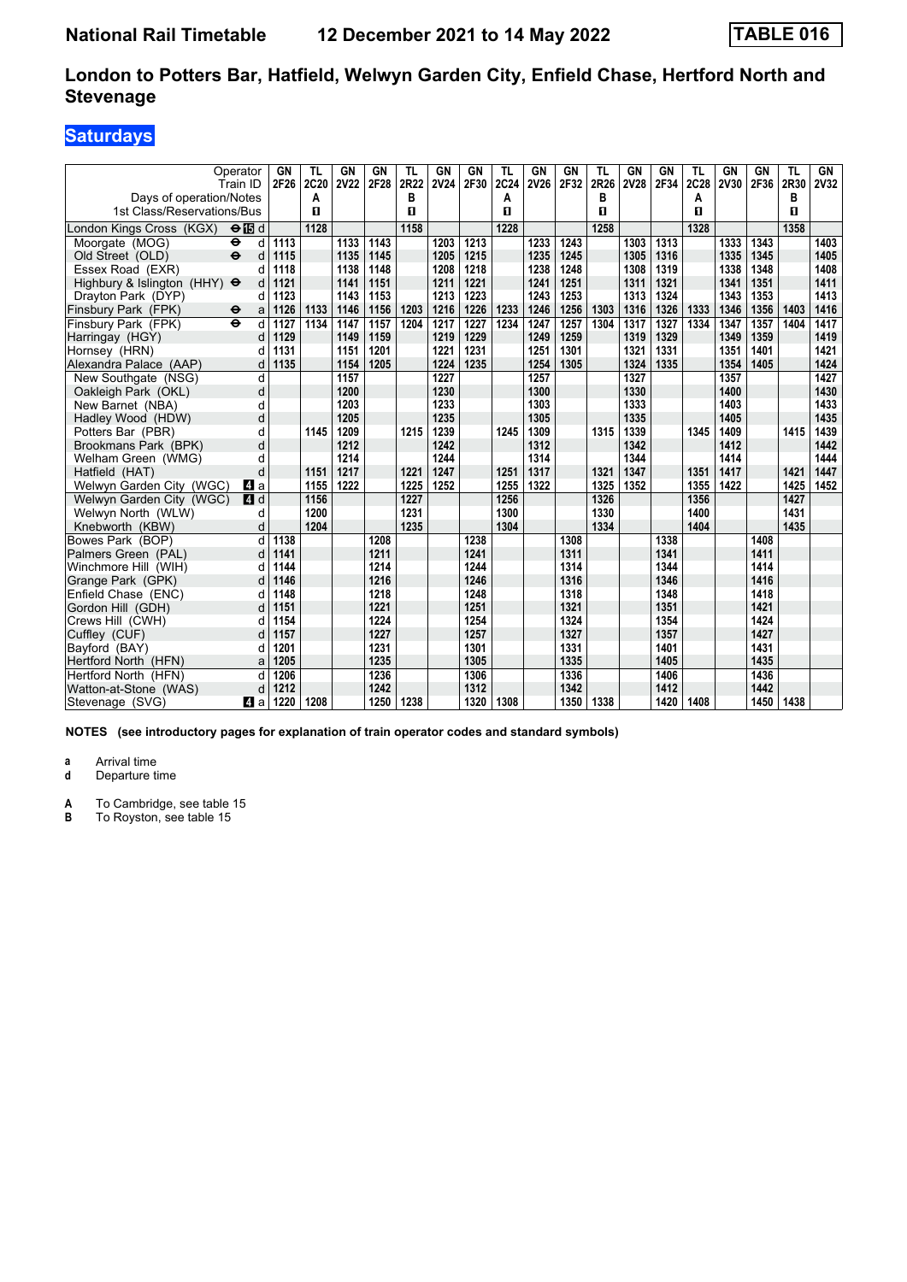# **Saturdays**

| Days of operation/Notes             | Operator<br>Train ID      | GN<br>2F26 | TL<br>2C20 | GN<br><b>2V22</b> | GN<br>2F28 | TL<br>2R22<br>в | <b>GN</b><br><b>2V24</b> | GN<br>2F30 | <b>TL</b><br>2C24 | GN<br><b>2V26</b> | <b>GN</b><br>2F32 | <b>TL</b><br>2R26<br>в | GN<br><b>2V28</b> | GN<br>2F34 | TL<br>2C28 | GN<br><b>2V30</b> | GN<br>2F36 | TL<br>2R30<br>в | GN<br><b>2V32</b> |
|-------------------------------------|---------------------------|------------|------------|-------------------|------------|-----------------|--------------------------|------------|-------------------|-------------------|-------------------|------------------------|-------------------|------------|------------|-------------------|------------|-----------------|-------------------|
| 1st Class/Reservations/Bus          |                           |            | Α<br>п     |                   |            | п               |                          |            | A<br>п            |                   |                   | п                      |                   |            | А<br>п     |                   |            | п               |                   |
| London Kings Cross (KGX)            | $\Theta$ is d             |            | 1128       |                   |            | 1158            |                          |            | 1228              |                   |                   | 1258                   |                   |            | 1328       |                   |            | 1358            |                   |
| Moorgate (MOG)                      | $\bullet$<br>d            | 1113       |            | 1133              | 1143       |                 | 1203                     | 1213       |                   | 1233              | 1243              |                        | 1303              | 1313       |            | 1333              | 1343       |                 | 1403              |
| Old Street (OLD)                    | $\ddot{\mathbf{e}}$<br>d  | 1115       |            | 1135              | 1145       |                 | 1205                     | 1215       |                   | 1235              | 1245              |                        | 1305              | 1316       |            | 1335              | 1345       |                 | 1405              |
| Essex Road (EXR)                    |                           | 1118       |            | 1138              | 1148       |                 | 1208                     | 1218       |                   | 1238              | 1248              |                        | 1308              | 1319       |            | 1338              | 1348       |                 | 1408              |
| Highbury & Islington (HHY) $\Theta$ |                           | 1121       |            | 1141              | 1151       |                 | 1211                     | 1221       |                   | 1241              | 1251              |                        | 1311              | 1321       |            | 1341              | 1351       |                 | 1411              |
| Drayton Park (DYP)                  | d                         | 1123       |            | 1143              | 1153       |                 | 1213                     | 1223       |                   | 1243              | 1253              |                        | 1313              | 1324       |            | 1343              | 1353       |                 | 1413              |
| Finsbury Park (FPK)                 | $\ddot{\phantom{1}}$<br>a | 1126       | 1133       | 1146              | 1156       | 1203            | 1216                     | 1226       | 1233              | 1246              | 1256              | 1303                   | 1316              | 1326       | 1333       | 1346              | 1356       | 1403            | 1416              |
| Finsbury Park (FPK)                 | $\ddot{\mathbf{e}}$<br>d  | 1127       | 1134       | 1147              | 1157       | 1204            | 1217                     | 1227       | 1234              | 1247              | 1257              | 1304                   | 1317              | 1327       | 1334       | 1347              | 1357       | 1404            | 1417              |
| Harringay (HGY)                     | d                         | 1129       |            | 1149              | 1159       |                 | 1219                     | 1229       |                   | 1249              | 1259              |                        | 1319              | 1329       |            | 1349              | 1359       |                 | 1419              |
| Hornsey (HRN)                       |                           | 1131       |            | 1151              | 1201       |                 | 1221                     | 1231       |                   | 1251              | 1301              |                        | 1321              | 1331       |            | 1351              | 1401       |                 | 1421              |
| Alexandra Palace (AAP)              | d                         | 1135       |            | 1154              | 1205       |                 | 1224                     | 1235       |                   | 1254              | 1305              |                        | 1324              | 1335       |            | 1354              | 1405       |                 | 1424              |
| New Southgate (NSG)                 | d                         |            |            | 1157              |            |                 | 1227                     |            |                   | 1257              |                   |                        | 1327              |            |            | 1357              |            |                 | 1427              |
| Oakleigh Park (OKL)                 | d                         |            |            | 1200              |            |                 | 1230                     |            |                   | 1300              |                   |                        | 1330              |            |            | 1400              |            |                 | 1430              |
| New Barnet (NBA)                    | d                         |            |            | 1203              |            |                 | 1233                     |            |                   | 1303              |                   |                        | 1333              |            |            | 1403              |            |                 | 1433              |
| Hadley Wood (HDW)                   | d                         |            |            | 1205              |            |                 | 1235                     |            |                   | 1305              |                   |                        | 1335              |            |            | 1405              |            |                 | 1435              |
| Potters Bar (PBR)                   | d                         |            | 1145       | 1209              |            | 1215            | 1239                     |            | 1245              | 1309              |                   | 1315                   | 1339              |            | 1345       | 1409              |            | 1415            | 1439              |
| Brookmans Park (BPK)                | d                         |            |            | 1212              |            |                 | 1242                     |            |                   | 1312              |                   |                        | 1342              |            |            | 1412              |            |                 | 1442              |
| Welham Green (WMG)                  | d                         |            |            | 1214              |            |                 | 1244                     |            |                   | 1314              |                   |                        | 1344              |            |            | 1414              |            |                 | 1444              |
| Hatfield (HAT)                      | d                         |            | 1151       | 1217              |            | 1221            | 1247                     |            | 1251              | 1317              |                   | 1321                   | 1347              |            | 1351       | 1417              |            | 1421            | 1447              |
| Welwyn Garden City (WGC)            | ZI a                      |            | 1155       | 1222              |            | 1225            | 1252                     |            | 1255              | 1322              |                   | 1325                   | 1352              |            | 1355       | 1422              |            | 1425            | 1452              |
| Welwyn Garden City (WGC)            | 4d                        |            | 1156       |                   |            | 1227            |                          |            | 1256              |                   |                   | 1326                   |                   |            | 1356       |                   |            | 1427            |                   |
| Welwyn North (WLW)                  | d                         |            | 1200       |                   |            | 1231            |                          |            | 1300              |                   |                   | 1330                   |                   |            | 1400       |                   |            | 1431            |                   |
| Knebworth (KBW)                     | d                         |            | 1204       |                   |            | 1235            |                          |            | 1304              |                   |                   | 1334                   |                   |            | 1404       |                   |            | 1435            |                   |
| Bowes Park (BOP)                    | d                         | 1138       |            |                   | 1208       |                 |                          | 1238       |                   |                   | 1308              |                        |                   | 1338       |            |                   | 1408       |                 |                   |
| Palmers Green (PAL)                 | d                         | 1141       |            |                   | 1211       |                 |                          | 1241       |                   |                   | 1311              |                        |                   | 1341       |            |                   | 1411       |                 |                   |
| Winchmore Hill (WIH)                | d                         | 1144       |            |                   | 1214       |                 |                          | 1244       |                   |                   | 1314              |                        |                   | 1344       |            |                   | 1414       |                 |                   |
| Grange Park (GPK)                   | d                         | 1146       |            |                   | 1216       |                 |                          | 1246       |                   |                   | 1316              |                        |                   | 1346       |            |                   | 1416       |                 |                   |
| Enfield Chase (ENC)                 | d                         | 1148       |            |                   | 1218       |                 |                          | 1248       |                   |                   | 1318              |                        |                   | 1348       |            |                   | 1418       |                 |                   |
| Gordon Hill (GDH)                   | d                         | 1151       |            |                   | 1221       |                 |                          | 1251       |                   |                   | 1321              |                        |                   | 1351       |            |                   | 1421       |                 |                   |
| Crews Hill (CWH)                    | d                         | 1154       |            |                   | 1224       |                 |                          | 1254       |                   |                   | 1324              |                        |                   | 1354       |            |                   | 1424       |                 |                   |
| Cuffley (CUF)                       | d                         | 1157       |            |                   | 1227       |                 |                          | 1257       |                   |                   | 1327              |                        |                   | 1357       |            |                   | 1427       |                 |                   |
| Bavford (BAY)                       | d                         | 1201       |            |                   | 1231       |                 |                          | 1301       |                   |                   | 1331              |                        |                   | 1401       |            |                   | 1431       |                 |                   |
| Hertford North (HFN)                | a                         | 1205       |            |                   | 1235       |                 |                          | 1305       |                   |                   | 1335              |                        |                   | 1405       |            |                   | 1435       |                 |                   |
| Hertford North (HFN)                | d                         | 1206       |            |                   | 1236       |                 |                          | 1306       |                   |                   | 1336              |                        |                   | 1406       |            |                   | 1436       |                 |                   |
| Watton-at-Stone (WAS)               | d                         | 1212       |            |                   | 1242       |                 |                          | 1312       |                   |                   | 1342              |                        |                   | 1412       |            |                   | 1442       |                 |                   |
| Stevenage (SVG)                     | ZI a                      | 1220       | 1208       |                   | 1250       | 1238            |                          | 1320       | 1308              |                   | 1350              | 1338                   |                   | 1420       | 1408       |                   | 1450       | 1438            |                   |

**NOTES (see introductory pages for explanation of train operator codes and standard symbols)**

**a** Arrival time<br>**d** Departure time

**Departure time** 

**A** To Cambridge, see table 15<br>**B** To Royston, see table 15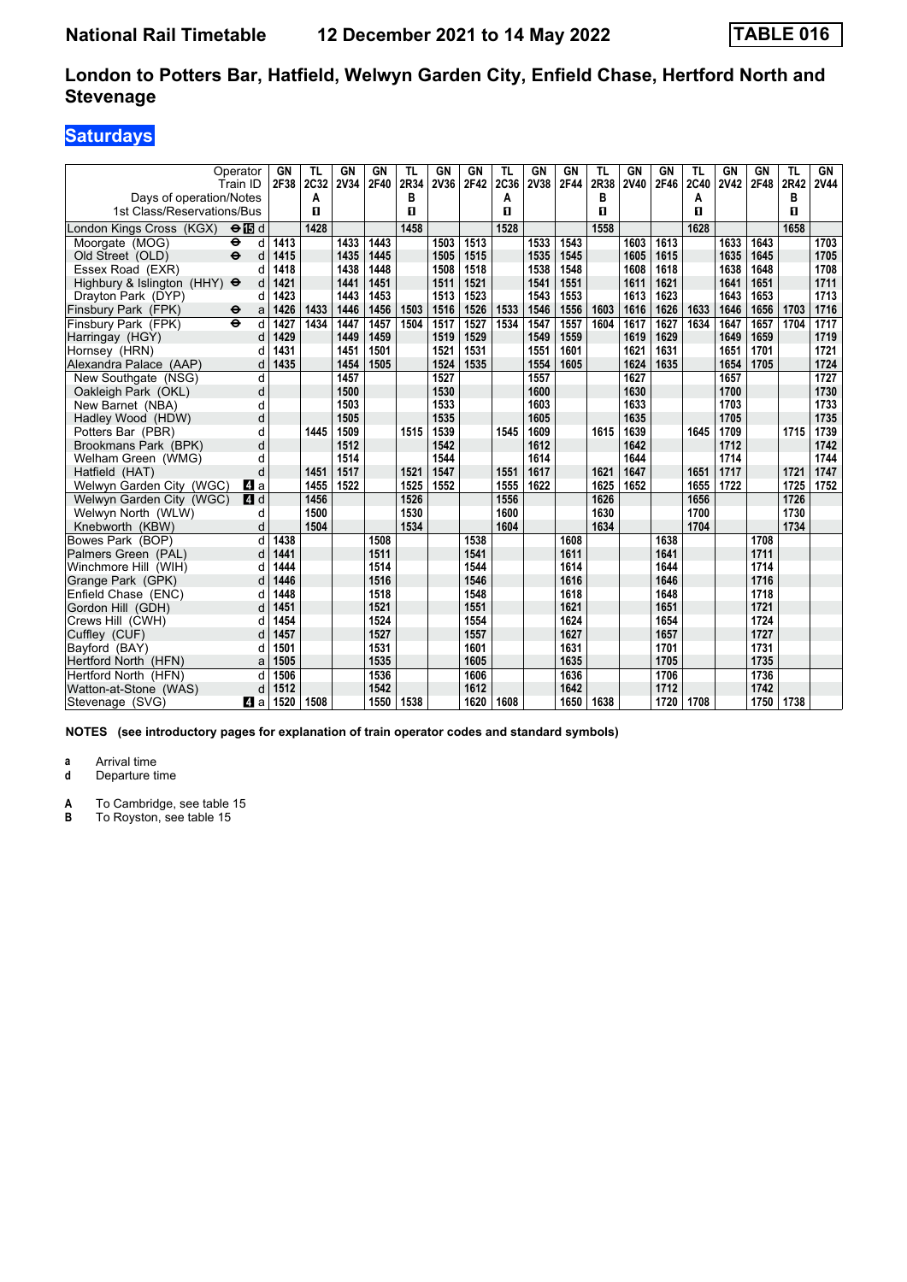# **Saturdays**

| Days of operation/Notes             | Operator<br>Train ID      | GN<br>2F38 | TL<br>2C32<br>Α | GN<br><b>2V34</b> | GN<br>2F40 | TL<br>2R34<br>в | <b>GN</b><br>2V36 | GN<br>2F42 | <b>TL</b><br>2C36<br>A | GN<br>2V38 | <b>GN</b><br>2F44 | <b>TL</b><br>2R38<br>в | GN<br><b>2V40</b> | GN<br>2F46 | TL<br>2C40<br>А | GN<br><b>2V42</b> | GN<br>2F48 | TL<br>2R42<br>в | GN<br><b>2V44</b> |
|-------------------------------------|---------------------------|------------|-----------------|-------------------|------------|-----------------|-------------------|------------|------------------------|------------|-------------------|------------------------|-------------------|------------|-----------------|-------------------|------------|-----------------|-------------------|
| 1st Class/Reservations/Bus          |                           |            | п               |                   |            | п               |                   |            | п                      |            |                   | п                      |                   |            | п               |                   |            | п               |                   |
| London Kings Cross (KGX)            | $\Theta$ is d             |            | 1428            |                   |            | 1458            |                   |            | 1528                   |            |                   | 1558                   |                   |            | 1628            |                   |            | 1658            |                   |
| Moorgate (MOG)                      | $\ddot{\phantom{1}}$<br>d | 1413       |                 | 1433              | 1443       |                 | 1503              | 1513       |                        | 1533       | 1543              |                        | 1603              | 1613       |                 | 1633              | 1643       |                 | 1703              |
| Old Street (OLD)                    | $\ddot{\mathbf{e}}$<br>d  | 1415       |                 | 1435              | 1445       |                 | 1505              | 1515       |                        | 1535       | 1545              |                        | 1605              | 1615       |                 | 1635              | 1645       |                 | 1705              |
| Essex Road (EXR)                    |                           | 1418       |                 | 1438              | 1448       |                 | 1508              | 1518       |                        | 1538       | 1548              |                        | 1608              | 1618       |                 | 1638              | 1648       |                 | 1708              |
| Highbury & Islington (HHY) $\Theta$ | d                         | 1421       |                 | 1441              | 1451       |                 | 1511              | 1521       |                        | 1541       | 1551              |                        | 1611              | 1621       |                 | 1641              | 1651       |                 | 1711              |
| Dravton Park (DYP)                  | d                         | 1423       |                 | 1443              | 1453       |                 | 1513              | 1523       |                        | 1543       | 1553              |                        | 1613              | 1623       |                 | 1643              | 1653       |                 | 1713              |
| Finsbury Park (FPK)                 | $\ddot{\phantom{1}}$<br>a | 1426       | 1433            | 1446              | 1456       | 1503            | 1516              | 1526       | 1533                   | 1546       | 1556              | 1603                   | 1616              | 1626       | 1633            | 1646              | 1656       | 1703            | 1716              |
| Finsbury Park (FPK)                 | $\ddot{\bullet}$<br>d     | 1427       | 1434            | 1447              | 1457       | 1504            | 1517              | 1527       | 1534                   | 1547       | 1557              | 1604                   | 1617              | 1627       | 1634            | 1647              | 1657       | 1704            | 1717              |
| Harringay (HGY)                     | d                         | 1429       |                 | 1449              | 1459       |                 | 1519              | 1529       |                        | 1549       | 1559              |                        | 1619              | 1629       |                 | 1649              | 1659       |                 | 1719              |
| Hornsey (HRN)                       | d                         | 1431       |                 | 1451              | 1501       |                 | 1521              | 1531       |                        | 1551       | 1601              |                        | 1621              | 1631       |                 | 1651              | 1701       |                 | 1721              |
| Alexandra Palace (AAP)              | d                         | 1435       |                 | 1454              | 1505       |                 | 1524              | 1535       |                        | 1554       | 1605              |                        | 1624              | 1635       |                 | 1654              | 1705       |                 | 1724              |
| New Southgate (NSG)                 | d                         |            |                 | 1457              |            |                 | 1527              |            |                        | 1557       |                   |                        | 1627              |            |                 | 1657              |            |                 | 1727              |
| Oakleigh Park (OKL)                 | d                         |            |                 | 1500              |            |                 | 1530              |            |                        | 1600       |                   |                        | 1630              |            |                 | 1700              |            |                 | 1730              |
| New Barnet (NBA)                    | d                         |            |                 | 1503              |            |                 | 1533              |            |                        | 1603       |                   |                        | 1633              |            |                 | 1703              |            |                 | 1733              |
| Hadley Wood (HDW)                   | d                         |            |                 | 1505              |            |                 | 1535              |            |                        | 1605       |                   |                        | 1635              |            |                 | 1705              |            |                 | 1735              |
| Potters Bar (PBR)                   | d                         |            | 1445            | 1509              |            | 1515            | 1539              |            | 1545                   | 1609       |                   | 1615                   | 1639              |            | 1645            | 1709              |            | 1715            | 1739              |
| Brookmans Park (BPK)                | d                         |            |                 | 1512              |            |                 | 1542              |            |                        | 1612       |                   |                        | 1642              |            |                 | 1712              |            |                 | 1742              |
| Welham Green (WMG)                  | d                         |            |                 | 1514              |            |                 | 1544              |            |                        | 1614       |                   |                        | 1644              |            |                 | 1714              |            |                 | 1744              |
| Hatfield (HAT)                      | d                         |            | 1451            | 1517              |            | 1521            | 1547              |            | 1551                   | 1617       |                   | 1621                   | 1647              |            | 1651            | 1717              |            | 1721            | 1747              |
| Welwyn Garden City (WGC)            | ZI a                      |            | 1455            | 1522              |            | 1525            | 1552              |            | 1555                   | 1622       |                   | 1625                   | 1652              |            | 1655            | 1722              |            | 1725            | 1752              |
| Welwyn Garden City (WGC)            | 4d                        |            | 1456            |                   |            | 1526            |                   |            | 1556                   |            |                   | 1626                   |                   |            | 1656            |                   |            | 1726            |                   |
| Welwyn North (WLW)                  | d                         |            | 1500            |                   |            | 1530            |                   |            | 1600                   |            |                   | 1630                   |                   |            | 1700            |                   |            | 1730            |                   |
| Knebworth (KBW)                     | d                         |            | 1504            |                   |            | 1534            |                   |            | 1604                   |            |                   | 1634                   |                   |            | 1704            |                   |            | 1734            |                   |
| Bowes Park (BOP)                    | d                         | 1438       |                 |                   | 1508       |                 |                   | 1538       |                        |            | 1608              |                        |                   | 1638       |                 |                   | 1708       |                 |                   |
| Palmers Green (PAL)                 | d                         | 1441       |                 |                   | 1511       |                 |                   | 1541       |                        |            | 1611              |                        |                   | 1641       |                 |                   | 1711       |                 |                   |
| Winchmore Hill (WIH)                | d                         | 1444       |                 |                   | 1514       |                 |                   | 1544       |                        |            | 1614              |                        |                   | 1644       |                 |                   | 1714       |                 |                   |
| Grange Park (GPK)                   | d                         | 1446       |                 |                   | 1516       |                 |                   | 1546       |                        |            | 1616              |                        |                   | 1646       |                 |                   | 1716       |                 |                   |
| Enfield Chase (ENC)                 | d                         | 1448       |                 |                   | 1518       |                 |                   | 1548       |                        |            | 1618              |                        |                   | 1648       |                 |                   | 1718       |                 |                   |
| Gordon Hill (GDH)                   | d                         | 1451       |                 |                   | 1521       |                 |                   | 1551       |                        |            | 1621              |                        |                   | 1651       |                 |                   | 1721       |                 |                   |
| Crews Hill (CWH)                    | d                         | 1454       |                 |                   | 1524       |                 |                   | 1554       |                        |            | 1624              |                        |                   | 1654       |                 |                   | 1724       |                 |                   |
| Cuffley (CUF)                       | d                         | 1457       |                 |                   | 1527       |                 |                   | 1557       |                        |            | 1627              |                        |                   | 1657       |                 |                   | 1727       |                 |                   |
| Bayford (BAY)                       | d                         | 1501       |                 |                   | 1531       |                 |                   | 1601       |                        |            | 1631              |                        |                   | 1701       |                 |                   | 1731       |                 |                   |
| Hertford North (HFN)                | a                         | 1505       |                 |                   | 1535       |                 |                   | 1605       |                        |            | 1635              |                        |                   | 1705       |                 |                   | 1735       |                 |                   |
| Hertford North (HFN)                | d                         | 1506       |                 |                   | 1536       |                 |                   | 1606       |                        |            | 1636              |                        |                   | 1706       |                 |                   | 1736       |                 |                   |
| Watton-at-Stone (WAS)               | d                         | 1512       |                 |                   | 1542       |                 |                   | 1612       |                        |            | 1642              |                        |                   | 1712       |                 |                   | 1742       |                 |                   |
| Stevenage (SVG)                     | ZI a                      | 1520       | 1508            |                   | 1550       | 1538            |                   | 1620       | 1608                   |            | 1650              | 1638                   |                   | 1720       | 1708            |                   | 1750       | 1738            |                   |

**NOTES (see introductory pages for explanation of train operator codes and standard symbols)**

**a** Arrival time<br>**d** Departure time

**Departure time** 

**A** To Cambridge, see table 15<br>**B** To Royston, see table 15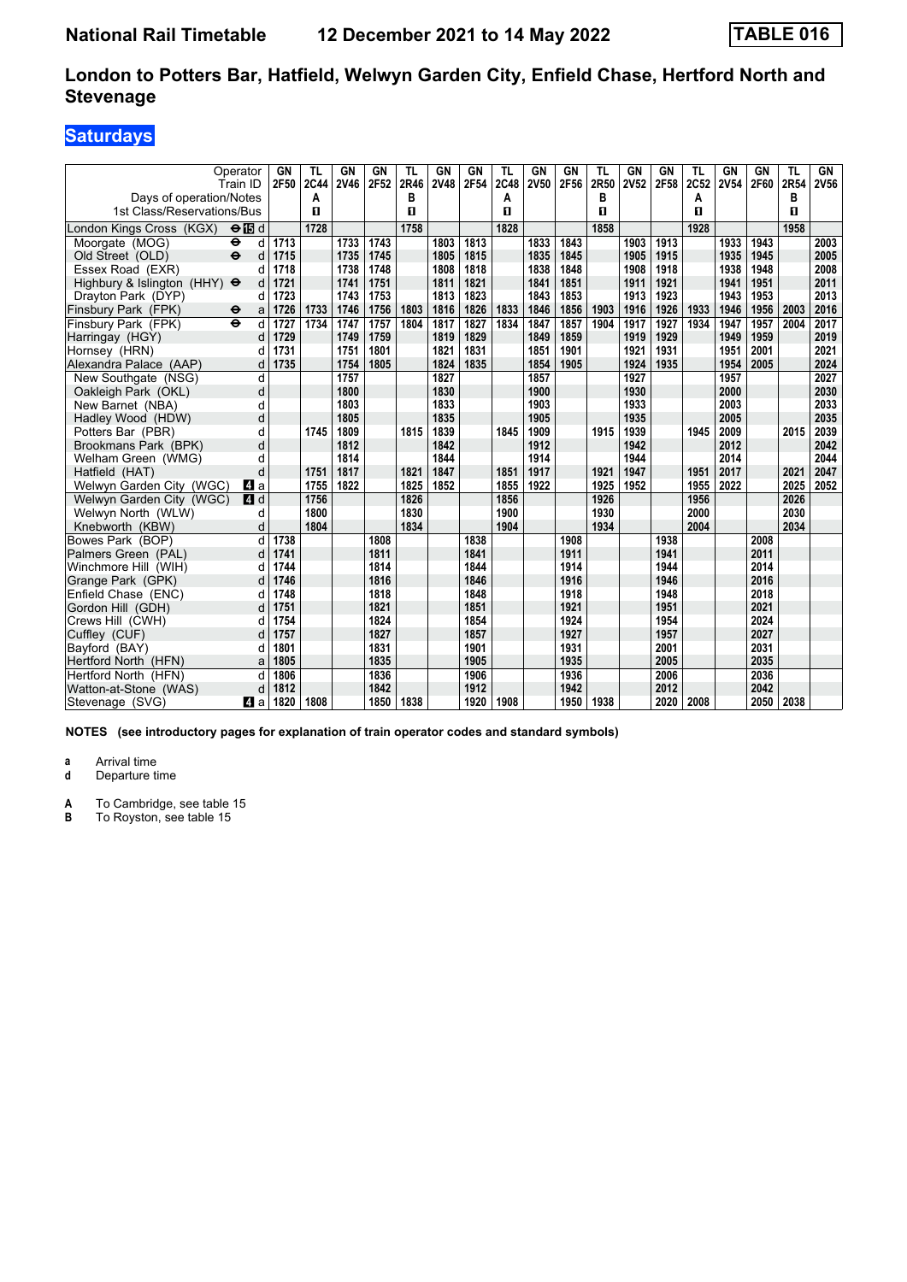# **Saturdays**

|                                                       | Operator<br>Train ID      | GN<br>2F50 | TL<br>2C44 | GN<br><b>2V46</b> | GN<br>2F52 | TL<br>2R46 | GN<br><b>2V48</b> | GN<br>2F54 | TL<br>2C48 | GN<br><b>2V50</b> | <b>GN</b><br>2F56 | TL<br>2R50 | GN<br><b>2V52</b> | GN<br>2F58 | TL<br>2C52 | GN<br><b>2V54</b> | GN<br>2F60 | TL<br>2R54 | GN<br><b>2V56</b> |
|-------------------------------------------------------|---------------------------|------------|------------|-------------------|------------|------------|-------------------|------------|------------|-------------------|-------------------|------------|-------------------|------------|------------|-------------------|------------|------------|-------------------|
| Days of operation/Notes<br>1st Class/Reservations/Bus |                           |            | Α<br>п     |                   |            | в<br>п     |                   |            | A<br>п     |                   |                   | в<br>п     |                   |            | А<br>п     |                   |            | в<br>п     |                   |
| London Kings Cross (KGX)                              | $\Theta$ is d             |            | 1728       |                   |            | 1758       |                   |            | 1828       |                   |                   | 1858       |                   |            | 1928       |                   |            | 1958       |                   |
| Moorgate (MOG)                                        | $\bullet$<br>d            | 1713       |            | 1733              | 1743       |            | 1803              | 1813       |            | 1833              | 1843              |            | 1903              | 1913       |            | 1933              | 1943       |            | 2003              |
| Old Street (OLD)                                      | $\ddot{\mathbf{e}}$<br>d  | 1715       |            | 1735              | 1745       |            | 1805              | 1815       |            | 1835              | 1845              |            | 1905              | 1915       |            | 1935              | 1945       |            | 2005              |
| Essex Road (EXR)                                      | d                         | 1718       |            | 1738              | 1748       |            | 1808              | 1818       |            | 1838              | 1848              |            | 1908              | 1918       |            | 1938              | 1948       |            | 2008              |
| Highbury & Islington (HHY) $\Theta$                   | d                         | 1721       |            | 1741              | 1751       |            | 1811              | 1821       |            | 1841              | 1851              |            | 1911              | 1921       |            | 1941              | 1951       |            | 2011              |
| Dravton Park (DYP)                                    | d                         | 1723       |            | 1743              | 1753       |            | 1813              | 1823       |            | 1843              | 1853              |            | 1913              | 1923       |            | 1943              | 1953       |            | 2013              |
| Finsbury Park (FPK)                                   | $\ddot{\bm{\Theta}}$<br>a | 1726       | 1733       | 1746              | 1756       | 1803       | 1816              | 1826       | 1833       | 1846              | 1856              | 1903       | 1916              | 1926       | 1933       | 1946              | 1956       | 2003       | 2016              |
| Finsbury Park (FPK)                                   | $\ddot{\mathbf{e}}$<br>d  | 1727       | 1734       | 1747              | 1757       | 1804       | 1817              | 1827       | 1834       | 1847              | 1857              | 1904       | 1917              | 1927       | 1934       | 1947              | 1957       | 2004       | 2017              |
| Harringay (HGY)                                       | d                         | 1729       |            | 1749              | 1759       |            | 1819              | 1829       |            | 1849              | 1859              |            | 1919              | 1929       |            | 1949              | 1959       |            | 2019              |
| Hornsey (HRN)                                         |                           | 1731       |            | 1751              | 1801       |            | 1821              | 1831       |            | 1851              | 1901              |            | 1921              | 1931       |            | 1951              | 2001       |            | 2021              |
| Alexandra Palace (AAP)                                | d                         | 1735       |            | 1754              | 1805       |            | 1824              | 1835       |            | 1854              | 1905              |            | 1924              | 1935       |            | 1954              | 2005       |            | 2024              |
| New Southgate (NSG)                                   | d                         |            |            | 1757              |            |            | 1827              |            |            | 1857              |                   |            | 1927              |            |            | 1957              |            |            | 2027              |
| Oakleigh Park (OKL)                                   | d                         |            |            | 1800              |            |            | 1830              |            |            | 1900              |                   |            | 1930              |            |            | 2000              |            |            | 2030              |
| New Barnet (NBA)                                      | d                         |            |            | 1803              |            |            | 1833              |            |            | 1903              |                   |            | 1933              |            |            | 2003              |            |            | 2033              |
| Hadley Wood (HDW)                                     | d                         |            |            | 1805              |            |            | 1835              |            |            | 1905              |                   |            | 1935              |            |            | 2005              |            |            | 2035              |
| Potters Bar (PBR)                                     | d                         |            | 1745       | 1809              |            | 1815       | 1839              |            | 1845       | 1909              |                   | 1915       | 1939              |            | 1945       | 2009              |            | 2015       | 2039              |
| Brookmans Park (BPK)                                  | d                         |            |            | 1812              |            |            | 1842              |            |            | 1912              |                   |            | 1942              |            |            | 2012              |            |            | 2042              |
| Welham Green (WMG)                                    | d                         |            |            | 1814              |            |            | 1844              |            |            | 1914              |                   |            | 1944              |            |            | 2014              |            |            | 2044              |
| Hatfield (HAT)                                        | d                         |            | 1751       | 1817              |            | 1821       | 1847              |            | 1851       | 1917              |                   | 1921       | 1947              |            | 1951       | 2017              |            | 2021       | 2047              |
| Welwyn Garden City (WGC)                              | l 4 a                     |            | 1755       | 1822              |            | 1825       | 1852              |            | 1855       | 1922              |                   | 1925       | 1952              |            | 1955       | 2022              |            | 2025       | 2052              |
| Welwyn Garden City (WGC)                              | 4d                        |            | 1756       |                   |            | 1826       |                   |            | 1856       |                   |                   | 1926       |                   |            | 1956       |                   |            | 2026       |                   |
| Welwyn North (WLW)                                    | d                         |            | 1800       |                   |            | 1830       |                   |            | 1900       |                   |                   | 1930       |                   |            | 2000       |                   |            | 2030       |                   |
| Knebworth (KBW)                                       | d                         |            | 1804       |                   |            | 1834       |                   |            | 1904       |                   |                   | 1934       |                   |            | 2004       |                   |            | 2034       |                   |
| Bowes Park (BOP)                                      | d                         | 1738       |            |                   | 1808       |            |                   | 1838       |            |                   | 1908              |            |                   | 1938       |            |                   | 2008       |            |                   |
| Palmers Green (PAL)                                   | d                         | 1741       |            |                   | 1811       |            |                   | 1841       |            |                   | 1911              |            |                   | 1941       |            |                   | 2011       |            |                   |
| Winchmore Hill (WIH)                                  | d                         | 1744       |            |                   | 1814       |            |                   | 1844       |            |                   | 1914              |            |                   | 1944       |            |                   | 2014       |            |                   |
| Grange Park (GPK)                                     | d                         | 1746       |            |                   | 1816       |            |                   | 1846       |            |                   | 1916              |            |                   | 1946       |            |                   | 2016       |            |                   |
| Enfield Chase (ENC)                                   |                           | 1748       |            |                   | 1818       |            |                   | 1848       |            |                   | 1918              |            |                   | 1948       |            |                   | 2018       |            |                   |
| Gordon Hill (GDH)                                     |                           | 1751       |            |                   | 1821       |            |                   | 1851       |            |                   | 1921              |            |                   | 1951       |            |                   | 2021       |            |                   |
| Crews Hill (CWH)                                      | d                         | 1754       |            |                   | 1824       |            |                   | 1854       |            |                   | 1924              |            |                   | 1954       |            |                   | 2024       |            |                   |
| Cuffley (CUF)                                         | d                         | 1757       |            |                   | 1827       |            |                   | 1857       |            |                   | 1927              |            |                   | 1957       |            |                   | 2027       |            |                   |
| Bayford (BAY)                                         |                           | 1801       |            |                   | 1831       |            |                   | 1901       |            |                   | 1931              |            |                   | 2001       |            |                   | 2031       |            |                   |
| Hertford North (HFN)                                  | a                         | 1805       |            |                   | 1835       |            |                   | 1905       |            |                   | 1935              |            |                   | 2005       |            |                   | 2035       |            |                   |
| Hertford North (HFN)                                  | d                         | 1806       |            |                   | 1836       |            |                   | 1906       |            |                   | 1936              |            |                   | 2006       |            |                   | 2036       |            |                   |
| Watton-at-Stone (WAS)                                 | d                         | 1812       |            |                   | 1842       |            |                   | 1912       |            |                   | 1942              |            |                   | 2012       |            |                   | 2042       |            |                   |
| Stevenage (SVG)                                       | ZI a                      | 1820       | 1808       |                   | 1850       | 1838       |                   | 1920       | 1908       |                   | 1950              | 1938       |                   | 2020       | 2008       |                   | 2050       | 2038       |                   |

**NOTES (see introductory pages for explanation of train operator codes and standard symbols)**

**a** Arrival time<br>**d** Departure time

**Departure time** 

**A** To Cambridge, see table 15<br>**B** To Royston, see table 15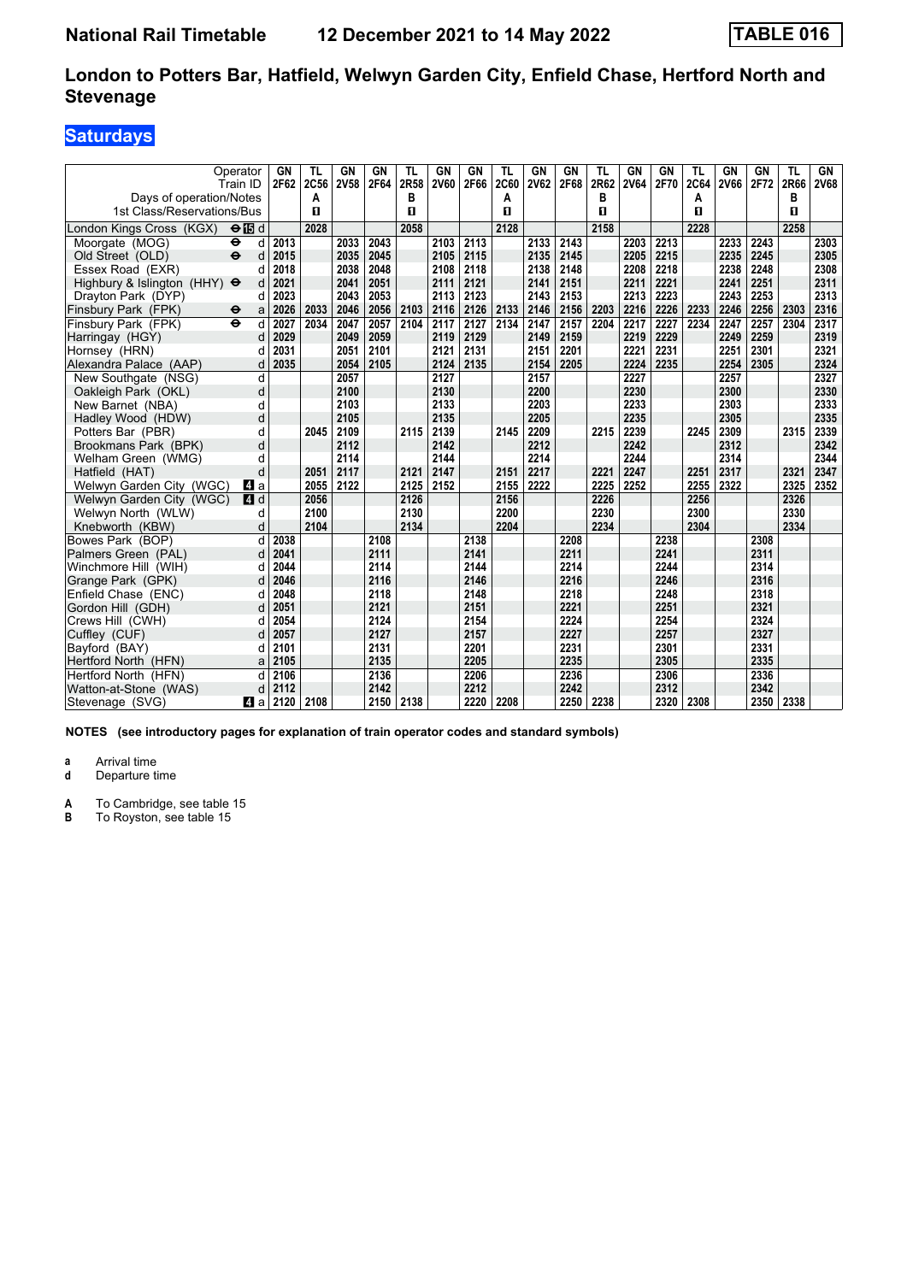# **Saturdays**

| Days of operation/Notes             | Operator<br>Train ID     | GN<br>2F62 | TL<br>2C56<br>Α | GN<br><b>2V58</b> | GN<br>2F64 | TL<br>2R58<br>в | GN<br><b>2V60</b> | GN<br>2F66 | TL<br><b>2C60</b><br>A | GN<br><b>2V62</b> | <b>GN</b><br>2F68 | TL<br>2R62<br>в | GN<br><b>2V64</b> | GN<br>2F70 | TL<br><b>2C64</b><br>А | GN<br>2V66 | GN<br>2F72 | TL<br>2R66<br>в | GN<br><b>2V68</b> |
|-------------------------------------|--------------------------|------------|-----------------|-------------------|------------|-----------------|-------------------|------------|------------------------|-------------------|-------------------|-----------------|-------------------|------------|------------------------|------------|------------|-----------------|-------------------|
| 1st Class/Reservations/Bus          |                          |            | п               |                   |            | п               |                   |            | п                      |                   |                   | п               |                   |            | п                      |            |            | п               |                   |
| London Kings Cross (KGX)            | $\Theta$ is d            |            | 2028            |                   |            | 2058            |                   |            | 2128                   |                   |                   | 2158            |                   |            | 2228                   |            |            | 2258            |                   |
| Moorgate (MOG)                      | ⊖<br>d                   | 2013       |                 | 2033              | 2043       |                 | 2103              | 2113       |                        | 2133              | 2143              |                 | 2203              | 2213       |                        | 2233       | 2243       |                 | 2303              |
| Old Street (OLD)                    | $\ddot{\mathbf{e}}$<br>d | 2015       |                 | 2035              | 2045       |                 | 2105              | 2115       |                        | 2135              | 2145              |                 | 2205              | 2215       |                        | 2235       | 2245       |                 | 2305              |
| Essex Road (EXR)                    |                          | 2018       |                 | 2038              | 2048       |                 | 2108              | 2118       |                        | 2138              | 2148              |                 | 2208              | 2218       |                        | 2238       | 2248       |                 | 2308              |
| Highbury & Islington (HHY) $\Theta$ | d                        | 2021       |                 | 2041              | 2051       |                 | 2111              | 2121       |                        | 2141              | 2151              |                 | 2211              | 2221       |                        | 2241       | 2251       |                 | 2311              |
| Drayton Park (DYP)                  | d                        | 2023       |                 | 2043              | 2053       |                 | 2113              | 2123       |                        | 2143              | 2153              |                 | 2213              | 2223       |                        | 2243       | 2253       |                 | 2313              |
| Finsbury Park (FPK)                 | θ<br>a                   | 2026       | 2033            | 2046              | 2056       | 2103            | 2116              | 2126       | 2133                   | 2146              | 2156              | 2203            | 2216              | 2226       | 2233                   | 2246       | 2256       | 2303            | 2316              |
| Finsbury Park (FPK)                 | $\ddot{\mathbf{e}}$<br>d | 2027       | 2034            | 2047              | 2057       | 2104            | 2117              | 2127       | 2134                   | 2147              | 2157              | 2204            | 2217              | 2227       | 2234                   | 2247       | 2257       | 2304            | 2317              |
| Harringay (HGY)                     | d                        | 2029       |                 | 2049              | 2059       |                 | 2119              | 2129       |                        | 2149              | 2159              |                 | 2219              | 2229       |                        | 2249       | 2259       |                 | 2319              |
| Hornsey (HRN)                       |                          | 2031       |                 | 2051              | 2101       |                 | 2121              | 2131       |                        | 2151              | 2201              |                 | 2221              | 2231       |                        | 2251       | 2301       |                 | 2321              |
| Alexandra Palace (AAP)              | d                        | 2035       |                 | 2054              | 2105       |                 | 2124              | 2135       |                        | 2154              | 2205              |                 | 2224              | 2235       |                        | 2254       | 2305       |                 | 2324              |
| New Southgate (NSG)                 | d                        |            |                 | 2057              |            |                 | 2127              |            |                        | 2157              |                   |                 | 2227              |            |                        | 2257       |            |                 | 2327              |
| Oakleigh Park (OKL)                 | d                        |            |                 | 2100              |            |                 | 2130              |            |                        | 2200              |                   |                 | 2230              |            |                        | 2300       |            |                 | 2330              |
| New Barnet (NBA)                    | d                        |            |                 | 2103              |            |                 | 2133              |            |                        | 2203              |                   |                 | 2233              |            |                        | 2303       |            |                 | 2333              |
| Hadley Wood (HDW)                   | d                        |            |                 | 2105              |            |                 | 2135              |            |                        | 2205              |                   |                 | 2235              |            |                        | 2305       |            |                 | 2335              |
| Potters Bar (PBR)                   | d                        |            | 2045            | 2109              |            | 2115            | 2139              |            | 2145                   | 2209              |                   | 2215            | 2239              |            | 2245                   | 2309       |            | 2315            | 2339              |
| Brookmans Park (BPK)                | d                        |            |                 | 2112              |            |                 | 2142              |            |                        | 2212              |                   |                 | 2242              |            |                        | 2312       |            |                 | 2342              |
| Welham Green (WMG)                  | d                        |            |                 | 2114              |            |                 | 2144              |            |                        | 2214              |                   |                 | 2244              |            |                        | 2314       |            |                 | 2344              |
| Hatfield (HAT)                      | d                        |            | 2051            | 2117              |            | 2121            | 2147              |            | 2151                   | 2217              |                   | 2221            | 2247              |            | 2251                   | 2317       |            | 2321            | 2347              |
| Welwyn Garden City (WGC)            | ZI a                     |            | 2055            | 2122              |            | 2125            | 2152              |            | 2155                   | 2222              |                   | 2225            | 2252              |            | 2255                   | 2322       |            | 2325            | 2352              |
| Welwyn Garden City (WGC)            | 4d                       |            | 2056            |                   |            | 2126            |                   |            | 2156                   |                   |                   | 2226            |                   |            | 2256                   |            |            | 2326            |                   |
| Welwyn North (WLW)                  | d                        |            | 2100            |                   |            | 2130            |                   |            | 2200                   |                   |                   | 2230            |                   |            | 2300                   |            |            | 2330            |                   |
| Knebworth (KBW)                     | d                        |            | 2104            |                   |            | 2134            |                   |            | 2204                   |                   |                   | 2234            |                   |            | 2304                   |            |            | 2334            |                   |
| Bowes Park (BOP)                    | d                        | 2038       |                 |                   | 2108       |                 |                   | 2138       |                        |                   | 2208              |                 |                   | 2238       |                        |            | 2308       |                 |                   |
| Palmers Green (PAL)                 | d                        | 2041       |                 |                   | 2111       |                 |                   | 2141       |                        |                   | 2211              |                 |                   | 2241       |                        |            | 2311       |                 |                   |
| Winchmore Hill (WIH)                | d                        | 2044       |                 |                   | 2114       |                 |                   | 2144       |                        |                   | 2214              |                 |                   | 2244       |                        |            | 2314       |                 |                   |
| Grange Park (GPK)                   | d                        | 2046       |                 |                   | 2116       |                 |                   | 2146       |                        |                   | 2216              |                 |                   | 2246       |                        |            | 2316       |                 |                   |
| Enfield Chase (ENC)                 | d                        | 2048       |                 |                   | 2118       |                 |                   | 2148       |                        |                   | 2218              |                 |                   | 2248       |                        |            | 2318       |                 |                   |
| Gordon Hill (GDH)                   | d                        | 2051       |                 |                   | 2121       |                 |                   | 2151       |                        |                   | 2221              |                 |                   | 2251       |                        |            | 2321       |                 |                   |
| Crews Hill (CWH)                    | d                        | 2054       |                 |                   | 2124       |                 |                   | 2154       |                        |                   | 2224              |                 |                   | 2254       |                        |            | 2324       |                 |                   |
| Cuffley (CUF)                       | d                        | 2057       |                 |                   | 2127       |                 |                   | 2157       |                        |                   | 2227              |                 |                   | 2257       |                        |            | 2327       |                 |                   |
| Bayford (BAY)                       | d                        | 2101       |                 |                   | 2131       |                 |                   | 2201       |                        |                   | 2231              |                 |                   | 2301       |                        |            | 2331       |                 |                   |
| Hertford North (HFN)                | a                        | 2105       |                 |                   | 2135       |                 |                   | 2205       |                        |                   | 2235              |                 |                   | 2305       |                        |            | 2335       |                 |                   |
| Hertford North (HFN)                | d                        | 2106       |                 |                   | 2136       |                 |                   | 2206       |                        |                   | 2236              |                 |                   | 2306       |                        |            | 2336       |                 |                   |
| Watton-at-Stone (WAS)               | d                        | 2112       |                 |                   | 2142       |                 |                   | 2212       |                        |                   | 2242              |                 |                   | 2312       |                        |            | 2342       |                 |                   |
| Stevenage (SVG)                     | ZI a                     | 2120       | 2108            |                   | 2150       | 2138            |                   | 2220       | 2208                   |                   | 2250              | 2238            |                   | 2320       | 2308                   |            | 2350       | 2338            |                   |

**NOTES (see introductory pages for explanation of train operator codes and standard symbols)**

**a** Arrival time<br>**d** Departure time

**Departure time** 

**A** To Cambridge, see table 15<br>**B** To Royston, see table 15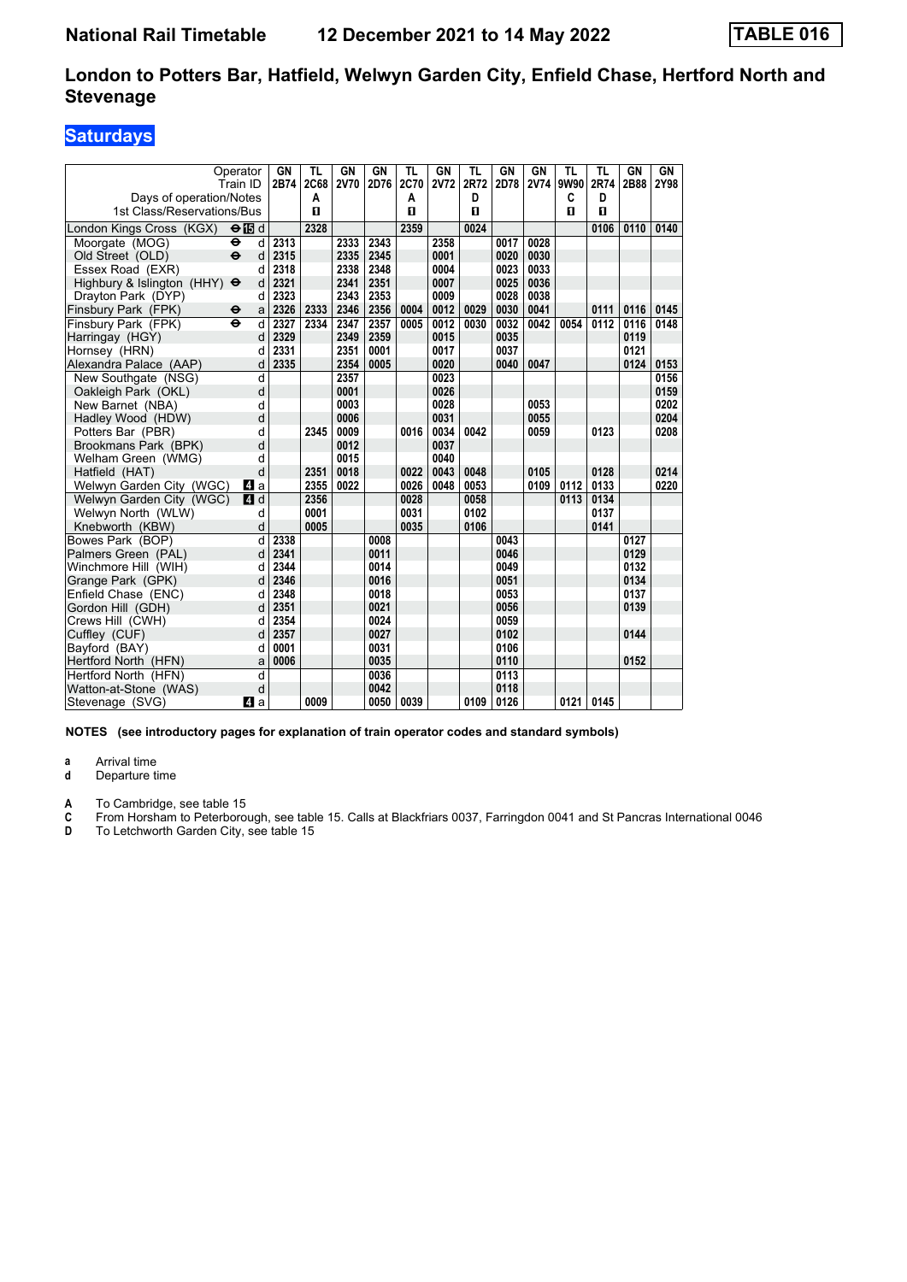### **Saturdays**

|                                                | Operator      | <b>GN</b>    | <b>TL</b>    | GN          | <b>GN</b>    | <b>TL</b>    | GN          | <b>TL</b> | <b>GN</b>    | GN          | <b>TL</b>    | <b>TL</b>    | GN           | <b>GN</b> |
|------------------------------------------------|---------------|--------------|--------------|-------------|--------------|--------------|-------------|-----------|--------------|-------------|--------------|--------------|--------------|-----------|
|                                                | Train ID      | 2B74         | <b>2C68</b>  | <b>2V70</b> | 2D76         | 2C70         | <b>2V72</b> | 2R72      | 2D78         | <b>2V74</b> | 9W90         | 2R74         | 2B88         | 2Y98      |
| Days of operation/Notes                        |               |              | A            |             |              | A            |             | D         |              |             | C            | D            |              |           |
| 1st Class/Reservations/Bus                     |               |              | $\mathbf{u}$ |             |              | $\mathbf{u}$ |             | п         |              |             | $\mathbf{u}$ | $\mathbf{u}$ |              |           |
| London Kings Cross (KGX)                       | $\Theta$ is d |              | 2328         |             |              | 2359         |             | 0024      |              |             |              | 0106         | 0110         | 0140      |
| Moorgate (MOG)<br>$\ddot{\boldsymbol{\Theta}}$ | d             | 2313         |              | 2333        | 2343         |              | 2358        |           | 0017         | 0028        |              |              |              |           |
| $\ddot{\mathbf{e}}$<br>Old Street (OLD)        | d             | 2315         |              | 2335        | 2345         |              | 0001        |           | 0020         | 0030        |              |              |              |           |
| Essex Road (EXR)                               | d             | 2318         |              | 2338        | 2348         |              | 0004        |           | 0023         | 0033        |              |              |              |           |
| Highbury & Islington (HHY) $\Theta$            | d             | 2321         |              | 2341        | 2351         |              | 0007        |           | 0025         | 0036        |              |              |              |           |
| Drayton Park (DYP)                             | d             | 2323         |              | 2343        | 2353         |              | 0009        |           | 0028         | 0038        |              |              |              |           |
| Finsbury Park (FPK)<br>$\ddot{\phantom{1}}$    | a             | 2326         | 2333         | 2346        | 2356         | 0004         | 0012        | 0029      | 0030         | 0041        |              | 0111         | 0116         | 0145      |
| Finsbury Park (FPK)<br>$\ddot{\mathbf{e}}$     | d             | 2327         | 2334         | 2347        | 2357         | 0005         | 0012        | 0030      | 0032         | 0042        | 0054         | 0112         | 0116         | 0148      |
| Harringay (HGY)                                | d             | 2329         |              | 2349        | 2359         |              | 0015        |           | 0035         |             |              |              | 0119         |           |
| Hornsey (HRN)                                  | d             | 2331         |              | 2351        | 0001         |              | 0017        |           | 0037         |             |              |              | 0121         |           |
| Alexandra Palace (AAP)                         | d             | 2335         |              | 2354        | 0005         |              | 0020        |           | 0040         | 0047        |              |              | 0124         | 0153      |
| New Southgate (NSG)                            | d             |              |              | 2357        |              |              | 0023        |           |              |             |              |              |              | 0156      |
| Oakleigh Park (OKL)                            | d             |              |              | 0001        |              |              | 0026        |           |              |             |              |              |              | 0159      |
| New Barnet (NBA)                               | d             |              |              | 0003        |              |              | 0028        |           |              | 0053        |              |              |              | 0202      |
| Hadlev Wood (HDW)                              | d             |              |              | 0006        |              |              | 0031        |           |              | 0055        |              |              |              | 0204      |
| Potters Bar (PBR)                              | d             |              | 2345         | 0009        |              | 0016         | 0034        | 0042      |              | 0059        |              | 0123         |              | 0208      |
| Brookmans Park (BPK)                           | d             |              |              | 0012        |              |              | 0037        |           |              |             |              |              |              |           |
| Welham Green (WMG)                             | d             |              |              | 0015        |              |              | 0040        |           |              |             |              |              |              |           |
| Hatfield (HAT)                                 | d             |              | 2351         | 0018        |              | 0022         | 0043        | 0048      |              | 0105        |              | 0128         |              | 0214      |
| Welwyn Garden City (WGC)                       | 41 a          |              | 2355         | 0022        |              | 0026         | 0048        | 0053      |              | 0109        | 0112         | 0133         |              | 0220      |
| Welwyn Garden City (WGC)                       | 4d            |              | 2356         |             |              | 0028         |             | 0058      |              |             | 0113         | 0134         |              |           |
| Welwyn North (WLW)                             | d             |              | 0001         |             |              | 0031         |             | 0102      |              |             |              | 0137         |              |           |
| Knebworth (KBW)                                | d             |              | 0005         |             |              | 0035         |             | 0106      |              |             |              | 0141         |              |           |
| Bowes Park (BOP)                               | d             | 2338         |              |             | 0008         |              |             |           | 0043         |             |              |              | 0127         |           |
| Palmers Green (PAL)                            | d             | 2341         |              |             | 0011         |              |             |           | 0046         |             |              |              | 0129         |           |
| Winchmore Hill (WIH)                           | d             | 2344<br>2346 |              |             | 0014         |              |             |           | 0049<br>0051 |             |              |              | 0132<br>0134 |           |
| Grange Park (GPK)                              | d             |              |              |             | 0016         |              |             |           |              |             |              |              |              |           |
| Enfield Chase (ENC)                            | d<br>d        | 2348<br>2351 |              |             | 0018<br>0021 |              |             |           | 0053<br>0056 |             |              |              | 0137<br>0139 |           |
| Gordon Hill (GDH)<br>Crews Hill (CWH)          | d             | 2354         |              |             | 0024         |              |             |           | 0059         |             |              |              |              |           |
|                                                | d             | 2357         |              |             | 0027         |              |             |           | 0102         |             |              |              | 0144         |           |
| Cuffley (CUF)<br>Bavford (BAY)                 | d             | 0001         |              |             | 0031         |              |             |           | 0106         |             |              |              |              |           |
| Hertford North (HFN)                           | a             | 0006         |              |             | 0035         |              |             |           | 0110         |             |              |              | 0152         |           |
| Hertford North (HFN)                           | d             |              |              |             | 0036         |              |             |           | 0113         |             |              |              |              |           |
| Watton-at-Stone (WAS)                          | d             |              |              |             | 0042         |              |             |           | 0118         |             |              |              |              |           |
| Stevenage (SVG)                                | ZI a          |              | 0009         |             | 0050         | 0039         |             | 0109      | 0126         |             | 0121         | 0145         |              |           |
|                                                |               |              |              |             |              |              |             |           |              |             |              |              |              |           |

**NOTES (see introductory pages for explanation of train operator codes and standard symbols)**

**a** Arrival time<br>**d** Departure t

**Departure time** 

**A** To Cambridge, see table 15<br> **C** From Horsham to Peterboro<br> **D** To Letchworth Garden City,

**C** From Horsham to Peterborough, see table 15. Calls at Blackfriars 0037, Farringdon 0041 and St Pancras International 0046

**D** To Letchworth Garden City, see table 15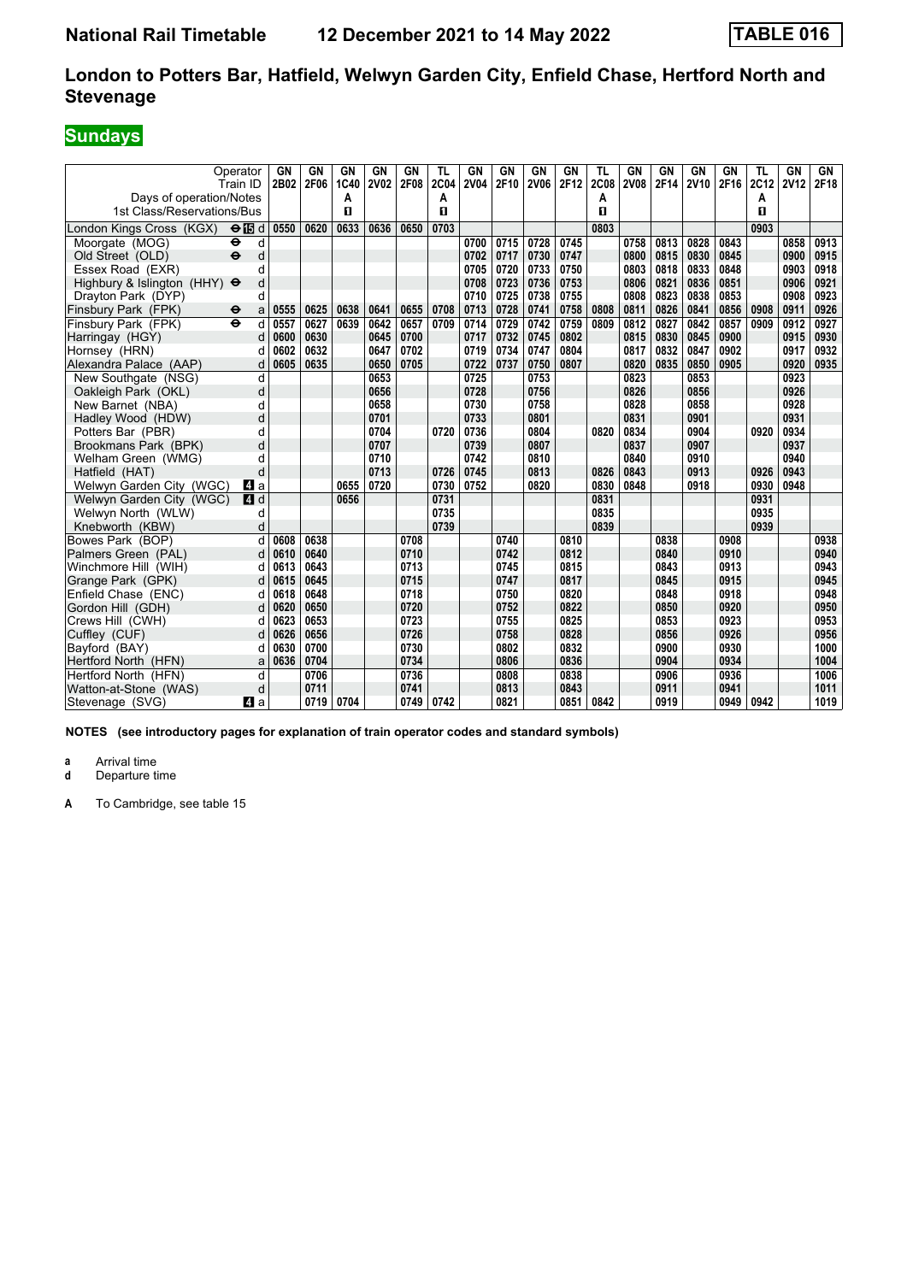# **Sundays**

| Days of operation/Notes<br>1st Class/Reservations/Bus | Operator<br>Train ID     | GN<br>2B02 | GN<br>2F06 | GN<br>1C40<br>A<br>п | GN<br><b>2V02</b> | <b>GN</b><br>2F08 | <b>TL</b><br><b>2C04</b><br>A<br>п | <b>GN</b><br><b>2V04</b> | GN<br>2F10 | GN<br><b>2V06</b> | GN<br>2F12 | <b>TL</b><br><b>2C08</b><br>А<br>п | <b>GN</b><br><b>2V08</b> | GN<br>2F14 | <b>GN</b><br><b>2V10</b> | GN<br>2F16 | TL<br>2C12<br>А<br>п | GN<br><b>2V12</b> | GN<br>2F18 |
|-------------------------------------------------------|--------------------------|------------|------------|----------------------|-------------------|-------------------|------------------------------------|--------------------------|------------|-------------------|------------|------------------------------------|--------------------------|------------|--------------------------|------------|----------------------|-------------------|------------|
| London Kings Cross (KGX)                              | $\Theta$ is d            | 0550       | 0620       | 0633                 | 0636              | 0650              | 0703                               |                          |            |                   |            | 0803                               |                          |            |                          |            | 0903                 |                   |            |
| Moorgate (MOG)                                        | d<br>⊖                   |            |            |                      |                   |                   |                                    | 0700                     | 0715       | 0728              | 0745       |                                    | 0758                     | 0813       | 0828                     | 0843       |                      | 0858              | 0913       |
| Old Street (OLD)                                      | $\ddot{\mathbf{e}}$<br>d |            |            |                      |                   |                   |                                    | 0702                     | 0717       | 0730              | 0747       |                                    | 0800                     | 0815       | 0830                     | 0845       |                      | 0900              | 0915       |
| Essex Road (EXR)                                      | d                        |            |            |                      |                   |                   |                                    | 0705                     | 0720       | 0733              | 0750       |                                    | 0803                     | 0818       | 0833                     | 0848       |                      | 0903              | 0918       |
| Highbury & Islington (HHY) $\Theta$                   | d                        |            |            |                      |                   |                   |                                    | 0708                     | 0723       | 0736              | 0753       |                                    | 0806                     | 0821       | 0836                     | 0851       |                      | 0906              | 0921       |
| Drayton Park (DYP)                                    | d                        |            |            |                      |                   |                   |                                    | 0710                     | 0725       | 0738              | 0755       |                                    | 0808                     | 0823       | 0838                     | 0853       |                      | 0908              | 0923       |
| Finsbury Park (FPK)                                   | a<br>⊖                   | 0555       | 0625       | 0638                 | 0641              | 0655              | 0708                               | 0713                     | 0728       | 0741              | 0758       | 0808                               | 0811                     | 0826       | 0841                     | 0856       | 0908                 | 0911              | 0926       |
| Finsbury Park (FPK)                                   | $\ddot{\mathbf{e}}$<br>d | 0557       | 0627       | 0639                 | 0642              | 0657              | 0709                               | 0714                     | 0729       | 0742              | 0759       | 0809                               | 0812                     | 0827       | 0842                     | 0857       | 0909                 | 0912              | 0927       |
| Harringay (HGY)                                       | d                        | 0600       | 0630       |                      | 0645              | 0700              |                                    | 0717                     | 0732       | 0745              | 0802       |                                    | 0815                     | 0830       | 0845                     | 0900       |                      | 0915              | 0930       |
| Hornsey (HRN)                                         | d                        | 0602       | 0632       |                      | 0647              | 0702              |                                    | 0719                     | 0734       | 0747              | 0804       |                                    | 0817                     | 0832       | 0847                     | 0902       |                      | 0917              | 0932       |
| Alexandra Palace (AAP)                                | d                        | 0605       | 0635       |                      | 0650              | 0705              |                                    | 0722                     | 0737       | 0750              | 0807       |                                    | 0820                     | 0835       | 0850                     | 0905       |                      | 0920              | 0935       |
| New Southgate (NSG)                                   | d                        |            |            |                      | 0653              |                   |                                    | 0725                     |            | 0753              |            |                                    | 0823                     |            | 0853                     |            |                      | 0923              |            |
| Oakleigh Park (OKL)                                   | d                        |            |            |                      | 0656              |                   |                                    | 0728                     |            | 0756              |            |                                    | 0826                     |            | 0856                     |            |                      | 0926              |            |
| New Barnet (NBA)                                      | d                        |            |            |                      | 0658              |                   |                                    | 0730                     |            | 0758              |            |                                    | 0828                     |            | 0858                     |            |                      | 0928              |            |
| Hadley Wood (HDW)                                     | d                        |            |            |                      | 0701              |                   |                                    | 0733                     |            | 0801              |            |                                    | 0831                     |            | 0901                     |            |                      | 0931              |            |
| Potters Bar (PBR)                                     | d                        |            |            |                      | 0704              |                   | 0720                               | 0736                     |            | 0804              |            | 0820                               | 0834                     |            | 0904                     |            | 0920                 | 0934              |            |
| Brookmans Park (BPK)                                  | d                        |            |            |                      | 0707              |                   |                                    | 0739                     |            | 0807              |            |                                    | 0837                     |            | 0907                     |            |                      | 0937              |            |
| Welham Green (WMG)                                    | d                        |            |            |                      | 0710              |                   |                                    | 0742                     |            | 0810              |            |                                    | 0840                     |            | 0910                     |            |                      | 0940              |            |
| Hatfield (HAT)                                        | d                        |            |            |                      | 0713              |                   | 0726                               | 0745                     |            | 0813              |            | 0826                               | 0843                     |            | 0913                     |            | 0926                 | 0943              |            |
| Welwyn Garden City (WGC)                              | ZI a                     |            |            | 0655                 | 0720              |                   | 0730                               | 0752                     |            | 0820              |            | 0830                               | 0848                     |            | 0918                     |            | 0930                 | 0948              |            |
| Welwyn Garden City (WGC)                              | $\overline{A}$<br>d      |            |            | 0656                 |                   |                   | 0731                               |                          |            |                   |            | 0831                               |                          |            |                          |            | 0931                 |                   |            |
| Welwyn North (WLW)                                    | d                        |            |            |                      |                   |                   | 0735                               |                          |            |                   |            | 0835                               |                          |            |                          |            | 0935                 |                   |            |
| Knebworth (KBW)                                       | d                        |            |            |                      |                   |                   | 0739                               |                          |            |                   |            | 0839                               |                          |            |                          |            | 0939                 |                   |            |
| Bowes Park (BOP)                                      | d                        | 0608       | 0638       |                      |                   | 0708              |                                    |                          | 0740       |                   | 0810       |                                    |                          | 0838       |                          | 0908       |                      |                   | 0938       |
| Palmers Green (PAL)                                   | d                        | 0610       | 0640       |                      |                   | 0710              |                                    |                          | 0742       |                   | 0812       |                                    |                          | 0840       |                          | 0910       |                      |                   | 0940       |
| Winchmore Hill (WIH)                                  | d                        | 0613       | 0643       |                      |                   | 0713              |                                    |                          | 0745       |                   | 0815       |                                    |                          | 0843       |                          | 0913       |                      |                   | 0943       |
| Grange Park (GPK)                                     | d                        | 0615       | 0645       |                      |                   | 0715              |                                    |                          | 0747       |                   | 0817       |                                    |                          | 0845       |                          | 0915       |                      |                   | 0945       |
| Enfield Chase (ENC)                                   | d                        | 0618       | 0648       |                      |                   | 0718              |                                    |                          | 0750       |                   | 0820       |                                    |                          | 0848       |                          | 0918       |                      |                   | 0948       |
| Gordon Hill (GDH)                                     | d                        | 0620       | 0650       |                      |                   | 0720              |                                    |                          | 0752       |                   | 0822       |                                    |                          | 0850       |                          | 0920       |                      |                   | 0950       |
| Crews Hill (CWH)                                      | d                        | 0623       | 0653       |                      |                   | 0723              |                                    |                          | 0755       |                   | 0825       |                                    |                          | 0853       |                          | 0923       |                      |                   | 0953       |
| Cuffley (CUF)                                         | d                        | 0626       | 0656       |                      |                   | 0726              |                                    |                          | 0758       |                   | 0828       |                                    |                          | 0856       |                          | 0926       |                      |                   | 0956       |
| Bavford (BAY)                                         | d                        | 0630       | 0700       |                      |                   | 0730              |                                    |                          | 0802       |                   | 0832       |                                    |                          | 0900       |                          | 0930       |                      |                   | 1000       |
| Hertford North (HFN)                                  | a                        | 0636       | 0704       |                      |                   | 0734              |                                    |                          | 0806       |                   | 0836       |                                    |                          | 0904       |                          | 0934       |                      |                   | 1004       |
| Hertford North (HFN)                                  | d                        |            | 0706       |                      |                   | 0736              |                                    |                          | 0808       |                   | 0838       |                                    |                          | 0906       |                          | 0936       |                      |                   | 1006       |
| Watton-at-Stone (WAS)                                 | d                        |            | 0711       |                      |                   | 0741              |                                    |                          | 0813       |                   | 0843       |                                    |                          | 0911       |                          | 0941       |                      |                   | 1011       |
| Stevenage (SVG)                                       | ZI a                     |            | 0719       | 0704                 |                   | 0749              | 0742                               |                          | 0821       |                   | 0851       | 0842                               |                          | 0919       |                          | 0949       | 0942                 |                   | 1019       |

**NOTES (see introductory pages for explanation of train operator codes and standard symbols)**

**a** Arrival time<br>**d** Departure t

**Departure time**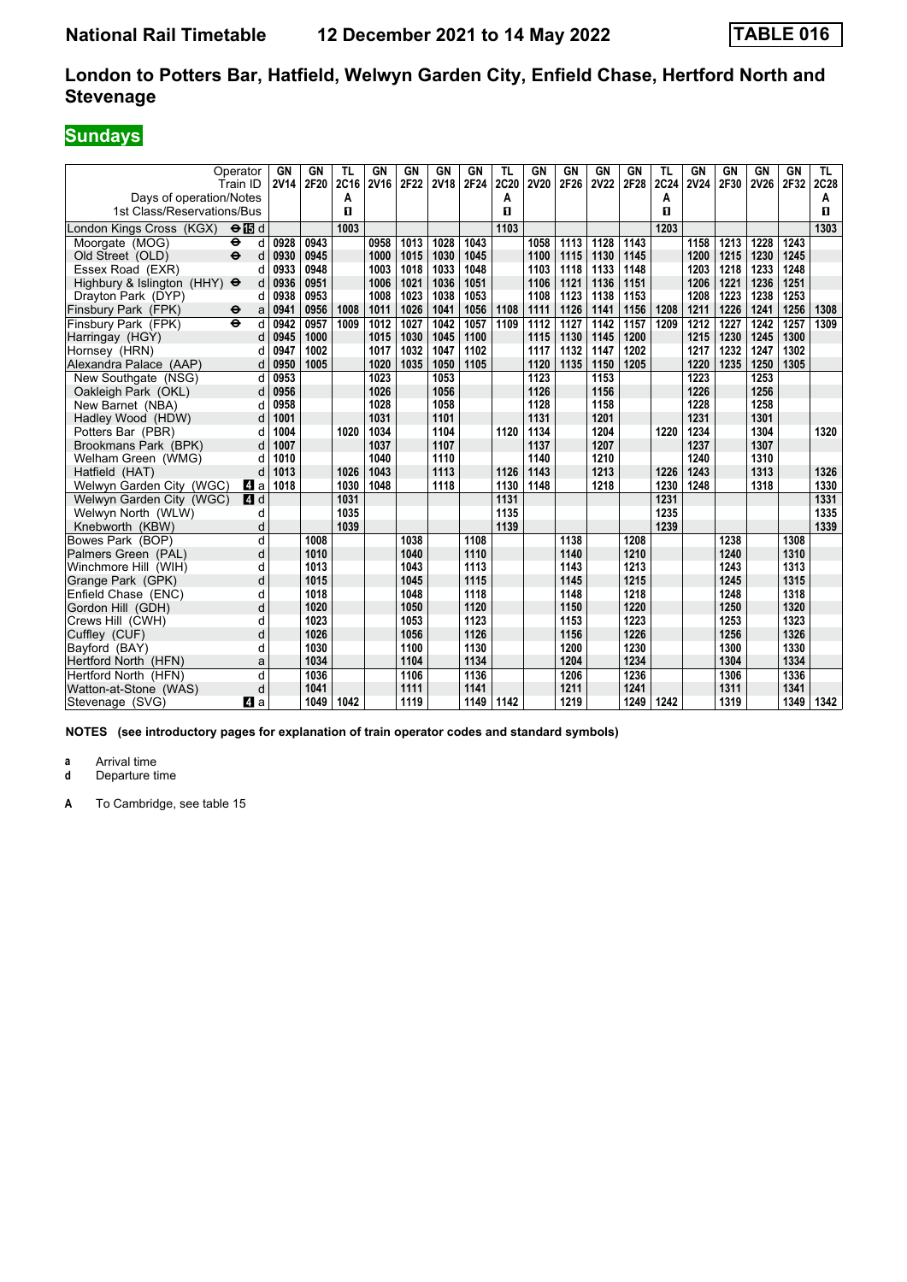# **Sundays**

| Days of operation/Notes<br>1st Class/Reservations/Bus | Operator<br>Train ID     | <b>GN</b><br><b>2V14</b> | <b>GN</b><br>2F20 | <b>TL</b><br>2C16<br>A<br>п | <b>GN</b><br><b>2V16</b> | <b>GN</b><br>2F22 | <b>GN</b><br><b>2V18</b> | GN<br>2F24 | <b>TL</b><br><b>2C20</b><br>Α<br>п | <b>GN</b><br><b>2V20</b> | GN<br>2F26 | GN<br><b>2V22</b> | <b>GN</b><br>2F28 | <b>TL</b><br>2C24<br>А<br>$\mathbf{u}$ | <b>GN</b><br><b>2V24</b> | GN<br>2F30 | GN<br><b>2V26</b> | <b>GN</b><br>2F32 | TL.<br>2C28<br>Α<br>п |
|-------------------------------------------------------|--------------------------|--------------------------|-------------------|-----------------------------|--------------------------|-------------------|--------------------------|------------|------------------------------------|--------------------------|------------|-------------------|-------------------|----------------------------------------|--------------------------|------------|-------------------|-------------------|-----------------------|
| London Kings Cross (KGX)                              | $\Theta$ is d            |                          |                   | 1003                        |                          |                   |                          |            | 1103                               |                          |            |                   |                   | 1203                                   |                          |            |                   |                   | 1303                  |
| Moorgate (MOG)                                        | ٠<br>d                   | 0928                     | 0943              |                             | 0958                     | 1013              | 1028                     | 1043       |                                    | 1058                     | 1113       | 1128              | 1143              |                                        | 1158                     | 1213       | 1228              | 1243              |                       |
| Old Street (OLD)                                      | $\ddot{\mathbf{e}}$<br>d | 0930                     | 0945              |                             | 1000                     | 1015              | 1030                     | 1045       |                                    | 1100                     | 1115       | 1130              | 1145              |                                        | 1200                     | 1215       | 1230              | 1245              |                       |
| Essex Road (EXR)                                      | d                        | 0933                     | 0948              |                             | 1003                     | 1018              | 1033                     | 1048       |                                    | 1103                     | 1118       | 1133              | 1148              |                                        | 1203                     | 1218       | 1233              | 1248              |                       |
| Highbury & Islington (HHY) $\Theta$                   | d                        | 0936                     | 0951              |                             | 1006                     | 1021              | 1036                     | 1051       |                                    | 1106                     | 1121       | 1136              | 1151              |                                        | 1206                     | 1221       | 1236              | 1251              |                       |
| Drayton Park (DYP)                                    | d                        | 0938                     | 0953              |                             | 1008                     | 1023              | 1038                     | 1053       |                                    | 1108                     | 1123       | 1138              | 1153              |                                        | 1208                     | 1223       | 1238              | 1253              |                       |
| Finsbury Park (FPK)                                   | a<br>$\bullet$           | 0941                     | 0956              | 1008                        | 1011                     | 1026              | 1041                     | 1056       | 1108                               | 1111                     | 1126       | 1141              | 1156              | 1208                                   | 1211                     | 1226       | 1241              | 1256              | 1308                  |
| Finsbury Park (FPK)                                   | $\ddot{\mathbf{e}}$<br>d | 0942                     | 0957              | 1009                        | 1012                     | 1027              | 1042                     | 1057       | 1109                               | 1112                     | 1127       | 1142              | 1157              | 1209                                   | 1212                     | 1227       | 1242              | 1257              | 1309                  |
| Harringay (HGY)                                       | d                        | 0945                     | 1000              |                             | 1015                     | 1030              | 1045                     | 1100       |                                    | 1115                     | 1130       | 1145              | 1200              |                                        | 1215                     | 1230       | 1245              | 1300              |                       |
| Hornsey (HRN)                                         | d                        | 0947                     | 1002              |                             | 1017                     | 1032              | 1047                     | 1102       |                                    | 1117                     | 1132       | 1147              | 1202              |                                        | 1217                     | 1232       | 1247              | 1302              |                       |
| Alexandra Palace (AAP)                                | d                        | 0950                     | 1005              |                             | 1020                     | 1035              | 1050                     | 1105       |                                    | 1120                     | 1135       | 1150              | 1205              |                                        | 1220                     | 1235       | 1250              | 1305              |                       |
| New Southgate (NSG)                                   | d                        | 0953                     |                   |                             | 1023                     |                   | 1053                     |            |                                    | 1123                     |            | 1153              |                   |                                        | 1223                     |            | 1253              |                   |                       |
| Oakleigh Park (OKL)                                   | d                        | 0956                     |                   |                             | 1026                     |                   | 1056                     |            |                                    | 1126                     |            | 1156              |                   |                                        | 1226                     |            | 1256              |                   |                       |
| New Barnet (NBA)                                      | d                        | 0958                     |                   |                             | 1028                     |                   | 1058                     |            |                                    | 1128                     |            | 1158              |                   |                                        | 1228                     |            | 1258              |                   |                       |
| Hadley Wood (HDW)                                     | d                        | 1001                     |                   |                             | 1031                     |                   | 1101                     |            |                                    | 1131                     |            | 1201              |                   |                                        | 1231                     |            | 1301              |                   |                       |
| Potters Bar (PBR)                                     | d                        | 1004                     |                   | 1020                        | 1034                     |                   | 1104                     |            | 1120                               | 1134                     |            | 1204              |                   | 1220                                   | 1234                     |            | 1304              |                   | 1320                  |
| Brookmans Park (BPK)                                  | d                        | 1007                     |                   |                             | 1037                     |                   | 1107                     |            |                                    | 1137                     |            | 1207              |                   |                                        | 1237                     |            | 1307              |                   |                       |
| Welham Green (WMG)                                    | d                        | 1010                     |                   |                             | 1040                     |                   | 1110                     |            |                                    | 1140                     |            | 1210              |                   |                                        | 1240                     |            | 1310              |                   |                       |
| Hatfield (HAT)                                        | d                        | 1013                     |                   | 1026                        | 1043                     |                   | 1113                     |            | 1126                               | 1143                     |            | 1213              |                   | 1226                                   | 1243                     |            | 1313              |                   | 1326                  |
| Welwyn Garden City (WGC)                              | ZI a                     | 1018                     |                   | 1030                        | 1048                     |                   | 1118                     |            | 1130                               | 1148                     |            | 1218              |                   | 1230                                   | 1248                     |            | 1318              |                   | 1330                  |
| Welwyn Garden City (WGC)                              | 4d                       |                          |                   | 1031                        |                          |                   |                          |            | 1131                               |                          |            |                   |                   | 1231                                   |                          |            |                   |                   | 1331                  |
| Welwyn North (WLW)                                    | d                        |                          |                   | 1035                        |                          |                   |                          |            | 1135                               |                          |            |                   |                   | 1235                                   |                          |            |                   |                   | 1335                  |
| Knebworth (KBW)                                       | d                        |                          |                   | 1039                        |                          |                   |                          |            | 1139                               |                          |            |                   |                   | 1239                                   |                          |            |                   |                   | 1339                  |
| Bowes Park (BOP)                                      | d                        |                          | 1008              |                             |                          | 1038              |                          | 1108       |                                    |                          | 1138       |                   | 1208              |                                        |                          | 1238       |                   | 1308              |                       |
| Palmers Green (PAL)                                   | d                        |                          | 1010              |                             |                          | 1040              |                          | 1110       |                                    |                          | 1140       |                   | 1210              |                                        |                          | 1240       |                   | 1310              |                       |
| Winchmore Hill (WIH)                                  | d                        |                          | 1013              |                             |                          | 1043              |                          | 1113       |                                    |                          | 1143       |                   | 1213              |                                        |                          | 1243       |                   | 1313              |                       |
| Grange Park (GPK)                                     | d                        |                          | 1015              |                             |                          | 1045              |                          | 1115       |                                    |                          | 1145       |                   | 1215              |                                        |                          | 1245       |                   | 1315              |                       |
| Enfield Chase (ENC)                                   | d                        |                          | 1018              |                             |                          | 1048              |                          | 1118       |                                    |                          | 1148       |                   | 1218              |                                        |                          | 1248       |                   | 1318              |                       |
| Gordon Hill (GDH)                                     | d                        |                          | 1020              |                             |                          | 1050              |                          | 1120       |                                    |                          | 1150       |                   | 1220              |                                        |                          | 1250       |                   | 1320              |                       |
| Crews Hill (CWH)                                      | d                        |                          | 1023              |                             |                          | 1053              |                          | 1123       |                                    |                          | 1153       |                   | 1223              |                                        |                          | 1253       |                   | 1323              |                       |
| Cuffley (CUF)                                         | d                        |                          | 1026              |                             |                          | 1056              |                          | 1126       |                                    |                          | 1156       |                   | 1226              |                                        |                          | 1256       |                   | 1326              |                       |
| Bayford (BAY)                                         | d                        |                          | 1030              |                             |                          | 1100              |                          | 1130       |                                    |                          | 1200       |                   | 1230              |                                        |                          | 1300       |                   | 1330              |                       |
| Hertford North (HFN)                                  | a                        |                          | 1034              |                             |                          | 1104              |                          | 1134       |                                    |                          | 1204       |                   | 1234              |                                        |                          | 1304       |                   | 1334              |                       |
| Hertford North (HFN)                                  | d                        |                          | 1036              |                             |                          | 1106              |                          | 1136       |                                    |                          | 1206       |                   | 1236              |                                        |                          | 1306       |                   | 1336              |                       |
| Watton-at-Stone (WAS)                                 | d                        |                          | 1041              |                             |                          | 1111              |                          | 1141       |                                    |                          | 1211       |                   | 1241              |                                        |                          | 1311       |                   | 1341              |                       |
| Stevenage (SVG)                                       | ZI a                     |                          | 1049              | 1042                        |                          | 1119              |                          | 1149       | 1142                               |                          | 1219       |                   | 1249              | 1242                                   |                          | 1319       |                   | 1349              | 1342                  |

**NOTES (see introductory pages for explanation of train operator codes and standard symbols)**

**a** Arrival time<br>**d** Departure t

**Departure time**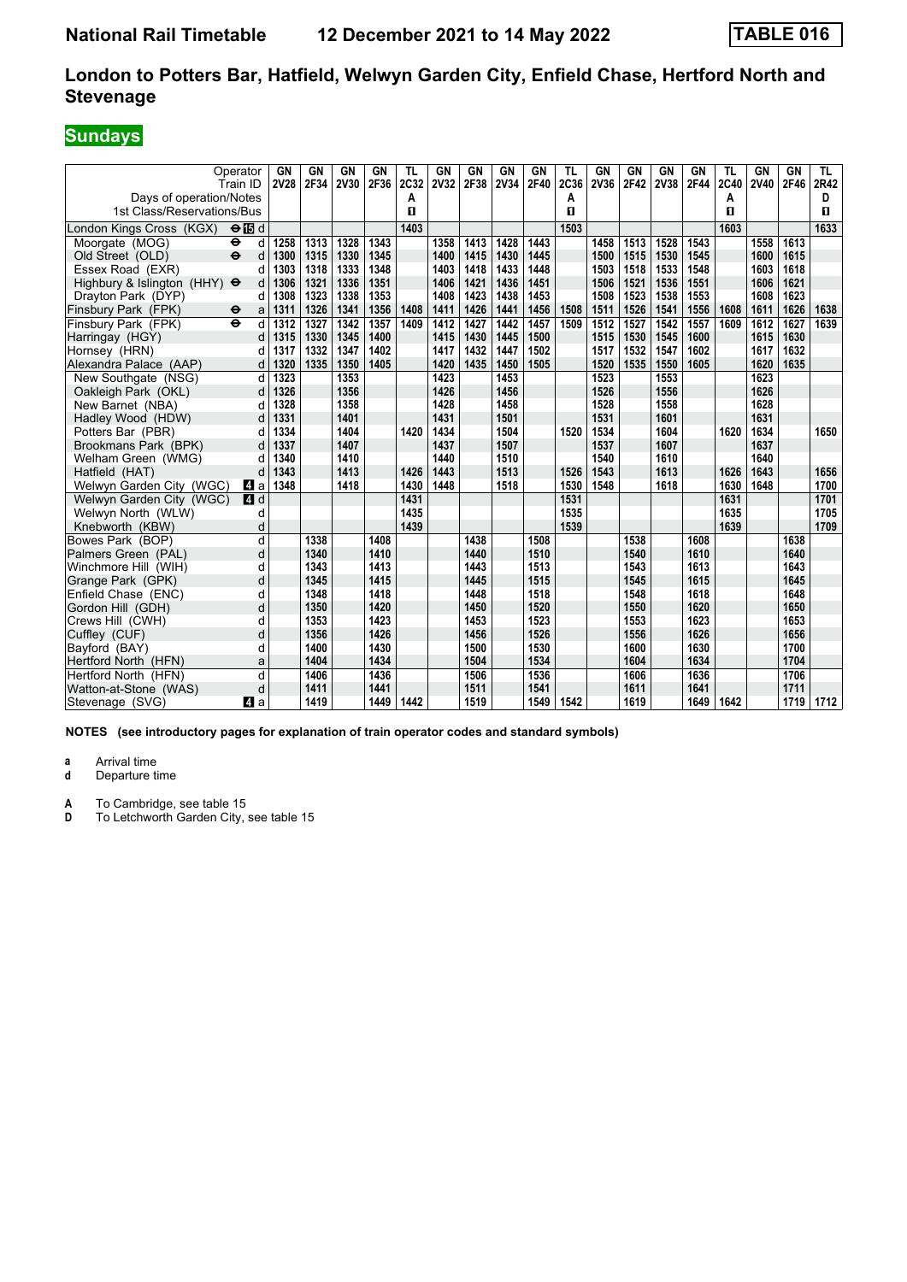# **Sundays**

| Operator<br>Train ID<br>Days of operation/Notes        |               | GN<br><b>2V28</b> | <b>GN</b><br>2F34 | <b>GN</b><br>2V30 | <b>GN</b><br>2F36 | TL<br>2C32<br>А      | <b>GN</b><br><b>2V32</b> | GN<br>2F38 | <b>GN</b><br><b>2V34</b> | <b>GN</b><br>2F40 | <b>TL</b><br>2C36<br>A | GN<br><b>2V36</b> | <b>GN</b><br>2F42 | <b>GN</b><br>2V38 | <b>GN</b><br>2F44 | TL<br>2C40<br>А | GN<br><b>2V40</b> | <b>GN</b><br>2F46 | TL.<br>2R42<br>D |
|--------------------------------------------------------|---------------|-------------------|-------------------|-------------------|-------------------|----------------------|--------------------------|------------|--------------------------|-------------------|------------------------|-------------------|-------------------|-------------------|-------------------|-----------------|-------------------|-------------------|------------------|
| 1st Class/Reservations/Bus<br>London Kings Cross (KGX) | $\Theta$ is d |                   |                   |                   |                   | $\mathbf{u}$<br>1403 |                          |            |                          |                   | п<br>1503              |                   |                   |                   |                   | п<br>1603       |                   |                   | п<br>1633        |
| Moorgate (MOG)<br>٠                                    | d             | 1258              | 1313              | 1328              | 1343              |                      | 1358                     | 1413       | 1428                     | 1443              |                        | 1458              | 1513              | 1528              | 1543              |                 | 1558              | 1613              |                  |
| $\ddot{\mathbf{e}}$<br>Old Street (OLD)                | d             | 1300              | 1315              | 1330              | 1345              |                      | 1400                     | 1415       | 1430                     | 1445              |                        | 1500              | 1515              | 1530              | 1545              |                 | 1600              | 1615              |                  |
| Essex Road (EXR)                                       | d             | 1303              | 1318              | 1333              | 1348              |                      | 1403                     | 1418       | 1433                     | 1448              |                        | 1503              | 1518              | 1533              | 1548              |                 | 1603              | 1618              |                  |
| Highbury & Islington (HHY) $\Theta$                    | d             | 1306              | 1321              | 1336              | 1351              |                      | 1406                     | 1421       | 1436                     | 1451              |                        | 1506              | 1521              | 1536              | 1551              |                 | 1606              | 1621              |                  |
| Drayton Park (DYP)                                     | d             | 1308              | 1323              | 1338              | 1353              |                      | 1408                     | 1423       | 1438                     | 1453              |                        | 1508              | 1523              | 1538              | 1553              |                 | 1608              | 1623              |                  |
| Finsbury Park (FPK)<br>$\bullet$                       | a             | 1311              | 1326              | 1341              | 1356              | 1408                 | 1411                     | 1426       | 1441                     | 1456              | 1508                   | 1511              | 1526              | 1541              | 1556              | 1608            | 1611              | 1626              | 1638             |
| Finsbury Park (FPK)<br>$\ddot{\mathbf{e}}$             | d             | 1312              | 1327              | 1342              | 1357              | 1409                 | 1412                     | 1427       | 1442                     | 1457              | 1509                   | 1512              | 1527              | 1542              | 1557              | 1609            | 1612              | 1627              | 1639             |
| Harringay (HGY)                                        | d             | 1315              | 1330              | 1345              | 1400              |                      | 1415                     | 1430       | 1445                     | 1500              |                        | 1515              | 1530              | 1545              | 1600              |                 | 1615              | 1630              |                  |
| Hornsey (HRN)                                          | d             | 1317              | 1332              | 1347              | 1402              |                      | 1417                     | 1432       | 1447                     | 1502              |                        | 1517              | 1532              | 1547              | 1602              |                 | 1617              | 1632              |                  |
| Alexandra Palace (AAP)                                 | d             | 1320              | 1335              | 1350              | 1405              |                      | 1420                     | 1435       | 1450                     | 1505              |                        | 1520              | 1535              | 1550              | 1605              |                 | 1620              | 1635              |                  |
| New Southgate (NSG)                                    | d             | 1323              |                   | 1353              |                   |                      | 1423                     |            | 1453                     |                   |                        | 1523              |                   | 1553              |                   |                 | 1623              |                   |                  |
| Oakleigh Park (OKL)                                    | d             | 1326              |                   | 1356              |                   |                      | 1426                     |            | 1456                     |                   |                        | 1526              |                   | 1556              |                   |                 | 1626              |                   |                  |
| New Barnet (NBA)                                       | d             | 1328              |                   | 1358              |                   |                      | 1428                     |            | 1458                     |                   |                        | 1528              |                   | 1558              |                   |                 | 1628              |                   |                  |
| Hadley Wood (HDW)                                      | d             | 1331              |                   | 1401              |                   |                      | 1431                     |            | 1501                     |                   |                        | 1531              |                   | 1601              |                   |                 | 1631              |                   |                  |
| Potters Bar (PBR)                                      | d             | 1334              |                   | 1404              |                   | 1420                 | 1434                     |            | 1504                     |                   | 1520                   | 1534              |                   | 1604              |                   | 1620            | 1634              |                   | 1650             |
| Brookmans Park (BPK)                                   | d             | 1337              |                   | 1407              |                   |                      | 1437                     |            | 1507                     |                   |                        | 1537              |                   | 1607              |                   |                 | 1637              |                   |                  |
| Welham Green (WMG)                                     | d             | 1340              |                   | 1410              |                   |                      | 1440                     |            | 1510                     |                   |                        | 1540              |                   | 1610              |                   |                 | 1640              |                   |                  |
| Hatfield (HAT)                                         | d             | 1343              |                   | 1413              |                   | 1426                 | 1443                     |            | 1513                     |                   | 1526                   | 1543              |                   | 1613              |                   | 1626            | 1643              |                   | 1656             |
| Welwyn Garden City (WGC)                               | ZI a          | 1348              |                   | 1418              |                   | 1430                 | 1448                     |            | 1518                     |                   | 1530                   | 1548              |                   | 1618              |                   | 1630            | 1648              |                   | 1700             |
| Welwyn Garden City (WGC)                               | 4d            |                   |                   |                   |                   | 1431                 |                          |            |                          |                   | 1531                   |                   |                   |                   |                   | 1631            |                   |                   | 1701             |
| Welwyn North (WLW)                                     | d             |                   |                   |                   |                   | 1435                 |                          |            |                          |                   | 1535                   |                   |                   |                   |                   | 1635            |                   |                   | 1705             |
| Knebworth (KBW)                                        | d             |                   |                   |                   |                   | 1439                 |                          |            |                          |                   | 1539                   |                   |                   |                   |                   | 1639            |                   |                   | 1709             |
| Bowes Park (BOP)                                       | d             |                   | 1338              |                   | 1408              |                      |                          | 1438       |                          | 1508              |                        |                   | 1538              |                   | 1608              |                 |                   | 1638              |                  |
| Palmers Green (PAL)                                    | d             |                   | 1340              |                   | 1410              |                      |                          | 1440       |                          | 1510              |                        |                   | 1540              |                   | 1610              |                 |                   | 1640              |                  |
| Winchmore Hill (WIH)                                   | d             |                   | 1343              |                   | 1413              |                      |                          | 1443       |                          | 1513              |                        |                   | 1543              |                   | 1613              |                 |                   | 1643              |                  |
| Grange Park (GPK)                                      | d             |                   | 1345              |                   | 1415              |                      |                          | 1445       |                          | 1515              |                        |                   | 1545              |                   | 1615              |                 |                   | 1645              |                  |
| Enfield Chase (ENC)                                    | d             |                   | 1348              |                   | 1418              |                      |                          | 1448       |                          | 1518              |                        |                   | 1548              |                   | 1618              |                 |                   | 1648              |                  |
| Gordon Hill (GDH)                                      | d             |                   | 1350              |                   | 1420              |                      |                          | 1450       |                          | 1520              |                        |                   | 1550              |                   | 1620              |                 |                   | 1650              |                  |
| Crews Hill (CWH)                                       | d             |                   | 1353              |                   | 1423              |                      |                          | 1453       |                          | 1523              |                        |                   | 1553              |                   | 1623              |                 |                   | 1653              |                  |
| Cuffley (CUF)                                          | d             |                   | 1356              |                   | 1426              |                      |                          | 1456       |                          | 1526              |                        |                   | 1556              |                   | 1626              |                 |                   | 1656              |                  |
| Bayford (BAY)                                          | d             |                   | 1400              |                   | 1430              |                      |                          | 1500       |                          | 1530              |                        |                   | 1600              |                   | 1630              |                 |                   | 1700              |                  |
| Hertford North (HFN)                                   | a             |                   | 1404              |                   | 1434              |                      |                          | 1504       |                          | 1534              |                        |                   | 1604              |                   | 1634              |                 |                   | 1704              |                  |
| Hertford North (HFN)                                   | d             |                   | 1406              |                   | 1436              |                      |                          | 1506       |                          | 1536              |                        |                   | 1606              |                   | 1636              |                 |                   | 1706              |                  |
| Watton-at-Stone (WAS)                                  | d             |                   | 1411              |                   | 1441              |                      |                          | 1511       |                          | 1541              |                        |                   | 1611              |                   | 1641              |                 |                   | 1711              |                  |
| Stevenage (SVG)                                        | ZI a          |                   | 1419              |                   | 1449              | 1442                 |                          | 1519       |                          | 1549              | 1542                   |                   | 1619              |                   | 1649              | 1642            |                   | 1719              | 1712             |

**NOTES (see introductory pages for explanation of train operator codes and standard symbols)**

**a** Arrival time<br>**d** Departure time

**Departure time** 

**A** To Cambridge, see table 15<br>**D** To Letchworth Garden City.

To Letchworth Garden City, see table 15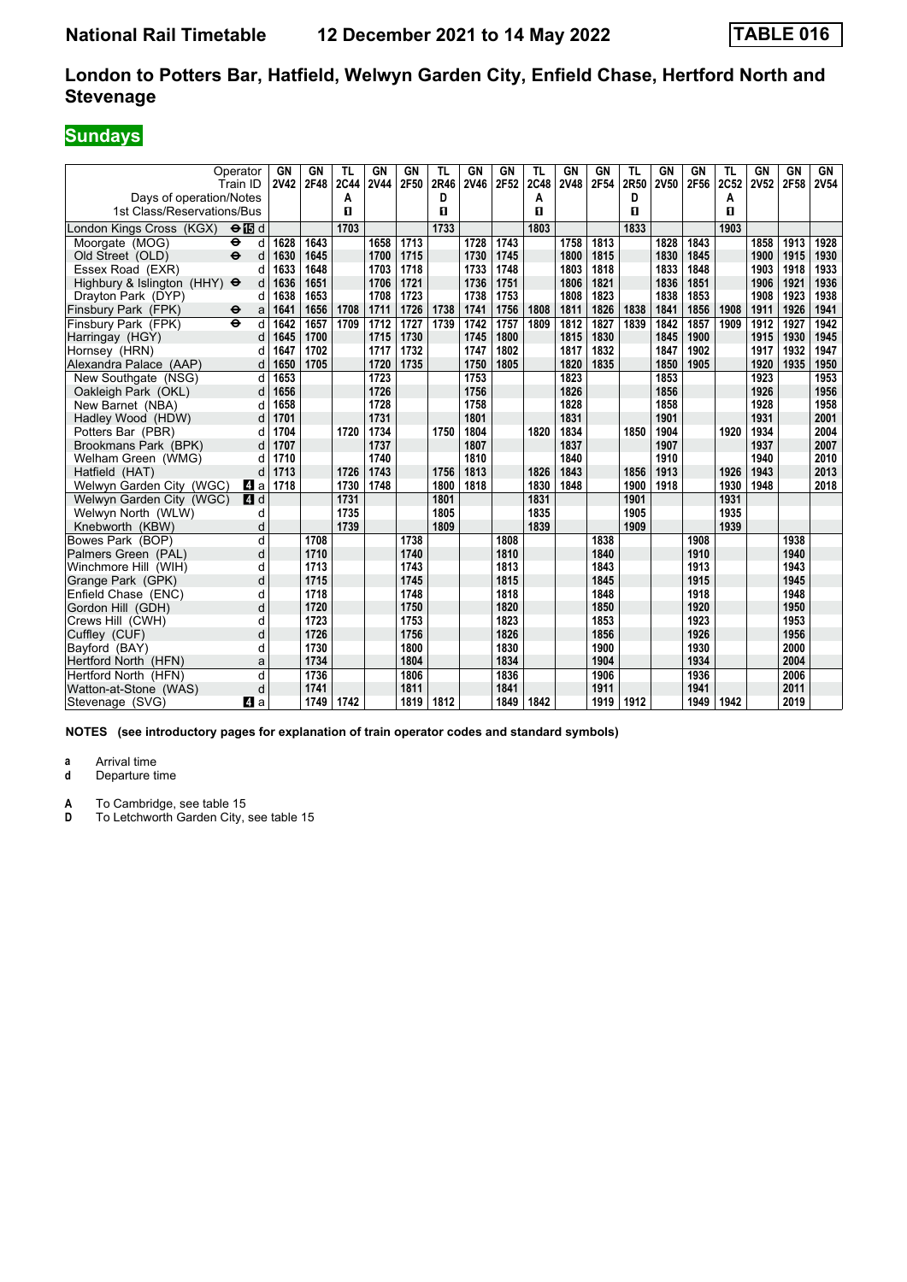# **Sundays**

| Operator<br>Train ID<br>Days of operation/Notes         |        | GN<br><b>2V42</b> | <b>GN</b><br>2F48 | <b>TL</b><br><b>2C44</b><br>A | <b>GN</b><br><b>2V44</b> | <b>GN</b><br>2F50 | <b>TL</b><br>2R46<br>D | GN<br>2V46   | <b>GN</b><br>2F52 | <b>TL</b><br><b>2C48</b><br>A | GN<br><b>2V48</b> | GN<br>2F54   | <b>TL</b><br>2R50<br>D | <b>GN</b><br><b>2V50</b> | <b>GN</b><br>2F56 | <b>TL</b><br>2C52<br>А | GN<br><b>2V52</b> | <b>GN</b><br>2F58 | GN<br>2V54   |
|---------------------------------------------------------|--------|-------------------|-------------------|-------------------------------|--------------------------|-------------------|------------------------|--------------|-------------------|-------------------------------|-------------------|--------------|------------------------|--------------------------|-------------------|------------------------|-------------------|-------------------|--------------|
| 1st Class/Reservations/Bus                              |        |                   |                   | п                             |                          |                   | п                      |              |                   | п                             |                   |              | п                      |                          |                   | п                      |                   |                   |              |
| London Kings Cross (KGX)<br>$\Theta$ is d               |        |                   |                   | 1703                          |                          |                   | 1733                   |              |                   | 1803                          |                   |              | 1833                   |                          |                   | 1903                   |                   |                   |              |
| Moorgate (MOG)<br>⊖                                     | d      | 1628              | 1643              |                               | 1658                     | 1713              |                        | 1728         | 1743              |                               | 1758              | 1813         |                        | 1828                     | 1843              |                        | 1858              | 1913              | 1928         |
| $\ddot{\mathbf{e}}$<br>Old Street (OLD)                 | d      | 1630              | 1645              |                               | 1700                     | 1715              |                        | 1730         | 1745              |                               | 1800              | 1815         |                        | 1830                     | 1845              |                        | 1900              | 1915              | 1930         |
| Essex Road (EXR)                                        | d      | 1633              | 1648              |                               | 1703                     | 1718              |                        | 1733         | 1748              |                               | 1803              | 1818         |                        | 1833                     | 1848              |                        | 1903              | 1918              | 1933         |
| Highbury & Islington (HHY) $\Theta$                     | d      | 1636              | 1651              |                               | 1706                     | 1721              |                        | 1736         | 1751              |                               | 1806              | 1821         |                        | 1836                     | 1851              |                        | 1906              | 1921              | 1936         |
| Drayton Park (DYP)                                      | d      | 1638              | 1653              |                               | 1708                     | 1723              |                        | 1738         | 1753              |                               | 1808              | 1823         |                        | 1838                     | 1853              |                        | 1908              | 1923              | 1938         |
| Finsbury Park (FPK)<br>$\bullet$<br>$\ddot{\mathbf{e}}$ | a      | 1641              | 1656              | 1708<br>1709                  | 1711                     | 1726              | 1738                   | 1741         | 1756              | 1808<br>1809                  | 1811              | 1826         | 1838<br>1839           | 1841                     | 1856              | 1908                   | 1911              | 1926              | 1941<br>1942 |
| Finsbury Park (FPK)                                     | d      | 1642              | 1657              |                               | 1712                     | 1727              | 1739                   | 1742         | 1757              |                               | 1812<br>1815      | 1827         |                        | 1842                     | 1857              | 1909                   | 1912              | 1927              |              |
| Harringay (HGY)                                         | d      | 1645              | 1700              |                               | 1715                     | 1730              |                        | 1745<br>1747 | 1800<br>1802      |                               | 1817              | 1830         |                        | 1845<br>1847             | 1900              |                        | 1915              | 1930              | 1945         |
| Hornsey (HRN)                                           | d      | 1647<br>1650      | 1702<br>1705      |                               | 1717<br>1720             | 1732<br>1735      |                        | 1750         | 1805              |                               | 1820              | 1832<br>1835 |                        | 1850                     | 1902<br>1905      |                        | 1917<br>1920      | 1932<br>1935      | 1947<br>1950 |
| Alexandra Palace (AAP)                                  | d      |                   |                   |                               |                          |                   |                        |              |                   |                               |                   |              |                        |                          |                   |                        |                   |                   |              |
| New Southgate (NSG)                                     | d      | 1653<br>1656      |                   |                               | 1723<br>1726             |                   |                        | 1753<br>1756 |                   |                               | 1823<br>1826      |              |                        | 1853<br>1856             |                   |                        | 1923<br>1926      |                   | 1953<br>1956 |
| Oakleigh Park (OKL)                                     | d<br>d | 1658              |                   |                               | 1728                     |                   |                        | 1758         |                   |                               | 1828              |              |                        | 1858                     |                   |                        | 1928              |                   | 1958         |
| New Barnet (NBA)<br>Hadley Wood (HDW)                   | d      | 1701              |                   |                               | 1731                     |                   |                        | 1801         |                   |                               | 1831              |              |                        | 1901                     |                   |                        | 1931              |                   | 2001         |
| Potters Bar (PBR)                                       | d      | 1704              |                   | 1720                          | 1734                     |                   | 1750                   | 1804         |                   | 1820                          | 1834              |              | 1850                   | 1904                     |                   | 1920                   | 1934              |                   | 2004         |
| Brookmans Park (BPK)                                    | d      | 1707              |                   |                               | 1737                     |                   |                        | 1807         |                   |                               | 1837              |              |                        | 1907                     |                   |                        | 1937              |                   | 2007         |
| Welham Green (WMG)                                      | d      | 1710              |                   |                               | 1740                     |                   |                        | 1810         |                   |                               | 1840              |              |                        | 1910                     |                   |                        | 1940              |                   | 2010         |
| Hatfield (HAT)                                          | d      | 1713              |                   | 1726                          | 1743                     |                   | 1756                   | 1813         |                   | 1826                          | 1843              |              | 1856                   | 1913                     |                   | 1926                   | 1943              |                   | 2013         |
| Welwyn Garden City (WGC)                                | ZI a   | 1718              |                   | 1730                          | 1748                     |                   | 1800                   | 1818         |                   | 1830                          | 1848              |              | 1900                   | 1918                     |                   | 1930                   | 1948              |                   | 2018         |
| Welwyn Garden City (WGC)                                | 4 d    |                   |                   | 1731                          |                          |                   | 1801                   |              |                   | 1831                          |                   |              | 1901                   |                          |                   | 1931                   |                   |                   |              |
| Welwyn North (WLW)                                      | d      |                   |                   | 1735                          |                          |                   | 1805                   |              |                   | 1835                          |                   |              | 1905                   |                          |                   | 1935                   |                   |                   |              |
| Knebworth (KBW)                                         | d      |                   |                   | 1739                          |                          |                   | 1809                   |              |                   | 1839                          |                   |              | 1909                   |                          |                   | 1939                   |                   |                   |              |
| Bowes Park (BOP)                                        | d      |                   | 1708              |                               |                          | 1738              |                        |              | 1808              |                               |                   | 1838         |                        |                          | 1908              |                        |                   | 1938              |              |
| Palmers Green (PAL)                                     | d      |                   | 1710              |                               |                          | 1740              |                        |              | 1810              |                               |                   | 1840         |                        |                          | 1910              |                        |                   | 1940              |              |
| Winchmore Hill (WIH)                                    | d      |                   | 1713              |                               |                          | 1743              |                        |              | 1813              |                               |                   | 1843         |                        |                          | 1913              |                        |                   | 1943              |              |
| Grange Park (GPK)                                       | d      |                   | 1715              |                               |                          | 1745              |                        |              | 1815              |                               |                   | 1845         |                        |                          | 1915              |                        |                   | 1945              |              |
| Enfield Chase (ENC)                                     | d      |                   | 1718              |                               |                          | 1748              |                        |              | 1818              |                               |                   | 1848         |                        |                          | 1918              |                        |                   | 1948              |              |
| Gordon Hill (GDH)                                       | d      |                   | 1720              |                               |                          | 1750              |                        |              | 1820              |                               |                   | 1850         |                        |                          | 1920              |                        |                   | 1950              |              |
| Crews Hill (CWH)                                        | d      |                   | 1723              |                               |                          | 1753              |                        |              | 1823              |                               |                   | 1853         |                        |                          | 1923              |                        |                   | 1953              |              |
| Cuffley (CUF)                                           | d      |                   | 1726              |                               |                          | 1756              |                        |              | 1826              |                               |                   | 1856         |                        |                          | 1926              |                        |                   | 1956              |              |
| Bayford (BAY)                                           | d      |                   | 1730              |                               |                          | 1800              |                        |              | 1830              |                               |                   | 1900         |                        |                          | 1930              |                        |                   | 2000              |              |
| Hertford North (HFN)                                    | a      |                   | 1734              |                               |                          | 1804              |                        |              | 1834              |                               |                   | 1904         |                        |                          | 1934              |                        |                   | 2004              |              |
| Hertford North (HFN)                                    | d      |                   | 1736              |                               |                          | 1806              |                        |              | 1836              |                               |                   | 1906         |                        |                          | 1936              |                        |                   | 2006              |              |
| Watton-at-Stone (WAS)                                   | d      |                   | 1741              |                               |                          | 1811              |                        |              | 1841              |                               |                   | 1911         |                        |                          | 1941              |                        |                   | 2011              |              |
| Stevenage (SVG)                                         | ZI a   |                   | 1749              | 1742                          |                          | 1819              | 1812                   |              | 1849              | 1842                          |                   | 1919         | 1912                   |                          | 1949              | 1942                   |                   | 2019              |              |

**NOTES (see introductory pages for explanation of train operator codes and standard symbols)**

**a** Arrival time<br>**d** Departure time

**Departure time** 

**A** To Cambridge, see table 15<br>**D** To Letchworth Garden City.

To Letchworth Garden City, see table 15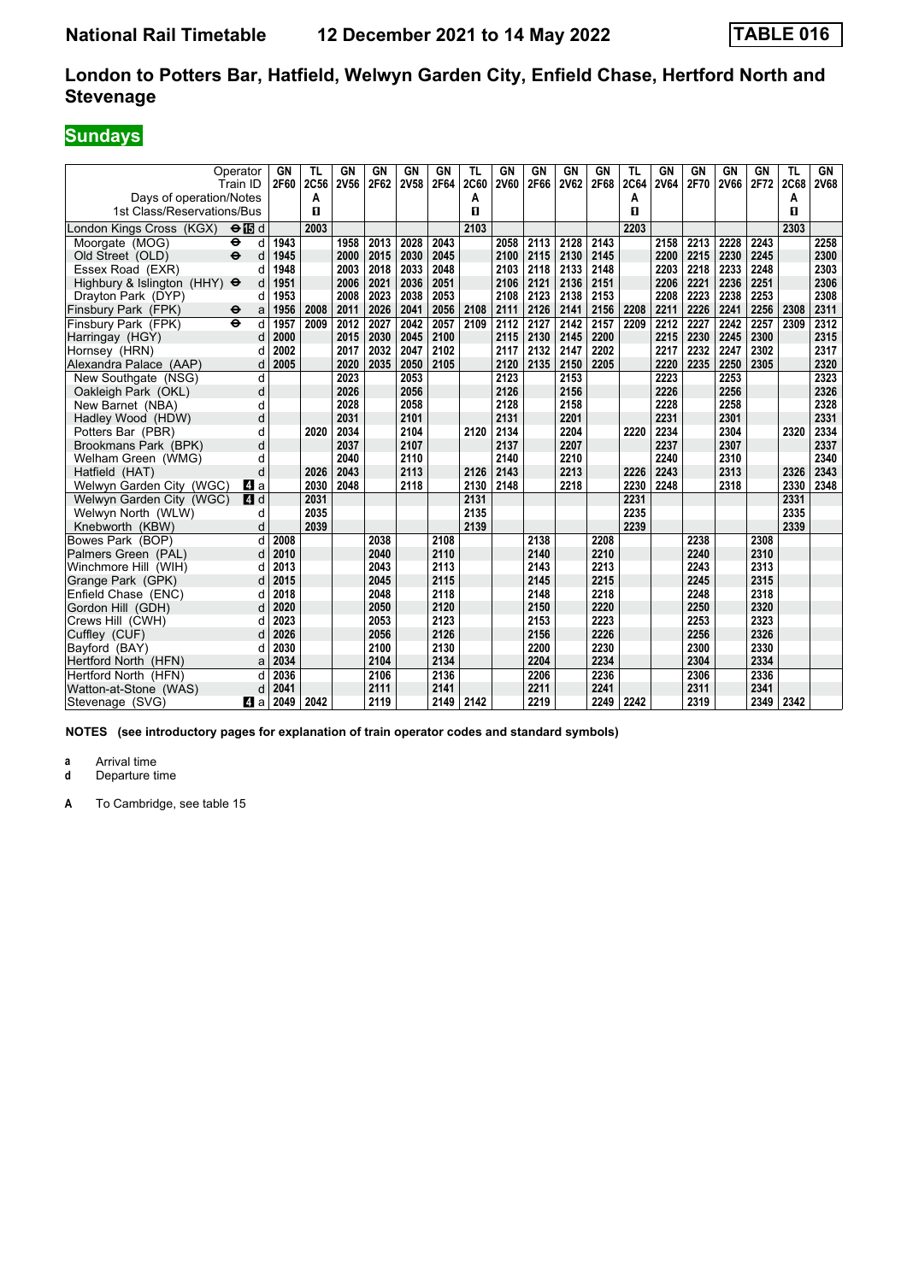# **Sundays**

| Operator<br>Train ID<br>Days of operation/Notes<br>1st Class/Reservations/Bus | GN<br>2F60 | <b>TL</b><br>2C56<br>А<br>п | <b>GN</b><br><b>2V56</b> | <b>GN</b><br>2F62 | <b>GN</b><br>2V58 | <b>GN</b><br>2F64 | <b>TL</b><br><b>2C60</b><br>Α<br>п | GN<br><b>2V60</b> | <b>GN</b><br>2F66 | GN<br><b>2V62</b> | GN<br>2F68 | <b>TL</b><br>2C64<br>A<br>п | <b>GN</b><br><b>2V64</b> | GN<br>2F70 | GN<br><b>2V66</b> | GN<br>2F72 | TL<br><b>2C68</b><br>A<br>п | GN<br><b>2V68</b> |
|-------------------------------------------------------------------------------|------------|-----------------------------|--------------------------|-------------------|-------------------|-------------------|------------------------------------|-------------------|-------------------|-------------------|------------|-----------------------------|--------------------------|------------|-------------------|------------|-----------------------------|-------------------|
| London Kings Cross (KGX)<br>$\Theta$ is d                                     |            | 2003                        |                          |                   |                   |                   | 2103                               |                   |                   |                   |            | 2203                        |                          |            |                   |            | 2303                        |                   |
| Moorgate (MOG)<br>d<br>⊖                                                      | 1943       |                             | 1958                     | 2013              | 2028              | 2043              |                                    | 2058              | 2113              | 2128              | 2143       |                             | 2158                     | 2213       | 2228              | 2243       |                             | 2258              |
| d<br>Old Street (OLD)<br>$\ddot{\mathbf{e}}$                                  | 1945       |                             | 2000                     | 2015              | 2030              | 2045              |                                    | 2100              | 2115              | 2130              | 2145       |                             | 2200                     | 2215       | 2230              | 2245       |                             | 2300              |
| d<br>Essex Road (EXR)                                                         | 1948       |                             | 2003                     | 2018              | 2033              | 2048              |                                    | 2103              | 2118              | 2133              | 2148       |                             | 2203                     | 2218       | 2233              | 2248       |                             | 2303              |
| Highbury & Islington (HHY) $\Theta$<br>d                                      | 1951       |                             | 2006                     | 2021              | 2036              | 2051              |                                    | 2106              | 2121              | 2136              | 2151       |                             | 2206                     | 2221       | 2236              | 2251       |                             | 2306              |
| Drayton Park (DYP)<br>q                                                       | 1953       |                             | 2008                     | 2023              | 2038              | 2053              |                                    | 2108              | 2123              | 2138              | 2153       |                             | 2208                     | 2223       | 2238              | 2253       |                             | 2308              |
| Finsbury Park (FPK)<br>a<br>⊖                                                 | 1956       | 2008                        | 2011                     | 2026              | 2041              | 2056              | 2108                               | 2111              | 2126              | 2141              | 2156       | 2208                        | 2211                     | 2226       | 2241              | 2256       | 2308                        | 2311              |
| Finsbury Park (FPK)<br>$\ddot{\mathbf{e}}$<br>d                               | 1957       | 2009                        | 2012                     | 2027              | 2042              | 2057              | 2109                               | 2112              | 2127              | 2142              | 2157       | 2209                        | 2212                     | 2227       | 2242              | 2257       | 2309                        | 2312              |
| d<br>Harringay (HGY)                                                          | 2000       |                             | 2015                     | 2030              | 2045              | 2100              |                                    | 2115              | 2130              | 2145              | 2200       |                             | 2215                     | 2230       | 2245              | 2300       |                             | 2315              |
| Hornsey (HRN)<br>d                                                            | 2002       |                             | 2017                     | 2032              | 2047              | 2102              |                                    | 2117              | 2132              | 2147              | 2202       |                             | 2217                     | 2232       | 2247              | 2302       |                             | 2317              |
| Alexandra Palace (AAP)<br>d                                                   | 2005       |                             | 2020                     | 2035              | 2050              | 2105              |                                    | 2120              | 2135              | 2150              | 2205       |                             | 2220                     | 2235       | 2250              | 2305       |                             | 2320              |
| d<br>New Southgate (NSG)                                                      |            |                             | 2023                     |                   | 2053              |                   |                                    | 2123              |                   | 2153              |            |                             | 2223                     |            | 2253              |            |                             | 2323              |
| d<br>Oakleigh Park (OKL)                                                      |            |                             | 2026                     |                   | 2056              |                   |                                    | 2126              |                   | 2156              |            |                             | 2226                     |            | 2256              |            |                             | 2326              |
| New Barnet (NBA)<br>d                                                         |            |                             | 2028                     |                   | 2058              |                   |                                    | 2128              |                   | 2158              |            |                             | 2228                     |            | 2258              |            |                             | 2328              |
| d<br>Hadley Wood (HDW)                                                        |            |                             | 2031                     |                   | 2101              |                   |                                    | 2131              |                   | 2201              |            |                             | 2231                     |            | 2301              |            |                             | 2331              |
| Potters Bar (PBR)<br>d                                                        |            | 2020                        | 2034                     |                   | 2104              |                   | 2120                               | 2134              |                   | 2204              |            | 2220                        | 2234                     |            | 2304              |            | 2320                        | 2334              |
| Brookmans Park (BPK)<br>d                                                     |            |                             | 2037                     |                   | 2107              |                   |                                    | 2137              |                   | 2207              |            |                             | 2237                     |            | 2307              |            |                             | 2337              |
| Welham Green (WMG)<br>d                                                       |            |                             | 2040                     |                   | 2110              |                   |                                    | 2140              |                   | 2210              |            |                             | 2240                     |            | 2310              |            |                             | 2340              |
| d<br>Hatfield (HAT)                                                           |            | 2026                        | 2043                     |                   | 2113              |                   | 2126                               | 2143              |                   | 2213              |            | 2226                        | 2243                     |            | 2313              |            | 2326                        | 2343              |
| Welwyn Garden City (WGC)<br>ZI a                                              |            | 2030                        | 2048                     |                   | 2118              |                   | 2130                               | 2148              |                   | 2218              |            | 2230                        | 2248                     |            | 2318              |            | 2330                        | 2348              |
| Welwyn Garden City (WGC)<br>ZI d                                              |            | 2031                        |                          |                   |                   |                   | 2131                               |                   |                   |                   |            | 2231                        |                          |            |                   |            | 2331                        |                   |
| Welwyn North (WLW)<br>d                                                       |            | 2035                        |                          |                   |                   |                   | 2135                               |                   |                   |                   |            | 2235                        |                          |            |                   |            | 2335                        |                   |
| d<br>Knebworth (KBW)                                                          |            | 2039                        |                          |                   |                   |                   | 2139                               |                   |                   |                   |            | 2239                        |                          |            |                   |            | 2339                        |                   |
| Bowes Park (BOP)<br>d                                                         | 2008       |                             |                          | 2038              |                   | 2108              |                                    |                   | 2138              |                   | 2208       |                             |                          | 2238       |                   | 2308       |                             |                   |
| Palmers Green (PAL)<br>d                                                      | 2010       |                             |                          | 2040              |                   | 2110              |                                    |                   | 2140              |                   | 2210       |                             |                          | 2240       |                   | 2310       |                             |                   |
| Winchmore Hill (WIH)<br>d                                                     | 2013       |                             |                          | 2043              |                   | 2113              |                                    |                   | 2143              |                   | 2213       |                             |                          | 2243       |                   | 2313       |                             |                   |
| d<br>Grange Park (GPK)                                                        | 2015       |                             |                          | 2045              |                   | 2115              |                                    |                   | 2145              |                   | 2215       |                             |                          | 2245       |                   | 2315       |                             |                   |
| Enfield Chase (ENC)<br>d                                                      | 2018       |                             |                          | 2048              |                   | 2118              |                                    |                   | 2148              |                   | 2218       |                             |                          | 2248       |                   | 2318       |                             |                   |
| Gordon Hill (GDH)<br>d                                                        | 2020       |                             |                          | 2050              |                   | 2120              |                                    |                   | 2150              |                   | 2220       |                             |                          | 2250       |                   | 2320       |                             |                   |
| Crews Hill (CWH)<br>d                                                         | 2023       |                             |                          | 2053              |                   | 2123              |                                    |                   | 2153              |                   | 2223       |                             |                          | 2253       |                   | 2323       |                             |                   |
| Cuffley (CUF)<br>d                                                            | 2026       |                             |                          | 2056              |                   | 2126              |                                    |                   | 2156              |                   | 2226       |                             |                          | 2256       |                   | 2326       |                             |                   |
| Bayford (BAY)<br>d                                                            | 2030       |                             |                          | 2100              |                   | 2130              |                                    |                   | 2200              |                   | 2230       |                             |                          | 2300       |                   | 2330       |                             |                   |
| Hertford North (HFN)<br>a                                                     | 2034       |                             |                          | 2104              |                   | 2134              |                                    |                   | 2204              |                   | 2234       |                             |                          | 2304       |                   | 2334       |                             |                   |
| Hertford North (HFN)<br>d                                                     | 2036       |                             |                          | 2106              |                   | 2136              |                                    |                   | 2206              |                   | 2236       |                             |                          | 2306       |                   | 2336       |                             |                   |
| Watton-at-Stone (WAS)<br>d                                                    | 2041       |                             |                          | 2111              |                   | 2141              |                                    |                   | 2211              |                   | 2241       |                             |                          | 2311       |                   | 2341       |                             |                   |
| Stevenage (SVG)<br>4 a                                                        | 2049       | 2042                        |                          | 2119              |                   | 2149              | 2142                               |                   | 2219              |                   | 2249       | 2242                        |                          | 2319       |                   | 2349       | 2342                        |                   |

**NOTES (see introductory pages for explanation of train operator codes and standard symbols)**

**a** Arrival time<br>**d** Departure t

**Departure time**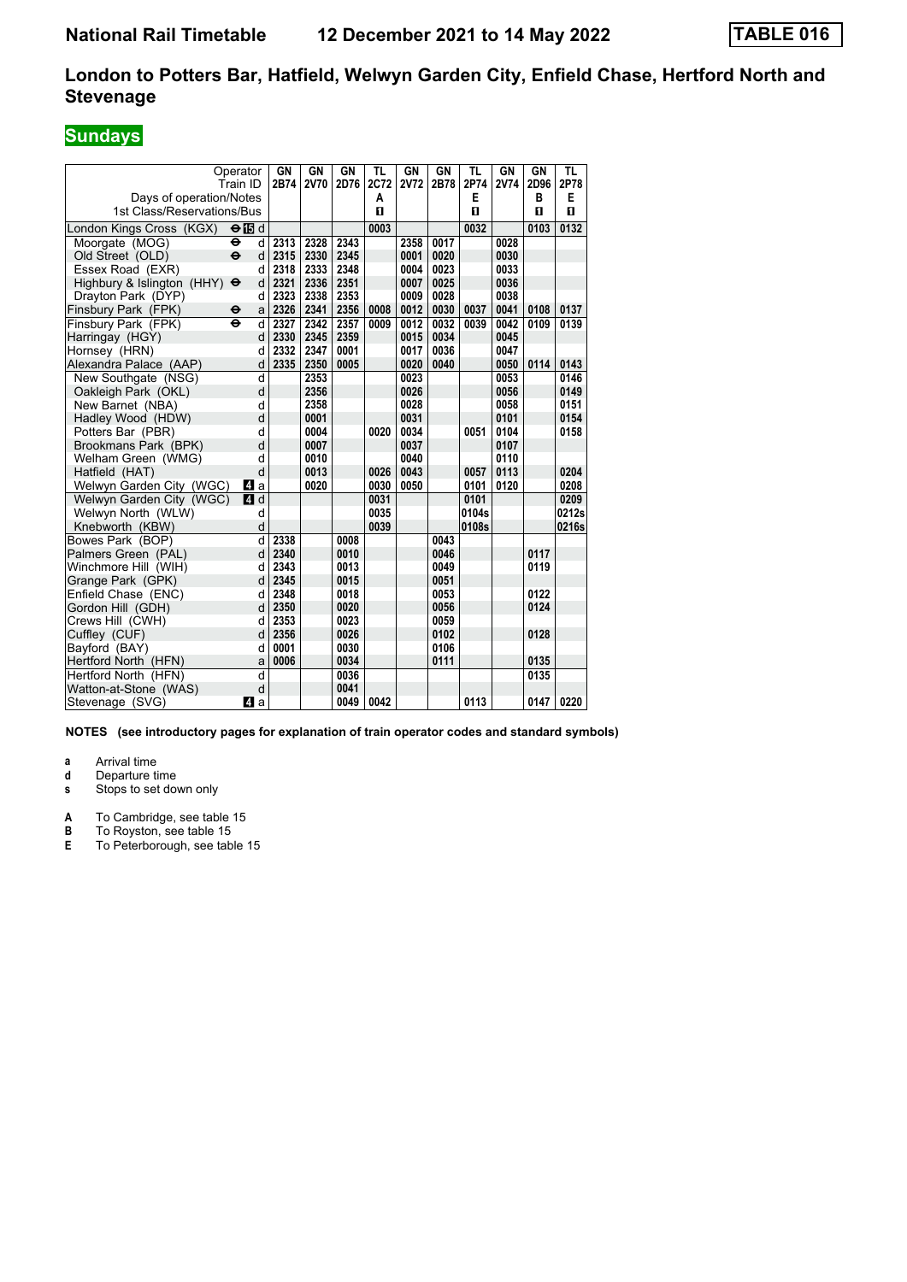# **Sundays**

|                            | Operator<br>Train ID     | <b>GN</b><br>2B74 | GN<br><b>2V70</b> | GN<br>2D76 | TL<br>2C72 | <b>GN</b><br><b>2V72</b> | GN<br>2B78 | TL<br>2P74 | GN<br><b>2V74</b> | GN<br>2D96 | TL<br>2P78   |
|----------------------------|--------------------------|-------------------|-------------------|------------|------------|--------------------------|------------|------------|-------------------|------------|--------------|
| Days of operation/Notes    |                          |                   |                   |            | A          |                          |            | E          |                   | B          | E            |
| 1st Class/Reservations/Bus |                          |                   |                   |            | п          |                          |            | п          |                   | п          | $\mathbf{u}$ |
| London Kings Cross (KGX)   | $\Theta$ is d            |                   |                   |            | 0003       |                          |            | 0032       |                   | 0103       | 0132         |
| Moorgate (MOG)             | $\bullet$<br>d           | 2313              | 2328              | 2343       |            | 2358                     | 0017       |            | 0028              |            |              |
| Old Street (OLD)           | $\ddot{\mathbf{e}}$<br>d | 2315              | 2330              | 2345       |            | 0001                     | 0020       |            | 0030              |            |              |
| Essex Road (EXR)           | d                        | 2318              | 2333              | 2348       |            | 0004                     | 0023       |            | 0033              |            |              |
| Highbury & Islington (HHY) | d<br>$\ddot{\mathbf{e}}$ | 2321              | 2336              | 2351       |            | 0007                     | 0025       |            | 0036              |            |              |
| Drayton Park (DYP)         | d                        | 2323              | 2338              | 2353       |            | 0009                     | 0028       |            | 0038              |            |              |
| Finsbury Park (FPK)        | $\mathbf e$<br>a         | 2326              | 2341              | 2356       | 0008       | 0012                     | 0030       | 0037       | 0041              | 0108       | 0137         |
| Finsbury Park (FPK)        | d<br>$\ddot{\mathbf{e}}$ | 2327              | 2342              | 2357       | 0009       | 0012                     | 0032       | 0039       | 0042              | 0109       | 0139         |
| Harringay (HGY)            | d                        | 2330              | 2345              | 2359       |            | 0015                     | 0034       |            | 0045              |            |              |
| Hornsey (HRN)              | d                        | 2332              | 2347              | 0001       |            | 0017                     | 0036       |            | 0047              |            |              |
| Alexandra Palace (AAP)     | d                        | 2335              | 2350              | 0005       |            | 0020                     | 0040       |            | 0050              | 0114       | 0143         |
| New Southgate (NSG)        | d                        |                   | 2353              |            |            | 0023                     |            |            | 0053              |            | 0146         |
| Oakleigh Park (OKL)        | d                        |                   | 2356              |            |            | 0026                     |            |            | 0056              |            | 0149         |
| New Barnet (NBA)           | d                        |                   | 2358              |            |            | 0028                     |            |            | 0058              |            | 0151         |
| Hadley Wood (HDW)          | d                        |                   | 0001              |            |            | 0031                     |            |            | 0101              |            | 0154         |
| Potters Bar (PBR)          | d                        |                   | 0004              |            | 0020       | 0034                     |            | 0051       | 0104              |            | 0158         |
| Brookmans Park (BPK)       | d                        |                   | 0007              |            |            | 0037                     |            |            | 0107              |            |              |
| Welham Green (WMG)         | d                        |                   | 0010              |            |            | 0040                     |            |            | 0110              |            |              |
| Hatfield (HAT)             | d                        |                   | 0013              |            | 0026       | 0043                     |            | 0057       | 0113              |            | 0204         |
| Welwyn Garden City (WGC)   | 41 a                     |                   | 0020              |            | 0030       | 0050                     |            | 0101       | 0120              |            | 0208         |
| Welwyn Garden City (WGC)   | 4 d                      |                   |                   |            | 0031       |                          |            | 0101       |                   |            | 0209         |
| Welwyn North (WLW)         | d                        |                   |                   |            | 0035       |                          |            | 0104s      |                   |            | 0212s        |
| Knebworth (KBW)            | d                        |                   |                   |            | 0039       |                          |            | 0108s      |                   |            | 0216s        |
| Bowes Park (BOP)           | d                        | 2338              |                   | 0008       |            |                          | 0043       |            |                   |            |              |
| Palmers Green (PAL)        | d                        | 2340              |                   | 0010       |            |                          | 0046       |            |                   | 0117       |              |
| Winchmore Hill (WIH)       | d                        | 2343              |                   | 0013       |            |                          | 0049       |            |                   | 0119       |              |
| Grange Park (GPK)          | d                        | 2345              |                   | 0015       |            |                          | 0051       |            |                   |            |              |
| Enfield Chase (ENC)        | d                        | 2348              |                   | 0018       |            |                          | 0053       |            |                   | 0122       |              |
| Gordon Hill (GDH)          | d                        | 2350              |                   | 0020       |            |                          | 0056       |            |                   | 0124       |              |
| Crews Hill (CWH)           | d                        | 2353              |                   | 0023       |            |                          | 0059       |            |                   |            |              |
| Cuffley (CUF)              | d                        | 2356              |                   | 0026       |            |                          | 0102       |            |                   | 0128       |              |
| Bayford (BAY)              | d                        | 0001              |                   | 0030       |            |                          | 0106       |            |                   |            |              |
| Hertford North (HFN)       | a                        | 0006              |                   | 0034       |            |                          | 0111       |            |                   | 0135       |              |
| Hertford North (HFN)       | d                        |                   |                   | 0036       |            |                          |            |            |                   | 0135       |              |
| Watton-at-Stone (WAS)      | d                        |                   |                   | 0041       |            |                          |            |            |                   |            |              |
| Stevenage (SVG)            | ZI a                     |                   |                   | 0049       | 0042       |                          |            | 0113       |                   | 0147       | 0220         |

**NOTES (see introductory pages for explanation of train operator codes and standard symbols)**

**a** Arrival time<br>**d** Departure t

**d** Departure time<br>**s** Stops to set dow

Stops to set down only

**A** To Cambridge, see table 15

**B** To Royston, see table 15

**E** To Peterborough, see table 15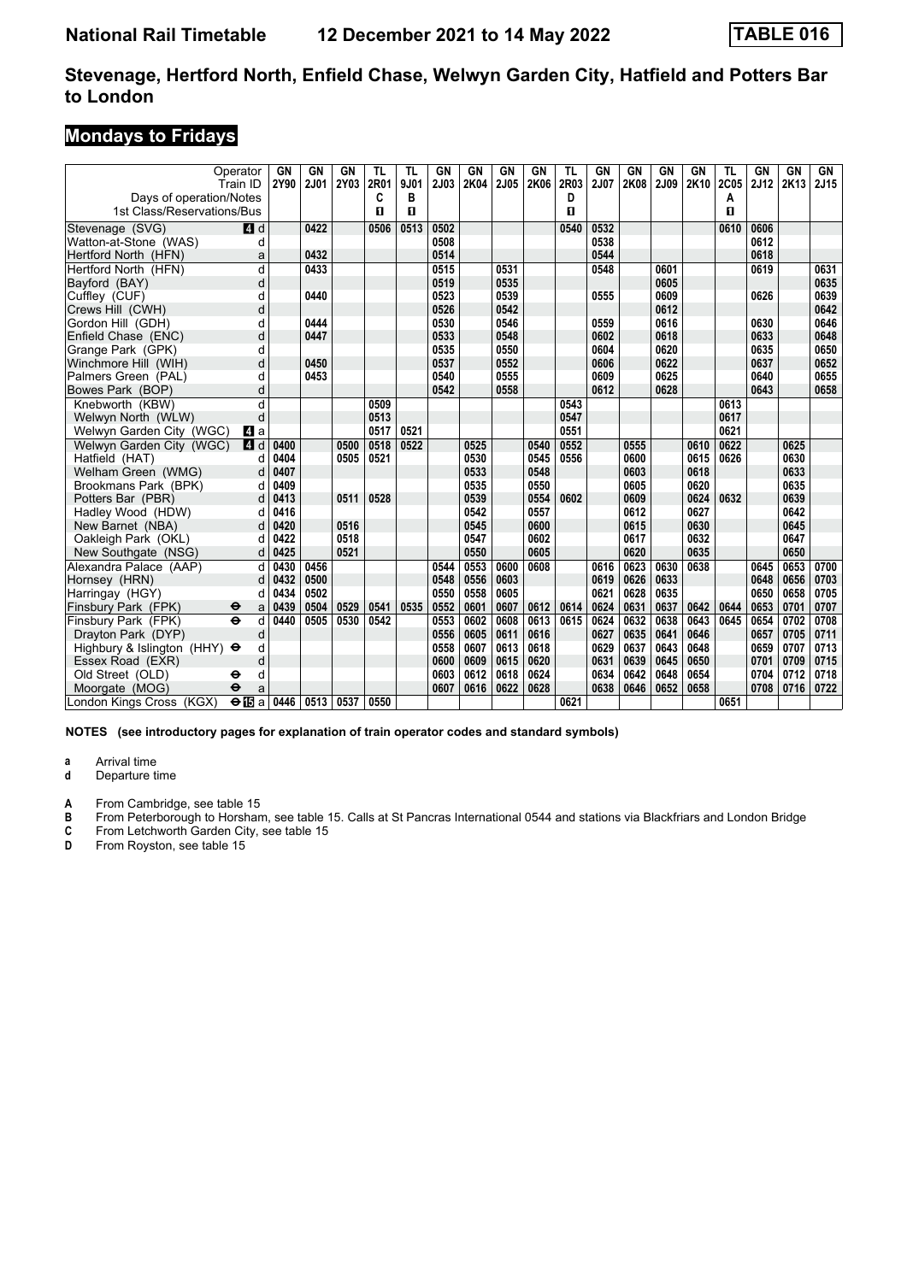# **Mondays to Fridays**

| Operator<br>Train ID<br>Days of operation/Notes |                       | GN<br>2Y90 | <b>GN</b><br><b>2J01</b> | GN<br>2Y03 | <b>TL</b><br>2R01<br>C | TL<br>9J01<br>в | GN<br>2J03 | <b>GN</b><br>2K04 | <b>GN</b><br>2J05 | <b>GN</b><br>2K06 | <b>TL</b><br>2R03<br>D | <b>GN</b><br>2J07 | <b>GN</b><br>2K08 | <b>GN</b><br>2J09 | <b>GN</b><br>2K10 | TL<br>2C05<br>А | GN<br>2J12 | <b>GN</b><br>2K13 | GN<br>2J15 |
|-------------------------------------------------|-----------------------|------------|--------------------------|------------|------------------------|-----------------|------------|-------------------|-------------------|-------------------|------------------------|-------------------|-------------------|-------------------|-------------------|-----------------|------------|-------------------|------------|
| 1st Class/Reservations/Bus                      |                       |            |                          |            | п                      | $\mathbf{u}$    |            |                   |                   |                   | п                      |                   |                   |                   |                   | п               |            |                   |            |
| Stevenage (SVG)                                 | ZI d                  |            | 0422                     |            | 0506                   | 0513            | 0502       |                   |                   |                   | 0540                   | 0532              |                   |                   |                   | 0610            | 0606       |                   |            |
| Watton-at-Stone (WAS)                           | d                     |            |                          |            |                        |                 | 0508       |                   |                   |                   |                        | 0538              |                   |                   |                   |                 | 0612       |                   |            |
| Hertford North (HFN)                            | a                     |            | 0432                     |            |                        |                 | 0514       |                   |                   |                   |                        | 0544              |                   |                   |                   |                 | 0618       |                   |            |
| Hertford North (HFN)                            | d                     |            | 0433                     |            |                        |                 | 0515       |                   | 0531              |                   |                        | 0548              |                   | 0601              |                   |                 | 0619       |                   | 0631       |
| Bayford (BAY)                                   | d                     |            |                          |            |                        |                 | 0519       |                   | 0535              |                   |                        |                   |                   | 0605              |                   |                 |            |                   | 0635       |
| Cuffley (CUF)                                   | d                     |            | 0440                     |            |                        |                 | 0523       |                   | 0539              |                   |                        | 0555              |                   | 0609              |                   |                 | 0626       |                   | 0639       |
| Crews Hill (CWH)                                | d                     |            |                          |            |                        |                 | 0526       |                   | 0542              |                   |                        |                   |                   | 0612              |                   |                 |            |                   | 0642       |
| Gordon Hill (GDH)                               | d                     |            | 0444                     |            |                        |                 | 0530       |                   | 0546              |                   |                        | 0559              |                   | 0616              |                   |                 | 0630       |                   | 0646       |
| Enfield Chase (ENC)                             | d                     |            | 0447                     |            |                        |                 | 0533       |                   | 0548              |                   |                        | 0602              |                   | 0618              |                   |                 | 0633       |                   | 0648       |
| Grange Park (GPK)                               | d                     |            |                          |            |                        |                 | 0535       |                   | 0550              |                   |                        | 0604              |                   | 0620              |                   |                 | 0635       |                   | 0650       |
| Winchmore Hill (WIH)                            | d                     |            | 0450                     |            |                        |                 | 0537       |                   | 0552              |                   |                        | 0606              |                   | 0622              |                   |                 | 0637       |                   | 0652       |
| Palmers Green (PAL)                             | d                     |            | 0453                     |            |                        |                 | 0540       |                   | 0555              |                   |                        | 0609              |                   | 0625              |                   |                 | 0640       |                   | 0655       |
| Bowes Park (BOP)                                | d                     |            |                          |            |                        |                 | 0542       |                   | 0558              |                   |                        | 0612              |                   | 0628              |                   |                 | 0643       |                   | 0658       |
| Knebworth (KBW)                                 | d                     |            |                          |            | 0509                   |                 |            |                   |                   |                   | 0543                   |                   |                   |                   |                   | 0613            |            |                   |            |
| Welwyn North (WLW)                              | d                     |            |                          |            | 0513                   |                 |            |                   |                   |                   | 0547                   |                   |                   |                   |                   | 0617            |            |                   |            |
| Welwyn Garden City (WGC)                        | L4 a                  |            |                          |            | 0517                   | 0521            |            |                   |                   |                   | 0551                   |                   |                   |                   |                   | 0621            |            |                   |            |
| Welwyn Garden City (WGC)                        | <b>4</b> d            | 0400       |                          | 0500       | 0518                   | 0522            |            | 0525              |                   | 0540              | 0552                   |                   | 0555              |                   | 0610              | 0622            |            | 0625              |            |
| Hatfield (HAT)                                  | C                     | 0404       |                          | 0505       | 0521                   |                 |            | 0530              |                   | 0545              | 0556                   |                   | 0600              |                   | 0615              | 0626            |            | 0630              |            |
| Welham Green (WMG)                              | d                     | 0407       |                          |            |                        |                 |            | 0533              |                   | 0548              |                        |                   | 0603              |                   | 0618              |                 |            | 0633              |            |
| Brookmans Park (BPK)                            | d                     | 0409       |                          |            |                        |                 |            | 0535              |                   | 0550              |                        |                   | 0605              |                   | 0620              |                 |            | 0635              |            |
| Potters Bar (PBR)                               | d                     | 0413       |                          | 0511       | 0528                   |                 |            | 0539              |                   | 0554              | 0602                   |                   | 0609              |                   | 0624              | 0632            |            | 0639              |            |
| Hadley Wood (HDW)                               | d                     | 0416       |                          |            |                        |                 |            | 0542              |                   | 0557              |                        |                   | 0612              |                   | 0627              |                 |            | 0642              |            |
| New Barnet (NBA)                                |                       | 0420       |                          | 0516       |                        |                 |            | 0545              |                   | 0600              |                        |                   | 0615              |                   | 0630              |                 |            | 0645              |            |
| Oakleigh Park (OKL)                             | d                     | 0422       |                          | 0518       |                        |                 |            | 0547              |                   | 0602              |                        |                   | 0617              |                   | 0632              |                 |            | 0647              |            |
| New Southgate (NSG)                             | d                     | 0425       |                          | 0521       |                        |                 |            | 0550              |                   | 0605              |                        |                   | 0620              |                   | 0635              |                 |            | 0650              |            |
| Alexandra Palace (AAP)                          | d                     | 0430       | 0456                     |            |                        |                 | 0544       | 0553              | 0600              | 0608              |                        | 0616              | 0623              | 0630              | 0638              |                 | 0645       | 0653              | 0700       |
| Hornsey (HRN)                                   | d                     | 0432       | 0500                     |            |                        |                 | 0548       | 0556              | 0603              |                   |                        | 0619              | 0626              | 0633              |                   |                 | 0648       | 0656              | 0703       |
| Harringay (HGY)                                 |                       | 0434       | 0502                     |            |                        |                 | 0550       | 0558              | 0605              |                   |                        | 0621              | 0628              | 0635              |                   |                 | 0650       | 0658              | 0705       |
| Finsbury Park (FPK)<br>θ                        | a                     | 0439       | 0504                     | 0529       | 0541                   | 0535            | 0552       | 0601              | 0607              | 0612              | 0614                   | 0624              | 0631              | 0637              | 0642              | 0644            | 0653       | 0701              | 0707       |
| Finsbury Park (FPK)<br>$\ddot{\mathbf{e}}$      | d                     | 0440       | 0505                     | 0530       | 0542                   |                 | 0553       | 0602              | 0608              | 0613              | 0615                   | 0624              | 0632              | 0638              | 0643              | 0645            | 0654       | 0702              | 0708       |
| Drayton Park (DYP)                              | d                     |            |                          |            |                        |                 | 0556       | 0605              | 0611              | 0616              |                        | 0627              | 0635              | 0641              | 0646              |                 | 0657       | 0705              | 0711       |
| Highbury & Islington (HHY) $\Theta$             | d                     |            |                          |            |                        |                 | 0558       | 0607              | 0613              | 0618              |                        | 0629              | 0637              | 0643              | 0648              |                 | 0659       | 0707              | 0713       |
| Essex Road (EXR)                                | d                     |            |                          |            |                        |                 | 0600       | 0609              | 0615              | 0620              |                        | 0631              | 0639              | 0645              | 0650              |                 | 0701       | 0709              | 0715       |
| Old Street (OLD)<br>⊖                           | d                     |            |                          |            |                        |                 | 0603       | 0612              | 0618              | 0624              |                        | 0634              | 0642              | 0648              | 0654              |                 | 0704       | 0712              | 0718       |
| Moorgate (MOG)<br>$\ddot{\mathbf{e}}$           | a                     |            |                          |            |                        |                 | 0607       | 0616              | 0622              | 0628              |                        | 0638              | 0646              | 0652              | 0658              |                 | 0708       | 0716              | 0722       |
| London Kings Cross (KGX)                        | $\Theta$ <b>i</b> s a | 0446       | 0513                     | 0537       | 0550                   |                 |            |                   |                   |                   | 0621                   |                   |                   |                   |                   | 0651            |            |                   |            |

**NOTES (see introductory pages for explanation of train operator codes and standard symbols)**

**a** Arrival time<br>**d** Departure t

**d** Departure time

**A** From Cambridge, see table 15<br> **B** From Peterborough to Horshan<br> **C** From Letchworth Garden City,<br> **D** From Rovston. see table 15 **B** From Peterborough to Horsham, see table 15. Calls at St Pancras International 0544 and stations via Blackfriars and London Bridge

**C** From Letchworth Garden City, see table 15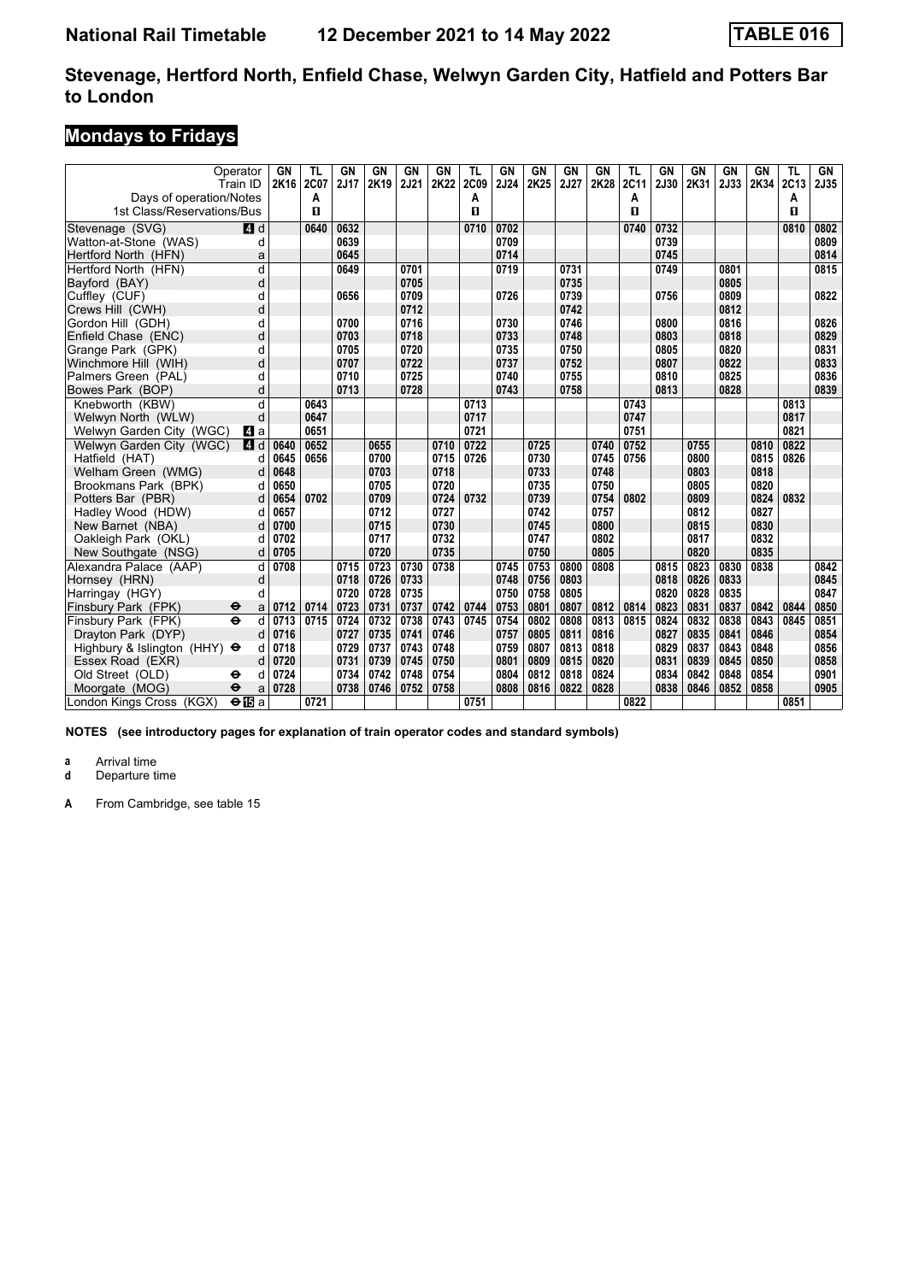# **Mondays to Fridays**

| Days of operation/Notes             | Operator<br>Train ID     | GN<br>2K16 | TL<br>2C07<br>Α | GN<br>2J17 | GN<br>2K19 | <b>GN</b><br>2J21 | GN<br>2K22 | TL<br><b>2C09</b><br>A | GN<br>2J24 | <b>GN</b><br>2K25 | GN<br>2J27 | GN<br>2K28 | TL<br>2C11<br>Α | GN<br>2J30 | GN<br>2K31 | GN<br>2J33 | GN<br>2K34 | TL<br>2C13<br>Α | GN<br>2J35 |
|-------------------------------------|--------------------------|------------|-----------------|------------|------------|-------------------|------------|------------------------|------------|-------------------|------------|------------|-----------------|------------|------------|------------|------------|-----------------|------------|
| 1st Class/Reservations/Bus          |                          |            | п               |            |            |                   |            | п                      |            |                   |            |            | п               |            |            |            |            | $\mathbf{u}$    |            |
| Stevenage (SVG)                     | $\blacksquare$ d         |            | 0640            | 0632       |            |                   |            | 0710                   | 0702       |                   |            |            | 0740            | 0732       |            |            |            | 0810            | 0802       |
| Watton-at-Stone (WAS)               | d                        |            |                 | 0639       |            |                   |            |                        | 0709       |                   |            |            |                 | 0739       |            |            |            |                 | 0809       |
| Hertford North (HFN)                | a                        |            |                 | 0645       |            |                   |            |                        | 0714       |                   |            |            |                 | 0745       |            |            |            |                 | 0814       |
| Hertford North (HFN)                | d                        |            |                 | 0649       |            | 0701              |            |                        | 0719       |                   | 0731       |            |                 | 0749       |            | 0801       |            |                 | 0815       |
| Bayford (BAY)                       | d                        |            |                 |            |            | 0705              |            |                        |            |                   | 0735       |            |                 |            |            | 0805       |            |                 |            |
| Cuffley (CUF)                       | d                        |            |                 | 0656       |            | 0709              |            |                        | 0726       |                   | 0739       |            |                 | 0756       |            | 0809       |            |                 | 0822       |
| Crews Hill (CWH)                    | d                        |            |                 |            |            | 0712              |            |                        |            |                   | 0742       |            |                 |            |            | 0812       |            |                 |            |
| Gordon Hill (GDH)                   | d                        |            |                 | 0700       |            | 0716              |            |                        | 0730       |                   | 0746       |            |                 | 0800       |            | 0816       |            |                 | 0826       |
| Enfield Chase (ENC)                 | d                        |            |                 | 0703       |            | 0718              |            |                        | 0733       |                   | 0748       |            |                 | 0803       |            | 0818       |            |                 | 0829       |
| Grange Park (GPK)                   | d                        |            |                 | 0705       |            | 0720              |            |                        | 0735       |                   | 0750       |            |                 | 0805       |            | 0820       |            |                 | 0831       |
| Winchmore Hill (WIH)                | d                        |            |                 | 0707       |            | 0722              |            |                        | 0737       |                   | 0752       |            |                 | 0807       |            | 0822       |            |                 | 0833       |
| Palmers Green (PAL)                 | d                        |            |                 | 0710       |            | 0725              |            |                        | 0740       |                   | 0755       |            |                 | 0810       |            | 0825       |            |                 | 0836       |
| Bowes Park (BOP)                    | d                        |            |                 | 0713       |            | 0728              |            |                        | 0743       |                   | 0758       |            |                 | 0813       |            | 0828       |            |                 | 0839       |
| Knebworth (KBW)                     | d                        |            | 0643            |            |            |                   |            | 0713                   |            |                   |            |            | 0743            |            |            |            |            | 0813            |            |
| Welwyn North (WLW)                  | d                        |            | 0647            |            |            |                   |            | 0717                   |            |                   |            |            | 0747            |            |            |            |            | 0817            |            |
| Welwyn Garden City (WGC)            | L4 a                     |            | 0651            |            |            |                   |            | 0721                   |            |                   |            |            | 0751            |            |            |            |            | 0821            |            |
| Welwyn Garden City (WGC)            | 4 d                      | 0640       | 0652            |            | 0655       |                   | 0710       | 0722                   |            | 0725              |            | 0740       | 0752            |            | 0755       |            | 0810       | 0822            |            |
| Hatfield (HAT)                      | d                        | 0645       | 0656            |            | 0700       |                   | 0715       | 0726                   |            | 0730              |            | 0745       | 0756            |            | 0800       |            | 0815       | 0826            |            |
| Welham Green (WMG)                  | d                        | 0648       |                 |            | 0703       |                   | 0718       |                        |            | 0733              |            | 0748       |                 |            | 0803       |            | 0818       |                 |            |
| Brookmans Park (BPK)                | d                        | 0650       |                 |            | 0705       |                   | 0720       |                        |            | 0735              |            | 0750       |                 |            | 0805       |            | 0820       |                 |            |
| Potters Bar (PBR)                   | d                        | 0654       | 0702            |            | 0709       |                   | 0724       | 0732                   |            | 0739              |            | 0754       | 0802            |            | 0809       |            | 0824       | 0832            |            |
| Hadley Wood (HDW)                   | d                        | 0657       |                 |            | 0712       |                   | 0727       |                        |            | 0742              |            | 0757       |                 |            | 0812       |            | 0827       |                 |            |
| New Barnet (NBA)                    | d                        | 0700       |                 |            | 0715       |                   | 0730       |                        |            | 0745              |            | 0800       |                 |            | 0815       |            | 0830       |                 |            |
| Oakleigh Park (OKL)                 | d                        | 0702       |                 |            | 0717       |                   | 0732       |                        |            | 0747              |            | 0802       |                 |            | 0817       |            | 0832       |                 |            |
| New Southgate (NSG)                 | d                        | 0705       |                 |            | 0720       |                   | 0735       |                        |            | 0750              |            | 0805       |                 |            | 0820       |            | 0835       |                 |            |
| Alexandra Palace (AAP)              | d                        | 0708       |                 | 0715       | 0723       | 0730              | 0738       |                        | 0745       | 0753              | 0800       | 0808       |                 | 0815       | 0823       | 0830       | 0838       |                 | 0842       |
| Hornsey (HRN)                       | d                        |            |                 | 0718       | 0726       | 0733              |            |                        | 0748       | 0756              | 0803       |            |                 | 0818       | 0826       | 0833       |            |                 | 0845       |
| Harringay (HGY)                     | d                        |            |                 | 0720       | 0728       | 0735              |            |                        | 0750       | 0758              | 0805       |            |                 | 0820       | 0828       | 0835       |            |                 | 0847       |
| Finsbury Park (FPK)                 | $\bullet$<br>a           | 0712       | 0714            | 0723       | 0731       | 0737              | 0742       | 0744                   | 0753       | 0801              | 0807       | 0812       | 0814            | 0823       | 0831       | 0837       | 0842       | 0844            | 0850       |
| Finsbury Park (FPK)                 | $\ddot{\mathbf{e}}$<br>d | 0713       | 0715            | 0724       | 0732       | 0738              | 0743       | 0745                   | 0754       | 0802              | 0808       | 0813       | 0815            | 0824       | 0832       | 0838       | 0843       | 0845            | 0851       |
| Drayton Park (DYP)                  | d                        | 0716       |                 | 0727       | 0735       | 0741              | 0746       |                        | 0757       | 0805              | 0811       | 0816       |                 | 0827       | 0835       | 0841       | 0846       |                 | 0854       |
| Highbury & Islington (HHY) $\Theta$ | d                        | 0718       |                 | 0729       | 0737       | 0743              | 0748       |                        | 0759       | 0807              | 0813       | 0818       |                 | 0829       | 0837       | 0843       | 0848       |                 | 0856       |
| Essex Road (EXR)                    | d                        | 0720       |                 | 0731       | 0739       | 0745              | 0750       |                        | 0801       | 0809              | 0815       | 0820       |                 | 0831       | 0839       | 0845       | 0850       |                 | 0858       |
| Old Street (OLD)                    | d<br>⊖                   | 0724       |                 | 0734       | 0742       | 0748              | 0754       |                        | 0804       | 0812              | 0818       | 0824       |                 | 0834       | 0842       | 0848       | 0854       |                 | 0901       |
| Moorgate (MOG)                      | $\ddot{\mathbf{e}}$<br>a | 0728       |                 | 0738       | 0746       | 0752              | 0758       |                        | 0808       | 0816              | 0822       | 0828       |                 | 0838       | 0846       | 0852       | 0858       |                 | 0905       |
| London Kings Cross (KGX)            | $\Theta$ is a            |            | 0721            |            |            |                   |            | 0751                   |            |                   |            |            | 0822            |            |            |            |            | 0851            |            |

**NOTES (see introductory pages for explanation of train operator codes and standard symbols)**

**a** Arrival time<br>**d** Departure t

**Departure time**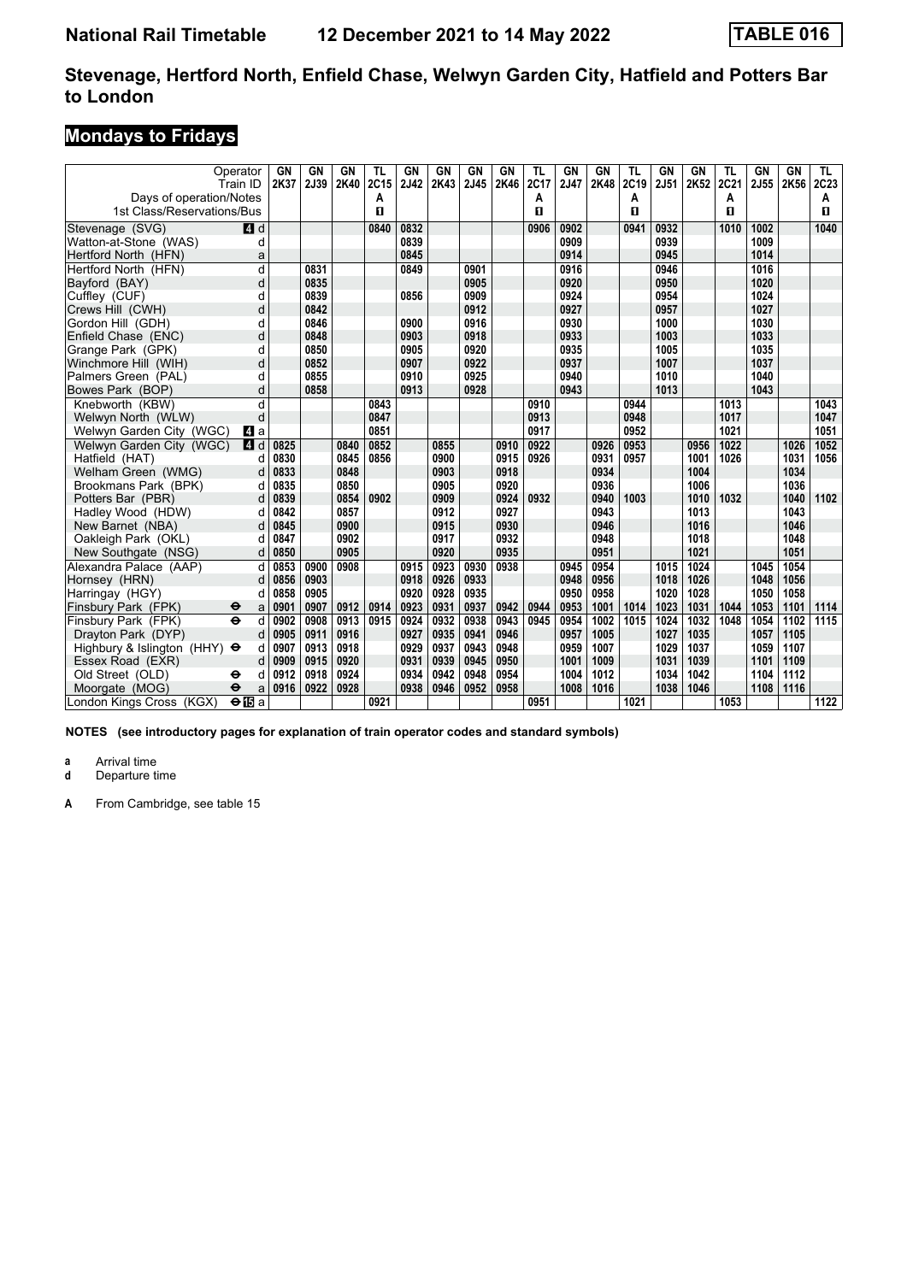# **Mondays to Fridays**

|                                     | Operator<br>Train ID     | GN<br>2K37 | GN<br>2J39 | GN<br>2K40 | TL<br>2C15 | GN<br>2J42 | GN<br>2K43 | GN<br>2J45 | GN<br>2K46 | TL<br>2C17 | GN<br>2J47 | GN<br>2K48 | TL<br>2C19 | GN<br>2J51 | <b>GN</b><br>2K52 | TL<br>2C21 | GN<br>2J55 | GN<br>2K56 | TL<br>2C <sub>23</sub> |
|-------------------------------------|--------------------------|------------|------------|------------|------------|------------|------------|------------|------------|------------|------------|------------|------------|------------|-------------------|------------|------------|------------|------------------------|
| Days of operation/Notes             |                          |            |            |            | Α          |            |            |            |            | Α          |            |            | A          |            |                   | А          |            |            | Α                      |
| 1st Class/Reservations/Bus          |                          |            |            |            | п          |            |            |            |            | п          |            |            | п          |            |                   | п          |            |            | п                      |
| Stevenage (SVG)                     | $\blacksquare$ d         |            |            |            | 0840       | 0832       |            |            |            | 0906       | 0902       |            | 0941       | 0932       |                   | 1010       | 1002       |            | 1040                   |
| Watton-at-Stone (WAS)               | d                        |            |            |            |            | 0839       |            |            |            |            | 0909       |            |            | 0939       |                   |            | 1009       |            |                        |
| Hertford North (HFN)                | a                        |            |            |            |            | 0845       |            |            |            |            | 0914       |            |            | 0945       |                   |            | 1014       |            |                        |
| Hertford North (HFN)                | d                        |            | 0831       |            |            | 0849       |            | 0901       |            |            | 0916       |            |            | 0946       |                   |            | 1016       |            |                        |
| Bayford (BAY)                       | d                        |            | 0835       |            |            |            |            | 0905       |            |            | 0920       |            |            | 0950       |                   |            | 1020       |            |                        |
| Cuffley (CUF)                       | d                        |            | 0839       |            |            | 0856       |            | 0909       |            |            | 0924       |            |            | 0954       |                   |            | 1024       |            |                        |
| Crews Hill (CWH)                    | d                        |            | 0842       |            |            |            |            | 0912       |            |            | 0927       |            |            | 0957       |                   |            | 1027       |            |                        |
| Gordon Hill (GDH)                   | d                        |            | 0846       |            |            | 0900       |            | 0916       |            |            | 0930       |            |            | 1000       |                   |            | 1030       |            |                        |
| Enfield Chase (ENC)                 | d                        |            | 0848       |            |            | 0903       |            | 0918       |            |            | 0933       |            |            | 1003       |                   |            | 1033       |            |                        |
| Grange Park (GPK)                   | d                        |            | 0850       |            |            | 0905       |            | 0920       |            |            | 0935       |            |            | 1005       |                   |            | 1035       |            |                        |
| Winchmore Hill (WIH)                | d                        |            | 0852       |            |            | 0907       |            | 0922       |            |            | 0937       |            |            | 1007       |                   |            | 1037       |            |                        |
| Palmers Green (PAL)                 | d                        |            | 0855       |            |            | 0910       |            | 0925       |            |            | 0940       |            |            | 1010       |                   |            | 1040       |            |                        |
| Bowes Park (BOP)                    | d                        |            | 0858       |            |            | 0913       |            | 0928       |            |            | 0943       |            |            | 1013       |                   |            | 1043       |            |                        |
| Knebworth (KBW)                     | d                        |            |            |            | 0843       |            |            |            |            | 0910       |            |            | 0944       |            |                   | 1013       |            |            | 1043                   |
| Welwyn North (WLW)                  | d                        |            |            |            | 0847       |            |            |            |            | 0913       |            |            | 0948       |            |                   | 1017       |            |            | 1047                   |
| Welwyn Garden City (WGC)            | L4 a                     |            |            |            | 0851       |            |            |            |            | 0917       |            |            | 0952       |            |                   | 1021       |            |            | 1051                   |
| Welwyn Garden City (WGC)            | $\mathbf{A}$<br>d        | 0825       |            | 0840       | 0852       |            | 0855       |            | 0910       | 0922       |            | 0926       | 0953       |            | 0956              | 1022       |            | 1026       | 1052                   |
| Hatfield (HAT)                      | d                        | 0830       |            | 0845       | 0856       |            | 0900       |            | 0915       | 0926       |            | 0931       | 0957       |            | 1001              | 1026       |            | 1031       | 1056                   |
| Welham Green (WMG)                  | d                        | 0833       |            | 0848       |            |            | 0903       |            | 0918       |            |            | 0934       |            |            | 1004              |            |            | 1034       |                        |
| Brookmans Park (BPK)                | d                        | 0835       |            | 0850       |            |            | 0905       |            | 0920       |            |            | 0936       |            |            | 1006              |            |            | 1036       |                        |
| Potters Bar (PBR)                   | d                        | 0839       |            | 0854       | 0902       |            | 0909       |            | 0924       | 0932       |            | 0940       | 1003       |            | 1010              | 1032       |            | 1040       | 1102                   |
| Hadley Wood (HDW)                   | d                        | 0842       |            | 0857       |            |            | 0912       |            | 0927       |            |            | 0943       |            |            | 1013              |            |            | 1043       |                        |
| New Barnet (NBA)                    | d                        | 0845       |            | 0900       |            |            | 0915       |            | 0930       |            |            | 0946       |            |            | 1016              |            |            | 1046       |                        |
| Oakleigh Park (OKL)                 | d                        | 0847       |            | 0902       |            |            | 0917       |            | 0932       |            |            | 0948       |            |            | 1018              |            |            | 1048       |                        |
| New Southgate (NSG)                 | d                        | 0850       |            | 0905       |            |            | 0920       |            | 0935       |            |            | 0951       |            |            | 1021              |            |            | 1051       |                        |
| Alexandra Palace (AAP)              | d                        | 0853       | 0900       | 0908       |            | 0915       | 0923       | 0930       | 0938       |            | 0945       | 0954       |            | 1015       | 1024              |            | 1045       | 1054       |                        |
| Hornsey (HRN)                       | d                        | 0856       | 0903       |            |            | 0918       | 0926       | 0933       |            |            | 0948       | 0956       |            | 1018       | 1026              |            | 1048       | 1056       |                        |
| Harringay (HGY)                     | d                        | 0858       | 0905       |            |            | 0920       | 0928       | 0935       |            |            | 0950       | 0958       |            | 1020       | 1028              |            | 1050       | 1058       |                        |
| Finsbury Park (FPK)                 | ⊖<br>a                   | 0901       | 0907       | 0912       | 0914       | 0923       | 0931       | 0937       | 0942       | 0944       | 0953       | 1001       | 1014       | 1023       | 1031              | 1044       | 1053       | 1101       | 1114                   |
| Finsbury Park (FPK)                 | $\ddot{\mathbf{e}}$<br>d | 0902       | 0908       | 0913       | 0915       | 0924       | 0932       | 0938       | 0943       | 0945       | 0954       | 1002       | 1015       | 1024       | 1032              | 1048       | 1054       | 1102       | 1115                   |
| Dravton Park (DYP)                  | d                        | 0905       | 0911       | 0916       |            | 0927       | 0935       | 0941       | 0946       |            | 0957       | 1005       |            | 1027       | 1035              |            | 1057       | 1105       |                        |
| Highbury & Islington (HHY) $\Theta$ | d                        | 0907       | 0913       | 0918       |            | 0929       | 0937       | 0943       | 0948       |            | 0959       | 1007       |            | 1029       | 1037              |            | 1059       | 1107       |                        |
| Essex Road (EXR)                    | d                        | 0909       | 0915       | 0920       |            | 0931       | 0939       | 0945       | 0950       |            | 1001       | 1009       |            | 1031       | 1039              |            | 1101       | 1109       |                        |
| Old Street (OLD)                    | d<br>⊖                   | 0912       | 0918       | 0924       |            | 0934       | 0942       | 0948       | 0954       |            | 1004       | 1012       |            | 1034       | 1042              |            | 1104       | 1112       |                        |
| Moorgate (MOG)                      | $\ddot{\mathbf{e}}$<br>a | 0916       | 0922       | 0928       |            | 0938       | 0946       | 0952       | 0958       |            | 1008       | 1016       |            | 1038       | 1046              |            | 1108       | 1116       |                        |
| London Kings Cross (KGX)            | $\Theta$ IBa             |            |            |            | 0921       |            |            |            |            | 0951       |            |            | 1021       |            |                   | 1053       |            |            | 1122                   |

**NOTES (see introductory pages for explanation of train operator codes and standard symbols)**

**a** Arrival time<br>**d** Departure t

**Departure time**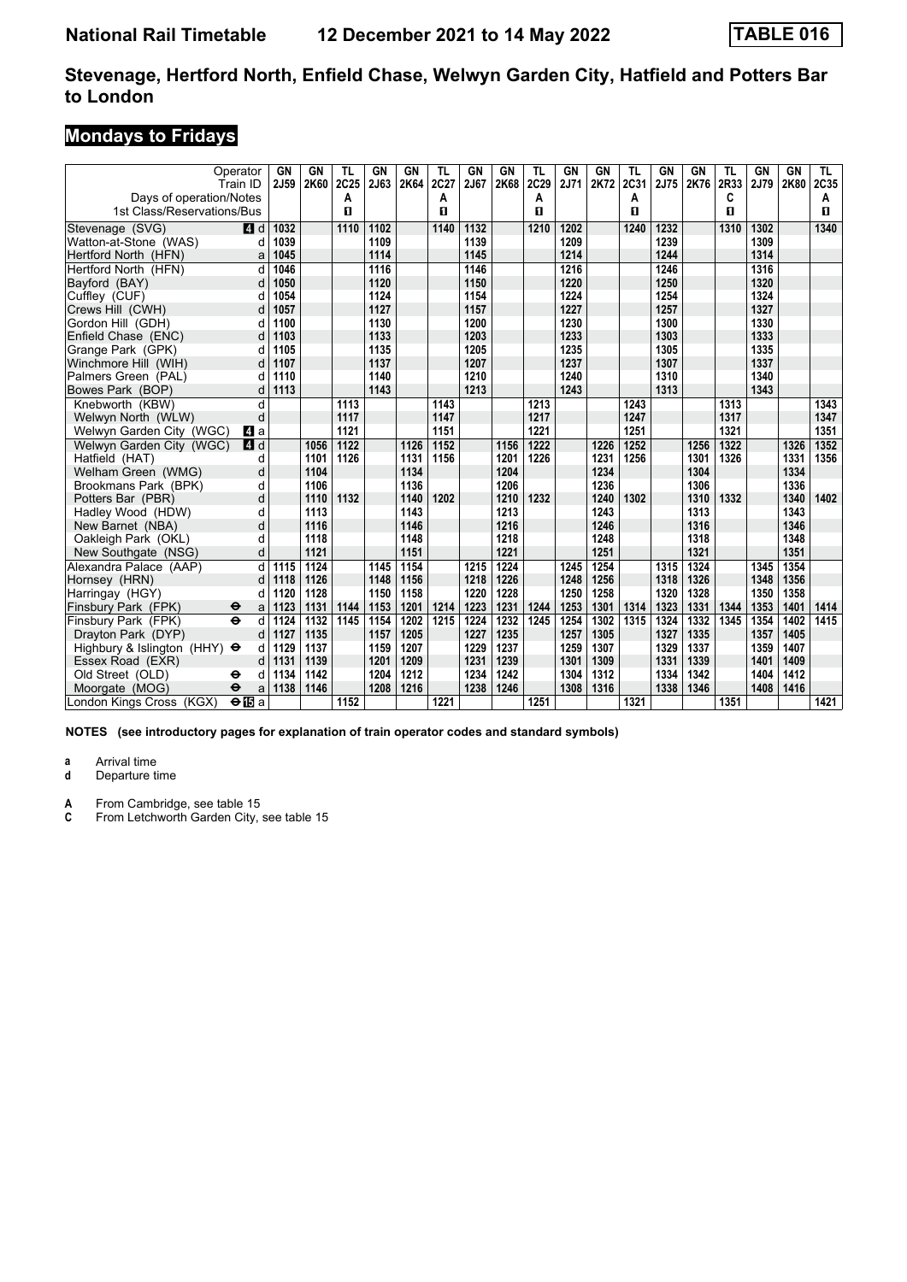# **Mondays to Fridays**

| Operator<br>Train ID                                  |              | GN<br>2J59 | GN<br>2K60 | TL<br>2C25 | <b>GN</b><br>2J63 | <b>GN</b><br>2K64 | <b>TL</b><br>2C27 | <b>GN</b><br>2J67 | GN<br>2K68 | TL<br>2C29 | GN<br>2J71 | <b>GN</b><br>2K72 | <b>TL</b><br>2C31 | GN<br>2J75 | GN<br>2K76 | <b>TL</b><br>2R33<br>C | GN<br>2J79 | <b>GN</b><br>2K80 | TL.<br>2C35 |
|-------------------------------------------------------|--------------|------------|------------|------------|-------------------|-------------------|-------------------|-------------------|------------|------------|------------|-------------------|-------------------|------------|------------|------------------------|------------|-------------------|-------------|
| Days of operation/Notes<br>1st Class/Reservations/Bus |              |            |            | A<br>п     |                   |                   | Α<br>O            |                   |            | A<br>п     |            |                   | A<br>п            |            |            | 0                      |            |                   | A<br>п      |
| Stevenage (SVG)                                       | ZI d         | 1032       |            | 1110       | 1102              |                   | 1140              | 1132              |            | 1210       | 1202       |                   | 1240              | 1232       |            | 1310                   | 1302       |                   | 1340        |
| Watton-at-Stone (WAS)                                 | d            | 1039       |            |            | 1109              |                   |                   | 1139              |            |            | 1209       |                   |                   | 1239       |            |                        | 1309       |                   |             |
| Hertford North (HFN)                                  | a            | 1045       |            |            | 1114              |                   |                   | 1145              |            |            | 1214       |                   |                   | 1244       |            |                        | 1314       |                   |             |
| Hertford North (HFN)                                  | d            | 1046       |            |            | 1116              |                   |                   | 1146              |            |            | 1216       |                   |                   | 1246       |            |                        | 1316       |                   |             |
| Bayford (BAY)                                         | d            | 1050       |            |            | 1120              |                   |                   | 1150              |            |            | 1220       |                   |                   | 1250       |            |                        | 1320       |                   |             |
| Cufflev (CUF)                                         |              | 1054       |            |            | 1124              |                   |                   | 1154              |            |            | 1224       |                   |                   | 1254       |            |                        | 1324       |                   |             |
| Crews Hill (CWH)                                      |              | 1057       |            |            | 1127              |                   |                   | 1157              |            |            | 1227       |                   |                   | 1257       |            |                        | 1327       |                   |             |
| Gordon Hill (GDH)                                     | d            | 1100       |            |            | 1130              |                   |                   | 1200              |            |            | 1230       |                   |                   | 1300       |            |                        | 1330       |                   |             |
| Enfield Chase (ENC)                                   | d            | 1103       |            |            | 1133              |                   |                   | 1203              |            |            | 1233       |                   |                   | 1303       |            |                        | 1333       |                   |             |
| Grange Park (GPK)                                     | d            | 1105       |            |            | 1135              |                   |                   | 1205              |            |            | 1235       |                   |                   | 1305       |            |                        | 1335       |                   |             |
| Winchmore Hill (WIH)                                  | d            | 1107       |            |            | 1137              |                   |                   | 1207              |            |            | 1237       |                   |                   | 1307       |            |                        | 1337       |                   |             |
| Palmers Green (PAL)                                   |              | 1110       |            |            | 1140              |                   |                   | 1210              |            |            | 1240       |                   |                   | 1310       |            |                        | 1340       |                   |             |
| Bowes Park (BOP)                                      | d            | 1113       |            |            | 1143              |                   |                   | 1213              |            |            | 1243       |                   |                   | 1313       |            |                        | 1343       |                   |             |
| Knebworth (KBW)                                       | d            |            |            | 1113       |                   |                   | 1143              |                   |            | 1213       |            |                   | 1243              |            |            | 1313                   |            |                   | 1343        |
| Welwyn North (WLW)                                    | d            |            |            | 1117       |                   |                   | 1147              |                   |            | 1217       |            |                   | 1247              |            |            | 1317                   |            |                   | 1347        |
| Welwyn Garden City (WGC)                              | L4 a         |            |            | 1121       |                   |                   | 1151              |                   |            | 1221       |            |                   | 1251              |            |            | 1321                   |            |                   | 1351        |
| Welwyn Garden City (WGC)                              | <b>4</b> d   |            | 1056       | 1122       |                   | 1126              | 1152              |                   | 1156       | 1222       |            | 1226              | 1252              |            | 1256       | 1322                   |            | 1326              | 1352        |
| Hatfield (HAT)                                        | d            |            | 1101       | 1126       |                   | 1131              | 1156              |                   | 1201       | 1226       |            | 1231              | 1256              |            | 1301       | 1326                   |            | 1331              | 1356        |
| Welham Green (WMG)                                    | d            |            | 1104       |            |                   | 1134              |                   |                   | 1204       |            |            | 1234              |                   |            | 1304       |                        |            | 1334              |             |
| Brookmans Park (BPK)                                  | d            |            | 1106       |            |                   | 1136              |                   |                   | 1206       |            |            | 1236              |                   |            | 1306       |                        |            | 1336              |             |
| Potters Bar (PBR)                                     | d            |            | 1110       | 1132       |                   | 1140              | 1202              |                   | 1210       | 1232       |            | 1240              | 1302              |            | 1310       | 1332                   |            | 1340              | 1402        |
| Hadley Wood (HDW)                                     | d            |            | 1113       |            |                   | 1143              |                   |                   | 1213       |            |            | 1243              |                   |            | 1313       |                        |            | 1343              |             |
| New Barnet (NBA)                                      | d            |            | 1116       |            |                   | 1146              |                   |                   | 1216       |            |            | 1246              |                   |            | 1316       |                        |            | 1346              |             |
| Oakleigh Park (OKL)                                   | d            |            | 1118       |            |                   | 1148              |                   |                   | 1218       |            |            | 1248              |                   |            | 1318       |                        |            | 1348              |             |
| New Southgate (NSG)                                   | d            |            | 1121       |            |                   | 1151              |                   |                   | 1221       |            |            | 1251              |                   |            | 1321       |                        |            | 1351              |             |
| Alexandra Palace (AAP)                                | d            | 1115       | 1124       |            | 1145              | 1154              |                   | 1215              | 1224       |            | 1245       | 1254              |                   | 1315       | 1324       |                        | 1345       | 1354              |             |
| Hornsey (HRN)                                         | d            | 1118       | 1126       |            | 1148              | 1156              |                   | 1218              | 1226       |            | 1248       | 1256              |                   | 1318       | 1326       |                        | 1348       | 1356              |             |
| Harringay (HGY)                                       |              | 1120       | 1128       |            | 1150              | 1158              |                   | 1220              | 1228       |            | 1250       | 1258              |                   | 1320       | 1328       |                        | 1350       | 1358              |             |
| Finsbury Park (FPK)<br>θ                              | a            | 1123       | 1131       | 1144       | 1153              | 1201              | 1214              | 1223              | 1231       | 1244       | 1253       | 1301              | 1314              | 1323       | 1331       | 1344                   | 1353       | 1401              | 1414        |
| $\ddot{\mathbf{e}}$<br>Finsbury Park (FPK)            | d            | 1124       | 1132       | 1145       | 1154              | 1202              | 1215              | 1224              | 1232       | 1245       | 1254       | 1302              | 1315              | 1324       | 1332       | 1345                   | 1354       | 1402              | 1415        |
| Dravton Park (DYP)                                    | d            | 1127       | 1135       |            | 1157              | 1205              |                   | 1227              | 1235       |            | 1257       | 1305              |                   | 1327       | 1335       |                        | 1357       | 1405              |             |
| Highbury & Islington (HHY) $\Theta$                   | d            | 1129       | 1137       |            | 1159              | 1207              |                   | 1229              | 1237       |            | 1259       | 1307              |                   | 1329       | 1337       |                        | 1359       | 1407              |             |
| Essex Road (EXR)                                      | d            | 1131       | 1139       |            | 1201              | 1209              |                   | 1231              | 1239       |            | 1301       | 1309              |                   | 1331       | 1339       |                        | 1401       | 1409              |             |
| Old Street (OLD)<br>⊖                                 | d            | 1134       | 1142       |            | 1204              | 1212              |                   | 1234              | 1242       |            | 1304       | 1312              |                   | 1334       | 1342       |                        | 1404       | 1412              |             |
| Moorgate (MOG)<br>$\ddot{\boldsymbol{\Theta}}$        | a            | 1138       | 1146       |            | 1208              | 1216              |                   | 1238              | 1246       |            | 1308       | 1316              |                   | 1338       | 1346       |                        | 1408       | 1416              |             |
| London Kings Cross (KGX)                              | $\Theta$ IBa |            |            | 1152       |                   |                   | 1221              |                   |            | 1251       |            |                   | 1321              |            |            | 1351                   |            |                   | 1421        |

**NOTES (see introductory pages for explanation of train operator codes and standard symbols)**

**a** Arrival time<br>**d** Departure t

Departure time

**A** From Cambridge, see table 15<br>**C** From Letchworth Garden City.

From Letchworth Garden City, see table 15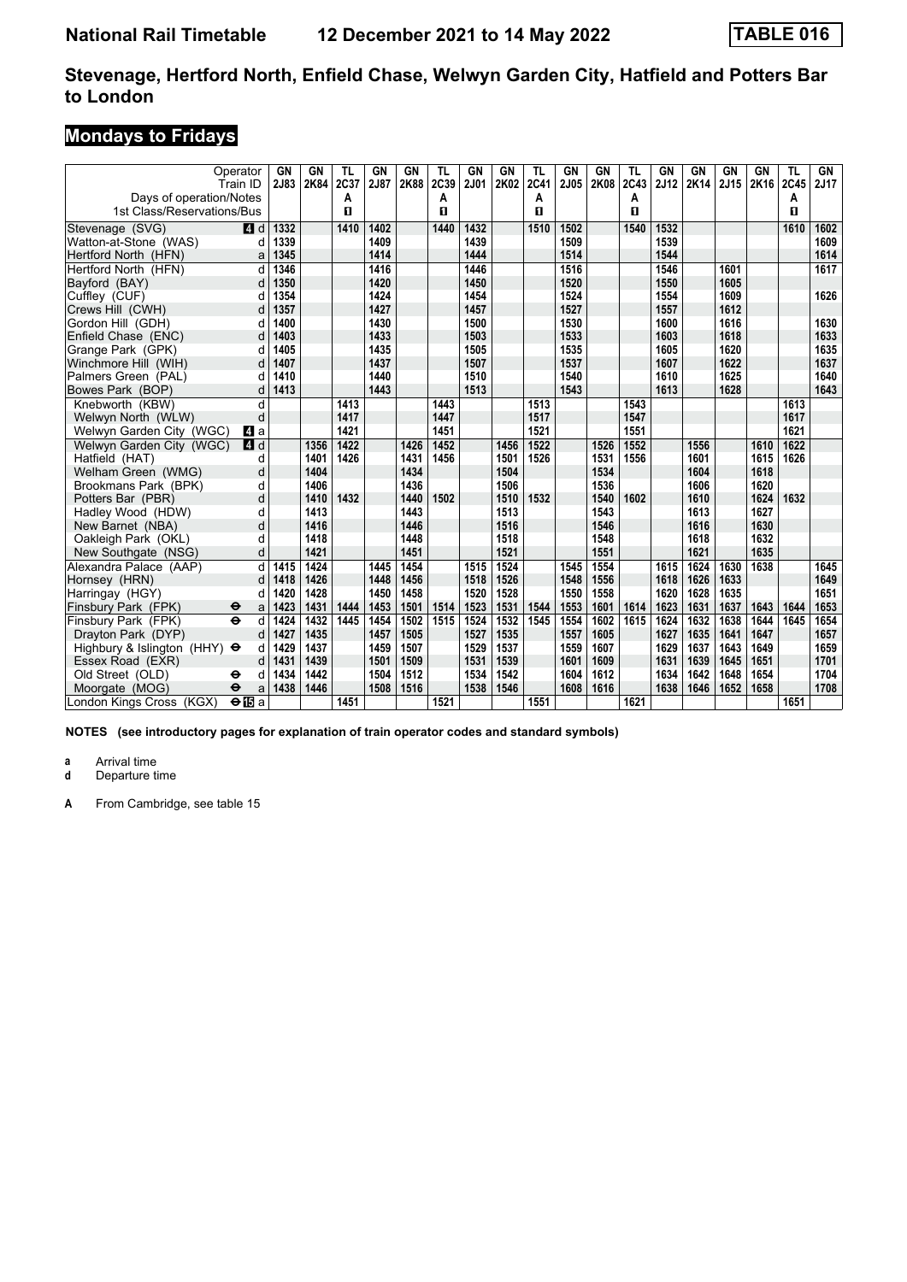# **Mondays to Fridays**

|                                     | Operator<br>Train ID     | GN<br>2J83 | GN<br>2K84 | TL<br>2C37 | GN<br>2J87 | <b>GN</b><br>2K88 | TL<br>2C39 | GN<br>2J01 | GN<br>2K02 | TL<br><b>2C41</b> | GN<br>2J05 | GN<br>2K08 | TL<br>2C43 | GN<br>2J12 | GN<br>2K14 | GN<br>2J15 | GN<br>2K16 | TL<br>2C45   | GN<br>2J17 |
|-------------------------------------|--------------------------|------------|------------|------------|------------|-------------------|------------|------------|------------|-------------------|------------|------------|------------|------------|------------|------------|------------|--------------|------------|
| Days of operation/Notes             |                          |            |            | A          |            |                   | A          |            |            | A                 |            |            | Α          |            |            |            |            | Α            |            |
| 1st Class/Reservations/Bus          |                          |            |            | п          |            |                   | п          |            |            | п                 |            |            | п          |            |            |            |            | $\mathbf{u}$ |            |
| Stevenage (SVG)                     | $\blacksquare$ d         | 1332       |            | 1410       | 1402       |                   | 1440       | 1432       |            | 1510              | 1502       |            | 1540       | 1532       |            |            |            | 1610         | 1602       |
| Watton-at-Stone (WAS)               | d                        | 1339       |            |            | 1409       |                   |            | 1439       |            |                   | 1509       |            |            | 1539       |            |            |            |              | 1609       |
| Hertford North (HFN)                | a                        | 1345       |            |            | 1414       |                   |            | 1444       |            |                   | 1514       |            |            | 1544       |            |            |            |              | 1614       |
| Hertford North (HFN)                | d                        | 1346       |            |            | 1416       |                   |            | 1446       |            |                   | 1516       |            |            | 1546       |            | 1601       |            |              | 1617       |
| Bayford (BAY)                       | d                        | 1350       |            |            | 1420       |                   |            | 1450       |            |                   | 1520       |            |            | 1550       |            | 1605       |            |              |            |
| Cuffley (CUF)                       | d                        | 1354       |            |            | 1424       |                   |            | 1454       |            |                   | 1524       |            |            | 1554       |            | 1609       |            |              | 1626       |
| Crews Hill (CWH)                    | d                        | 1357       |            |            | 1427       |                   |            | 1457       |            |                   | 1527       |            |            | 1557       |            | 1612       |            |              |            |
| Gordon Hill (GDH)                   | d                        | 1400       |            |            | 1430       |                   |            | 1500       |            |                   | 1530       |            |            | 1600       |            | 1616       |            |              | 1630       |
| Enfield Chase (ENC)                 | d                        | 1403       |            |            | 1433       |                   |            | 1503       |            |                   | 1533       |            |            | 1603       |            | 1618       |            |              | 1633       |
| Grange Park (GPK)                   | d                        | 1405       |            |            | 1435       |                   |            | 1505       |            |                   | 1535       |            |            | 1605       |            | 1620       |            |              | 1635       |
| Winchmore Hill (WIH)                | d                        | 1407       |            |            | 1437       |                   |            | 1507       |            |                   | 1537       |            |            | 1607       |            | 1622       |            |              | 1637       |
| Palmers Green (PAL)                 | d                        | 1410       |            |            | 1440       |                   |            | 1510       |            |                   | 1540       |            |            | 1610       |            | 1625       |            |              | 1640       |
| Bowes Park (BOP)                    | d                        | 1413       |            |            | 1443       |                   |            | 1513       |            |                   | 1543       |            |            | 1613       |            | 1628       |            |              | 1643       |
| Knebworth (KBW)                     | d                        |            |            | 1413       |            |                   | 1443       |            |            | 1513              |            |            | 1543       |            |            |            |            | 1613         |            |
| Welwyn North (WLW)                  | d                        |            |            | 1417       |            |                   | 1447       |            |            | 1517              |            |            | 1547       |            |            |            |            | 1617         |            |
| Welwyn Garden City (WGC)            | <b>4</b> a               |            |            | 1421       |            |                   | 1451       |            |            | 1521              |            |            | 1551       |            |            |            |            | 1621         |            |
| Welwyn Garden City (WGC)            | 4d                       |            | 1356       | 1422       |            | 1426              | 1452       |            | 1456       | 1522              |            | 1526       | 1552       |            | 1556       |            | 1610       | 1622         |            |
| Hatfield (HAT)                      | d                        |            | 1401       | 1426       |            | 1431              | 1456       |            | 1501       | 1526              |            | 1531       | 1556       |            | 1601       |            | 1615       | 1626         |            |
| Welham Green (WMG)                  | d                        |            | 1404       |            |            | 1434              |            |            | 1504       |                   |            | 1534       |            |            | 1604       |            | 1618       |              |            |
| Brookmans Park (BPK)                | d                        |            | 1406       |            |            | 1436              |            |            | 1506       |                   |            | 1536       |            |            | 1606       |            | 1620       |              |            |
| Potters Bar (PBR)                   | d                        |            | 1410       | 1432       |            | 1440              | 1502       |            | 1510       | 1532              |            | 1540       | 1602       |            | 1610       |            | 1624       | 1632         |            |
| Hadley Wood (HDW)                   | d                        |            | 1413       |            |            | 1443              |            |            | 1513       |                   |            | 1543       |            |            | 1613       |            | 1627       |              |            |
| New Barnet (NBA)                    | d                        |            | 1416       |            |            | 1446              |            |            | 1516       |                   |            | 1546       |            |            | 1616       |            | 1630       |              |            |
| Oakleigh Park (OKL)                 | d                        |            | 1418       |            |            | 1448              |            |            | 1518       |                   |            | 1548       |            |            | 1618       |            | 1632       |              |            |
| New Southgate (NSG)                 | d                        |            | 1421       |            |            | 1451              |            |            | 1521       |                   |            | 1551       |            |            | 1621       |            | 1635       |              |            |
| Alexandra Palace (AAP)              | d                        | 1415       | 1424       |            | 1445       | 1454              |            | 1515       | 1524       |                   | 1545       | 1554       |            | 1615       | 1624       | 1630       | 1638       |              | 1645       |
| Hornsey (HRN)                       | d                        | 1418       | 1426       |            | 1448       | 1456              |            | 1518       | 1526       |                   | 1548       | 1556       |            | 1618       | 1626       | 1633       |            |              | 1649       |
| Harringay (HGY)                     | d                        | 1420       | 1428       |            | 1450       | 1458              |            | 1520       | 1528       |                   | 1550       | 1558       |            | 1620       | 1628       | 1635       |            |              | 1651       |
| Finsbury Park (FPK)                 | ⊖<br>a                   | 1423       | 1431       | 1444       | 1453       | 1501              | 1514       | 1523       | 1531       | 1544              | 1553       | 1601       | 1614       | 1623       | 1631       | 1637       | 1643       | 1644         | 1653       |
| Finsbury Park (FPK)                 | $\ddot{\mathbf{e}}$<br>d | 1424       | 1432       | 1445       | 1454       | 1502              | 1515       | 1524       | 1532       | 1545              | 1554       | 1602       | 1615       | 1624       | 1632       | 1638       | 1644       | 1645         | 1654       |
| Dravton Park (DYP)                  | d                        | 1427       | 1435       |            | 1457       | 1505              |            | 1527       | 1535       |                   | 1557       | 1605       |            | 1627       | 1635       | 1641       | 1647       |              | 1657       |
| Highbury & Islington (HHY) $\Theta$ | d                        | 1429       | 1437       |            | 1459       | 1507              |            | 1529       | 1537       |                   | 1559       | 1607       |            | 1629       | 1637       | 1643       | 1649       |              | 1659       |
| Essex Road (EXR)                    | d                        | 1431       | 1439       |            | 1501       | 1509              |            | 1531       | 1539       |                   | 1601       | 1609       |            | 1631       | 1639       | 1645       | 1651       |              | 1701       |
| Old Street (OLD)                    | ⊖<br>d                   | 1434       | 1442       |            | 1504       | 1512              |            | 1534       | 1542       |                   | 1604       | 1612       |            | 1634       | 1642       | 1648       | 1654       |              | 1704       |
| Moorgate (MOG)                      | $\ddot{\mathbf{e}}$<br>a | 1438       | 1446       |            | 1508       | 1516              |            | 1538       | 1546       |                   | 1608       | 1616       |            | 1638       | 1646       | 1652       | 1658       |              | 1708       |
| London Kings Cross (KGX)            | $\Theta$ is a            |            |            | 1451       |            |                   | 1521       |            |            | 1551              |            |            | 1621       |            |            |            |            | 1651         |            |

**NOTES (see introductory pages for explanation of train operator codes and standard symbols)**

**a** Arrival time<br>**d** Departure t

**Departure time**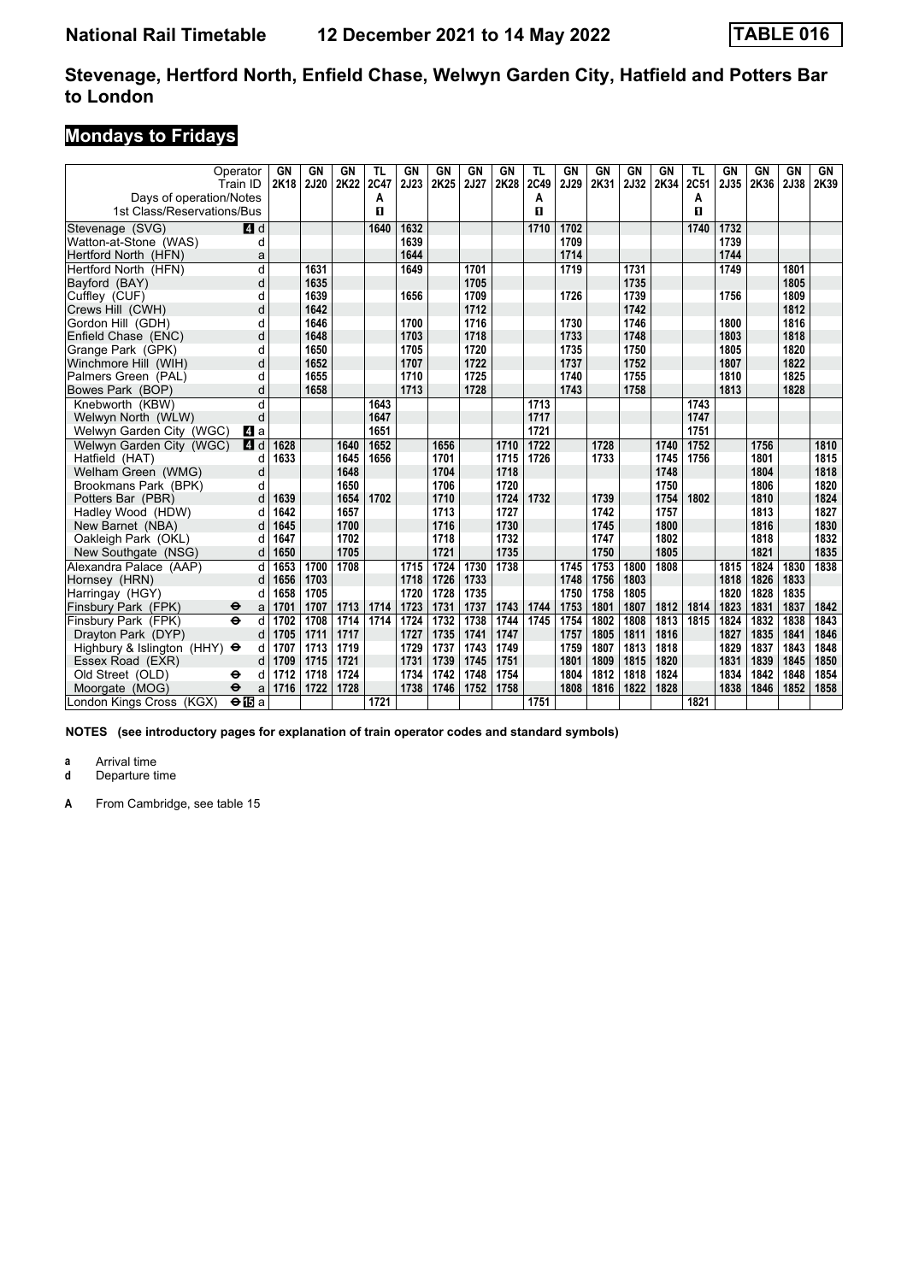# **Mondays to Fridays**

| Operator<br>Train ID<br>Days of operation/Notes<br>1st Class/Reservations/Bus |               | GN<br>2K18 | <b>GN</b><br><b>2J20</b> | GN<br>2K22 | <b>TL</b><br>2C47<br>A<br>п | <b>GN</b><br>2J23 | GN<br>2K25 | <b>GN</b><br>2J27 | <b>GN</b><br>2K28 | TL<br>2C49<br>A<br>п | GN<br>2J29 | GN<br>2K31 | <b>GN</b><br>2J32 | <b>GN</b><br>2K34 | TL<br>2C51<br>А<br>п | GN<br>2J35 | GN<br>2K36 | <b>GN</b><br>2J38 | GN<br>2K39 |
|-------------------------------------------------------------------------------|---------------|------------|--------------------------|------------|-----------------------------|-------------------|------------|-------------------|-------------------|----------------------|------------|------------|-------------------|-------------------|----------------------|------------|------------|-------------------|------------|
| Stevenage (SVG)                                                               | 4d            |            |                          |            | 1640                        | 1632              |            |                   |                   | 1710                 | 1702       |            |                   |                   | 1740                 | 1732       |            |                   |            |
| Watton-at-Stone (WAS)                                                         | d             |            |                          |            |                             | 1639              |            |                   |                   |                      | 1709       |            |                   |                   |                      | 1739       |            |                   |            |
| Hertford North (HFN)                                                          | a             |            |                          |            |                             | 1644              |            |                   |                   |                      | 1714       |            |                   |                   |                      | 1744       |            |                   |            |
| Hertford North (HFN)                                                          | d             |            | 1631                     |            |                             | 1649              |            | 1701              |                   |                      | 1719       |            | 1731              |                   |                      | 1749       |            | 1801              |            |
| Bayford (BAY)                                                                 | d             |            | 1635                     |            |                             |                   |            | 1705              |                   |                      |            |            | 1735              |                   |                      |            |            | 1805              |            |
| Cuffley (CUF)                                                                 | d             |            | 1639                     |            |                             | 1656              |            | 1709              |                   |                      | 1726       |            | 1739              |                   |                      | 1756       |            | 1809              |            |
| Crews Hill (CWH)                                                              | d             |            | 1642                     |            |                             |                   |            | 1712              |                   |                      |            |            | 1742              |                   |                      |            |            | 1812              |            |
| Gordon Hill (GDH)                                                             | d             |            | 1646                     |            |                             | 1700              |            | 1716              |                   |                      | 1730       |            | 1746              |                   |                      | 1800       |            | 1816              |            |
| Enfield Chase (ENC)                                                           | d             |            | 1648                     |            |                             | 1703              |            | 1718              |                   |                      | 1733       |            | 1748              |                   |                      | 1803       |            | 1818              |            |
| Grange Park (GPK)                                                             | d             |            | 1650                     |            |                             | 1705              |            | 1720              |                   |                      | 1735       |            | 1750              |                   |                      | 1805       |            | 1820              |            |
| Winchmore Hill (WIH)                                                          | d             |            | 1652                     |            |                             | 1707              |            | 1722              |                   |                      | 1737       |            | 1752              |                   |                      | 1807       |            | 1822              |            |
| Palmers Green (PAL)                                                           | d             |            | 1655                     |            |                             | 1710              |            | 1725              |                   |                      | 1740       |            | 1755              |                   |                      | 1810       |            | 1825              |            |
| Bowes Park (BOP)                                                              | d             |            | 1658                     |            |                             | 1713              |            | 1728              |                   |                      | 1743       |            | 1758              |                   |                      | 1813       |            | 1828              |            |
| Knebworth (KBW)                                                               | d             |            |                          |            | 1643                        |                   |            |                   |                   | 1713                 |            |            |                   |                   | 1743                 |            |            |                   |            |
| Welwyn North (WLW)                                                            | d             |            |                          |            | 1647                        |                   |            |                   |                   | 1717                 |            |            |                   |                   | 1747                 |            |            |                   |            |
| Welwyn Garden City (WGC)                                                      | L4 a          |            |                          |            | 1651                        |                   |            |                   |                   | 1721                 |            |            |                   |                   | 1751                 |            |            |                   |            |
| Welwyn Garden City (WGC)                                                      | 4 d           | 1628       |                          | 1640       | 1652                        |                   | 1656       |                   | 1710              | 1722                 |            | 1728       |                   | 1740              | 1752                 |            | 1756       |                   | 1810       |
| Hatfield (HAT)                                                                | d             | 1633       |                          | 1645       | 1656                        |                   | 1701       |                   | 1715              | 1726                 |            | 1733       |                   | 1745              | 1756                 |            | 1801       |                   | 1815       |
| Welham Green (WMG)                                                            | d             |            |                          | 1648       |                             |                   | 1704       |                   | 1718              |                      |            |            |                   | 1748              |                      |            | 1804       |                   | 1818       |
| Brookmans Park (BPK)                                                          | d             |            |                          | 1650       |                             |                   | 1706       |                   | 1720              |                      |            |            |                   | 1750              |                      |            | 1806       |                   | 1820       |
| Potters Bar (PBR)                                                             | d             | 1639       |                          | 1654       | 1702                        |                   | 1710       |                   | 1724              | 1732                 |            | 1739       |                   | 1754              | 1802                 |            | 1810       |                   | 1824       |
| Hadley Wood (HDW)                                                             | d             | 1642       |                          | 1657       |                             |                   | 1713       |                   | 1727              |                      |            | 1742       |                   | 1757              |                      |            | 1813       |                   | 1827       |
| New Barnet (NBA)                                                              |               | 1645       |                          | 1700       |                             |                   | 1716       |                   | 1730              |                      |            | 1745       |                   | 1800              |                      |            | 1816       |                   | 1830       |
| Oakleigh Park (OKL)                                                           | d             | 1647       |                          | 1702       |                             |                   | 1718       |                   | 1732              |                      |            | 1747       |                   | 1802              |                      |            | 1818       |                   | 1832       |
| New Southgate (NSG)                                                           | d             | 1650       |                          | 1705       |                             |                   | 1721       |                   | 1735              |                      |            | 1750       |                   | 1805              |                      |            | 1821       |                   | 1835       |
| Alexandra Palace (AAP)                                                        | d             | 1653       | 1700                     | 1708       |                             | 1715              | 1724       | 1730              | 1738              |                      | 1745       | 1753       | 1800              | 1808              |                      | 1815       | 1824       | 1830              | 1838       |
| Hornsey (HRN)                                                                 | d             | 1656       | 1703                     |            |                             | 1718              | 1726       | 1733              |                   |                      | 1748       | 1756       | 1803              |                   |                      | 1818       | 1826       | 1833              |            |
| Harringay (HGY)                                                               |               | 1658       | 1705                     |            |                             | 1720              | 1728       | 1735              |                   |                      | 1750       | 1758       | 1805              |                   |                      | 1820       | 1828       | 1835              |            |
| Finsbury Park (FPK)<br>θ                                                      | a             | 1701       | 1707                     | 1713       | 1714                        | 1723              | 1731       | 1737              | 1743              | 1744                 | 1753       | 1801       | 1807              | 1812              | 1814                 | 1823       | 1831       | 1837              | 1842       |
| $\overline{\mathbf{e}}$<br>Finsbury Park (FPK)                                | d             | 1702       | 1708                     | 1714       | 1714                        | 1724              | 1732       | 1738              | 1744              | 1745                 | 1754       | 1802       | 1808              | 1813              | 1815                 | 1824       | 1832       | 1838              | 1843       |
| Drayton Park (DYP)                                                            | d             | 1705       | 1711                     | 1717       |                             | 1727              | 1735       | 1741              | 1747              |                      | 1757       | 1805       | 1811              | 1816              |                      | 1827       | 1835       | 1841              | 1846       |
| Highbury & Islington (HHY) $\Theta$                                           | d             | 1707       | 1713                     | 1719       |                             | 1729              | 1737       | 1743              | 1749              |                      | 1759       | 1807       | 1813              | 1818              |                      | 1829       | 1837       | 1843              | 1848       |
| Essex Road (EXR)                                                              | d             | 1709       | 1715                     | 1721       |                             | 1731              | 1739       | 1745              | 1751              |                      | 1801       | 1809       | 1815              | 1820              |                      | 1831       | 1839       | 1845              | 1850       |
| Old Street (OLD)<br>θ                                                         | d             | 1712       | 1718                     | 1724       |                             | 1734              | 1742       | 1748              | 1754              |                      | 1804       | 1812       | 1818              | 1824              |                      | 1834       | 1842       | 1848              | 1854       |
| Moorgate (MOG)<br>$\ddot{\boldsymbol{\Theta}}$                                | a             | 1716       | 1722                     | 1728       |                             | 1738              | 1746       | 1752              | 1758              |                      | 1808       | 1816       | 1822              | 1828              |                      | 1838       | 1846       | 1852              | 1858       |
| London Kings Cross (KGX)                                                      | $\Theta$ is a |            |                          |            | 1721                        |                   |            |                   |                   | 1751                 |            |            |                   |                   | 1821                 |            |            |                   |            |

**NOTES (see introductory pages for explanation of train operator codes and standard symbols)**

**a** Arrival time<br>**d** Departure t

**Departure time**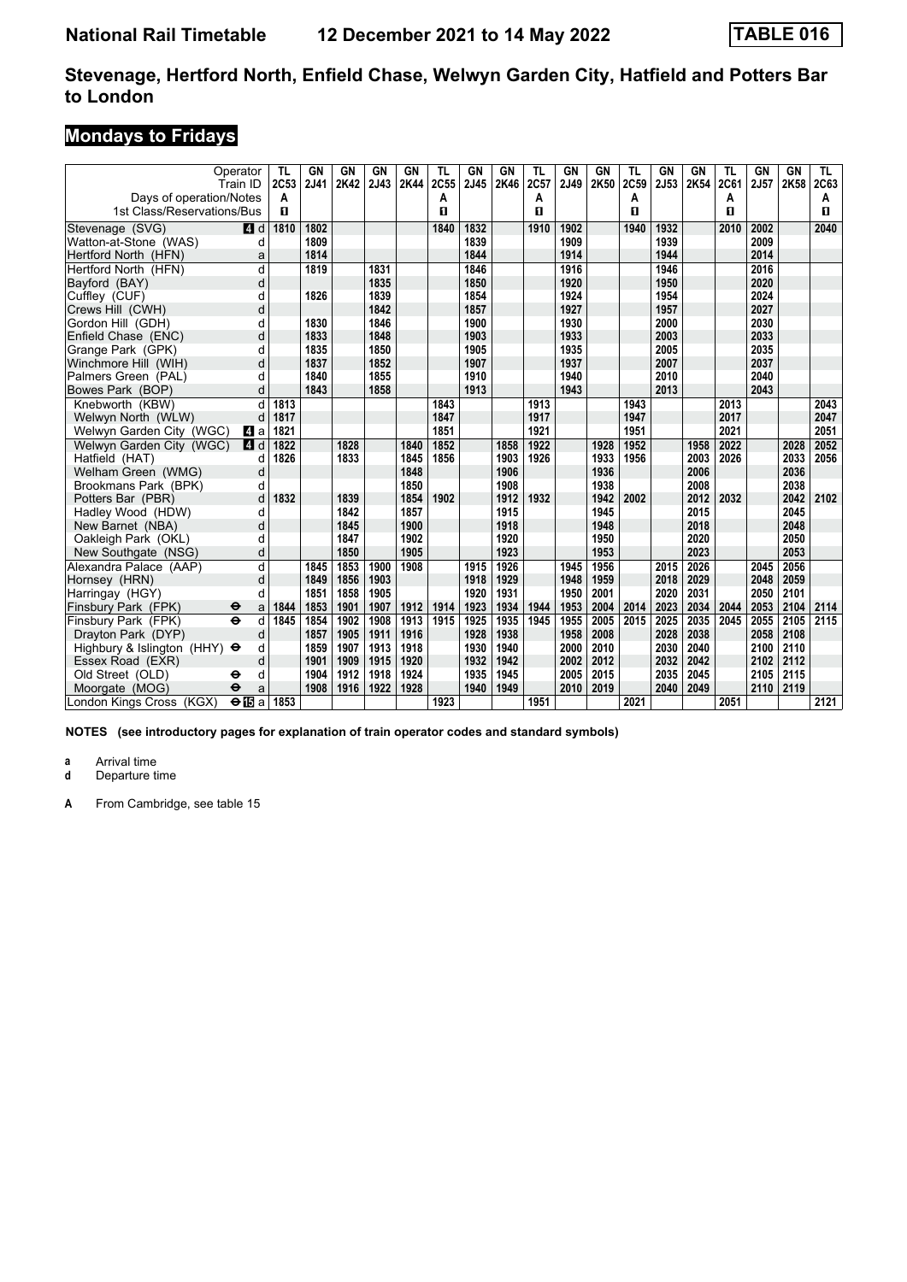# **Mondays to Fridays**

| Operator<br>Train ID<br>Days of operation/Notes | TL<br>2C53<br>Α | GN<br>2J41 | GN<br>2K42 | <b>GN</b><br>2J43 | <b>GN</b><br>2K44 | TL<br>2C55<br>A | GN<br>2J45 | <b>GN</b><br>2K46 | TL<br>2C57<br>A | GN<br>2J49 | <b>GN</b><br>2K50 | <b>TL</b><br>2C59<br>Α | <b>GN</b><br>2J53 | <b>GN</b><br>2K54 | TL<br><b>2C61</b><br>А | GN<br>2J57 | <b>GN</b><br>2K58 | TL.<br>2C63<br>A |
|-------------------------------------------------|-----------------|------------|------------|-------------------|-------------------|-----------------|------------|-------------------|-----------------|------------|-------------------|------------------------|-------------------|-------------------|------------------------|------------|-------------------|------------------|
| 1st Class/Reservations/Bus                      | п               |            |            |                   |                   | 0               |            |                   | п               |            |                   | п                      |                   |                   | п                      |            |                   | п                |
| Stevenage (SVG)<br>$A$ d                        | 1810            | 1802       |            |                   |                   | 1840            | 1832       |                   | 1910            | 1902       |                   | 1940                   | 1932              |                   | 2010                   | 2002       |                   | 2040             |
| Watton-at-Stone (WAS)                           | d               | 1809       |            |                   |                   |                 | 1839       |                   |                 | 1909       |                   |                        | 1939              |                   |                        | 2009       |                   |                  |
| Hertford North (HFN)                            | a               | 1814       |            |                   |                   |                 | 1844       |                   |                 | 1914       |                   |                        | 1944              |                   |                        | 2014       |                   |                  |
| Hertford North (HFN)                            | d               | 1819       |            | 1831              |                   |                 | 1846       |                   |                 | 1916       |                   |                        | 1946              |                   |                        | 2016       |                   |                  |
| Bayford (BAY)                                   | d               |            |            | 1835              |                   |                 | 1850       |                   |                 | 1920       |                   |                        | 1950              |                   |                        | 2020       |                   |                  |
| Cuffley (CUF)                                   | d               | 1826       |            | 1839              |                   |                 | 1854       |                   |                 | 1924       |                   |                        | 1954              |                   |                        | 2024       |                   |                  |
| Crews Hill (CWH)                                | d               |            |            | 1842              |                   |                 | 1857       |                   |                 | 1927       |                   |                        | 1957              |                   |                        | 2027       |                   |                  |
| Gordon Hill (GDH)                               | d               | 1830       |            | 1846              |                   |                 | 1900       |                   |                 | 1930       |                   |                        | 2000              |                   |                        | 2030       |                   |                  |
| Enfield Chase (ENC)                             | d               | 1833       |            | 1848              |                   |                 | 1903       |                   |                 | 1933       |                   |                        | 2003              |                   |                        | 2033       |                   |                  |
| Grange Park (GPK)                               | d               | 1835       |            | 1850              |                   |                 | 1905       |                   |                 | 1935       |                   |                        | 2005              |                   |                        | 2035       |                   |                  |
| Winchmore Hill (WIH)                            | d               | 1837       |            | 1852              |                   |                 | 1907       |                   |                 | 1937       |                   |                        | 2007              |                   |                        | 2037       |                   |                  |
| Palmers Green (PAL)                             | d               | 1840       |            | 1855              |                   |                 | 1910       |                   |                 | 1940       |                   |                        | 2010              |                   |                        | 2040       |                   |                  |
| Bowes Park (BOP)                                | d               | 1843       |            | 1858              |                   |                 | 1913       |                   |                 | 1943       |                   |                        | 2013              |                   |                        | 2043       |                   |                  |
| Knebworth (KBW)                                 | 1813<br>d       |            |            |                   |                   | 1843            |            |                   | 1913            |            |                   | 1943                   |                   |                   | 2013                   |            |                   | 2043             |
| Welwyn North (WLW)                              | 1817<br>d       |            |            |                   |                   | 1847            |            |                   | 1917            |            |                   | 1947                   |                   |                   | 2017                   |            |                   | 2047             |
| Welwyn Garden City (WGC)<br>L4 a                | 1821            |            |            |                   |                   | 1851            |            |                   | 1921            |            |                   | 1951                   |                   |                   | 2021                   |            |                   | 2051             |
| Welwyn Garden City (WGC)<br><b>4</b> d          | 1822            |            | 1828       |                   | 1840              | 1852            |            | 1858              | 1922            |            | 1928              | 1952                   |                   | 1958              | 2022                   |            | 2028              | 2052             |
| Hatfield (HAT)                                  | 1826<br>d       |            | 1833       |                   | 1845              | 1856            |            | 1903              | 1926            |            | 1933              | 1956                   |                   | 2003              | 2026                   |            | 2033              | 2056             |
| Welham Green (WMG)                              | d               |            |            |                   | 1848              |                 |            | 1906              |                 |            | 1936              |                        |                   | 2006              |                        |            | 2036              |                  |
| Brookmans Park (BPK)                            | d               |            |            |                   | 1850              |                 |            | 1908              |                 |            | 1938              |                        |                   | 2008              |                        |            | 2038              |                  |
| Potters Bar (PBR)                               | 1832<br>d       |            | 1839       |                   | 1854              | 1902            |            | 1912              | 1932            |            | 1942              | 2002                   |                   | 2012              | 2032                   |            | 2042              | 2102             |
| Hadley Wood (HDW)                               | d               |            | 1842       |                   | 1857              |                 |            | 1915              |                 |            | 1945              |                        |                   | 2015              |                        |            | 2045              |                  |
| New Barnet (NBA)                                | d               |            | 1845       |                   | 1900              |                 |            | 1918              |                 |            | 1948              |                        |                   | 2018              |                        |            | 2048              |                  |
| Oakleigh Park (OKL)                             | d               |            | 1847       |                   | 1902              |                 |            | 1920              |                 |            | 1950              |                        |                   | 2020              |                        |            | 2050              |                  |
| New Southgate (NSG)                             | d               |            | 1850       |                   | 1905              |                 |            | 1923              |                 |            | 1953              |                        |                   | 2023              |                        |            | 2053              |                  |
| Alexandra Palace (AAP)                          | d               | 1845       | 1853       | 1900              | 1908              |                 | 1915       | 1926              |                 | 1945       | 1956              |                        | 2015              | 2026              |                        | 2045       | 2056              |                  |
| Hornsey (HRN)                                   | d               | 1849       | 1856       | 1903              |                   |                 | 1918       | 1929              |                 | 1948       | 1959              |                        | 2018              | 2029              |                        | 2048       | 2059              |                  |
| Harringay (HGY)                                 | d               | 1851       | 1858       | 1905              |                   |                 | 1920       | 1931              |                 | 1950       | 2001              |                        | 2020              | 2031              |                        | 2050       | 2101              |                  |
| Finsbury Park (FPK)<br>θ                        | 1844<br>a       | 1853       | 1901       | 1907              | 1912              | 1914            | 1923       | 1934              | 1944            | 1953       | 2004              | 2014                   | 2023              | 2034              | 2044                   | 2053       | 2104              | 2114             |
| $\overline{\mathbf{e}}$<br>Finsbury Park (FPK)  | d<br>1845       | 1854       | 1902       | 1908              | 1913              | 1915            | 1925       | 1935              | 1945            | 1955       | 2005              | 2015                   | 2025              | 2035              | 2045                   | 2055       | 2105              | 2115             |
| Drayton Park (DYP)                              | d               | 1857       | 1905       | 1911              | 1916              |                 | 1928       | 1938              |                 | 1958       | 2008              |                        | 2028              | 2038              |                        | 2058       | 2108              |                  |
| Highbury & Islington (HHY) $\Theta$             | d               | 1859       | 1907       | 1913              | 1918              |                 | 1930       | 1940              |                 | 2000       | 2010              |                        | 2030              | 2040              |                        | 2100       | 2110              |                  |
| Essex Road (EXR)                                | d               | 1901       | 1909       | 1915              | 1920              |                 | 1932       | 1942              |                 | 2002       | 2012              |                        | 2032              | 2042              |                        | 2102       | 2112              |                  |
| Old Street (OLD)<br>⊖                           | d               | 1904       | 1912       | 1918              | 1924              |                 | 1935       | 1945              |                 | 2005       | 2015              |                        | 2035              | 2045              |                        | 2105       | 2115              |                  |
| Moorgate (MOG)<br>$\ddot{\mathbf{e}}$           | a               | 1908       | 1916       | 1922              | 1928              |                 | 1940       | 1949              |                 | 2010       | 2019              |                        | 2040              | 2049              |                        | 2110       | 2119              |                  |
| $\Theta$ is a<br>London Kings Cross (KGX)       | 1853            |            |            |                   |                   | 1923            |            |                   | 1951            |            |                   | 2021                   |                   |                   | 2051                   |            |                   | 2121             |

**NOTES (see introductory pages for explanation of train operator codes and standard symbols)**

**a** Arrival time<br>**d** Departure t

**Departure time**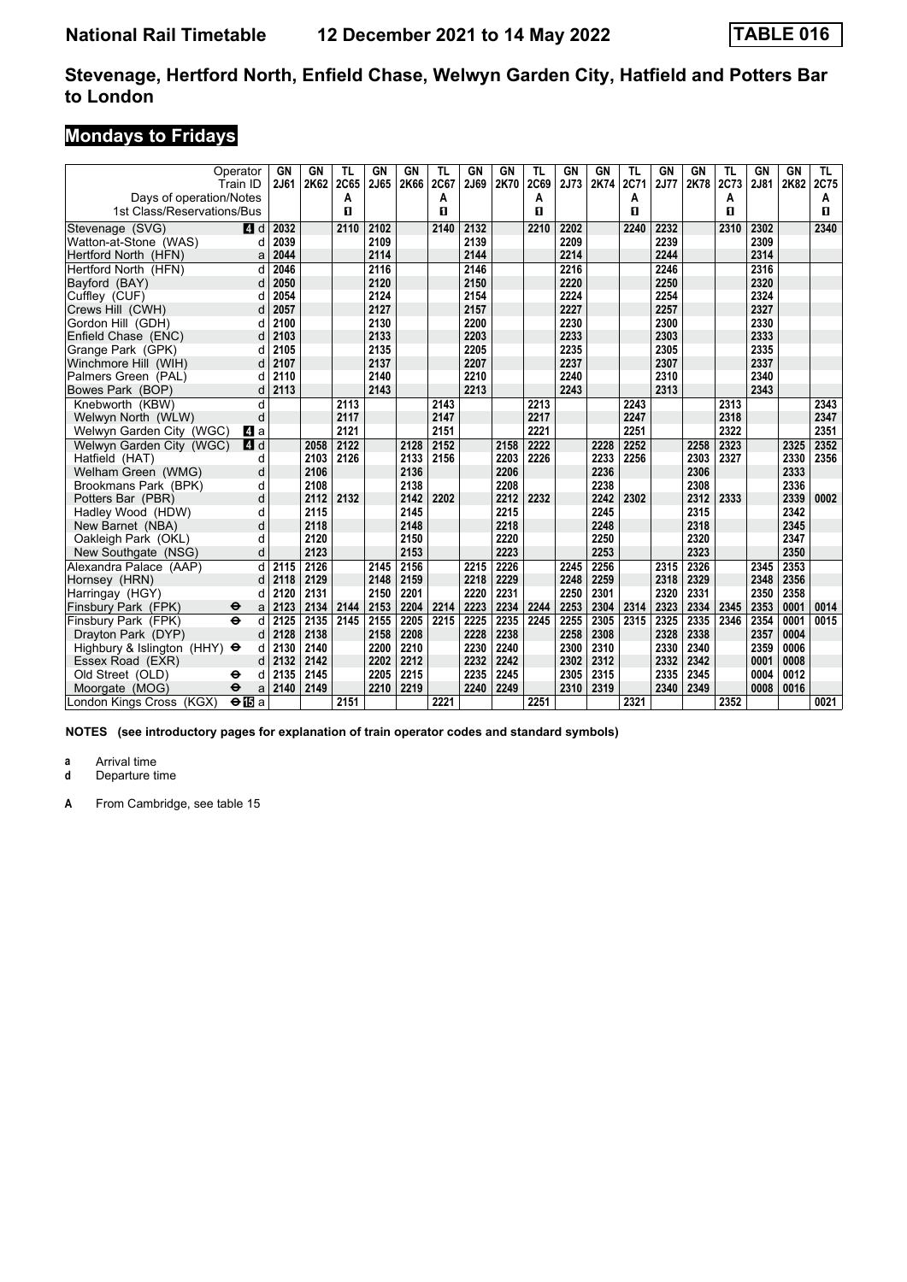# **Mondays to Fridays**

|                                     | Operator<br>Train ID              | GN<br>2J61 | GN<br>2K62 | TL<br>2C65 | GN<br>2J65 | <b>GN</b><br>2K66 | TL<br>2C67 | GN<br>2J69 | GN<br>2K70 | TL<br>2C69 | <b>GN</b><br>2J73 | GN<br>2K74 | TL<br>2C71 | GN<br>2J77 | GN<br>2K78 | TL<br>2C73 | GN<br>2J81 | <b>GN</b><br>2K82 | TL<br>2C75 |
|-------------------------------------|-----------------------------------|------------|------------|------------|------------|-------------------|------------|------------|------------|------------|-------------------|------------|------------|------------|------------|------------|------------|-------------------|------------|
| Days of operation/Notes             |                                   |            |            | А          |            |                   | А          |            |            | A          |                   |            | Α          |            |            | А          |            |                   | A          |
| 1st Class/Reservations/Bus          |                                   |            |            | п          |            |                   | п          |            |            | п          |                   |            | п          |            |            | п          |            |                   | п          |
| Stevenage (SVG)                     | $\blacksquare$ d                  | 2032       |            | 2110       | 2102       |                   | 2140       | 2132       |            | 2210       | 2202              |            | 2240       | 2232       |            | 2310       | 2302       |                   | 2340       |
| Watton-at-Stone (WAS)               | d                                 | 2039       |            |            | 2109       |                   |            | 2139       |            |            | 2209              |            |            | 2239       |            |            | 2309       |                   |            |
| Hertford North (HFN)                | a                                 | 2044       |            |            | 2114       |                   |            | 2144       |            |            | 2214              |            |            | 2244       |            |            | 2314       |                   |            |
| Hertford North (HFN)                | d                                 | 2046       |            |            | 2116       |                   |            | 2146       |            |            | 2216              |            |            | 2246       |            |            | 2316       |                   |            |
| Bayford (BAY)                       | d                                 | 2050       |            |            | 2120       |                   |            | 2150       |            |            | 2220              |            |            | 2250       |            |            | 2320       |                   |            |
| Cuffley (CUF)                       |                                   | 2054       |            |            | 2124       |                   |            | 2154       |            |            | 2224              |            |            | 2254       |            |            | 2324       |                   |            |
| Crews Hill (CWH)                    |                                   | 2057       |            |            | 2127       |                   |            | 2157       |            |            | 2227              |            |            | 2257       |            |            | 2327       |                   |            |
| Gordon Hill (GDH)                   | d                                 | 2100       |            |            | 2130       |                   |            | 2200       |            |            | 2230              |            |            | 2300       |            |            | 2330       |                   |            |
| Enfield Chase (ENC)                 | d                                 | 2103       |            |            | 2133       |                   |            | 2203       |            |            | 2233              |            |            | 2303       |            |            | 2333       |                   |            |
| Grange Park (GPK)                   | d                                 | 2105       |            |            | 2135       |                   |            | 2205       |            |            | 2235              |            |            | 2305       |            |            | 2335       |                   |            |
| Winchmore Hill (WIH)                | d                                 | 2107       |            |            | 2137       |                   |            | 2207       |            |            | 2237              |            |            | 2307       |            |            | 2337       |                   |            |
| Palmers Green (PAL)                 |                                   | 2110       |            |            | 2140       |                   |            | 2210       |            |            | 2240              |            |            | 2310       |            |            | 2340       |                   |            |
| Bowes Park (BOP)                    | d                                 | 2113       |            |            | 2143       |                   |            | 2213       |            |            | 2243              |            |            | 2313       |            |            | 2343       |                   |            |
| Knebworth (KBW)                     | d                                 |            |            | 2113       |            |                   | 2143       |            |            | 2213       |                   |            | 2243       |            |            | 2313       |            |                   | 2343       |
| Welwyn North (WLW)                  | d                                 |            |            | 2117       |            |                   | 2147       |            |            | 2217       |                   |            | 2247       |            |            | 2318       |            |                   | 2347       |
| Welwyn Garden City (WGC)            | L4 a                              |            |            | 2121       |            |                   | 2151       |            |            | 2221       |                   |            | 2251       |            |            | 2322       |            |                   | 2351       |
| Welwyn Garden City (WGC)            | <b>4</b> d                        |            | 2058       | 2122       |            | 2128              | 2152       |            | 2158       | 2222       |                   | 2228       | 2252       |            | 2258       | 2323       |            | 2325              | 2352       |
| Hatfield (HAT)                      | d                                 |            | 2103       | 2126       |            | 2133              | 2156       |            | 2203       | 2226       |                   | 2233       | 2256       |            | 2303       | 2327       |            | 2330              | 2356       |
| Welham Green (WMG)                  | d                                 |            | 2106       |            |            | 2136              |            |            | 2206       |            |                   | 2236       |            |            | 2306       |            |            | 2333              |            |
| Brookmans Park (BPK)                | d                                 |            | 2108       |            |            | 2138              |            |            | 2208       |            |                   | 2238       |            |            | 2308       |            |            | 2336              |            |
| Potters Bar (PBR)                   | d                                 |            | 2112       | 2132       |            | 2142              | 2202       |            | 2212       | 2232       |                   | 2242       | 2302       |            | 2312       | 2333       |            | 2339              | 0002       |
| Hadley Wood (HDW)                   | d                                 |            | 2115       |            |            | 2145              |            |            | 2215       |            |                   | 2245       |            |            | 2315       |            |            | 2342              |            |
| New Barnet (NBA)                    | d                                 |            | 2118       |            |            | 2148              |            |            | 2218       |            |                   | 2248       |            |            | 2318       |            |            | 2345              |            |
| Oakleigh Park (OKL)                 | d                                 |            | 2120       |            |            | 2150              |            |            | 2220       |            |                   | 2250       |            |            | 2320       |            |            | 2347              |            |
| New Southgate (NSG)                 | d                                 |            | 2123       |            |            | 2153              |            |            | 2223       |            |                   | 2253       |            |            | 2323       |            |            | 2350              |            |
| Alexandra Palace (AAP)              | d                                 | 2115       | 2126       |            | 2145       | 2156              |            | 2215       | 2226       |            | 2245              | 2256       |            | 2315       | 2326       |            | 2345       | 2353              |            |
| Hornsey (HRN)                       | d                                 | 2118       | 2129       |            | 2148       | 2159              |            | 2218       | 2229       |            | 2248              | 2259       |            | 2318       | 2329       |            | 2348       | 2356              |            |
| Harringay (HGY)                     |                                   | 2120       | 2131       |            | 2150       | 2201              |            | 2220       | 2231       |            | 2250              | 2301       |            | 2320       | 2331       |            | 2350       | 2358              |            |
| Finsbury Park (FPK)                 | ⊖<br>a                            | 2123       | 2134       | 2144       | 2153       | 2204              | 2214       | 2223       | 2234       | 2244       | 2253              | 2304       | 2314       | 2323       | 2334       | 2345       | 2353       | 0001              | 0014       |
| Finsbury Park (FPK)                 | $\ddot{\mathbf{e}}$<br>d          | 2125       | 2135       | 2145       | 2155       | 2205              | 2215       | 2225       | 2235       | 2245       | 2255              | 2305       | 2315       | 2325       | 2335       | 2346       | 2354       | 0001              | 0015       |
| Dravton Park (DYP)                  | d                                 | 2128       | 2138       |            | 2158       | 2208              |            | 2228       | 2238       |            | 2258              | 2308       |            | 2328       | 2338       |            | 2357       | 0004              |            |
| Highbury & Islington (HHY) $\Theta$ | d                                 | 2130       | 2140       |            | 2200       | 2210              |            | 2230       | 2240       |            | 2300              | 2310       |            | 2330       | 2340       |            | 2359       | 0006              |            |
| Essex Road (EXR)                    | d                                 | 2132       | 2142       |            | 2202       | 2212              |            | 2232       | 2242       |            | 2302              | 2312       |            | 2332       | 2342       |            | 0001       | 0008              |            |
| Old Street (OLD)                    | ⊖                                 | 2135       | 2145       |            | 2205       | 2215              |            | 2235       | 2245       |            | 2305              | 2315       |            | 2335       | 2345       |            | 0004       | 0012              |            |
| Moorgate (MOG)                      | $\ddot{\boldsymbol{\Theta}}$<br>a | 2140       | 2149       |            | 2210       | 2219              |            | 2240       | 2249       |            | 2310              | 2319       |            | 2340       | 2349       |            | 0008       | 0016              |            |
| London Kings Cross (KGX)            | $\Theta$ IBa                      |            |            | 2151       |            |                   | 2221       |            |            | 2251       |                   |            | 2321       |            |            | 2352       |            |                   | 0021       |

**NOTES (see introductory pages for explanation of train operator codes and standard symbols)**

**a** Arrival time<br>**d** Departure t

**Departure time**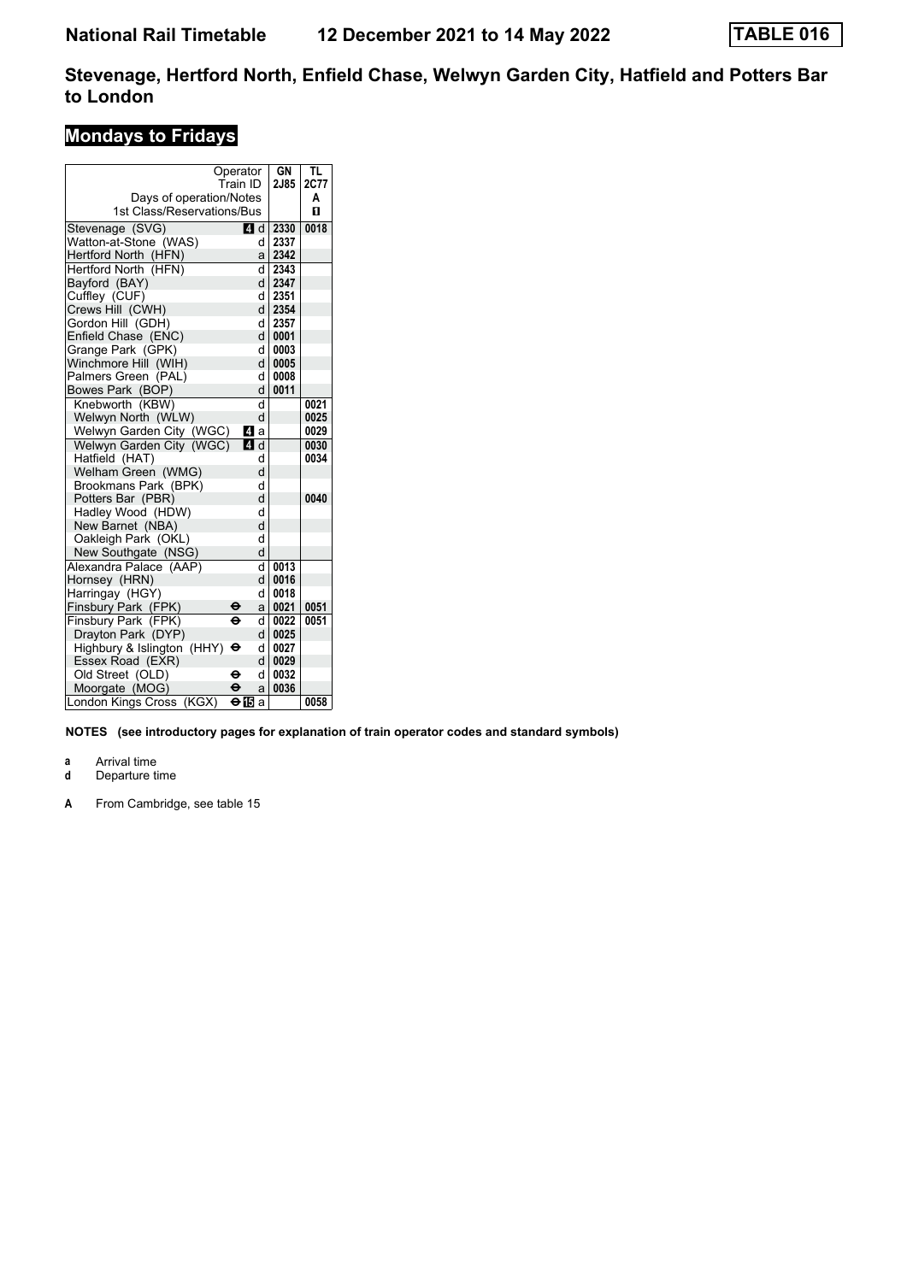# **Mondays to Fridays**

|                                     | Operator                     | GN         | TL   |
|-------------------------------------|------------------------------|------------|------|
|                                     | Train ID                     | 2J85       | 2C77 |
| Days of operation/Notes             |                              |            | A    |
| 1st Class/Reservations/Bus          |                              |            | п    |
| Stevenage (SVG)                     | 4 d                          | 2330       | 0018 |
| Watton-at-Stone (WAS)               | d                            | 2337       |      |
| Hertford North (HFN)                | a                            | 2342       |      |
| Hertford North (HFN)                | d                            | 2343       |      |
| Bayford (BAY)                       | d                            | 2347       |      |
| Cuffley (CUF)                       | d                            | 2351       |      |
| Crews Hill (CWH)                    |                              | dl<br>2354 |      |
| Gordon Hill (GDH)                   | d                            | 2357       |      |
| Enfield Chase (ENC)                 |                              | 0001<br>dl |      |
| Grange Park (GPK)                   |                              | 0003<br>d١ |      |
| Winchmore Hill (WIH)                | d                            | 0005       |      |
| Palmers Green (PAL)                 | d                            | 0008       |      |
| Bowes Park (BOP)                    | d                            | 0011       |      |
| Knebworth (KBW)                     | d                            |            | 0021 |
| Welwyn North (WLW)                  | d                            |            | 0025 |
| Welwyn Garden City (WGC)            | Иa                           |            | 0029 |
| Welwyn Garden City (WGC)            | $\overline{a}$ d             |            | 0030 |
| Hatfield (HAT)                      | d                            |            | 0034 |
| Welham Green (WMG)                  | d                            |            |      |
| Brookmans Park (BPK)                | d                            |            |      |
| Potters Bar (PBR)                   | d                            |            | 0040 |
| Hadley Wood (HDW)                   | d                            |            |      |
| New Barnet (NBA)                    | d                            |            |      |
| Oakleigh Park (OKL)                 | d                            |            |      |
| New Southgate (NSG)                 | d                            |            |      |
| Alexandra Palace (AAP)              | d                            | 0013       |      |
| Hornsey (HRN)                       | d                            | 0016       |      |
| Harringay (HGY)                     | d                            | 0018       |      |
| Finsbury Park (FPK)                 | ө<br>a                       | 0021       | 0051 |
| Finsbury Park (FPK)                 | $\overline{\mathbf{e}}$<br>d | 0022       | 0051 |
| Drayton Park (DYP)                  | d                            | 0025       |      |
| Highbury & Islington (HHY) $\Theta$ | d                            | 0027       |      |
| Essex Road (EXR)                    | d                            | 0029       |      |
| Old Street (OLD)                    | θ<br>d                       | 0032       |      |
| Moorgate (MOG)                      | $\mathbf e$<br>a             | 0036       |      |
| London Kings Cross<br>(KGX)         | ⊖15<br>a                     |            | 0058 |

**NOTES (see introductory pages for explanation of train operator codes and standard symbols)**

**a** Arrival time<br>**d** Departure t

**Departure time**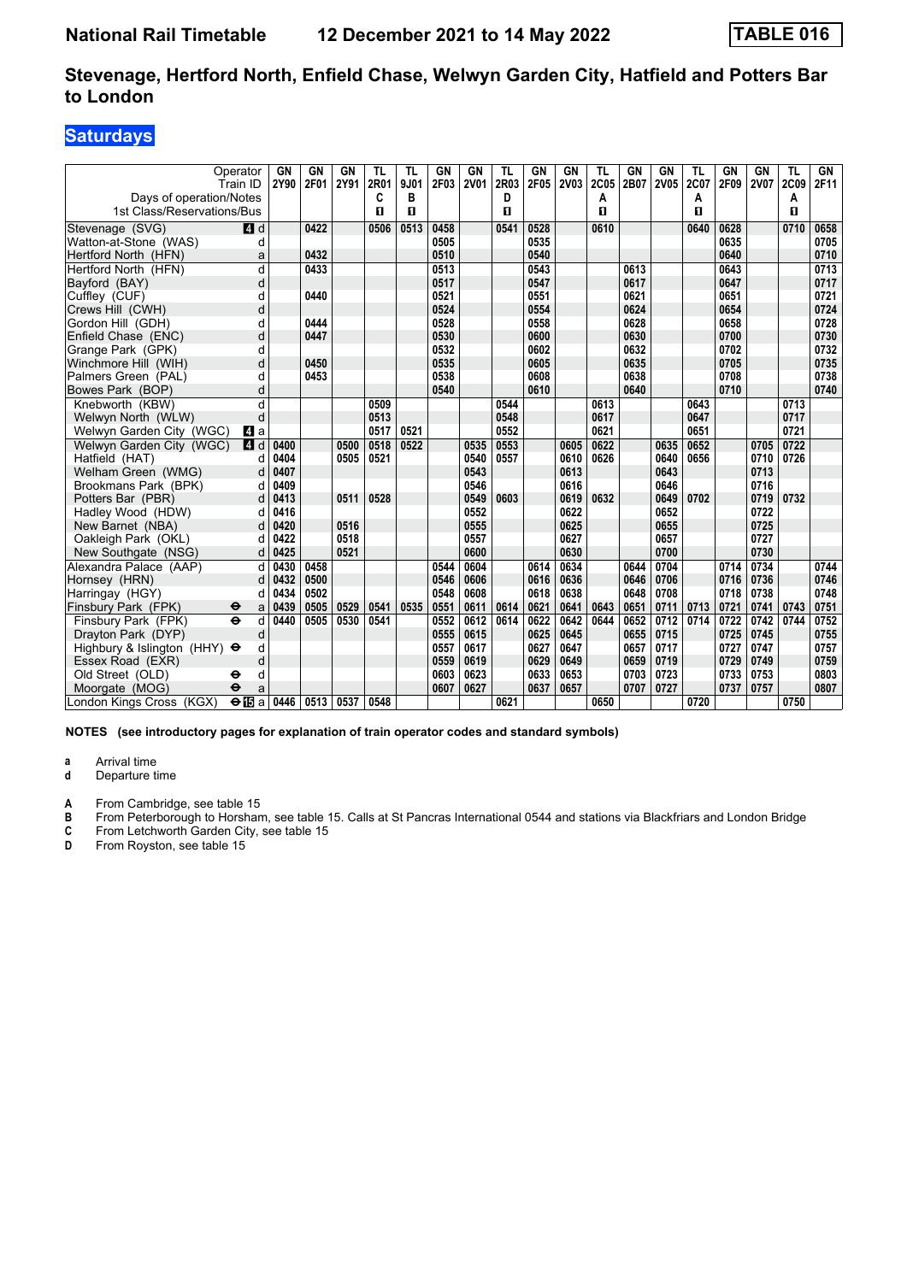### **Saturdays**

| Days of operation/Notes                     | Operator<br>Train ID | <b>GN</b><br>2Y90 | GN<br>2F01 | <b>GN</b><br>2Y91 | <b>TL</b><br>2R01<br>C | TL<br>9J01<br>в | GN<br>2F03 | <b>GN</b><br><b>2V01</b> | <b>TL</b><br>2R03<br>D | <b>GN</b><br>2F05 | GN<br>2V03 | <b>TL</b><br>2C05<br>A | <b>GN</b><br>2B07 | GN<br><b>2V05</b> | TL<br>2C07<br>Α | GN<br>2F09 | <b>GN</b><br><b>2V07</b> | TL<br><b>2C09</b><br>A | GN<br>2F11 |
|---------------------------------------------|----------------------|-------------------|------------|-------------------|------------------------|-----------------|------------|--------------------------|------------------------|-------------------|------------|------------------------|-------------------|-------------------|-----------------|------------|--------------------------|------------------------|------------|
| 1st Class/Reservations/Bus                  |                      |                   |            |                   | п                      | п               |            |                          | п                      |                   |            | п                      |                   |                   | $\mathbf{u}$    |            |                          | п                      |            |
| Stevenage (SVG)                             | 4 d                  |                   | 0422       |                   | 0506                   | 0513            | 0458       |                          | 0541                   | 0528              |            | 0610                   |                   |                   | 0640            | 0628       |                          | 0710                   | 0658       |
| Watton-at-Stone (WAS)                       | d                    |                   |            |                   |                        |                 | 0505       |                          |                        | 0535              |            |                        |                   |                   |                 | 0635       |                          |                        | 0705       |
| Hertford North (HFN)                        | a                    |                   | 0432       |                   |                        |                 | 0510       |                          |                        | 0540              |            |                        |                   |                   |                 | 0640       |                          |                        | 0710       |
| Hertford North (HFN)                        | d                    |                   | 0433       |                   |                        |                 | 0513       |                          |                        | 0543              |            |                        | 0613              |                   |                 | 0643       |                          |                        | 0713       |
| Bayford (BAY)                               | d                    |                   |            |                   |                        |                 | 0517       |                          |                        | 0547              |            |                        | 0617              |                   |                 | 0647       |                          |                        | 0717       |
| Cuffley (CUF)                               | d                    |                   | 0440       |                   |                        |                 | 0521       |                          |                        | 0551              |            |                        | 0621              |                   |                 | 0651       |                          |                        | 0721       |
| Crews Hill (CWH)                            | d                    |                   |            |                   |                        |                 | 0524       |                          |                        | 0554              |            |                        | 0624              |                   |                 | 0654       |                          |                        | 0724       |
| Gordon Hill (GDH)                           | d                    |                   | 0444       |                   |                        |                 | 0528       |                          |                        | 0558              |            |                        | 0628              |                   |                 | 0658       |                          |                        | 0728       |
| Enfield Chase (ENC)                         | d                    |                   | 0447       |                   |                        |                 | 0530       |                          |                        | 0600              |            |                        | 0630              |                   |                 | 0700       |                          |                        | 0730       |
| Grange Park (GPK)                           | d                    |                   |            |                   |                        |                 | 0532       |                          |                        | 0602              |            |                        | 0632              |                   |                 | 0702       |                          |                        | 0732       |
| Winchmore Hill (WIH)                        | d                    |                   | 0450       |                   |                        |                 | 0535       |                          |                        | 0605              |            |                        | 0635              |                   |                 | 0705       |                          |                        | 0735       |
| Palmers Green (PAL)                         | d                    |                   | 0453       |                   |                        |                 | 0538       |                          |                        | 0608              |            |                        | 0638              |                   |                 | 0708       |                          |                        | 0738       |
| Bowes Park (BOP)                            | d                    |                   |            |                   |                        |                 | 0540       |                          |                        | 0610              |            |                        | 0640              |                   |                 | 0710       |                          |                        | 0740       |
| Knebworth (KBW)                             | d                    |                   |            |                   | 0509                   |                 |            |                          | 0544                   |                   |            | 0613                   |                   |                   | 0643            |            |                          | 0713                   |            |
| Welwyn North (WLW)                          | d                    |                   |            |                   | 0513                   |                 |            |                          | 0548                   |                   |            | 0617                   |                   |                   | 0647            |            |                          | 0717                   |            |
| Welwyn Garden City (WGC)                    | L4l a                |                   |            |                   | 0517                   | 0521            |            |                          | 0552                   |                   |            | 0621                   |                   |                   | 0651            |            |                          | 0721                   |            |
| Welwyn Garden City (WGC)                    | 4 d                  | 0400              |            | 0500              | 0518                   | 0522            |            | 0535                     | 0553                   |                   | 0605       | 0622                   |                   | 0635              | 0652            |            | 0705                     | 0722                   |            |
| Hatfield (HAT)                              | d                    | 0404              |            | 0505              | 0521                   |                 |            | 0540                     | 0557                   |                   | 0610       | 0626                   |                   | 0640              | 0656            |            | 0710                     | 0726                   |            |
| Welham Green (WMG)                          | d                    | 0407              |            |                   |                        |                 |            | 0543                     |                        |                   | 0613       |                        |                   | 0643              |                 |            | 0713                     |                        |            |
| Brookmans Park (BPK)                        | d                    | 0409              |            |                   |                        |                 |            | 0546                     |                        |                   | 0616       |                        |                   | 0646              |                 |            | 0716                     |                        |            |
| Potters Bar (PBR)                           | d                    | 0413              |            | 0511              | 0528                   |                 |            | 0549                     | 0603                   |                   | 0619       | 0632                   |                   | 0649              | 0702            |            | 0719                     | 0732                   |            |
| Hadley Wood (HDW)                           | d                    | 0416              |            |                   |                        |                 |            | 0552                     |                        |                   | 0622       |                        |                   | 0652              |                 |            | 0722                     |                        |            |
| New Barnet (NBA)                            |                      | 0420              |            | 0516              |                        |                 |            | 0555                     |                        |                   | 0625       |                        |                   | 0655              |                 |            | 0725                     |                        |            |
| Oakleigh Park (OKL)                         | d                    | 0422              |            | 0518              |                        |                 |            | 0557                     |                        |                   | 0627       |                        |                   | 0657              |                 |            | 0727                     |                        |            |
| New Southgate (NSG)                         | d                    | 0425              |            | 0521              |                        |                 |            | 0600                     |                        |                   | 0630       |                        |                   | 0700              |                 |            | 0730                     |                        |            |
| Alexandra Palace (AAP)                      | d                    | 0430              | 0458       |                   |                        |                 | 0544       | 0604                     |                        | 0614              | 0634       |                        | 0644              | 0704              |                 | 0714       | 0734                     |                        | 0744       |
| Hornsey (HRN)                               | d                    | 0432              | 0500       |                   |                        |                 | 0546       | 0606                     |                        | 0616              | 0636       |                        | 0646              | 0706              |                 | 0716       | 0736                     |                        | 0746       |
| Harringay (HGY)                             | d                    | 0434              | 0502       |                   |                        |                 | 0548       | 0608                     |                        | 0618              | 0638       |                        | 0648              | 0708              |                 | 0718       | 0738                     |                        | 0748       |
| Finsbury Park (FPK)<br>$\ddot{\bm{\Theta}}$ | a                    | 0439              | 0505       | 0529              | 0541                   | 0535            | 0551       | 0611                     | 0614                   | 0621              | 0641       | 0643                   | 0651              | 0711              | 0713            | 0721       | 0741                     | 0743                   | 0751       |
| $\ddot{\mathbf{e}}$<br>Finsbury Park (FPK)  | d                    | 0440              | 0505       | 0530              | 0541                   |                 | 0552       | 0612                     | 0614                   | 0622              | 0642       | 0644                   | 0652              | 0712              | 0714            | 0722       | 0742                     | 0744                   | 0752       |
| Drayton Park (DYP)                          | d                    |                   |            |                   |                        |                 | 0555       | 0615                     |                        | 0625              | 0645       |                        | 0655              | 0715              |                 | 0725       | 0745                     |                        | 0755       |
| Highbury & Islington (HHY) $\Theta$         | d                    |                   |            |                   |                        |                 | 0557       | 0617                     |                        | 0627              | 0647       |                        | 0657              | 0717              |                 | 0727       | 0747                     |                        | 0757       |
| Essex Road (EXR)                            | d                    |                   |            |                   |                        |                 | 0559       | 0619                     |                        | 0629              | 0649       |                        | 0659              | 0719              |                 | 0729       | 0749                     |                        | 0759       |
| Old Street (OLD)<br>θ                       | d                    |                   |            |                   |                        |                 | 0603       | 0623                     |                        | 0633              | 0653       |                        | 0703              | 0723              |                 | 0733       | 0753                     |                        | 0803       |
| Moorgate (MOG)<br>$\ddot{\mathbf{e}}$       | a                    |                   |            |                   |                        |                 | 0607       | 0627                     |                        | 0637              | 0657       |                        | 0707              | 0727              |                 | 0737       | 0757                     |                        | 0807       |
| London Kings Cross (KGX)                    | $\Theta$ is a        | 0446              | 0513       | 0537              | 0548                   |                 |            |                          | 0621                   |                   |            | 0650                   |                   |                   | 0720            |            |                          | 0750                   |            |

**NOTES (see introductory pages for explanation of train operator codes and standard symbols)**

**a** Arrival time<br>**d** Departure t

**d** Departure time

**A** From Cambridge, see table 15<br> **B** From Peterborough to Horshan<br> **C** From Letchworth Garden City,<br> **D** From Rovston. see table 15 **B** From Peterborough to Horsham, see table 15. Calls at St Pancras International 0544 and stations via Blackfriars and London Bridge

**C** From Letchworth Garden City, see table 15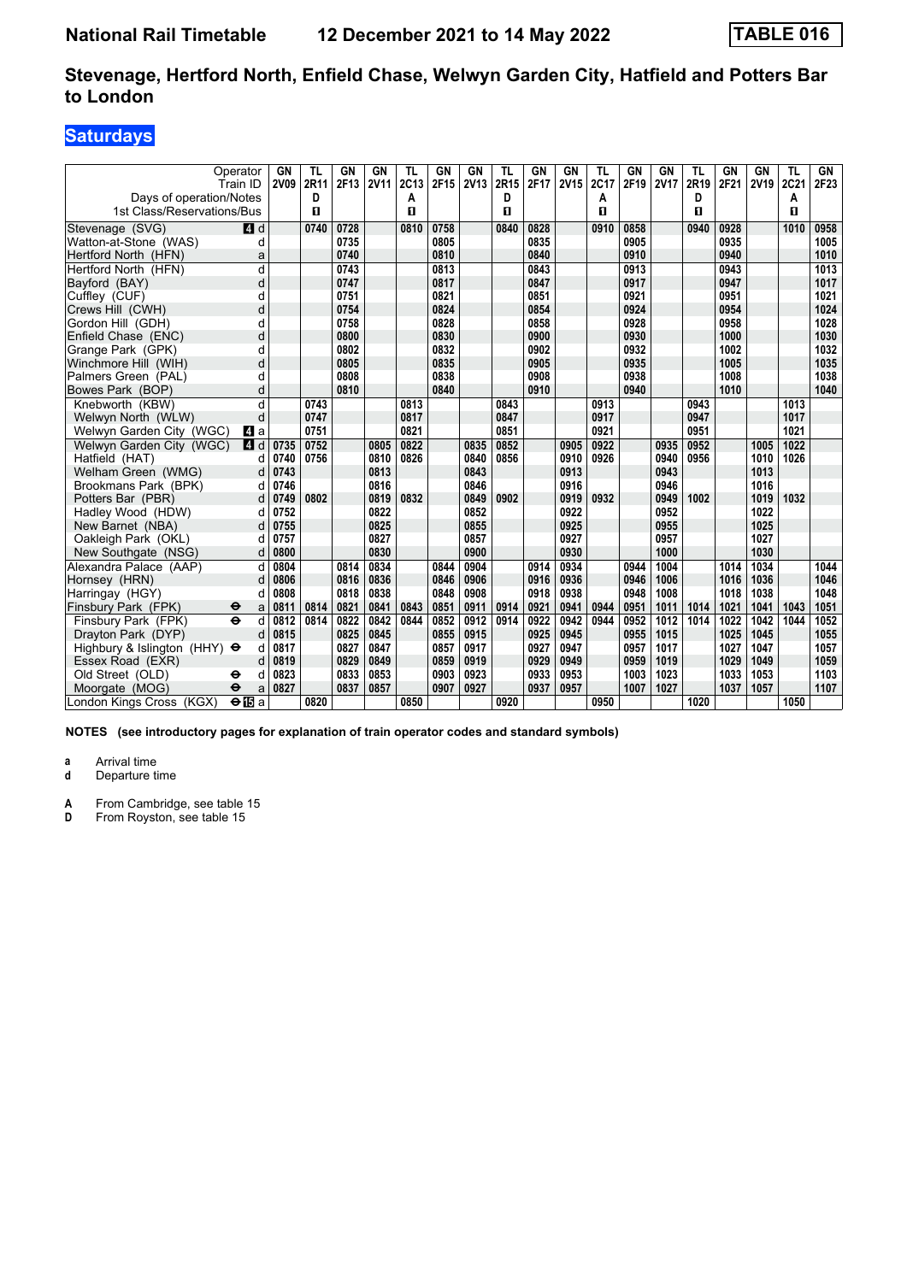# **Saturdays**

| Operator<br>Train ID                                 |       | GN<br><b>2V09</b> | TL<br>2R11 | GN<br>2F13 | GN<br><b>2V11</b> | TL<br>2C13 | GN<br>2F15 | GN<br><b>2V13</b> | TL<br>2R15 | GN<br>2F17 | GN<br><b>2V15</b> | TL<br>2C17 | <b>GN</b><br>2F19 | GN<br><b>2V17</b> | TL<br>2R19 | GN<br>2F21 | GN<br><b>2V19</b> | TL<br>2C21 | GN<br>2F23 |
|------------------------------------------------------|-------|-------------------|------------|------------|-------------------|------------|------------|-------------------|------------|------------|-------------------|------------|-------------------|-------------------|------------|------------|-------------------|------------|------------|
| Days of operation/Notes                              |       |                   | D          |            |                   | А          |            |                   | D          |            |                   | А          |                   |                   | D          |            |                   | Α          |            |
| 1st Class/Reservations/Bus                           |       |                   | п          |            |                   | п          |            |                   | п          |            |                   | п          |                   |                   | п          |            |                   | п          |            |
| Stevenage (SVG)                                      | $A$ d |                   | 0740       | 0728       |                   | 0810       | 0758       |                   | 0840       | 0828       |                   | 0910       | 0858              |                   | 0940       | 0928       |                   | 1010       | 0958       |
| Watton-at-Stone (WAS)                                | d     |                   |            | 0735       |                   |            | 0805       |                   |            | 0835       |                   |            | 0905              |                   |            | 0935       |                   |            | 1005       |
| Hertford North (HFN)                                 | a     |                   |            | 0740       |                   |            | 0810       |                   |            | 0840       |                   |            | 0910              |                   |            | 0940       |                   |            | 1010       |
| Hertford North (HFN)                                 | d     |                   |            | 0743       |                   |            | 0813       |                   |            | 0843       |                   |            | 0913              |                   |            | 0943       |                   |            | 1013       |
| Bayford (BAY)                                        | d     |                   |            | 0747       |                   |            | 0817       |                   |            | 0847       |                   |            | 0917              |                   |            | 0947       |                   |            | 1017       |
| Cufflev (CUF)                                        | d     |                   |            | 0751       |                   |            | 0821       |                   |            | 0851       |                   |            | 0921              |                   |            | 0951       |                   |            | 1021       |
| Crews Hill (CWH)                                     | d     |                   |            | 0754       |                   |            | 0824       |                   |            | 0854       |                   |            | 0924              |                   |            | 0954       |                   |            | 1024       |
| Gordon Hill (GDH)                                    | d     |                   |            | 0758       |                   |            | 0828       |                   |            | 0858       |                   |            | 0928              |                   |            | 0958       |                   |            | 1028       |
| Enfield Chase (ENC)                                  | d     |                   |            | 0800       |                   |            | 0830       |                   |            | 0900       |                   |            | 0930              |                   |            | 1000       |                   |            | 1030       |
| Grange Park (GPK)                                    | d     |                   |            | 0802       |                   |            | 0832       |                   |            | 0902       |                   |            | 0932              |                   |            | 1002       |                   |            | 1032       |
| Winchmore Hill (WIH)                                 | d     |                   |            | 0805       |                   |            | 0835       |                   |            | 0905       |                   |            | 0935              |                   |            | 1005       |                   |            | 1035       |
| Palmers Green (PAL)                                  | d     |                   |            | 0808       |                   |            | 0838       |                   |            | 0908       |                   |            | 0938              |                   |            | 1008       |                   |            | 1038       |
| Bowes Park (BOP)                                     | d     |                   |            | 0810       |                   |            | 0840       |                   |            | 0910       |                   |            | 0940              |                   |            | 1010       |                   |            | 1040       |
| Knebworth (KBW)                                      | d     |                   | 0743       |            |                   | 0813       |            |                   | 0843       |            |                   | 0913       |                   |                   | 0943       |            |                   | 1013       |            |
| Welwyn North (WLW)                                   | d     |                   | 0747       |            |                   | 0817       |            |                   | 0847       |            |                   | 0917       |                   |                   | 0947       |            |                   | 1017       |            |
| Welwyn Garden City (WGC)                             | L4 a  |                   | 0751       |            |                   | 0821       |            |                   | 0851       |            |                   | 0921       |                   |                   | 0951       |            |                   | 1021       |            |
| Welwyn Garden City (WGC)                             | 4 d   | 0735              | 0752       |            | 0805              | 0822       |            | 0835              | 0852       |            | 0905              | 0922       |                   | 0935              | 0952       |            | 1005              | 1022       |            |
| Hatfield (HAT)                                       | d     | 0740              | 0756       |            | 0810              | 0826       |            | 0840              | 0856       |            | 0910              | 0926       |                   | 0940              | 0956       |            | 1010              | 1026       |            |
| Welham Green (WMG)                                   | d     | 0743              |            |            | 0813              |            |            | 0843              |            |            | 0913              |            |                   | 0943              |            |            | 1013              |            |            |
| Brookmans Park (BPK)                                 | d     | 0746              |            |            | 0816              |            |            | 0846              |            |            | 0916              |            |                   | 0946              |            |            | 1016              |            |            |
| Potters Bar (PBR)                                    | d     | 0749              | 0802       |            | 0819              | 0832       |            | 0849              | 0902       |            | 0919              | 0932       |                   | 0949              | 1002       |            | 1019              | 1032       |            |
| Hadley Wood (HDW)                                    | d     | 0752              |            |            | 0822              |            |            | 0852              |            |            | 0922              |            |                   | 0952              |            |            | 1022              |            |            |
| New Barnet (NBA)                                     | d     | 0755              |            |            | 0825              |            |            | 0855              |            |            | 0925              |            |                   | 0955              |            |            | 1025              |            |            |
| Oakleigh Park (OKL)                                  | d     | 0757              |            |            | 0827              |            |            | 0857              |            |            | 0927              |            |                   | 0957              |            |            | 1027              |            |            |
| New Southgate (NSG)                                  | d     | 0800              |            |            | 0830              |            |            | 0900              |            |            | 0930              |            |                   | 1000              |            |            | 1030              |            |            |
| Alexandra Palace (AAP)                               | d     | 0804              |            | 0814       | 0834              |            | 0844       | 0904              |            | 0914       | 0934              |            | 0944              | 1004              |            | 1014       | 1034              |            | 1044       |
| Hornsey (HRN)                                        | d     | 0806              |            | 0816       | 0836              |            | 0846       | 0906              |            | 0916       | 0936              |            | 0946              | 1006              |            | 1016       | 1036              |            | 1046       |
| Harringay (HGY)                                      | d     | 0808              |            | 0818       | 0838              |            | 0848       | 0908              |            | 0918       | 0938              |            | 0948              | 1008              |            | 1018       | 1038              |            | 1048       |
| Finsbury Park (FPK)<br>⊖                             | a     | 0811              | 0814       | 0821       | 0841              | 0843       | 0851       | 0911              | 0914       | 0921       | 0941              | 0944       | 0951              | 1011              | 1014       | 1021       | 1041              | 1043       | 1051       |
| $\ddot{\mathbf{e}}$<br>Finsbury Park (FPK)           | d     | 0812              | 0814       | 0822       | 0842              | 0844       | 0852       | 0912              | 0914       | 0922       | 0942              | 0944       | 0952              | 1012              | 1014       | 1022       | 1042              | 1044       | 1052       |
| Dravton Park (DYP)                                   | d     | 0815              |            | 0825       | 0845              |            | 0855       | 0915              |            | 0925       | 0945              |            | 0955              | 1015              |            | 1025       | 1045              |            | 1055       |
| Highbury & Islington (HHY) $\Theta$                  | d     | 0817              |            | 0827       | 0847              |            | 0857       | 0917              |            | 0927       | 0947              |            | 0957              | 1017              |            | 1027       | 1047              |            | 1057       |
| Essex Road (EXR)                                     | d     | 0819              |            | 0829       | 0849              |            | 0859       | 0919              |            | 0929       | 0949              |            | 0959              | 1019              |            | 1029       | 1049              |            | 1059       |
| Old Street (OLD)<br>⊖                                | d     | 0823              |            | 0833       | 0853              |            | 0903       | 0923              |            | 0933       | 0953              |            | 1003              | 1023              |            | 1033       | 1053              |            | 1103       |
| $\ddot{\mathbf{e}}$<br>Moorgate (MOG)                | a     | 0827              |            | 0837       | 0857              |            | 0907       | 0927              |            | 0937       | 0957              |            | 1007              | 1027              |            | 1037       | 1057              |            | 1107       |
| $\overline{\Theta}$ is a<br>London Kings Cross (KGX) |       |                   | 0820       |            |                   | 0850       |            |                   | 0920       |            |                   | 0950       |                   |                   | 1020       |            |                   | 1050       |            |

**NOTES (see introductory pages for explanation of train operator codes and standard symbols)**

**a** Arrival time<br>**d** Departure t

**Departure time** 

**A** From Cambridge, see table 15<br>**D** From Rovston, see table 15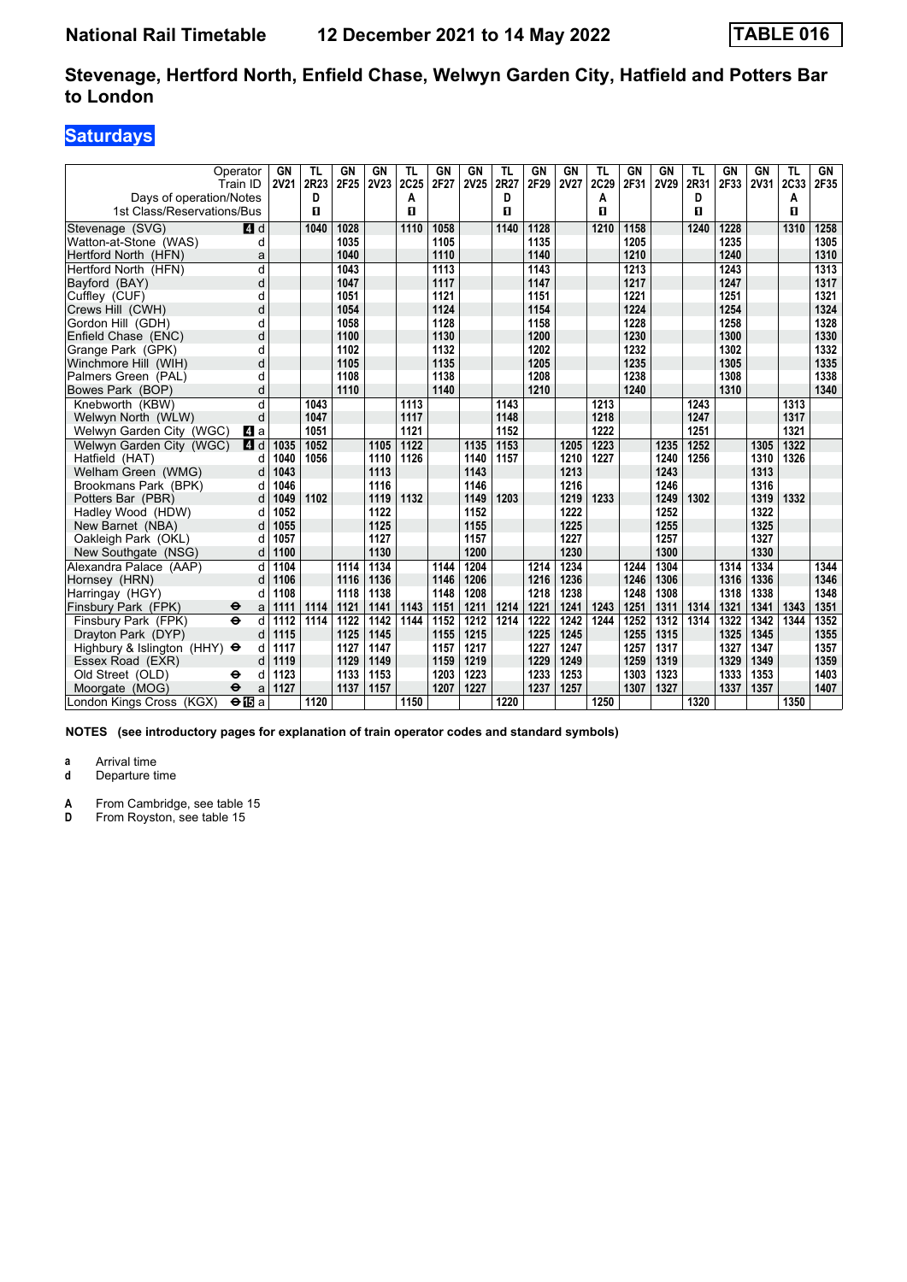# **Saturdays**

|                                     | Operator<br>Train ID     | GN<br><b>2V21</b> | TL<br>2R23 | GN<br>2F25 | GN<br><b>2V23</b> | TL<br>2C25 | GN<br>2F27 | GN<br>2V25 | TL<br>2R27 | <b>GN</b><br>2F29 | GN<br><b>2V27</b> | TL<br>2C29 | GN<br>2F31 | <b>GN</b><br>2V29 | TL<br>2R31 | GN<br>2F33 | GN<br><b>2V31</b> | TL<br>2C33   | GN<br>2F35 |
|-------------------------------------|--------------------------|-------------------|------------|------------|-------------------|------------|------------|------------|------------|-------------------|-------------------|------------|------------|-------------------|------------|------------|-------------------|--------------|------------|
| Days of operation/Notes             |                          |                   | D          |            |                   | А          |            |            | D          |                   |                   | A          |            |                   | D          |            |                   | Α            |            |
| 1st Class/Reservations/Bus          |                          |                   | п          |            |                   | п          |            |            | п          |                   |                   | п          |            |                   | п          |            |                   | $\mathbf{u}$ |            |
| Stevenage (SVG)                     | $\blacksquare$ d         |                   | 1040       | 1028       |                   | 1110       | 1058       |            | 1140       | 1128              |                   | 1210       | 1158       |                   | 1240       | 1228       |                   | 1310         | 1258       |
| Watton-at-Stone (WAS)               | d                        |                   |            | 1035       |                   |            | 1105       |            |            | 1135              |                   |            | 1205       |                   |            | 1235       |                   |              | 1305       |
| Hertford North (HFN)                | a                        |                   |            | 1040       |                   |            | 1110       |            |            | 1140              |                   |            | 1210       |                   |            | 1240       |                   |              | 1310       |
| Hertford North (HFN)                | d                        |                   |            | 1043       |                   |            | 1113       |            |            | 1143              |                   |            | 1213       |                   |            | 1243       |                   |              | 1313       |
| Bayford (BAY)                       | d                        |                   |            | 1047       |                   |            | 1117       |            |            | 1147              |                   |            | 1217       |                   |            | 1247       |                   |              | 1317       |
| Cuffley (CUF)                       | d                        |                   |            | 1051       |                   |            | 1121       |            |            | 1151              |                   |            | 1221       |                   |            | 1251       |                   |              | 1321       |
| Crews Hill (CWH)                    | d                        |                   |            | 1054       |                   |            | 1124       |            |            | 1154              |                   |            | 1224       |                   |            | 1254       |                   |              | 1324       |
| Gordon Hill (GDH)                   | d                        |                   |            | 1058       |                   |            | 1128       |            |            | 1158              |                   |            | 1228       |                   |            | 1258       |                   |              | 1328       |
| Enfield Chase (ENC)                 | d                        |                   |            | 1100       |                   |            | 1130       |            |            | 1200              |                   |            | 1230       |                   |            | 1300       |                   |              | 1330       |
| Grange Park (GPK)                   | d                        |                   |            | 1102       |                   |            | 1132       |            |            | 1202              |                   |            | 1232       |                   |            | 1302       |                   |              | 1332       |
| Winchmore Hill (WIH)                | d                        |                   |            | 1105       |                   |            | 1135       |            |            | 1205              |                   |            | 1235       |                   |            | 1305       |                   |              | 1335       |
| Palmers Green (PAL)                 | d                        |                   |            | 1108       |                   |            | 1138       |            |            | 1208              |                   |            | 1238       |                   |            | 1308       |                   |              | 1338       |
| Bowes Park (BOP)                    | d                        |                   |            | 1110       |                   |            | 1140       |            |            | 1210              |                   |            | 1240       |                   |            | 1310       |                   |              | 1340       |
| Knebworth (KBW)                     | d                        |                   | 1043       |            |                   | 1113       |            |            | 1143       |                   |                   | 1213       |            |                   | 1243       |            |                   | 1313         |            |
| Welwyn North (WLW)                  | d                        |                   | 1047       |            |                   | 1117       |            |            | 1148       |                   |                   | 1218       |            |                   | 1247       |            |                   | 1317         |            |
| Welwyn Garden City (WGC)            | <b>4</b> a               |                   | 1051       |            |                   | 1121       |            |            | 1152       |                   |                   | 1222       |            |                   | 1251       |            |                   | 1321         |            |
| Welwyn Garden City (WGC)            | <b>4</b> d               | 1035              | 1052       |            | 1105              | 1122       |            | 1135       | 1153       |                   | 1205              | 1223       |            | 1235              | 1252       |            | 1305              | 1322         |            |
| Hatfield (HAT)                      | d                        | 1040              | 1056       |            | 1110              | 1126       |            | 1140       | 1157       |                   | 1210              | 1227       |            | 1240              | 1256       |            | 1310              | 1326         |            |
| Welham Green (WMG)                  | d                        | 1043              |            |            | 1113              |            |            | 1143       |            |                   | 1213              |            |            | 1243              |            |            | 1313              |              |            |
| Brookmans Park (BPK)                | d                        | 1046              |            |            | 1116              |            |            | 1146       |            |                   | 1216              |            |            | 1246              |            |            | 1316              |              |            |
| Potters Bar (PBR)                   | d                        | 1049              | 1102       |            | 1119              | 1132       |            | 1149       | 1203       |                   | 1219              | 1233       |            | 1249              | 1302       |            | 1319              | 1332         |            |
| Hadley Wood (HDW)                   | d                        | 1052              |            |            | 1122              |            |            | 1152       |            |                   | 1222              |            |            | 1252              |            |            | 1322              |              |            |
| New Barnet (NBA)                    | d                        | 1055              |            |            | 1125              |            |            | 1155       |            |                   | 1225              |            |            | 1255              |            |            | 1325              |              |            |
| Oakleigh Park (OKL)                 | d                        | 1057              |            |            | 1127              |            |            | 1157       |            |                   | 1227              |            |            | 1257              |            |            | 1327              |              |            |
| New Southgate (NSG)                 | d                        | 1100              |            |            | 1130              |            |            | 1200       |            |                   | 1230              |            |            | 1300              |            |            | 1330              |              |            |
| Alexandra Palace (AAP)              | d                        | 1104              |            | 1114       | 1134              |            | 1144       | 1204       |            | 1214              | 1234              |            | 1244       | 1304              |            | 1314       | 1334              |              | 1344       |
| Hornsey (HRN)                       | d                        | 1106              |            | 1116       | 1136              |            | 1146       | 1206       |            | 1216              | 1236              |            | 1246       | 1306              |            | 1316       | 1336              |              | 1346       |
| Harringay (HGY)                     | d                        | 1108              |            | 1118       | 1138              |            | 1148       | 1208       |            | 1218              | 1238              |            | 1248       | 1308              |            | 1318       | 1338              |              | 1348       |
| Finsbury Park (FPK)                 | $\bullet$<br>a           | 1111              | 1114       | 1121       | 1141              | 1143       | 1151       | 1211       | 1214       | 1221              | 1241              | 1243       | 1251       | 1311              | 1314       | 1321       | 1341              | 1343         | 1351       |
| Finsbury Park (FPK)                 | $\ddot{\mathbf{e}}$<br>d | 1112              | 1114       | 1122       | 1142              | 1144       | 1152       | 1212       | 1214       | 1222              | 1242              | 1244       | 1252       | 1312              | 1314       | 1322       | 1342              | 1344         | 1352       |
| Dravton Park (DYP)                  | d                        | 1115              |            | 1125       | 1145              |            | 1155       | 1215       |            | 1225              | 1245              |            | 1255       | 1315              |            | 1325       | 1345              |              | 1355       |
| Highbury & Islington (HHY) $\Theta$ | d                        | 1117              |            | 1127       | 1147              |            | 1157       | 1217       |            | 1227              | 1247              |            | 1257       | 1317              |            | 1327       | 1347              |              | 1357       |
| Essex Road (EXR)                    | d                        | 1119              |            | 1129       | 1149              |            | 1159       | 1219       |            | 1229              | 1249              |            | 1259       | 1319              |            | 1329       | 1349              |              | 1359       |
| Old Street (OLD)                    | ⊖<br>d                   | 1123              |            | 1133       | 1153              |            | 1203       | 1223       |            | 1233              | 1253              |            | 1303       | 1323              |            | 1333       | 1353              |              | 1403       |
| Moorgate (MOG)                      | $\ddot{\mathbf{e}}$<br>a | 1127              |            | 1137       | 1157              |            | 1207       | 1227       |            | 1237              | 1257              |            | 1307       | 1327              |            | 1337       | 1357              |              | 1407       |
| London Kings Cross (KGX)            | $\Theta$ is a            |                   | 1120       |            |                   | 1150       |            |            | 1220       |                   |                   | 1250       |            |                   | 1320       |            |                   | 1350         |            |

**NOTES (see introductory pages for explanation of train operator codes and standard symbols)**

**a** Arrival time<br>**d** Departure t

**Departure time** 

**A** From Cambridge, see table 15<br>**D** From Rovston, see table 15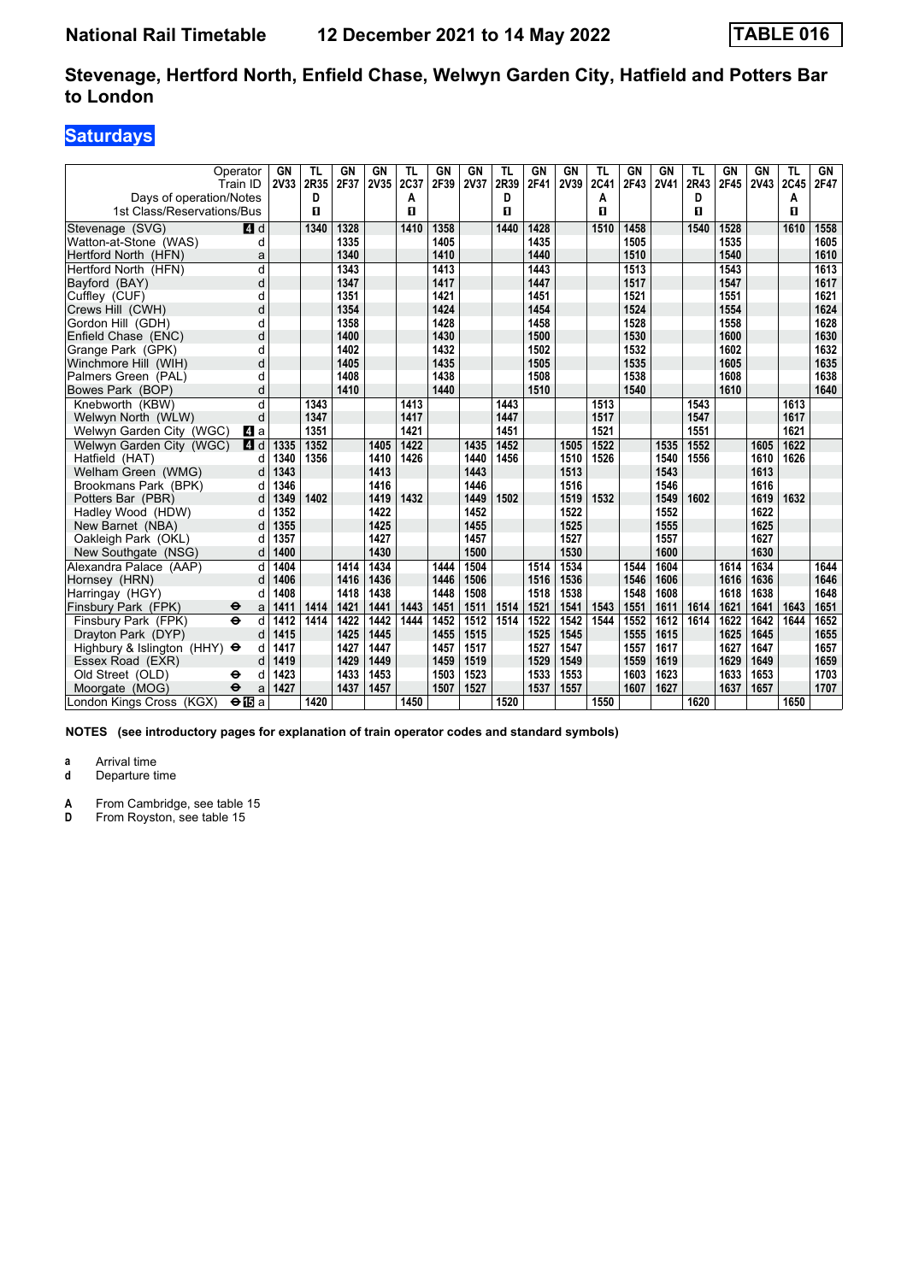# **Saturdays**

| Operator<br>Train ID<br>Days of operation/Notes |               | GN<br>2V33 | <b>TL</b><br>2R35<br>D | GN<br>2F37 | <b>GN</b><br>2V35 | TL<br>2C37<br>А | <b>GN</b><br>2F39 | <b>GN</b><br><b>2V37</b> | <b>TL</b><br>2R39<br>D | <b>GN</b><br>2F41 | <b>GN</b><br>2V39 | <b>TL</b><br>2C41<br>A | GN<br>2F43 | <b>GN</b><br><b>2V41</b> | TL<br>2R43<br>D | GN<br>2F45 | GN<br><b>2V43</b> | TL<br>2C45<br>Α | GN<br>2F47 |
|-------------------------------------------------|---------------|------------|------------------------|------------|-------------------|-----------------|-------------------|--------------------------|------------------------|-------------------|-------------------|------------------------|------------|--------------------------|-----------------|------------|-------------------|-----------------|------------|
| 1st Class/Reservations/Bus                      |               |            | п                      |            |                   | п               |                   |                          | п                      |                   |                   | п                      |            |                          | п               |            |                   | п               |            |
| Stevenage (SVG)                                 | 4d            |            | 1340                   | 1328       |                   | 1410            | 1358              |                          | 1440                   | 1428              |                   | 1510                   | 1458       |                          | 1540            | 1528       |                   | 1610            | 1558       |
| Watton-at-Stone (WAS)                           | d             |            |                        | 1335       |                   |                 | 1405              |                          |                        | 1435              |                   |                        | 1505       |                          |                 | 1535       |                   |                 | 1605       |
| Hertford North (HFN)                            | a             |            |                        | 1340       |                   |                 | 1410              |                          |                        | 1440              |                   |                        | 1510       |                          |                 | 1540       |                   |                 | 1610       |
| Hertford North (HFN)                            | d             |            |                        | 1343       |                   |                 | 1413              |                          |                        | 1443              |                   |                        | 1513       |                          |                 | 1543       |                   |                 | 1613       |
| Bayford (BAY)                                   | d             |            |                        | 1347       |                   |                 | 1417              |                          |                        | 1447              |                   |                        | 1517       |                          |                 | 1547       |                   |                 | 1617       |
| Cuffley (CUF)                                   | d             |            |                        | 1351       |                   |                 | 1421              |                          |                        | 1451              |                   |                        | 1521       |                          |                 | 1551       |                   |                 | 1621       |
| Crews Hill (CWH)                                | d             |            |                        | 1354       |                   |                 | 1424              |                          |                        | 1454              |                   |                        | 1524       |                          |                 | 1554       |                   |                 | 1624       |
| Gordon Hill (GDH)                               | d             |            |                        | 1358       |                   |                 | 1428              |                          |                        | 1458              |                   |                        | 1528       |                          |                 | 1558       |                   |                 | 1628       |
| Enfield Chase (ENC)                             | d             |            |                        | 1400       |                   |                 | 1430              |                          |                        | 1500              |                   |                        | 1530       |                          |                 | 1600       |                   |                 | 1630       |
| Grange Park (GPK)                               | d             |            |                        | 1402       |                   |                 | 1432              |                          |                        | 1502              |                   |                        | 1532       |                          |                 | 1602       |                   |                 | 1632       |
| Winchmore Hill (WIH)                            | d             |            |                        | 1405       |                   |                 | 1435              |                          |                        | 1505              |                   |                        | 1535       |                          |                 | 1605       |                   |                 | 1635       |
| Palmers Green (PAL)                             | d             |            |                        | 1408       |                   |                 | 1438              |                          |                        | 1508              |                   |                        | 1538       |                          |                 | 1608       |                   |                 | 1638       |
| Bowes Park (BOP)                                | d             |            |                        | 1410       |                   |                 | 1440              |                          |                        | 1510              |                   |                        | 1540       |                          |                 | 1610       |                   |                 | 1640       |
| Knebworth (KBW)                                 | d             |            | 1343                   |            |                   | 1413            |                   |                          | 1443                   |                   |                   | 1513                   |            |                          | 1543            |            |                   | 1613            |            |
| Welwyn North (WLW)                              | d             |            | 1347                   |            |                   | 1417            |                   |                          | 1447                   |                   |                   | 1517                   |            |                          | 1547            |            |                   | 1617            |            |
| Welwyn Garden City (WGC)                        | <b>4</b> a    |            | 1351                   |            |                   | 1421            |                   |                          | 1451                   |                   |                   | 1521                   |            |                          | 1551            |            |                   | 1621            |            |
| Welwyn Garden City (WGC)                        | <b>4</b> d    | 1335       | 1352                   |            | 1405              | 1422            |                   | 1435                     | 1452                   |                   | 1505              | 1522                   |            | 1535                     | 1552            |            | 1605              | 1622            |            |
| Hatfield (HAT)                                  | d             | 1340       | 1356                   |            | 1410              | 1426            |                   | 1440                     | 1456                   |                   | 1510              | 1526                   |            | 1540                     | 1556            |            | 1610              | 1626            |            |
| Welham Green (WMG)                              | d             | 1343       |                        |            | 1413              |                 |                   | 1443                     |                        |                   | 1513              |                        |            | 1543                     |                 |            | 1613              |                 |            |
| Brookmans Park (BPK)                            | d             | 1346       |                        |            | 1416              |                 |                   | 1446                     |                        |                   | 1516              |                        |            | 1546                     |                 |            | 1616              |                 |            |
| Potters Bar (PBR)                               | d             | 1349       | 1402                   |            | 1419              | 1432            |                   | 1449                     | 1502                   |                   | 1519              | 1532                   |            | 1549                     | 1602            |            | 1619              | 1632            |            |
| Hadley Wood (HDW)                               | d             | 1352       |                        |            | 1422              |                 |                   | 1452                     |                        |                   | 1522              |                        |            | 1552                     |                 |            | 1622              |                 |            |
| New Barnet (NBA)                                |               | 1355       |                        |            | 1425              |                 |                   | 1455                     |                        |                   | 1525              |                        |            | 1555                     |                 |            | 1625              |                 |            |
| Oakleigh Park (OKL)                             | d             | 1357       |                        |            | 1427              |                 |                   | 1457                     |                        |                   | 1527              |                        |            | 1557                     |                 |            | 1627              |                 |            |
| New Southgate (NSG)                             | d             | 1400       |                        |            | 1430              |                 |                   | 1500                     |                        |                   | 1530              |                        |            | 1600                     |                 |            | 1630              |                 |            |
| Alexandra Palace (AAP)                          | d             | 1404       |                        | 1414       | 1434              |                 | 1444              | 1504                     |                        | 1514              | 1534              |                        | 1544       | 1604                     |                 | 1614       | 1634              |                 | 1644       |
| Hornsey (HRN)                                   |               | 1406       |                        | 1416       | 1436              |                 | 1446              | 1506                     |                        | 1516              | 1536              |                        | 1546       | 1606                     |                 | 1616       | 1636              |                 | 1646       |
| Harringay (HGY)                                 |               | 1408       |                        | 1418       | 1438              |                 | 1448              | 1508                     |                        | 1518              | 1538              |                        | 1548       | 1608                     |                 | 1618       | 1638              |                 | 1648       |
| Finsbury Park (FPK)<br>$\bullet$                | a             | 1411       | 1414                   | 1421       | 1441              | 1443            | 1451              | 1511                     | 1514                   | 1521              | 1541              | 1543                   | 1551       | 1611                     | 1614            | 1621       | 1641              | 1643            | 1651       |
| $\ddot{\mathbf{e}}$<br>Finsbury Park (FPK)      | d             | 1412       | 1414                   | 1422       | 1442              | 1444            | 1452              | 1512                     | 1514                   | 1522              | 1542              | 1544                   | 1552       | 1612                     | 1614            | 1622       | 1642              | 1644            | 1652       |
| Drayton Park (DYP)                              |               | 1415       |                        | 1425       | 1445              |                 | 1455              | 1515                     |                        | 1525              | 1545              |                        | 1555       | 1615                     |                 | 1625       | 1645              |                 | 1655       |
| Highbury & Islington (HHY) $\Theta$             | d             | 1417       |                        | 1427       | 1447              |                 | 1457              | 1517                     |                        | 1527              | 1547              |                        | 1557       | 1617                     |                 | 1627       | 1647              |                 | 1657       |
| Essex Road (EXR)                                | d             | 1419       |                        | 1429       | 1449              |                 | 1459              | 1519                     |                        | 1529              | 1549              |                        | 1559       | 1619                     |                 | 1629       | 1649              |                 | 1659       |
| Old Street (OLD)<br>⊖                           | d             | 1423       |                        | 1433       | 1453              |                 | 1503              | 1523                     |                        | 1533              | 1553              |                        | 1603       | 1623                     |                 | 1633       | 1653              |                 | 1703       |
| $\ddot{\mathbf{e}}$<br>Moorgate (MOG)           | a             | 1427       |                        | 1437       | 1457              |                 | 1507              | 1527                     |                        | 1537              | 1557              |                        | 1607       | 1627                     |                 | 1637       | 1657              |                 | 1707       |
| London Kings Cross (KGX)                        | $\Theta$ is a |            | 1420                   |            |                   | 1450            |                   |                          | 1520                   |                   |                   | 1550                   |            |                          | 1620            |            |                   | 1650            |            |

**NOTES (see introductory pages for explanation of train operator codes and standard symbols)**

**a** Arrival time<br>**d** Departure t

**Departure time** 

**A** From Cambridge, see table 15<br>**D** From Rovston, see table 15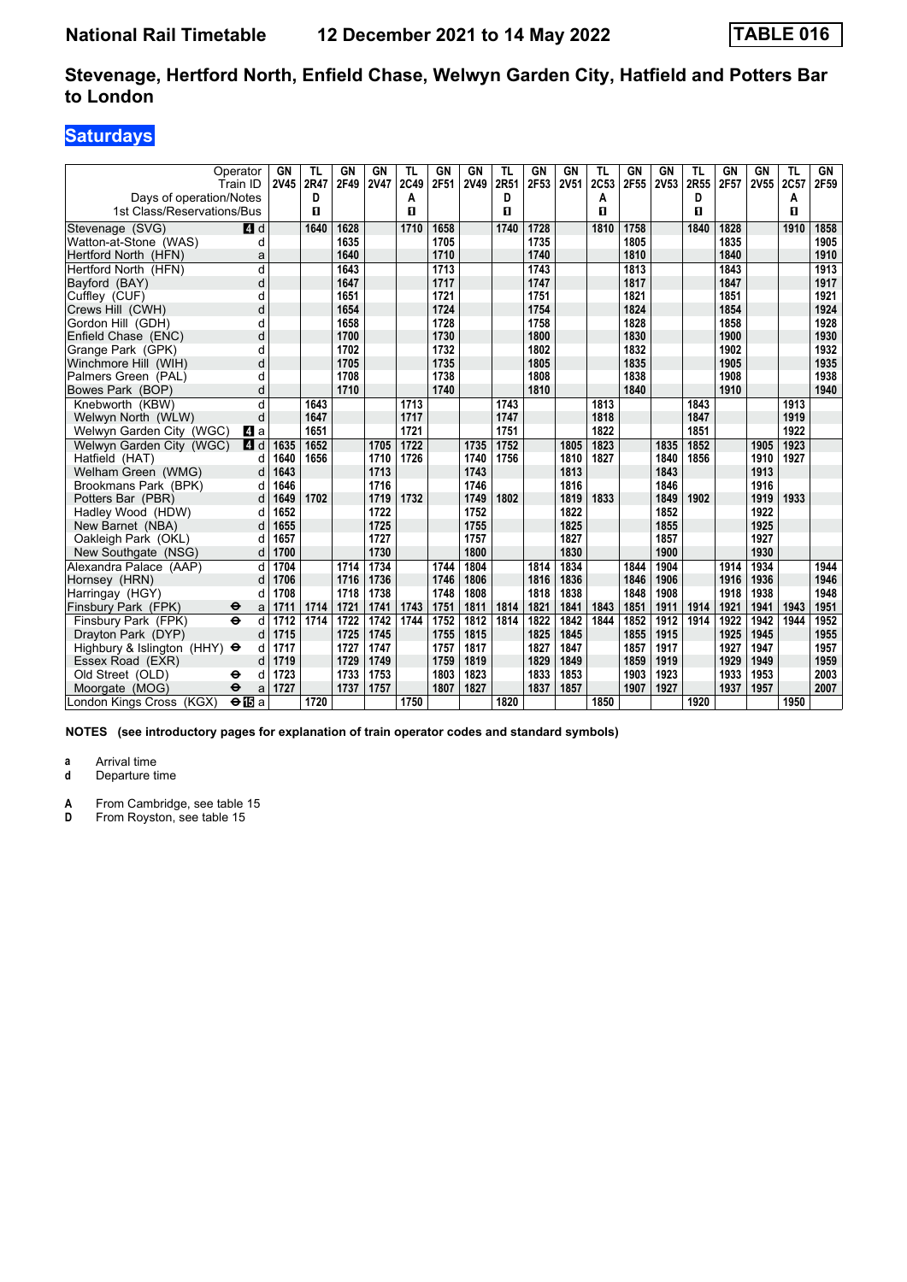# **Saturdays**

|                                     | Operator<br>Train ID     | GN<br><b>2V45</b> | TL<br>2R47 | GN<br>2F49 | <b>GN</b><br><b>2V47</b> | TL<br>2C49 | GN<br>2F51 | GN<br><b>2V49</b> | TL<br>2R51 | GN<br>2F53 | GN<br><b>2V51</b> | TL<br>2C53 | <b>GN</b><br>2F55 | GN<br>2V53 | TL<br>2R55 | GN<br>2F57 | GN<br>2V55 | TL<br>2C57 | GN<br>2F59 |
|-------------------------------------|--------------------------|-------------------|------------|------------|--------------------------|------------|------------|-------------------|------------|------------|-------------------|------------|-------------------|------------|------------|------------|------------|------------|------------|
| Days of operation/Notes             |                          |                   | D          |            |                          | Α          |            |                   | D          |            |                   | Α          |                   |            | D          |            |            | A          |            |
| 1st Class/Reservations/Bus          |                          |                   | п          |            |                          | п          |            |                   | п          |            |                   | п          |                   |            | п          |            |            | п          |            |
| Stevenage (SVG)                     | $A$ d                    |                   | 1640       | 1628       |                          | 1710       | 1658       |                   | 1740       | 1728       |                   | 1810       | 1758              |            | 1840       | 1828       |            | 1910       | 1858       |
| Watton-at-Stone (WAS)               | d                        |                   |            | 1635       |                          |            | 1705       |                   |            | 1735       |                   |            | 1805              |            |            | 1835       |            |            | 1905       |
| Hertford North (HFN)                | a                        |                   |            | 1640       |                          |            | 1710       |                   |            | 1740       |                   |            | 1810              |            |            | 1840       |            |            | 1910       |
| Hertford North (HFN)                | d                        |                   |            | 1643       |                          |            | 1713       |                   |            | 1743       |                   |            | 1813              |            |            | 1843       |            |            | 1913       |
| Bayford (BAY)                       | d                        |                   |            | 1647       |                          |            | 1717       |                   |            | 1747       |                   |            | 1817              |            |            | 1847       |            |            | 1917       |
| Cuffley (CUF)                       | d                        |                   |            | 1651       |                          |            | 1721       |                   |            | 1751       |                   |            | 1821              |            |            | 1851       |            |            | 1921       |
| Crews Hill (CWH)                    | d                        |                   |            | 1654       |                          |            | 1724       |                   |            | 1754       |                   |            | 1824              |            |            | 1854       |            |            | 1924       |
| Gordon Hill (GDH)                   | d                        |                   |            | 1658       |                          |            | 1728       |                   |            | 1758       |                   |            | 1828              |            |            | 1858       |            |            | 1928       |
| Enfield Chase (ENC)                 | d                        |                   |            | 1700       |                          |            | 1730       |                   |            | 1800       |                   |            | 1830              |            |            | 1900       |            |            | 1930       |
| Grange Park (GPK)                   | d                        |                   |            | 1702       |                          |            | 1732       |                   |            | 1802       |                   |            | 1832              |            |            | 1902       |            |            | 1932       |
| Winchmore Hill (WIH)                | d                        |                   |            | 1705       |                          |            | 1735       |                   |            | 1805       |                   |            | 1835              |            |            | 1905       |            |            | 1935       |
| Palmers Green (PAL)                 | d                        |                   |            | 1708       |                          |            | 1738       |                   |            | 1808       |                   |            | 1838              |            |            | 1908       |            |            | 1938       |
| Bowes Park (BOP)                    | d                        |                   |            | 1710       |                          |            | 1740       |                   |            | 1810       |                   |            | 1840              |            |            | 1910       |            |            | 1940       |
| Knebworth (KBW)                     | d                        |                   | 1643       |            |                          | 1713       |            |                   | 1743       |            |                   | 1813       |                   |            | 1843       |            |            | 1913       |            |
| Welwyn North (WLW)                  | d                        |                   | 1647       |            |                          | 1717       |            |                   | 1747       |            |                   | 1818       |                   |            | 1847       |            |            | 1919       |            |
| Welwyn Garden City (WGC)            | L4 a                     |                   | 1651       |            |                          | 1721       |            |                   | 1751       |            |                   | 1822       |                   |            | 1851       |            |            | 1922       |            |
| Welwyn Garden City (WGC)            | 4 d                      | 1635              | 1652       |            | 1705                     | 1722       |            | 1735              | 1752       |            | 1805              | 1823       |                   | 1835       | 1852       |            | 1905       | 1923       |            |
| Hatfield (HAT)                      | d                        | 1640              | 1656       |            | 1710                     | 1726       |            | 1740              | 1756       |            | 1810              | 1827       |                   | 1840       | 1856       |            | 1910       | 1927       |            |
| Welham Green (WMG)                  | d                        | 1643              |            |            | 1713                     |            |            | 1743              |            |            | 1813              |            |                   | 1843       |            |            | 1913       |            |            |
| Brookmans Park (BPK)                | d                        | 1646              |            |            | 1716                     |            |            | 1746              |            |            | 1816              |            |                   | 1846       |            |            | 1916       |            |            |
| Potters Bar (PBR)                   | d                        | 1649              | 1702       |            | 1719                     | 1732       |            | 1749              | 1802       |            | 1819              | 1833       |                   | 1849       | 1902       |            | 1919       | 1933       |            |
| Hadley Wood (HDW)                   | d                        | 1652              |            |            | 1722                     |            |            | 1752              |            |            | 1822              |            |                   | 1852       |            |            | 1922       |            |            |
| New Barnet (NBA)                    | d                        | 1655              |            |            | 1725                     |            |            | 1755              |            |            | 1825              |            |                   | 1855       |            |            | 1925       |            |            |
| Oakleigh Park (OKL)                 | d                        | 1657              |            |            | 1727                     |            |            | 1757              |            |            | 1827              |            |                   | 1857       |            |            | 1927       |            |            |
| New Southgate (NSG)                 | d                        | 1700              |            |            | 1730                     |            |            | 1800              |            |            | 1830              |            |                   | 1900       |            |            | 1930       |            |            |
| Alexandra Palace (AAP)              | d                        | 1704              |            | 1714       | 1734                     |            | 1744       | 1804              |            | 1814       | 1834              |            | $18\overline{44}$ | 1904       |            | 1914       | 1934       |            | 1944       |
| Hornsey (HRN)                       | d                        | 1706              |            | 1716       | 1736                     |            | 1746       | 1806              |            | 1816       | 1836              |            | 1846              | 1906       |            | 1916       | 1936       |            | 1946       |
| Harringay (HGY)                     | d                        | 1708              |            | 1718       | 1738                     |            | 1748       | 1808              |            | 1818       | 1838              |            | 1848              | 1908       |            | 1918       | 1938       |            | 1948       |
| Finsbury Park (FPK)                 | $\ddot{\mathbf{e}}$<br>a | 1711              | 1714       | 1721       | 1741                     | 1743       | 1751       | 1811              | 1814       | 1821       | 1841              | 1843       | 1851              | 1911       | 1914       | 1921       | 1941       | 1943       | 1951       |
| Finsbury Park (FPK)                 | $\ddot{\mathbf{e}}$<br>d | 1712              | 1714       | 1722       | 1742                     | 1744       | 1752       | 1812              | 1814       | 1822       | 1842              | 1844       | 1852              | 1912       | 1914       | 1922       | 1942       | 1944       | 1952       |
| Dravton Park (DYP)                  | d                        | 1715              |            | 1725       | 1745                     |            | 1755       | 1815              |            | 1825       | 1845              |            | 1855              | 1915       |            | 1925       | 1945       |            | 1955       |
| Highbury & Islington (HHY) $\Theta$ | d                        | 1717              |            | 1727       | 1747                     |            | 1757       | 1817              |            | 1827       | 1847              |            | 1857              | 1917       |            | 1927       | 1947       |            | 1957       |
| Essex Road (EXR)                    | d                        | 1719              |            | 1729       | 1749                     |            | 1759       | 1819              |            | 1829       | 1849              |            | 1859              | 1919       |            | 1929       | 1949       |            | 1959       |
| Old Street (OLD)                    | ⊖<br>d                   | 1723              |            | 1733       | 1753                     |            | 1803       | 1823              |            | 1833       | 1853              |            | 1903              | 1923       |            | 1933       | 1953       |            | 2003       |
| Moorgate (MOG)                      | $\ddot{\mathbf{e}}$<br>a | 1727              |            | 1737       | 1757                     |            | 1807       | 1827              |            | 1837       | 1857              |            | 1907              | 1927       |            | 1937       | 1957       |            | 2007       |
| London Kings Cross (KGX)            | $\Theta$ IBa             |                   | 1720       |            |                          | 1750       |            |                   | 1820       |            |                   | 1850       |                   |            | 1920       |            |            | 1950       |            |

**NOTES (see introductory pages for explanation of train operator codes and standard symbols)**

**a** Arrival time<br>**d** Departure t

**d** Departure time

**A** From Cambridge, see table 15<br>**D** From Rovston, see table 15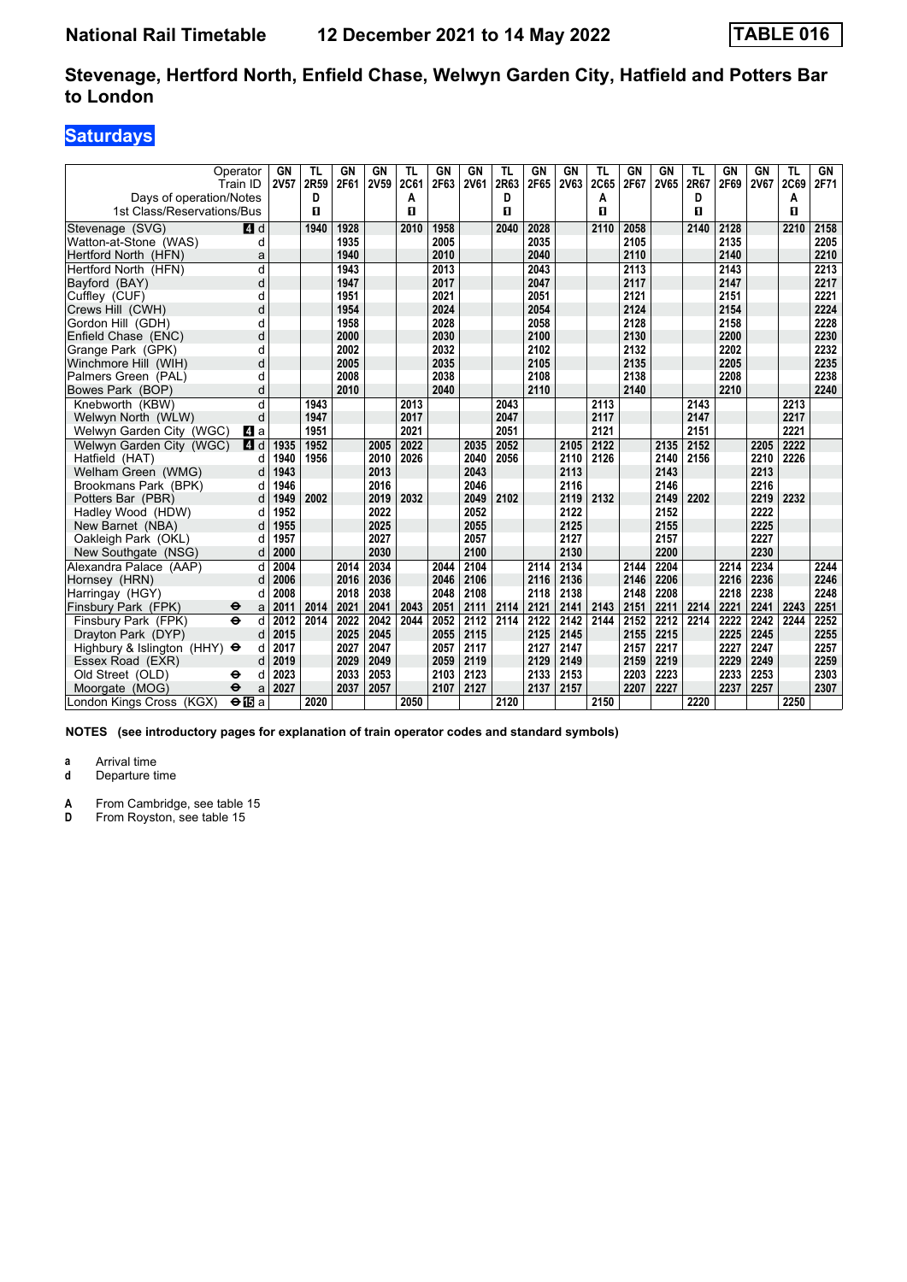# **Saturdays**

|                                     | Operator<br>Train ID     | GN<br>2V57 | TL<br>2R59 | GN<br>2F61 | GN<br><b>2V59</b> | TL<br>2C61 | GN<br>2F63 | GN<br><b>2V61</b> | TL<br>2R63 | <b>GN</b><br>2F65 | GN<br>2V63 | TL<br>2C65 | GN<br>2F67 | <b>GN</b><br>2V65 | TL<br>2R67 | GN<br>2F69 | GN<br><b>2V67</b> | TL<br>2C69   | GN<br>2F71 |
|-------------------------------------|--------------------------|------------|------------|------------|-------------------|------------|------------|-------------------|------------|-------------------|------------|------------|------------|-------------------|------------|------------|-------------------|--------------|------------|
| Days of operation/Notes             |                          |            | D          |            |                   | А          |            |                   | D          |                   |            | A          |            |                   | D          |            |                   | Α            |            |
| 1st Class/Reservations/Bus          |                          |            | п          |            |                   | п          |            |                   | п          |                   |            | п          |            |                   | п          |            |                   | $\mathbf{u}$ |            |
| Stevenage (SVG)                     | $\blacksquare$ d         |            | 1940       | 1928       |                   | 2010       | 1958       |                   | 2040       | 2028              |            | 2110       | 2058       |                   | 2140       | 2128       |                   | 2210         | 2158       |
| Watton-at-Stone (WAS)               | d                        |            |            | 1935       |                   |            | 2005       |                   |            | 2035              |            |            | 2105       |                   |            | 2135       |                   |              | 2205       |
| Hertford North (HFN)                | a                        |            |            | 1940       |                   |            | 2010       |                   |            | 2040              |            |            | 2110       |                   |            | 2140       |                   |              | 2210       |
| Hertford North (HFN)                | d                        |            |            | 1943       |                   |            | 2013       |                   |            | 2043              |            |            | 2113       |                   |            | 2143       |                   |              | 2213       |
| Bayford (BAY)                       | d                        |            |            | 1947       |                   |            | 2017       |                   |            | 2047              |            |            | 2117       |                   |            | 2147       |                   |              | 2217       |
| Cuffley (CUF)                       | d                        |            |            | 1951       |                   |            | 2021       |                   |            | 2051              |            |            | 2121       |                   |            | 2151       |                   |              | 2221       |
| Crews Hill (CWH)                    | d                        |            |            | 1954       |                   |            | 2024       |                   |            | 2054              |            |            | 2124       |                   |            | 2154       |                   |              | 2224       |
| Gordon Hill (GDH)                   | d                        |            |            | 1958       |                   |            | 2028       |                   |            | 2058              |            |            | 2128       |                   |            | 2158       |                   |              | 2228       |
| Enfield Chase (ENC)                 | d                        |            |            | 2000       |                   |            | 2030       |                   |            | 2100              |            |            | 2130       |                   |            | 2200       |                   |              | 2230       |
| Grange Park (GPK)                   | d                        |            |            | 2002       |                   |            | 2032       |                   |            | 2102              |            |            | 2132       |                   |            | 2202       |                   |              | 2232       |
| Winchmore Hill (WIH)                | d                        |            |            | 2005       |                   |            | 2035       |                   |            | 2105              |            |            | 2135       |                   |            | 2205       |                   |              | 2235       |
| Palmers Green (PAL)                 | d                        |            |            | 2008       |                   |            | 2038       |                   |            | 2108              |            |            | 2138       |                   |            | 2208       |                   |              | 2238       |
| Bowes Park (BOP)                    | d                        |            |            | 2010       |                   |            | 2040       |                   |            | 2110              |            |            | 2140       |                   |            | 2210       |                   |              | 2240       |
| Knebworth (KBW)                     | d                        |            | 1943       |            |                   | 2013       |            |                   | 2043       |                   |            | 2113       |            |                   | 2143       |            |                   | 2213         |            |
| Welwyn North (WLW)                  | d                        |            | 1947       |            |                   | 2017       |            |                   | 2047       |                   |            | 2117       |            |                   | 2147       |            |                   | 2217         |            |
| Welwyn Garden City (WGC)            | <b>4</b> a               |            | 1951       |            |                   | 2021       |            |                   | 2051       |                   |            | 2121       |            |                   | 2151       |            |                   | 2221         |            |
| Welwyn Garden City (WGC)            | <b>4</b> d               | 1935       | 1952       |            | 2005              | 2022       |            | 2035              | 2052       |                   | 2105       | 2122       |            | 2135              | 2152       |            | 2205              | 2222         |            |
| Hatfield (HAT)                      | d                        | 1940       | 1956       |            | 2010              | 2026       |            | 2040              | 2056       |                   | 2110       | 2126       |            | 2140              | 2156       |            | 2210              | 2226         |            |
| Welham Green (WMG)                  | d                        | 1943       |            |            | 2013              |            |            | 2043              |            |                   | 2113       |            |            | 2143              |            |            | 2213              |              |            |
| Brookmans Park (BPK)                | d                        | 1946       |            |            | 2016              |            |            | 2046              |            |                   | 2116       |            |            | 2146              |            |            | 2216              |              |            |
| Potters Bar (PBR)                   | d                        | 1949       | 2002       |            | 2019              | 2032       |            | 2049              | 2102       |                   | 2119       | 2132       |            | 2149              | 2202       |            | 2219              | 2232         |            |
| Hadley Wood (HDW)                   | d                        | 1952       |            |            | 2022              |            |            | 2052              |            |                   | 2122       |            |            | 2152              |            |            | 2222              |              |            |
| New Barnet (NBA)                    | d                        | 1955       |            |            | 2025              |            |            | 2055              |            |                   | 2125       |            |            | 2155              |            |            | 2225              |              |            |
| Oakleigh Park (OKL)                 | d                        | 1957       |            |            | 2027              |            |            | 2057              |            |                   | 2127       |            |            | 2157              |            |            | 2227              |              |            |
| New Southgate (NSG)                 | d                        | 2000       |            |            | 2030              |            |            | 2100              |            |                   | 2130       |            |            | 2200              |            |            | 2230              |              |            |
| Alexandra Palace (AAP)              | d                        | 2004       |            | 2014       | 2034              |            | 2044       | 2104              |            | 2114              | 2134       |            | 2144       | 2204              |            | 2214       | 2234              |              | 2244       |
| Hornsey (HRN)                       | d                        | 2006       |            | 2016       | 2036              |            | 2046       | 2106              |            | 2116              | 2136       |            | 2146       | 2206              |            | 2216       | 2236              |              | 2246       |
| Harringay (HGY)                     | d                        | 2008       |            | 2018       | 2038              |            | 2048       | 2108              |            | 2118              | 2138       |            | 2148       | 2208              |            | 2218       | 2238              |              | 2248       |
| Finsbury Park (FPK)                 | $\bullet$<br>a           | 2011       | 2014       | 2021       | 2041              | 2043       | 2051       | 2111              | 2114       | 2121              | 2141       | 2143       | 2151       | 2211              | 2214       | 2221       | 2241              | 2243         | 2251       |
| Finsbury Park (FPK)                 | $\ddot{\mathbf{e}}$<br>d | 2012       | 2014       | 2022       | 2042              | 2044       | 2052       | 2112              | 2114       | 2122              | 2142       | 2144       | 2152       | 2212              | 2214       | 2222       | 2242              | 2244         | 2252       |
| Dravton Park (DYP)                  | d                        | 2015       |            | 2025       | 2045              |            | 2055       | 2115              |            | 2125              | 2145       |            | 2155       | 2215              |            | 2225       | 2245              |              | 2255       |
| Highbury & Islington (HHY) $\Theta$ | d                        | 2017       |            | 2027       | 2047              |            | 2057       | 2117              |            | 2127              | 2147       |            | 2157       | 2217              |            | 2227       | 2247              |              | 2257       |
| Essex Road (EXR)                    | d                        | 2019       |            | 2029       | 2049              |            | 2059       | 2119              |            | 2129              | 2149       |            | 2159       | 2219              |            | 2229       | 2249              |              | 2259       |
| Old Street (OLD)                    | ⊖<br>d                   | 2023       |            | 2033       | 2053              |            | 2103       | 2123              |            | 2133              | 2153       |            | 2203       | 2223              |            | 2233       | 2253              |              | 2303       |
| Moorgate (MOG)                      | $\ddot{\mathbf{e}}$<br>a | 2027       |            | 2037       | 2057              |            | 2107       | 2127              |            | 2137              | 2157       |            | 2207       | 2227              |            | 2237       | 2257              |              | 2307       |
| London Kings Cross (KGX)            | $\Theta$ is a            |            | 2020       |            |                   | 2050       |            |                   | 2120       |                   |            | 2150       |            |                   | 2220       |            |                   | 2250         |            |

**NOTES (see introductory pages for explanation of train operator codes and standard symbols)**

**a** Arrival time<br>**d** Departure t

**d** Departure time

**A** From Cambridge, see table 15<br>**D** From Rovston, see table 15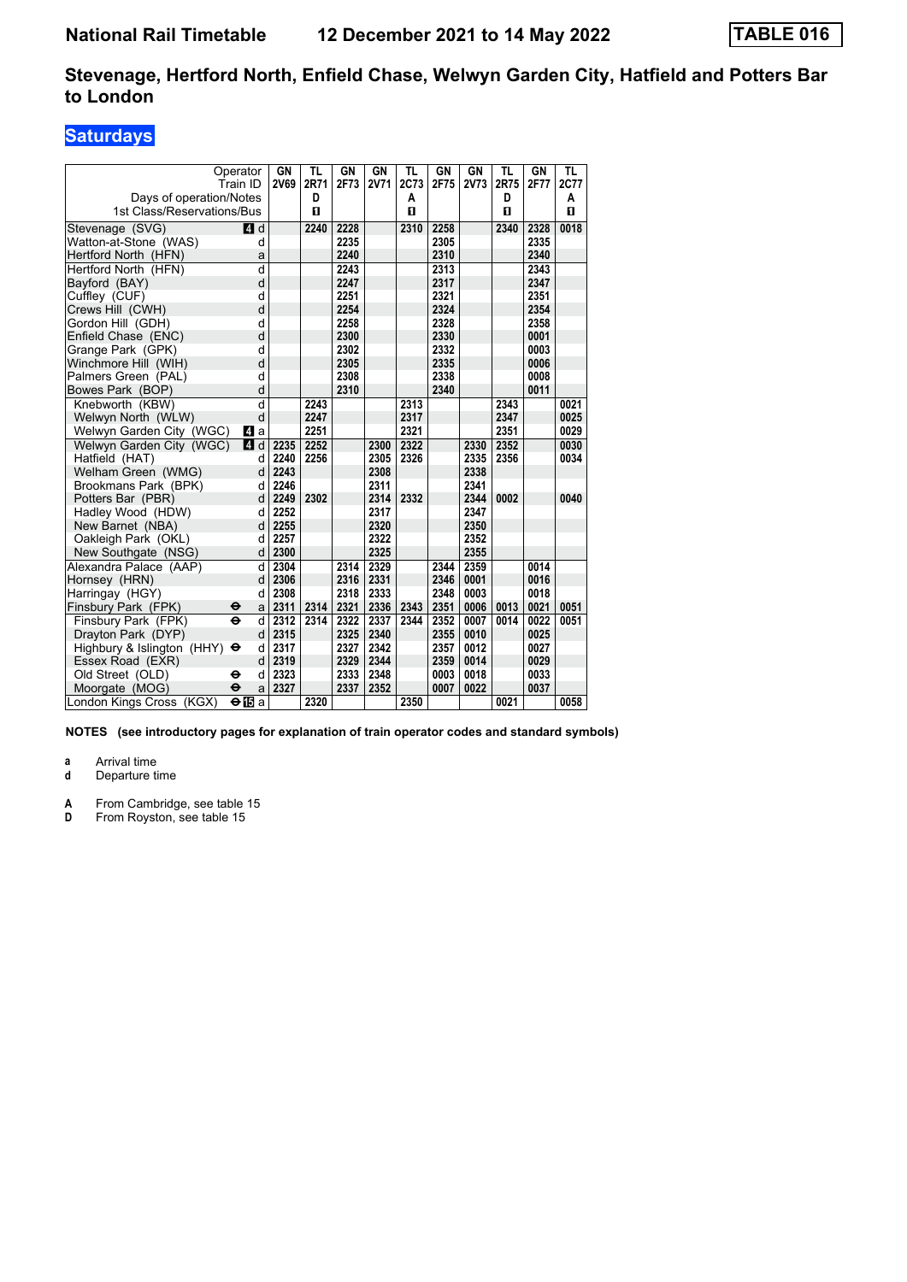# **Saturdays**

| Operator                                   | GN          | <b>TL</b>    | GN   | GN   | <b>TL</b>    | GN   | GN          | TL           | GN   | TL           |
|--------------------------------------------|-------------|--------------|------|------|--------------|------|-------------|--------------|------|--------------|
| Train ID                                   | <b>2V69</b> | 2R71         | 2F73 | 2V71 | 2C73         | 2F75 | <b>2V73</b> | 2R75         | 2F77 | 2C77         |
| Days of operation/Notes                    |             | D            |      |      | A            |      |             | D            |      | A            |
| 1st Class/Reservations/Bus                 |             | $\mathbf{u}$ |      |      | $\mathbf{u}$ |      |             | $\mathbf{u}$ |      | $\mathbf{u}$ |
| Stevenage (SVG)<br>ZI d                    |             | 2240         | 2228 |      | 2310         | 2258 |             | 2340         | 2328 | 0018         |
| Watton-at-Stone (WAS)                      | d           |              | 2235 |      |              | 2305 |             |              | 2335 |              |
| Hertford North (HFN)                       | a           |              | 2240 |      |              | 2310 |             |              | 2340 |              |
| Hertford North (HFN)                       | d           |              | 2243 |      |              | 2313 |             |              | 2343 |              |
| Bayford (BAY)                              | d           |              | 2247 |      |              | 2317 |             |              | 2347 |              |
| Cuffley (CUF)                              | d           |              | 2251 |      |              | 2321 |             |              | 2351 |              |
| Crews Hill (CWH)                           | d           |              | 2254 |      |              | 2324 |             |              | 2354 |              |
| Gordon Hill (GDH)                          | d           |              | 2258 |      |              | 2328 |             |              | 2358 |              |
| Enfield Chase (ENC)                        | d           |              | 2300 |      |              | 2330 |             |              | 0001 |              |
| Grange Park (GPK)                          | d           |              | 2302 |      |              | 2332 |             |              | 0003 |              |
| Winchmore Hill (WIH)                       | d           |              | 2305 |      |              | 2335 |             |              | 0006 |              |
| Palmers Green (PAL)                        | d           |              | 2308 |      |              | 2338 |             |              | 0008 |              |
| Bowes Park (BOP)                           | d           |              | 2310 |      |              | 2340 |             |              | 0011 |              |
| Knebworth (KBW)                            | d           | 2243         |      |      | 2313         |      |             | 2343         |      | 0021         |
| Welwyn North (WLW)                         | d           | 2247         |      |      | 2317         |      |             | 2347         |      | 0025         |
| Welwyn Garden City (WGC)<br>ZI a           |             | 2251         |      |      | 2321         |      |             | 2351         |      | 0029         |
| Welwyn Garden City (WGC)<br>4 d            | 2235        | 2252         |      | 2300 | 2322         |      | 2330        | 2352         |      | 0030         |
| Hatfield (HAT)                             | 2240<br>d   | 2256         |      | 2305 | 2326         |      | 2335        | 2356         |      | 0034         |
| Welham Green (WMG)                         | 2243<br>d   |              |      | 2308 |              |      | 2338        |              |      |              |
| Brookmans Park (BPK)                       | 2246<br>d   |              |      | 2311 |              |      | 2341        |              |      |              |
| Potters Bar (PBR)                          | d<br>2249   | 2302         |      | 2314 | 2332         |      | 2344        | 0002         |      | 0040         |
| Hadley Wood (HDW)                          | 2252<br>d   |              |      | 2317 |              |      | 2347        |              |      |              |
| New Barnet (NBA)                           | 2255<br>d   |              |      | 2320 |              |      | 2350        |              |      |              |
| Oakleigh Park (OKL)                        | 2257<br>d   |              |      | 2322 |              |      | 2352        |              |      |              |
| New Southgate (NSG)                        | 2300<br>d   |              |      | 2325 |              |      | 2355        |              |      |              |
| Alexandra Palace (AAP)                     | 2304<br>d   |              | 2314 | 2329 |              | 2344 | 2359        |              | 0014 |              |
| Hornsey (HRN)                              | d<br>2306   |              | 2316 | 2331 |              | 2346 | 0001        |              | 0016 |              |
| Harringay (HGY)                            | 2308<br>d   |              | 2318 | 2333 |              | 2348 | 0003        |              | 0018 |              |
| Finsbury Park (FPK)<br>⊖                   | 2311<br>a   | 2314         | 2321 | 2336 | 2343         | 2351 | 0006        | 0013         | 0021 | 0051         |
| $\ddot{\mathbf{e}}$<br>Finsbury Park (FPK) | d<br>2312   | 2314         | 2322 | 2337 | 2344         | 2352 | 0007        | 0014         | 0022 | 0051         |
| Drayton Park (DYP)                         | 2315<br>d   |              | 2325 | 2340 |              | 2355 | 0010        |              | 0025 |              |
| Highbury & Islington (HHY)<br>$\bullet$    | 2317<br>d   |              | 2327 | 2342 |              | 2357 | 0012        |              | 0027 |              |
| Essex Road (EXR)                           | 2319<br>d   |              | 2329 | 2344 |              | 2359 | 0014        |              | 0029 |              |
| Old Street (OLD)<br>θ                      | 2323<br>d   |              | 2333 | 2348 |              | 0003 | 0018        |              | 0033 |              |
| Moorgate (MOG)<br>$\ddot{\mathbf{e}}$      | 2327<br>a   |              | 2337 | 2352 |              | 0007 | 0022        |              | 0037 |              |
| London Kings Cross (KGX)<br>⊖l⊡a           |             | 2320         |      |      | 2350         |      |             | 0021         |      | 0058         |

**NOTES (see introductory pages for explanation of train operator codes and standard symbols)**

**a** Arrival time<br>**d** Departure t

**d** Departure time

**A** From Cambridge, see table 15<br>**D** From Rovston, see table 15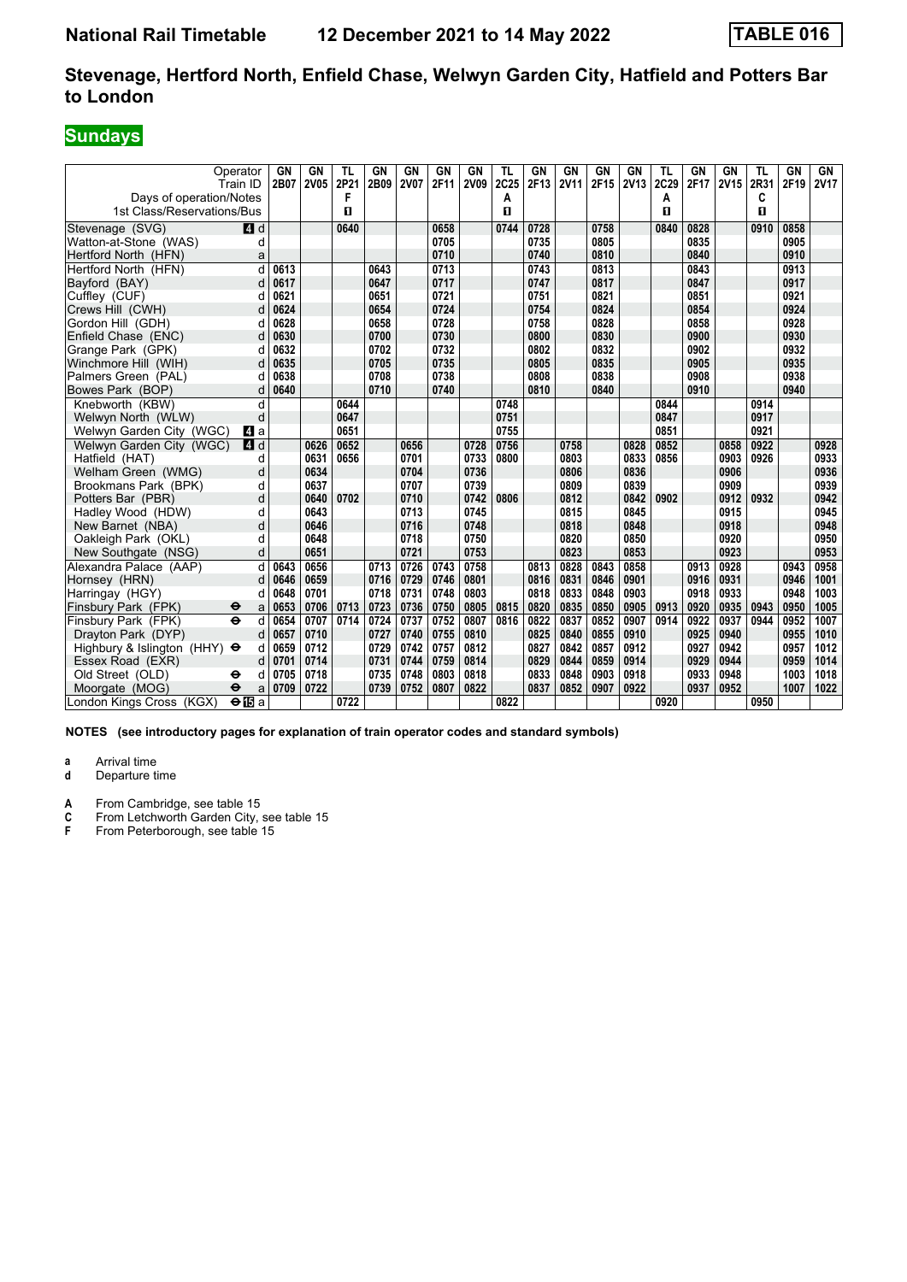# **Sundays**

| Operator<br>Train ID<br>Days of operation/Notes |                      | GN<br>2B07 | <b>GN</b><br>2V05 | TL<br>2P21<br>F<br>п | <b>GN</b><br>2B09 | <b>GN</b><br><b>2V07</b> | <b>GN</b><br>2F11 | <b>GN</b><br>2V09 | <b>TL</b><br>2C25<br>A | <b>GN</b><br>2F13 | GN<br><b>2V11</b> | <b>GN</b><br>2F15 | GN<br><b>2V13</b> | <b>TL</b><br>2C29<br>A | GN<br>2F17 | GN<br>2V15 | TL<br>2R31<br>C | GN<br>2F19 | GN<br><b>2V17</b> |
|-------------------------------------------------|----------------------|------------|-------------------|----------------------|-------------------|--------------------------|-------------------|-------------------|------------------------|-------------------|-------------------|-------------------|-------------------|------------------------|------------|------------|-----------------|------------|-------------------|
| 1st Class/Reservations/Bus                      |                      |            |                   |                      |                   |                          |                   |                   | П                      |                   |                   |                   |                   | п                      |            |            | п               |            |                   |
| Stevenage (SVG)                                 | 4d                   |            |                   | 0640                 |                   |                          | 0658              |                   | 0744                   | 0728              |                   | 0758              |                   | 0840                   | 0828       |            | 0910            | 0858       |                   |
| Watton-at-Stone (WAS)                           | d                    |            |                   |                      |                   |                          | 0705              |                   |                        | 0735              |                   | 0805              |                   |                        | 0835       |            |                 | 0905       |                   |
| Hertford North (HFN)                            | a                    |            |                   |                      |                   |                          | 0710              |                   |                        | 0740              |                   | 0810              |                   |                        | 0840       |            |                 | 0910       |                   |
| Hertford North (HFN)                            | d                    | 0613       |                   |                      | 0643              |                          | 0713              |                   |                        | 0743              |                   | 0813              |                   |                        | 0843       |            |                 | 0913       |                   |
| Bayford (BAY)                                   | d                    | 0617       |                   |                      | 0647              |                          | 0717              |                   |                        | 0747              |                   | 0817              |                   |                        | 0847       |            |                 | 0917       |                   |
| Cuffley (CUF)                                   |                      | 0621       |                   |                      | 0651              |                          | 0721              |                   |                        | 0751              |                   | 0821              |                   |                        | 0851       |            |                 | 0921       |                   |
| Crews Hill (CWH)                                |                      | 0624       |                   |                      | 0654              |                          | 0724              |                   |                        | 0754              |                   | 0824              |                   |                        | 0854       |            |                 | 0924       |                   |
| Gordon Hill (GDH)                               | d                    | 0628       |                   |                      | 0658              |                          | 0728              |                   |                        | 0758              |                   | 0828              |                   |                        | 0858       |            |                 | 0928       |                   |
| Enfield Chase (ENC)                             | d                    | 0630       |                   |                      | 0700              |                          | 0730              |                   |                        | 0800              |                   | 0830              |                   |                        | 0900       |            |                 | 0930       |                   |
| Grange Park (GPK)                               |                      | 0632       |                   |                      | 0702              |                          | 0732              |                   |                        | 0802              |                   | 0832              |                   |                        | 0902       |            |                 | 0932       |                   |
| Winchmore Hill (WIH)                            |                      | 0635       |                   |                      | 0705              |                          | 0735              |                   |                        | 0805              |                   | 0835              |                   |                        | 0905       |            |                 | 0935       |                   |
| Palmers Green (PAL)                             |                      | 0638       |                   |                      | 0708              |                          | 0738              |                   |                        | 0808              |                   | 0838              |                   |                        | 0908       |            |                 | 0938       |                   |
| Bowes Park (BOP)                                | d                    | 0640       |                   |                      | 0710              |                          | 0740              |                   |                        | 0810              |                   | 0840              |                   |                        | 0910       |            |                 | 0940       |                   |
| Knebworth (KBW)                                 | d                    |            |                   | 0644                 |                   |                          |                   |                   | 0748                   |                   |                   |                   |                   | 0844                   |            |            | 0914            |            |                   |
| Welwyn North (WLW)                              | d                    |            |                   | 0647                 |                   |                          |                   |                   | 0751                   |                   |                   |                   |                   | 0847                   |            |            | 0917            |            |                   |
| Welwyn Garden City (WGC)                        | L4 a                 |            |                   | 0651                 |                   |                          |                   |                   | 0755                   |                   |                   |                   |                   | 0851                   |            |            | 0921            |            |                   |
| Welwyn Garden City (WGC)                        | <b>4</b> d           |            | 0626              | 0652                 |                   | 0656                     |                   | 0728              | 0756                   |                   | 0758              |                   | 0828              | 0852                   |            | 0858       | 0922            |            | 0928              |
| Hatfield (HAT)                                  | d                    |            | 0631              | 0656                 |                   | 0701                     |                   | 0733              | 0800                   |                   | 0803              |                   | 0833              | 0856                   |            | 0903       | 0926            |            | 0933              |
| Welham Green (WMG)                              | d                    |            | 0634              |                      |                   | 0704                     |                   | 0736              |                        |                   | 0806              |                   | 0836              |                        |            | 0906       |                 |            | 0936              |
| Brookmans Park (BPK)                            | d                    |            | 0637              |                      |                   | 0707                     |                   | 0739              |                        |                   | 0809              |                   | 0839              |                        |            | 0909       |                 |            | 0939              |
| Potters Bar (PBR)                               | d                    |            | 0640              | 0702                 |                   | 0710                     |                   | 0742              | 0806                   |                   | 0812              |                   | 0842              | 0902                   |            | 0912       | 0932            |            | 0942              |
| Hadley Wood (HDW)                               | d                    |            | 0643              |                      |                   | 0713                     |                   | 0745              |                        |                   | 0815              |                   | 0845              |                        |            | 0915       |                 |            | 0945              |
| New Barnet (NBA)                                | d                    |            | 0646              |                      |                   | 0716                     |                   | 0748              |                        |                   | 0818              |                   | 0848              |                        |            | 0918       |                 |            | 0948              |
| Oakleigh Park (OKL)                             | d                    |            | 0648              |                      |                   | 0718                     |                   | 0750              |                        |                   | 0820              |                   | 0850              |                        |            | 0920       |                 |            | 0950              |
| New Southgate (NSG)                             | d                    |            | 0651              |                      |                   | 0721                     |                   | 0753              |                        |                   | 0823              |                   | 0853              |                        |            | 0923       |                 |            | 0953              |
| Alexandra Palace (AAP)                          | d                    | 0643       | 0656              |                      | 0713              | 0726                     | 0743              | 0758              |                        | 0813              | 0828              | 0843              | 0858              |                        | 0913       | 0928       |                 | 0943       | 0958              |
| Hornsey (HRN)                                   | d                    | 0646       | 0659              |                      | 0716              | 0729                     | 0746              | 0801              |                        | 0816              | 0831              | 0846              | 0901              |                        | 0916       | 0931       |                 | 0946       | 1001              |
| Harringay (HGY)                                 | d                    | 0648       | 0701              |                      | 0718              | 0731                     | 0748              | 0803              |                        | 0818              | 0833              | 0848              | 0903              |                        | 0918       | 0933       |                 | 0948       | 1003              |
| Finsbury Park (FPK)<br>θ                        | a                    | 0653       | 0706              | 0713                 | 0723              | 0736                     | 0750              | 0805              | 0815                   | 0820              | 0835              | 0850              | 0905              | 0913                   | 0920       | 0935       | 0943            | 0950       | 1005              |
| $\ddot{\mathbf{e}}$<br>Finsbury Park (FPK)      | d                    | 0654       | 0707              | 0714                 | 0724              | 0737                     | 0752              | 0807              | 0816                   | 0822              | 0837              | 0852              | 0907              | 0914                   | 0922       | 0937       | 0944            | 0952       | 1007              |
| Drayton Park (DYP)                              | d                    | 0657       | 0710              |                      | 0727              | 0740                     | 0755              | 0810              |                        | 0825              | 0840              | 0855              | 0910              |                        | 0925       | 0940       |                 | 0955       | 1010              |
| Highbury & Islington (HHY) $\Theta$             | d                    | 0659       | 0712              |                      | 0729              | 0742                     | 0757              | 0812              |                        | 0827              | 0842              | 0857              | 0912              |                        | 0927       | 0942       |                 | 0957       | 1012              |
| Essex Road (EXR)                                | d                    | 0701       | 0714              |                      | 0731              | 0744                     | 0759              | 0814              |                        | 0829              | 0844              | 0859              | 0914              |                        | 0929       | 0944       |                 | 0959       | 1014              |
| Old Street (OLD)<br>θ                           | d                    | 0705       | 0718              |                      | 0735              | 0748                     | 0803              | 0818              |                        | 0833              | 0848              | 0903              | 0918              |                        | 0933       | 0948       |                 | 1003       | 1018              |
| Moorgate (MOG)<br>$\ddot{\mathbf{e}}$           | a                    | 0709       | 0722              |                      | 0739              | 0752                     | 0807              | 0822              |                        | 0837              | 0852              | 0907              | 0922              |                        | 0937       | 0952       |                 | 1007       | 1022              |
| London Kings Cross (KGX)                        | $\Theta$ <b>IB</b> a |            |                   | 0722                 |                   |                          |                   |                   | 0822                   |                   |                   |                   |                   | 0920                   |            |            | 0950            |            |                   |

**NOTES (see introductory pages for explanation of train operator codes and standard symbols)**

**a** Arrival time<br>**d** Departure t

**d** Departure time

**A** From Cambridge, see table 15<br> **C** From Letchworth Garden City,<br> **F** From Peterborough, see table

**C** From Letchworth Garden City, see table 15

**F** From Peterborough, see table 15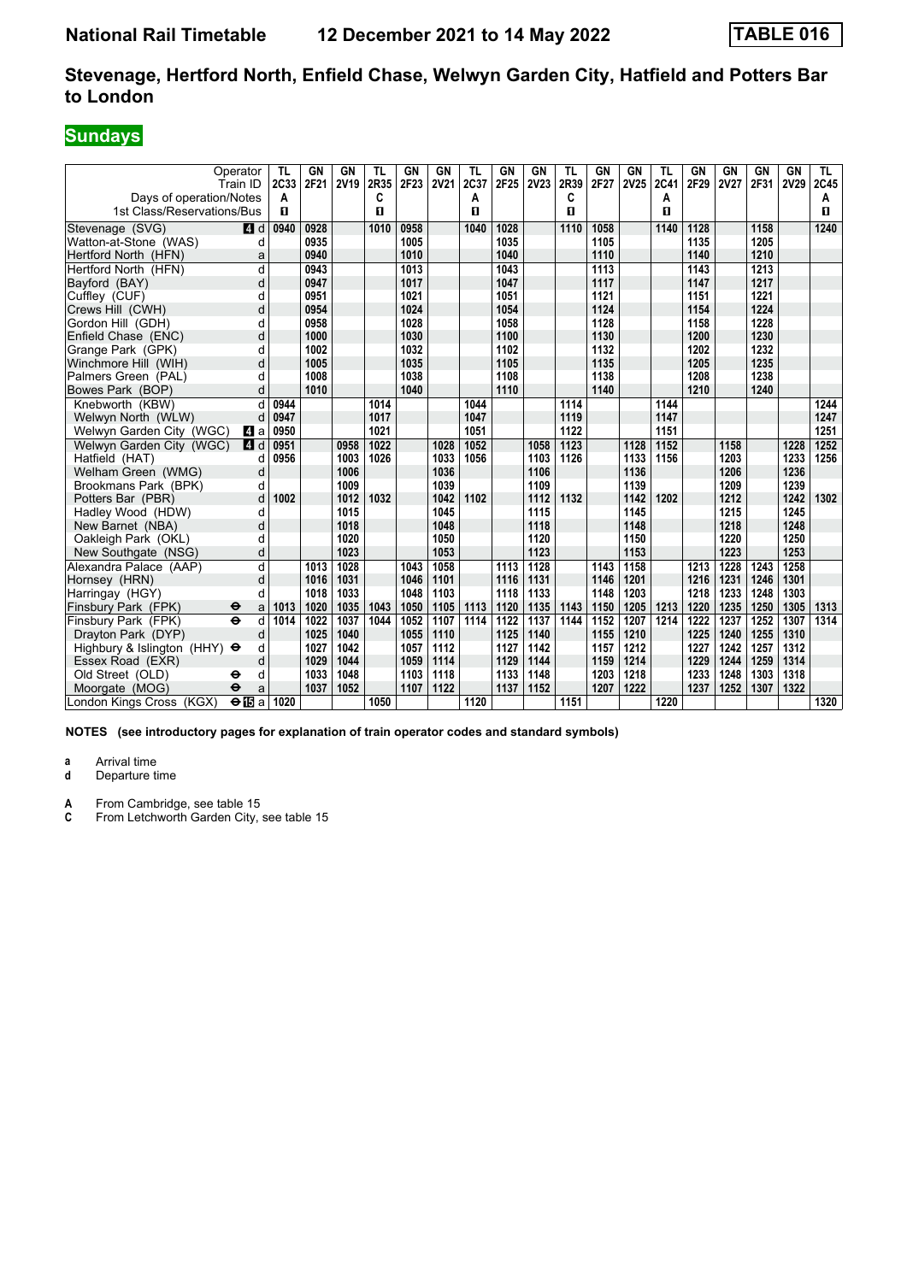# **Sundays**

|                                            | Operator<br>Train ID | TL<br>2C33 | GN<br>2F21 | GN<br><b>2V19</b> | TL<br>2R35 | GN<br>2F23 | GN<br><b>2V21</b> | TL<br>2C37 | GN<br>2F25 | GN<br><b>2V23</b> | TL<br>2R39 | GN<br>2F27 | GN<br>2V25 | TL<br>2C41 | GN<br>2F29 | GN<br><b>2V27</b> | GN<br>2F31 | <b>GN</b><br><b>2V29</b> | TL<br>2C45 |
|--------------------------------------------|----------------------|------------|------------|-------------------|------------|------------|-------------------|------------|------------|-------------------|------------|------------|------------|------------|------------|-------------------|------------|--------------------------|------------|
| Days of operation/Notes                    |                      | А          |            |                   | C          |            |                   | Α          |            |                   | C          |            |            | Α          |            |                   |            |                          | A          |
| 1st Class/Reservations/Bus                 |                      | п          |            |                   | п          |            |                   | п          |            |                   | п          |            |            | п          |            |                   |            |                          | п          |
| Stevenage (SVG)                            | $\blacksquare$ d     | 0940       | 0928       |                   | 1010       | 0958       |                   | 1040       | 1028       |                   | 1110       | 1058       |            | 1140       | 1128       |                   | 1158       |                          | 1240       |
| Watton-at-Stone (WAS)                      | d                    |            | 0935       |                   |            | 1005       |                   |            | 1035       |                   |            | 1105       |            |            | 1135       |                   | 1205       |                          |            |
| Hertford North (HFN)                       | a                    |            | 0940       |                   |            | 1010       |                   |            | 1040       |                   |            | 1110       |            |            | 1140       |                   | 1210       |                          |            |
| Hertford North (HFN)                       | d                    |            | 0943       |                   |            | 1013       |                   |            | 1043       |                   |            | 1113       |            |            | 1143       |                   | 1213       |                          |            |
| Bayford (BAY)                              | d                    |            | 0947       |                   |            | 1017       |                   |            | 1047       |                   |            | 1117       |            |            | 1147       |                   | 1217       |                          |            |
| Cuffley (CUF)                              | d                    |            | 0951       |                   |            | 1021       |                   |            | 1051       |                   |            | 1121       |            |            | 1151       |                   | 1221       |                          |            |
| Crews Hill (CWH)                           | d                    |            | 0954       |                   |            | 1024       |                   |            | 1054       |                   |            | 1124       |            |            | 1154       |                   | 1224       |                          |            |
| Gordon Hill (GDH)                          | d                    |            | 0958       |                   |            | 1028       |                   |            | 1058       |                   |            | 1128       |            |            | 1158       |                   | 1228       |                          |            |
| Enfield Chase (ENC)                        | d                    |            | 1000       |                   |            | 1030       |                   |            | 1100       |                   |            | 1130       |            |            | 1200       |                   | 1230       |                          |            |
| Grange Park (GPK)                          | d                    |            | 1002       |                   |            | 1032       |                   |            | 1102       |                   |            | 1132       |            |            | 1202       |                   | 1232       |                          |            |
| Winchmore Hill (WIH)                       | d                    |            | 1005       |                   |            | 1035       |                   |            | 1105       |                   |            | 1135       |            |            | 1205       |                   | 1235       |                          |            |
| Palmers Green (PAL)                        | d                    |            | 1008       |                   |            | 1038       |                   |            | 1108       |                   |            | 1138       |            |            | 1208       |                   | 1238       |                          |            |
| Bowes Park (BOP)                           | d                    |            | 1010       |                   |            | 1040       |                   |            | 1110       |                   |            | 1140       |            |            | 1210       |                   | 1240       |                          |            |
| Knebworth (KBW)                            | d                    | 0944       |            |                   | 1014       |            |                   | 1044       |            |                   | 1114       |            |            | 1144       |            |                   |            |                          | 1244       |
| Welwyn North (WLW)                         | d                    | 0947       |            |                   | 1017       |            |                   | 1047       |            |                   | 1119       |            |            | 1147       |            |                   |            |                          | 1247       |
| Welwyn Garden City (WGC)                   | <b>и</b> а           | 0950       |            |                   | 1021       |            |                   | 1051       |            |                   | 1122       |            |            | 1151       |            |                   |            |                          | 1251       |
| Welwyn Garden City (WGC)                   | ZI d                 | 0951       |            | 0958              | 1022       |            | 1028              | 1052       |            | 1058              | 1123       |            | 1128       | 1152       |            | 1158              |            | 1228                     | 1252       |
| Hatfield (HAT)                             | d                    | 0956       |            | 1003              | 1026       |            | 1033              | 1056       |            | 1103              | 1126       |            | 1133       | 1156       |            | 1203              |            | 1233                     | 1256       |
| Welham Green (WMG)                         | d                    |            |            | 1006              |            |            | 1036              |            |            | 1106              |            |            | 1136       |            |            | 1206              |            | 1236                     |            |
| Brookmans Park (BPK)                       | d                    |            |            | 1009              |            |            | 1039              |            |            | 1109              |            |            | 1139       |            |            | 1209              |            | 1239                     |            |
| Potters Bar (PBR)                          | d                    | 1002       |            | 1012              | 1032       |            | 1042              | 1102       |            | 1112              | 1132       |            | 1142       | 1202       |            | 1212              |            | 1242                     | 1302       |
| Hadley Wood (HDW)                          | d                    |            |            | 1015              |            |            | 1045              |            |            | 1115              |            |            | 1145       |            |            | 1215              |            | 1245                     |            |
| New Barnet (NBA)                           | d                    |            |            | 1018              |            |            | 1048              |            |            | 1118              |            |            | 1148       |            |            | 1218              |            | 1248                     |            |
| Oakleigh Park (OKL)                        | d                    |            |            | 1020              |            |            | 1050              |            |            | 1120              |            |            | 1150       |            |            | 1220              |            | 1250                     |            |
| New Southgate (NSG)                        | d                    |            |            | 1023              |            |            | 1053              |            |            | 1123              |            |            | 1153       |            |            | 1223              |            | 1253                     |            |
| Alexandra Palace (AAP)                     | d                    |            | 1013       | 1028              |            | 1043       | 1058              |            | 1113       | 1128              |            | 1143       | 1158       |            | 1213       | 1228              | 1243       | 1258                     |            |
| Hornsey (HRN)                              | d                    |            | 1016       | 1031              |            | 1046       | 1101              |            | 1116       | 1131              |            | 1146       | 1201       |            | 1216       | 1231              | 1246       | 1301                     |            |
| Harringay (HGY)                            | d                    |            | 1018       | 1033              |            | 1048       | 1103              |            | 1118       | 1133              |            | 1148       | 1203       |            | 1218       | 1233              | 1248       | 1303                     |            |
| Finsbury Park (FPK)<br>θ                   | a                    | 1013       | 1020       | 1035              | 1043       | 1050       | 1105              | 1113       | 1120       | 1135              | 1143       | 1150       | 1205       | 1213       | 1220       | 1235              | 1250       | 1305                     | 1313       |
| $\ddot{\mathbf{e}}$<br>Finsbury Park (FPK) | d                    | 1014       | 1022       | 1037              | 1044       | 1052       | 1107              | 1114       | 1122       | 1137              | 1144       | 1152       | 1207       | 1214       | 1222       | 1237              | 1252       | 1307                     | 1314       |
| Dravton Park (DYP)                         | d                    |            | 1025       | 1040              |            | 1055       | 1110              |            | 1125       | 1140              |            | 1155       | 1210       |            | 1225       | 1240              | 1255       | 1310                     |            |
| Highbury & Islington (HHY) $\Theta$        | d                    |            | 1027       | 1042              |            | 1057       | 1112              |            | 1127       | 1142              |            | 1157       | 1212       |            | 1227       | 1242              | 1257       | 1312                     |            |
| Essex Road (EXR)                           | d                    |            | 1029       | 1044              |            | 1059       | 1114              |            | 1129       | 1144              |            | 1159       | 1214       |            | 1229       | 1244              | 1259       | 1314                     |            |
| Old Street (OLD)<br>⊖                      | d                    |            | 1033       | 1048              |            | 1103       | 1118              |            | 1133       | 1148              |            | 1203       | 1218       |            | 1233       | 1248              | 1303       | 1318                     |            |
| Moorgate (MOG)<br>$\ddot{\mathbf{e}}$      | a                    |            | 1037       | 1052              |            | 1107       | 1122              |            | 1137       | 1152              |            | 1207       | 1222       |            | 1237       | 1252              | 1307       | 1322                     |            |
| London Kings Cross (KGX)                   | $\Theta$ is a        | 1020       |            |                   | 1050       |            |                   | 1120       |            |                   | 1151       |            |            | 1220       |            |                   |            |                          | 1320       |

**NOTES (see introductory pages for explanation of train operator codes and standard symbols)**

**a** Arrival time<br>**d** Departure t

**d** Departure time

**A** From Cambridge, see table 15<br>**C** From Letchworth Garden City.

From Letchworth Garden City, see table 15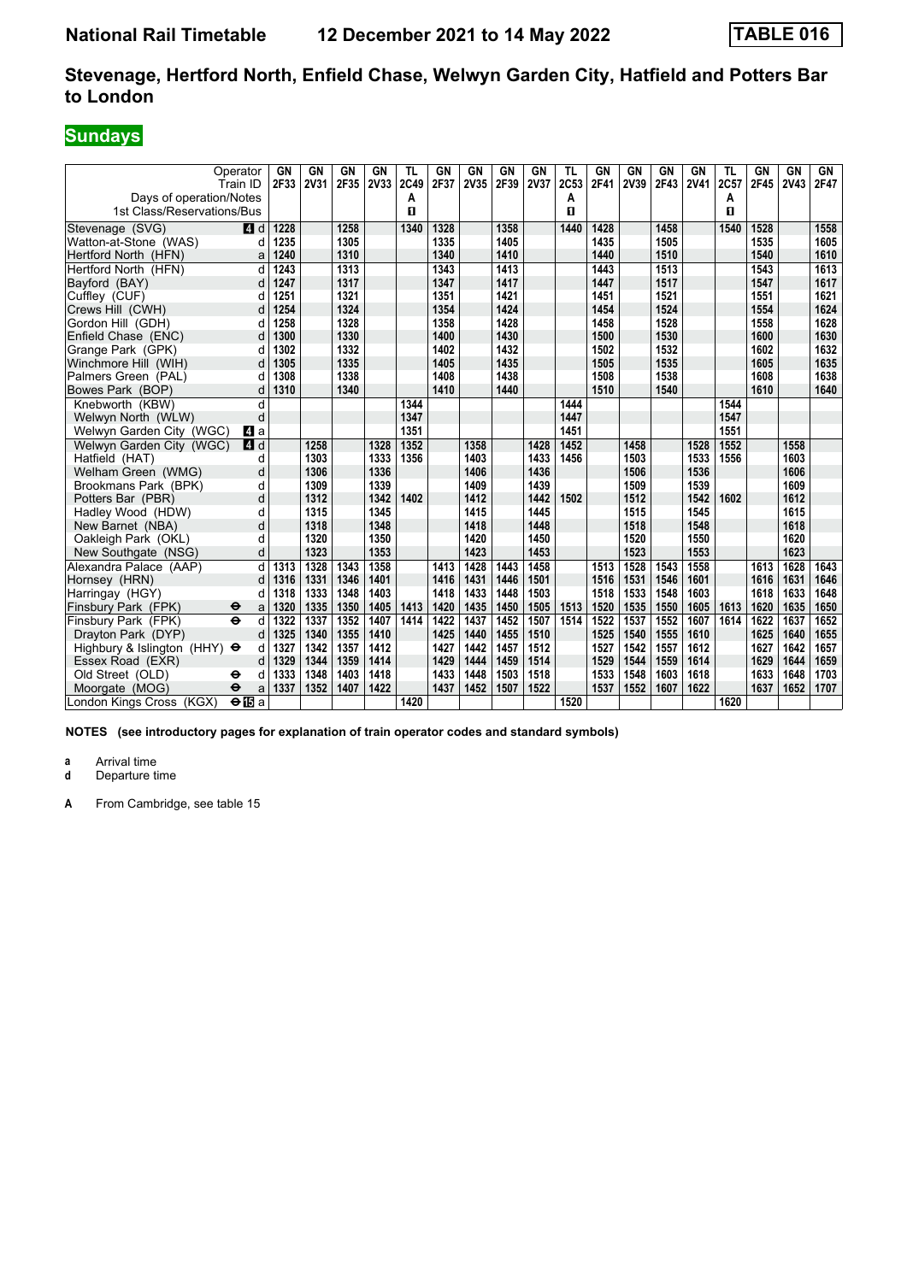# **Sundays**

|                                     | Operator<br>Train ID     | GN<br>2F33 | GN<br><b>2V31</b> | GN<br>2F35 | GN<br>2V33 | TL<br>2C49 | GN<br>2F37 | GN<br>2V35 | GN<br>2F39 | <b>GN</b><br>2V37 | <b>TL</b><br>2C53 | GN<br>2F41 | GN<br>2V39 | <b>GN</b><br>2F43 | GN<br><b>2V41</b> | TL<br>2C57 | GΝ<br>2F45 | GN<br><b>2V43</b> | GN<br>2F47 |
|-------------------------------------|--------------------------|------------|-------------------|------------|------------|------------|------------|------------|------------|-------------------|-------------------|------------|------------|-------------------|-------------------|------------|------------|-------------------|------------|
| Days of operation/Notes             |                          |            |                   |            |            | Α          |            |            |            |                   | A                 |            |            |                   |                   | A          |            |                   |            |
| 1st Class/Reservations/Bus          |                          |            |                   |            |            | п          |            |            |            |                   | п                 |            |            |                   |                   | п          |            |                   |            |
| Stevenage (SVG)                     | $\blacksquare$ d         | 1228       |                   | 1258       |            | 1340       | 1328       |            | 1358       |                   | 1440              | 1428       |            | 1458              |                   | 1540       | 1528       |                   | 1558       |
| Watton-at-Stone (WAS)               | d                        | 1235       |                   | 1305       |            |            | 1335       |            | 1405       |                   |                   | 1435       |            | 1505              |                   |            | 1535       |                   | 1605       |
| Hertford North (HFN)                | a                        | 1240       |                   | 1310       |            |            | 1340       |            | 1410       |                   |                   | 1440       |            | 1510              |                   |            | 1540       |                   | 1610       |
| Hertford North (HFN)                | d                        | 1243       |                   | 1313       |            |            | 1343       |            | 1413       |                   |                   | 1443       |            | 1513              |                   |            | 1543       |                   | 1613       |
| Bayford (BAY)                       | d                        | 1247       |                   | 1317       |            |            | 1347       |            | 1417       |                   |                   | 1447       |            | 1517              |                   |            | 1547       |                   | 1617       |
| Cuffley (CUF)                       | d                        | 1251       |                   | 1321       |            |            | 1351       |            | 1421       |                   |                   | 1451       |            | 1521              |                   |            | 1551       |                   | 1621       |
| Crews Hill (CWH)                    | d                        | 1254       |                   | 1324       |            |            | 1354       |            | 1424       |                   |                   | 1454       |            | 1524              |                   |            | 1554       |                   | 1624       |
| Gordon Hill (GDH)                   | d                        | 1258       |                   | 1328       |            |            | 1358       |            | 1428       |                   |                   | 1458       |            | 1528              |                   |            | 1558       |                   | 1628       |
| Enfield Chase (ENC)                 | d                        | 1300       |                   | 1330       |            |            | 1400       |            | 1430       |                   |                   | 1500       |            | 1530              |                   |            | 1600       |                   | 1630       |
| Grange Park (GPK)                   | d                        | 1302       |                   | 1332       |            |            | 1402       |            | 1432       |                   |                   | 1502       |            | 1532              |                   |            | 1602       |                   | 1632       |
| Winchmore Hill (WIH)                | d                        | 1305       |                   | 1335       |            |            | 1405       |            | 1435       |                   |                   | 1505       |            | 1535              |                   |            | 1605       |                   | 1635       |
| Palmers Green (PAL)                 | d                        | 1308       |                   | 1338       |            |            | 1408       |            | 1438       |                   |                   | 1508       |            | 1538              |                   |            | 1608       |                   | 1638       |
| Bowes Park (BOP)                    | d                        | 1310       |                   | 1340       |            |            | 1410       |            | 1440       |                   |                   | 1510       |            | 1540              |                   |            | 1610       |                   | 1640       |
| Knebworth (KBW)                     | d                        |            |                   |            |            | 1344       |            |            |            |                   | 1444              |            |            |                   |                   | 1544       |            |                   |            |
| Welwyn North (WLW)                  | d                        |            |                   |            |            | 1347       |            |            |            |                   | 1447              |            |            |                   |                   | 1547       |            |                   |            |
| Welwyn Garden City (WGC)            | <b>4</b> a               |            |                   |            |            | 1351       |            |            |            |                   | 1451              |            |            |                   |                   | 1551       |            |                   |            |
| Welwyn Garden City (WGC)            | 4d                       |            | 1258              |            | 1328       | 1352       |            | 1358       |            | 1428              | 1452              |            | 1458       |                   | 1528              | 1552       |            | 1558              |            |
| Hatfield (HAT)                      | d                        |            | 1303              |            | 1333       | 1356       |            | 1403       |            | 1433              | 1456              |            | 1503       |                   | 1533              | 1556       |            | 1603              |            |
| Welham Green (WMG)                  | d                        |            | 1306              |            | 1336       |            |            | 1406       |            | 1436              |                   |            | 1506       |                   | 1536              |            |            | 1606              |            |
| Brookmans Park (BPK)                | d                        |            | 1309              |            | 1339       |            |            | 1409       |            | 1439              |                   |            | 1509       |                   | 1539              |            |            | 1609              |            |
| Potters Bar (PBR)                   | d                        |            | 1312              |            | 1342       | 1402       |            | 1412       |            | 1442              | 1502              |            | 1512       |                   | 1542              | 1602       |            | 1612              |            |
| Hadley Wood (HDW)                   | d                        |            | 1315              |            | 1345       |            |            | 1415       |            | 1445              |                   |            | 1515       |                   | 1545              |            |            | 1615              |            |
| New Barnet (NBA)                    | d                        |            | 1318              |            | 1348       |            |            | 1418       |            | 1448              |                   |            | 1518       |                   | 1548              |            |            | 1618              |            |
| Oakleigh Park (OKL)                 | d                        |            | 1320              |            | 1350       |            |            | 1420       |            | 1450              |                   |            | 1520       |                   | 1550              |            |            | 1620              |            |
| New Southgate (NSG)                 | d                        |            | 1323              |            | 1353       |            |            | 1423       |            | 1453              |                   |            | 1523       |                   | 1553              |            |            | 1623              |            |
| Alexandra Palace (AAP)              | d                        | 1313       | 1328              | 1343       | 1358       |            | 1413       | 1428       | 1443       | 1458              |                   | 1513       | 1528       | 1543              | 1558              |            | 1613       | 1628              | 1643       |
| Hornsey (HRN)                       | d                        | 1316       | 1331              | 1346       | 1401       |            | 1416       | 1431       | 1446       | 1501              |                   | 1516       | 1531       | 1546              | 1601              |            | 1616       | 1631              | 1646       |
| Harringay (HGY)                     | d                        | 1318       | 1333              | 1348       | 1403       |            | 1418       | 1433       | 1448       | 1503              |                   | 1518       | 1533       | 1548              | 1603              |            | 1618       | 1633              | 1648       |
| Finsbury Park (FPK)                 | θ<br>a                   | 1320       | 1335              | 1350       | 1405       | 1413       | 1420       | 1435       | 1450       | 1505              | 1513              | 1520       | 1535       | 1550              | 1605              | 1613       | 1620       | 1635              | 1650       |
| Finsbury Park (FPK)                 | $\ddot{\mathbf{e}}$<br>d | 1322       | 1337              | 1352       | 1407       | 1414       | 1422       | 1437       | 1452       | 1507              | 1514              | 1522       | 1537       | 1552              | 1607              | 1614       | 1622       | 1637              | 1652       |
| Dravton Park (DYP)                  | d                        | 1325       | 1340              | 1355       | 1410       |            | 1425       | 1440       | 1455       | 1510              |                   | 1525       | 1540       | 1555              | 1610              |            | 1625       | 1640              | 1655       |
| Highbury & Islington (HHY) $\Theta$ | d                        | 1327       | 1342              | 1357       | 1412       |            | 1427       | 1442       | 1457       | 1512              |                   | 1527       | 1542       | 1557              | 1612              |            | 1627       | 1642              | 1657       |
| Essex Road (EXR)                    | d                        | 1329       | 1344              | 1359       | 1414       |            | 1429       | 1444       | 1459       | 1514              |                   | 1529       | 1544       | 1559              | 1614              |            | 1629       | 1644              | 1659       |
| Old Street (OLD)                    | d<br>⊖                   | 1333       | 1348              | 1403       | 1418       |            | 1433       | 1448       | 1503       | 1518              |                   | 1533       | 1548       | 1603              | 1618              |            | 1633       | 1648              | 1703       |
| Moorgate (MOG)                      | $\ddot{\mathbf{e}}$<br>a | 1337       | 1352              | 1407       | 1422       |            | 1437       | 1452       | 1507       | 1522              |                   | 1537       | 1552       | 1607              | 1622              |            | 1637       | 1652              | 1707       |
| London Kings Cross (KGX)            | $\Theta$ is a            |            |                   |            |            | 1420       |            |            |            |                   | 1520              |            |            |                   |                   | 1620       |            |                   |            |

**NOTES (see introductory pages for explanation of train operator codes and standard symbols)**

**a** Arrival time<br>**d** Departure t

**d** Departure time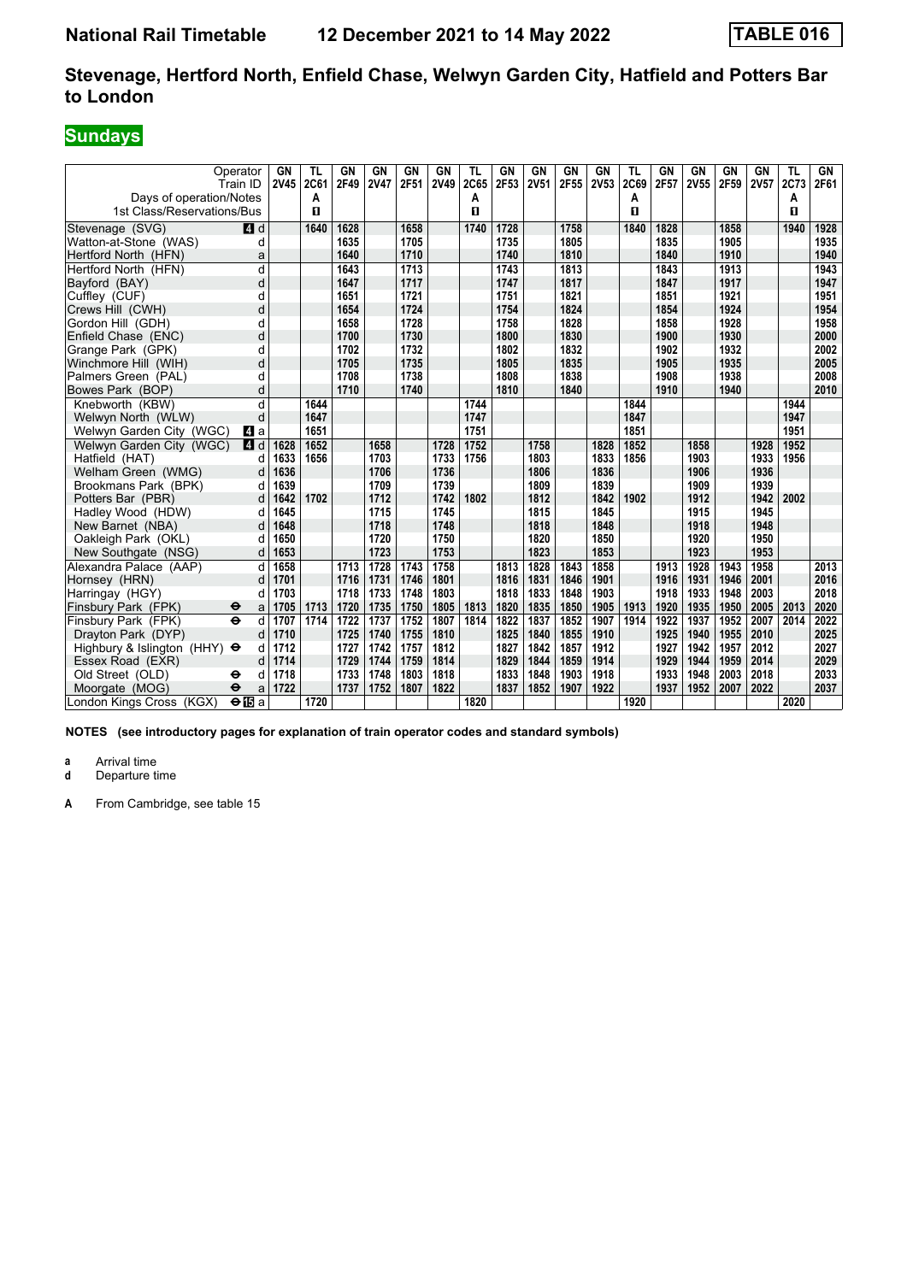# **Sundays**

| Days of operation/Notes             | Operator<br>Train ID      | <b>GN</b><br><b>2V45</b> | <b>TL</b><br>2C61<br>А | GN<br>2F49 | <b>GN</b><br><b>2V47</b> | <b>GN</b><br>2F51 | GN<br>2V49 | TL<br>2C65<br>A | <b>GN</b><br>2F53 | GN<br><b>2V51</b> | <b>GN</b><br>2F55 | GN<br>2V53 | <b>TL</b><br>2C69<br>Α | GN<br>2F57 | GN<br>2V55 | GN<br>2F59 | <b>GN</b><br>2V57 | TL<br>2C73<br>A | GN<br>2F61 |
|-------------------------------------|---------------------------|--------------------------|------------------------|------------|--------------------------|-------------------|------------|-----------------|-------------------|-------------------|-------------------|------------|------------------------|------------|------------|------------|-------------------|-----------------|------------|
| 1st Class/Reservations/Bus          |                           |                          | п                      |            |                          |                   |            | П               |                   |                   |                   |            | п                      |            |            |            |                   | п               |            |
| Stevenage (SVG)                     | <b>4</b> d                |                          | 1640                   | 1628       |                          | 1658              |            | 1740            | 1728              |                   | 1758              |            | 1840                   | 1828       |            | 1858       |                   | 1940            | 1928       |
| Watton-at-Stone (WAS)               | d                         |                          |                        | 1635       |                          | 1705              |            |                 | 1735              |                   | 1805              |            |                        | 1835       |            | 1905       |                   |                 | 1935       |
| Hertford North (HFN)                | a                         |                          |                        | 1640       |                          | 1710              |            |                 | 1740              |                   | 1810              |            |                        | 1840       |            | 1910       |                   |                 | 1940       |
| Hertford North (HFN)                | d                         |                          |                        | 1643       |                          | 1713              |            |                 | 1743              |                   | 1813              |            |                        | 1843       |            | 1913       |                   |                 | 1943       |
| Bayford (BAY)                       | d                         |                          |                        | 1647       |                          | 1717              |            |                 | 1747              |                   | 1817              |            |                        | 1847       |            | 1917       |                   |                 | 1947       |
| Cufflev (CUF)                       | d                         |                          |                        | 1651       |                          | 1721              |            |                 | 1751              |                   | 1821              |            |                        | 1851       |            | 1921       |                   |                 | 1951       |
| Crews Hill (CWH)                    | d                         |                          |                        | 1654       |                          | 1724              |            |                 | 1754              |                   | 1824              |            |                        | 1854       |            | 1924       |                   |                 | 1954       |
| Gordon Hill (GDH)                   | d                         |                          |                        | 1658       |                          | 1728              |            |                 | 1758              |                   | 1828              |            |                        | 1858       |            | 1928       |                   |                 | 1958       |
| Enfield Chase (ENC)                 | d                         |                          |                        | 1700       |                          | 1730              |            |                 | 1800              |                   | 1830              |            |                        | 1900       |            | 1930       |                   |                 | 2000       |
| Grange Park (GPK)                   | d                         |                          |                        | 1702       |                          | 1732              |            |                 | 1802              |                   | 1832              |            |                        | 1902       |            | 1932       |                   |                 | 2002       |
| Winchmore Hill (WIH)                | d                         |                          |                        | 1705       |                          | 1735              |            |                 | 1805              |                   | 1835              |            |                        | 1905       |            | 1935       |                   |                 | 2005       |
| Palmers Green (PAL)                 | d                         |                          |                        | 1708       |                          | 1738              |            |                 | 1808              |                   | 1838              |            |                        | 1908       |            | 1938       |                   |                 | 2008       |
| Bowes Park (BOP)                    | d                         |                          |                        | 1710       |                          | 1740              |            |                 | 1810              |                   | 1840              |            |                        | 1910       |            | 1940       |                   |                 | 2010       |
| Knebworth (KBW)                     | d                         |                          | 1644                   |            |                          |                   |            | 1744            |                   |                   |                   |            | 1844                   |            |            |            |                   | 1944            |            |
| Welwyn North (WLW)                  | d                         |                          | 1647                   |            |                          |                   |            | 1747            |                   |                   |                   |            | 1847                   |            |            |            |                   | 1947            |            |
| Welwyn Garden City (WGC)            | L4 a                      |                          | 1651                   |            |                          |                   |            | 1751            |                   |                   |                   |            | 1851                   |            |            |            |                   | 1951            |            |
| Welwyn Garden City (WGC)            | 4 d                       | 1628                     | 1652                   |            | 1658                     |                   | 1728       | 1752            |                   | 1758              |                   | 1828       | 1852                   |            | 1858       |            | 1928              | 1952            |            |
| Hatfield (HAT)                      | d                         | 1633                     | 1656                   |            | 1703                     |                   | 1733       | 1756            |                   | 1803              |                   | 1833       | 1856                   |            | 1903       |            | 1933              | 1956            |            |
| Welham Green (WMG)                  | d                         | 1636                     |                        |            | 1706                     |                   | 1736       |                 |                   | 1806              |                   | 1836       |                        |            | 1906       |            | 1936              |                 |            |
| Brookmans Park (BPK)                | d                         | 1639                     |                        |            | 1709                     |                   | 1739       |                 |                   | 1809              |                   | 1839       |                        |            | 1909       |            | 1939              |                 |            |
| Potters Bar (PBR)                   | d                         | 1642                     | 1702                   |            | 1712                     |                   | 1742       | 1802            |                   | 1812              |                   | 1842       | 1902                   |            | 1912       |            | 1942              | 2002            |            |
| Hadley Wood (HDW)                   | d                         | 1645                     |                        |            | 1715                     |                   | 1745       |                 |                   | 1815              |                   | 1845       |                        |            | 1915       |            | 1945              |                 |            |
| New Barnet (NBA)                    | d                         | 1648                     |                        |            | 1718                     |                   | 1748       |                 |                   | 1818              |                   | 1848       |                        |            | 1918       |            | 1948              |                 |            |
| Oakleigh Park (OKL)                 | d                         | 1650                     |                        |            | 1720                     |                   | 1750       |                 |                   | 1820              |                   | 1850       |                        |            | 1920       |            | 1950              |                 |            |
| New Southgate (NSG)                 | d                         | 1653                     |                        |            | 1723                     |                   | 1753       |                 |                   | 1823              |                   | 1853       |                        |            | 1923       |            | 1953              |                 |            |
| Alexandra Palace (AAP)              | d                         | 1658                     |                        | 1713       | 1728                     | 1743              | 1758       |                 | 1813              | 1828              | 1843              | 1858       |                        | 1913       | 1928       | 1943       | 1958              |                 | 2013       |
| Hornsey (HRN)                       | d                         | 1701                     |                        | 1716       | 1731                     | 1746              | 1801       |                 | 1816              | 1831              | 1846              | 1901       |                        | 1916       | 1931       | 1946       | 2001              |                 | 2016       |
| Harringay (HGY)                     | d                         | 1703                     |                        | 1718       | 1733                     | 1748              | 1803       |                 | 1818              | 1833              | 1848              | 1903       |                        | 1918       | 1933       | 1948       | 2003              |                 | 2018       |
| Finsbury Park (FPK)                 | $\ddot{\bm{\Theta}}$<br>a | 1705                     | 1713                   | 1720       | 1735                     | 1750              | 1805       | 1813            | 1820              | 1835              | 1850              | 1905       | 1913                   | 1920       | 1935       | 1950       | 2005              | 2013            | 2020       |
| Finsbury Park (FPK)                 | $\ddot{\mathbf{e}}$<br>d  | 1707                     | 1714                   | 1722       | 1737                     | 1752              | 1807       | 1814            | 1822              | 1837              | 1852              | 1907       | 1914                   | 1922       | 1937       | 1952       | 2007              | 2014            | 2022       |
| Drayton Park (DYP)                  | d                         | 1710                     |                        | 1725       | 1740                     | 1755              | 1810       |                 | 1825              | 1840              | 1855              | 1910       |                        | 1925       | 1940       | 1955       | 2010              |                 | 2025       |
| Highbury & Islington (HHY) $\Theta$ | d                         | 1712                     |                        | 1727       | 1742                     | 1757              | 1812       |                 | 1827              | 1842              | 1857              | 1912       |                        | 1927       | 1942       | 1957       | 2012              |                 | 2027       |
| Essex Road (EXR)                    | d                         | 1714                     |                        | 1729       | 1744                     | 1759              | 1814       |                 | 1829              | 1844              | 1859              | 1914       |                        | 1929       | 1944       | 1959       | 2014              |                 | 2029       |
| Old Street (OLD)                    | d<br>⊖                    | 1718                     |                        | 1733       | 1748                     | 1803              | 1818       |                 | 1833              | 1848              | 1903              | 1918       |                        | 1933       | 1948       | 2003       | 2018              |                 | 2033       |
| Moorgate (MOG)                      | $\ddot{\mathbf{e}}$<br>a  | 1722                     |                        | 1737       | 1752                     | 1807              | 1822       |                 | 1837              | 1852              | 1907              | 1922       |                        | 1937       | 1952       | 2007       | 2022              |                 | 2037       |
| London Kings Cross (KGX)            | $\Theta$ is a             |                          | 1720                   |            |                          |                   |            | 1820            |                   |                   |                   |            | 1920                   |            |            |            |                   | 2020            |            |

**NOTES (see introductory pages for explanation of train operator codes and standard symbols)**

**a** Arrival time<br>**d** Departure t

**d** Departure time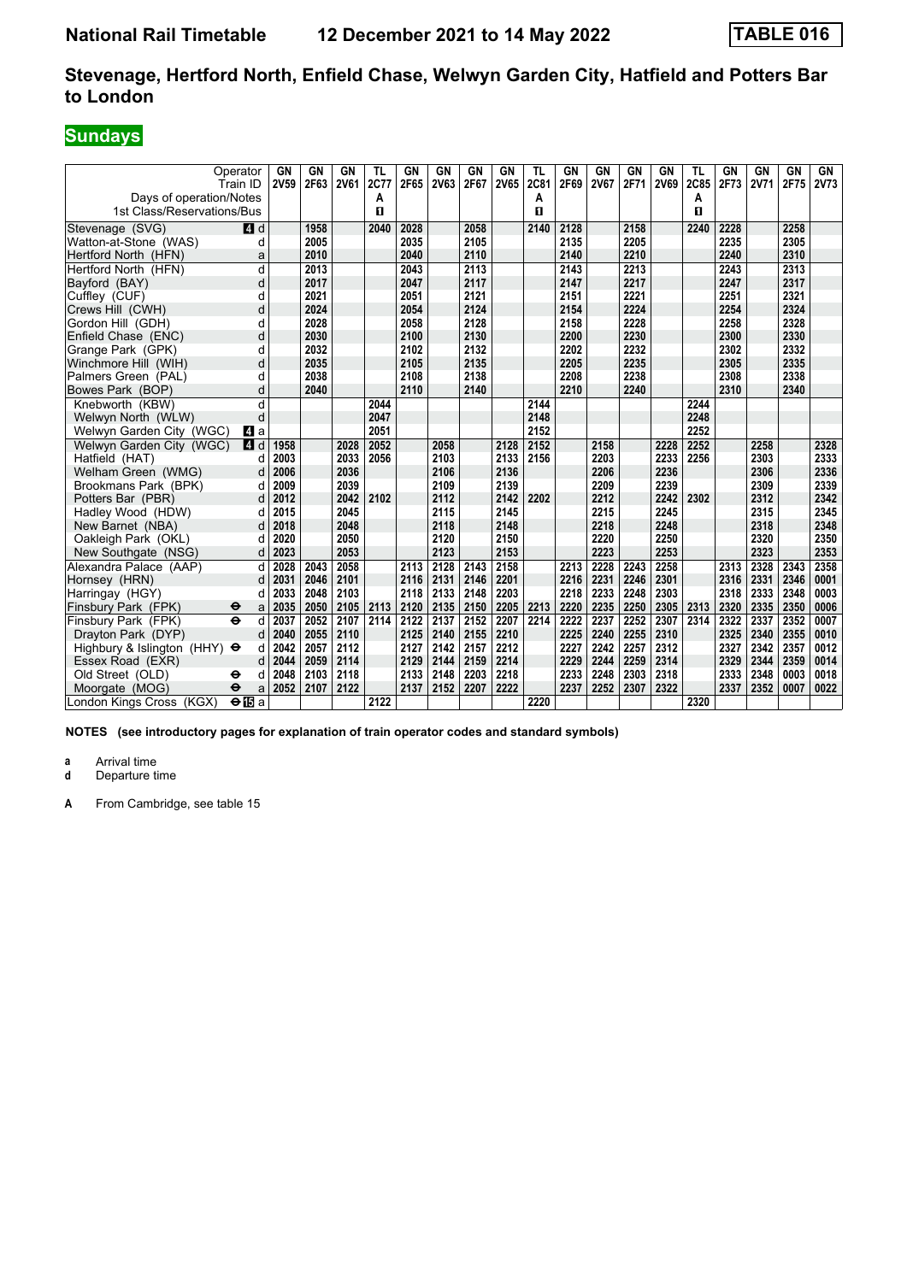# **Sundays**

|                                     | Operator<br>Train ID     | GN<br>2V59 | GN<br>2F63 | GN<br><b>2V61</b> | TL<br>2C77 | <b>GN</b><br>2F65 | GN<br>2V63 | GN<br>2F67 | GN<br><b>2V65</b> | TL<br><b>2C81</b> | GN<br>2F69 | GN<br><b>2V67</b> | <b>GN</b><br>2F71 | GN<br><b>2V69</b> | TL<br>2C85 | GN<br>2F73 | GN<br><b>2V71</b> | GN<br>2F75 | GN<br><b>2V73</b> |
|-------------------------------------|--------------------------|------------|------------|-------------------|------------|-------------------|------------|------------|-------------------|-------------------|------------|-------------------|-------------------|-------------------|------------|------------|-------------------|------------|-------------------|
| Days of operation/Notes             |                          |            |            |                   | A          |                   |            |            |                   | Α                 |            |                   |                   |                   | А          |            |                   |            |                   |
| 1st Class/Reservations/Bus          |                          |            |            |                   | п          |                   |            |            |                   | п                 |            |                   |                   |                   | п          |            |                   |            |                   |
| Stevenage (SVG)                     | $A$ d                    |            | 1958       |                   | 2040       | 2028              |            | 2058       |                   | 2140              | 2128       |                   | 2158              |                   | 2240       | 2228       |                   | 2258       |                   |
| Watton-at-Stone (WAS)               | d                        |            | 2005       |                   |            | 2035              |            | 2105       |                   |                   | 2135       |                   | 2205              |                   |            | 2235       |                   | 2305       |                   |
| Hertford North (HFN)                | a                        |            | 2010       |                   |            | 2040              |            | 2110       |                   |                   | 2140       |                   | 2210              |                   |            | 2240       |                   | 2310       |                   |
| Hertford North (HFN)                | d                        |            | 2013       |                   |            | 2043              |            | 2113       |                   |                   | 2143       |                   | 2213              |                   |            | 2243       |                   | 2313       |                   |
| Bayford (BAY)                       | d                        |            | 2017       |                   |            | 2047              |            | 2117       |                   |                   | 2147       |                   | 2217              |                   |            | 2247       |                   | 2317       |                   |
| Cuffley (CUF)                       | d                        |            | 2021       |                   |            | 2051              |            | 2121       |                   |                   | 2151       |                   | 2221              |                   |            | 2251       |                   | 2321       |                   |
| Crews Hill (CWH)                    | d                        |            | 2024       |                   |            | 2054              |            | 2124       |                   |                   | 2154       |                   | 2224              |                   |            | 2254       |                   | 2324       |                   |
| Gordon Hill (GDH)                   | d                        |            | 2028       |                   |            | 2058              |            | 2128       |                   |                   | 2158       |                   | 2228              |                   |            | 2258       |                   | 2328       |                   |
| Enfield Chase (ENC)                 | d                        |            | 2030       |                   |            | 2100              |            | 2130       |                   |                   | 2200       |                   | 2230              |                   |            | 2300       |                   | 2330       |                   |
| Grange Park (GPK)                   | d                        |            | 2032       |                   |            | 2102              |            | 2132       |                   |                   | 2202       |                   | 2232              |                   |            | 2302       |                   | 2332       |                   |
| Winchmore Hill (WIH)                | d                        |            | 2035       |                   |            | 2105              |            | 2135       |                   |                   | 2205       |                   | 2235              |                   |            | 2305       |                   | 2335       |                   |
| Palmers Green (PAL)                 | d                        |            | 2038       |                   |            | 2108              |            | 2138       |                   |                   | 2208       |                   | 2238              |                   |            | 2308       |                   | 2338       |                   |
| Bowes Park (BOP)                    | d                        |            | 2040       |                   |            | 2110              |            | 2140       |                   |                   | 2210       |                   | 2240              |                   |            | 2310       |                   | 2340       |                   |
| Knebworth (KBW)                     | d                        |            |            |                   | 2044       |                   |            |            |                   | 2144              |            |                   |                   |                   | 2244       |            |                   |            |                   |
| Welwyn North (WLW)                  | d                        |            |            |                   | 2047       |                   |            |            |                   | 2148              |            |                   |                   |                   | 2248       |            |                   |            |                   |
| Welwyn Garden City (WGC)            | L4 a                     |            |            |                   | 2051       |                   |            |            |                   | 2152              |            |                   |                   |                   | 2252       |            |                   |            |                   |
| Welwyn Garden City (WGC)            | <b>4</b> d               | 1958       |            | 2028              | 2052       |                   | 2058       |            | 2128              | 2152              |            | 2158              |                   | 2228              | 2252       |            | 2258              |            | 2328              |
| Hatfield (HAT)                      | d                        | 2003       |            | 2033              | 2056       |                   | 2103       |            | 2133              | 2156              |            | 2203              |                   | 2233              | 2256       |            | 2303              |            | 2333              |
| Welham Green (WMG)                  | d                        | 2006       |            | 2036              |            |                   | 2106       |            | 2136              |                   |            | 2206              |                   | 2236              |            |            | 2306              |            | 2336              |
| Brookmans Park (BPK)                | d                        | 2009       |            | 2039              |            |                   | 2109       |            | 2139              |                   |            | 2209              |                   | 2239              |            |            | 2309              |            | 2339              |
| Potters Bar (PBR)                   | d                        | 2012       |            | 2042              | 2102       |                   | 2112       |            | 2142              | 2202              |            | 2212              |                   | 2242              | 2302       |            | 2312              |            | 2342              |
| Hadley Wood (HDW)                   | d                        | 2015       |            | 2045              |            |                   | 2115       |            | 2145              |                   |            | 2215              |                   | 2245              |            |            | 2315              |            | 2345              |
| New Barnet (NBA)                    | d                        | 2018       |            | 2048              |            |                   | 2118       |            | 2148              |                   |            | 2218              |                   | 2248              |            |            | 2318              |            | 2348              |
| Oakleigh Park (OKL)                 | d                        | 2020       |            | 2050              |            |                   | 2120       |            | 2150              |                   |            | 2220              |                   | 2250              |            |            | 2320              |            | 2350              |
| New Southgate (NSG)                 | d                        | 2023       |            | 2053              |            |                   | 2123       |            | 2153              |                   |            | 2223              |                   | 2253              |            |            | 2323              |            | 2353              |
| Alexandra Palace (AAP)              | d                        | 2028       | 2043       | 2058              |            | 2113              | 2128       | 2143       | 2158              |                   | 2213       | 2228              | 2243              | 2258              |            | 2313       | 2328              | 2343       | 2358              |
| Hornsey (HRN)                       | d                        | 2031       | 2046       | 2101              |            | 2116              | 2131       | 2146       | 2201              |                   | 2216       | 2231              | 2246              | 2301              |            | 2316       | 2331              | 2346       | 0001              |
| Harringay (HGY)                     | d                        | 2033       | 2048       | 2103              |            | 2118              | 2133       | 2148       | 2203              |                   | 2218       | 2233              | 2248              | 2303              |            | 2318       | 2333              | 2348       | 0003              |
| Finsbury Park (FPK)                 | ⊖<br>a                   | 2035       | 2050       | 2105              | 2113       | 2120              | 2135       | 2150       | 2205              | 2213              | 2220       | 2235              | 2250              | 2305              | 2313       | 2320       | 2335              | 2350       | 0006              |
| Finsbury Park (FPK)                 | $\ddot{\mathbf{e}}$<br>d | 2037       | 2052       | 2107              | 2114       | 2122              | 2137       | 2152       | 2207              | 2214              | 2222       | 2237              | 2252              | 2307              | 2314       | 2322       | 2337              | 2352       | 0007              |
| Dravton Park (DYP)                  | d                        | 2040       | 2055       | 2110              |            | 2125              | 2140       | 2155       | 2210              |                   | 2225       | 2240              | 2255              | 2310              |            | 2325       | 2340              | 2355       | 0010              |
| Highbury & Islington (HHY) $\Theta$ | d                        | 2042       | 2057       | 2112              |            | 2127              | 2142       | 2157       | 2212              |                   | 2227       | 2242              | 2257              | 2312              |            | 2327       | 2342              | 2357       | 0012              |
| Essex Road (EXR)                    | d                        | 2044       | 2059       | 2114              |            | 2129              | 2144       | 2159       | 2214              |                   | 2229       | 2244              | 2259              | 2314              |            | 2329       | 2344              | 2359       | 0014              |
| Old Street (OLD)                    | θ<br>d                   | 2048       | 2103       | 2118              |            | 2133              | 2148       | 2203       | 2218              |                   | 2233       | 2248              | 2303              | 2318              |            | 2333       | 2348              | 0003       | 0018              |
| Moorgate (MOG)                      | $\ddot{\mathbf{e}}$<br>a | 2052       | 2107       | 2122              |            | 2137              | 2152       | 2207       | 2222              |                   | 2237       | 2252              | 2307              | 2322              |            | 2337       | 2352              | 0007       | 0022              |
| London Kings Cross (KGX)            | $\Theta$ IBa             |            |            |                   | 2122       |                   |            |            |                   | 2220              |            |                   |                   |                   | 2320       |            |                   |            |                   |

**NOTES (see introductory pages for explanation of train operator codes and standard symbols)**

**a** Arrival time<br>**d** Departure t

**d** Departure time